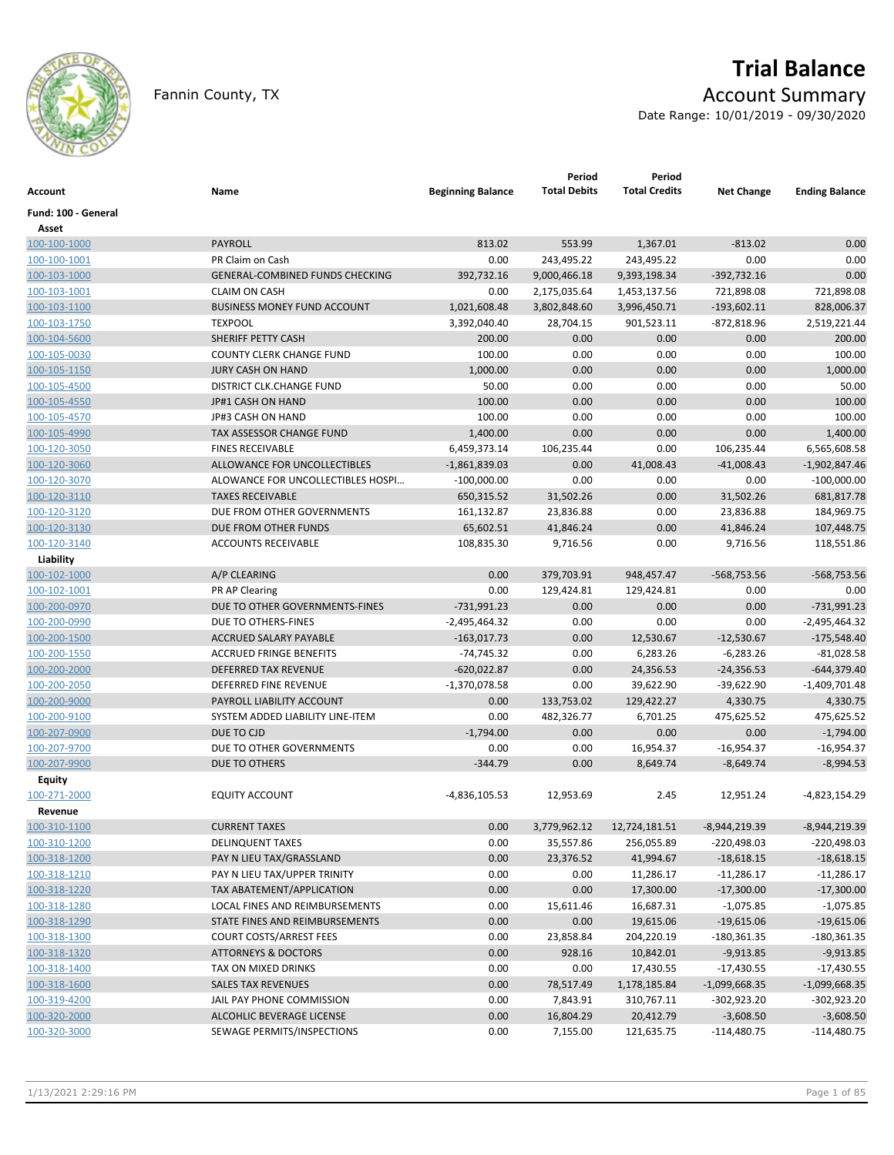

# **Trial Balance**

Fannin County, TX **Account Summary** 

Date Range: 10/01/2019 - 09/30/2020

| <b>Account</b>               | Name                                   | <b>Beginning Balance</b>    | Period<br><b>Total Debits</b> | Period<br><b>Total Credits</b> | <b>Net Change</b> | <b>Ending Balance</b> |
|------------------------------|----------------------------------------|-----------------------------|-------------------------------|--------------------------------|-------------------|-----------------------|
| Fund: 100 - General          |                                        |                             |                               |                                |                   |                       |
| Asset<br>100-100-1000        | <b>PAYROLL</b>                         | 813.02                      | 553.99                        | 1,367.01                       | $-813.02$         | 0.00                  |
| 100-100-1001                 | PR Claim on Cash                       | 0.00                        | 243,495.22                    | 243,495.22                     | 0.00              | 0.00                  |
| 100-103-1000                 | <b>GENERAL-COMBINED FUNDS CHECKING</b> | 392,732.16                  | 9,000,466.18                  | 9,393,198.34                   | $-392,732.16$     | 0.00                  |
| 100-103-1001                 | <b>CLAIM ON CASH</b>                   | 0.00                        | 2,175,035.64                  | 1,453,137.56                   | 721,898.08        | 721,898.08            |
| 100-103-1100                 | <b>BUSINESS MONEY FUND ACCOUNT</b>     | 1,021,608.48                | 3,802,848.60                  | 3,996,450.71                   | $-193,602.11$     | 828,006.37            |
| 100-103-1750                 | <b>TEXPOOL</b>                         | 3,392,040.40                | 28,704.15                     | 901,523.11                     | $-872,818.96$     | 2,519,221.44          |
| 100-104-5600                 | SHERIFF PETTY CASH                     | 200.00                      | 0.00                          | 0.00                           | 0.00              | 200.00                |
| 100-105-0030                 | <b>COUNTY CLERK CHANGE FUND</b>        | 100.00                      | 0.00                          | 0.00                           | 0.00              | 100.00                |
| 100-105-1150                 | <b>JURY CASH ON HAND</b>               | 1,000.00                    | 0.00                          | 0.00                           | 0.00              | 1,000.00              |
| 100-105-4500                 | DISTRICT CLK.CHANGE FUND               | 50.00                       | 0.00                          | 0.00                           | 0.00              | 50.00                 |
| 100-105-4550                 | JP#1 CASH ON HAND                      | 100.00                      | 0.00                          | 0.00                           | 0.00              | 100.00                |
| 100-105-4570                 | JP#3 CASH ON HAND                      | 100.00                      | 0.00                          | 0.00                           | 0.00              | 100.00                |
| 100-105-4990                 | TAX ASSESSOR CHANGE FUND               | 1,400.00                    | 0.00                          | 0.00                           | 0.00              | 1,400.00              |
| 100-120-3050                 | <b>FINES RECEIVABLE</b>                | 6,459,373.14                | 106,235.44                    | 0.00                           | 106,235.44        | 6,565,608.58          |
|                              | ALLOWANCE FOR UNCOLLECTIBLES           |                             |                               | 41,008.43                      | $-41,008.43$      | $-1,902,847.46$       |
| 100-120-3060<br>100-120-3070 | ALOWANCE FOR UNCOLLECTIBLES HOSPI      | $-1,861,839.03$             | 0.00<br>0.00                  | 0.00                           | 0.00              | $-100,000.00$         |
|                              | <b>TAXES RECEIVABLE</b>                | $-100,000.00$<br>650,315.52 |                               |                                |                   |                       |
| 100-120-3110                 | DUE FROM OTHER GOVERNMENTS             |                             | 31,502.26                     | 0.00                           | 31,502.26         | 681,817.78            |
| 100-120-3120                 | DUE FROM OTHER FUNDS                   | 161,132.87                  | 23,836.88                     | 0.00                           | 23,836.88         | 184,969.75            |
| 100-120-3130                 |                                        | 65,602.51                   | 41,846.24                     | 0.00                           | 41,846.24         | 107,448.75            |
| 100-120-3140                 | <b>ACCOUNTS RECEIVABLE</b>             | 108,835.30                  | 9,716.56                      | 0.00                           | 9,716.56          | 118,551.86            |
| Liability                    | A/P CLEARING                           |                             | 379,703.91                    |                                |                   |                       |
| 100-102-1000                 |                                        | 0.00                        |                               | 948,457.47                     | $-568,753.56$     | $-568,753.56$         |
| 100-102-1001                 | <b>PR AP Clearing</b>                  | 0.00                        | 129,424.81                    | 129,424.81                     | 0.00              | 0.00                  |
| 100-200-0970                 | DUE TO OTHER GOVERNMENTS-FINES         | $-731,991.23$               | 0.00                          | 0.00                           | 0.00              | $-731,991.23$         |
| 100-200-0990                 | DUE TO OTHERS-FINES                    | $-2,495,464.32$             | 0.00                          | 0.00                           | 0.00              | $-2,495,464.32$       |
| 100-200-1500                 | ACCRUED SALARY PAYABLE                 | $-163,017.73$               | 0.00                          | 12,530.67                      | $-12,530.67$      | $-175,548.40$         |
| 100-200-1550                 | <b>ACCRUED FRINGE BENEFITS</b>         | $-74,745.32$                | 0.00                          | 6,283.26                       | $-6,283.26$       | $-81,028.58$          |
| 100-200-2000                 | DEFERRED TAX REVENUE                   | $-620,022.87$               | 0.00                          | 24,356.53                      | $-24,356.53$      | $-644,379.40$         |
| 100-200-2050                 | <b>DEFERRED FINE REVENUE</b>           | $-1,370,078.58$             | 0.00                          | 39,622.90                      | $-39,622.90$      | $-1,409,701.48$       |
| 100-200-9000                 | PAYROLL LIABILITY ACCOUNT              | 0.00                        | 133,753.02                    | 129,422.27                     | 4,330.75          | 4,330.75              |
| 100-200-9100                 | SYSTEM ADDED LIABILITY LINE-ITEM       | 0.00                        | 482,326.77                    | 6,701.25                       | 475,625.52        | 475,625.52            |
| 100-207-0900                 | DUE TO CJD                             | $-1,794.00$                 | 0.00                          | 0.00                           | 0.00              | $-1,794.00$           |
| 100-207-9700                 | DUE TO OTHER GOVERNMENTS               | 0.00                        | 0.00                          | 16,954.37                      | $-16,954.37$      | $-16,954.37$          |
| 100-207-9900                 | DUE TO OTHERS                          | $-344.79$                   | 0.00                          | 8.649.74                       | $-8,649.74$       | $-8,994.53$           |
| Equity                       | <b>EQUITY ACCOUNT</b>                  |                             |                               |                                |                   |                       |
| 100-271-2000                 |                                        | -4,836,105.53               | 12,953.69                     | 2.45                           | 12,951.24         | -4,823,154.29         |
| Revenue                      |                                        |                             |                               |                                |                   |                       |
| 100-310-1100                 | <b>CURRENT TAXES</b>                   | 0.00                        | 3,779,962.12                  | 12,724,181.51                  | $-8,944,219.39$   | $-8,944,219.39$       |
| 100-310-1200                 | <b>DELINQUENT TAXES</b>                | 0.00                        | 35,557.86                     | 256,055.89                     | $-220,498.03$     | $-220,498.03$         |
| 100-318-1200                 | PAY N LIEU TAX/GRASSLAND               | 0.00                        | 23,376.52                     | 41,994.67                      | $-18,618.15$      | $-18,618.15$          |
| 100-318-1210                 | PAY N LIEU TAX/UPPER TRINITY           | 0.00                        | 0.00                          | 11,286.17                      | $-11,286.17$      | $-11,286.17$          |
| 100-318-1220                 | TAX ABATEMENT/APPLICATION              | 0.00                        | 0.00                          | 17,300.00                      | $-17,300.00$      | $-17,300.00$          |
| 100-318-1280                 | LOCAL FINES AND REIMBURSEMENTS         | 0.00                        | 15,611.46                     | 16,687.31                      | $-1,075.85$       | $-1,075.85$           |
| 100-318-1290                 | STATE FINES AND REIMBURSEMENTS         | 0.00                        | 0.00                          | 19,615.06                      | $-19,615.06$      | $-19,615.06$          |
| 100-318-1300                 | <b>COURT COSTS/ARREST FEES</b>         | 0.00                        | 23,858.84                     | 204,220.19                     | $-180,361.35$     | -180,361.35           |
| 100-318-1320                 | <b>ATTORNEYS &amp; DOCTORS</b>         | 0.00                        | 928.16                        | 10,842.01                      | $-9,913.85$       | $-9,913.85$           |
| 100-318-1400                 | TAX ON MIXED DRINKS                    | 0.00                        | 0.00                          | 17,430.55                      | $-17,430.55$      | $-17,430.55$          |
| 100-318-1600                 | <b>SALES TAX REVENUES</b>              | 0.00                        | 78,517.49                     | 1,178,185.84                   | $-1,099,668.35$   | $-1,099,668.35$       |
| 100-319-4200                 | JAIL PAY PHONE COMMISSION              | 0.00                        | 7,843.91                      | 310,767.11                     | $-302,923.20$     | $-302,923.20$         |
| 100-320-2000                 | ALCOHLIC BEVERAGE LICENSE              | 0.00                        | 16,804.29                     | 20,412.79                      | $-3,608.50$       | $-3,608.50$           |
| 100-320-3000                 | SEWAGE PERMITS/INSPECTIONS             | 0.00                        | 7,155.00                      | 121,635.75                     | $-114,480.75$     | $-114,480.75$         |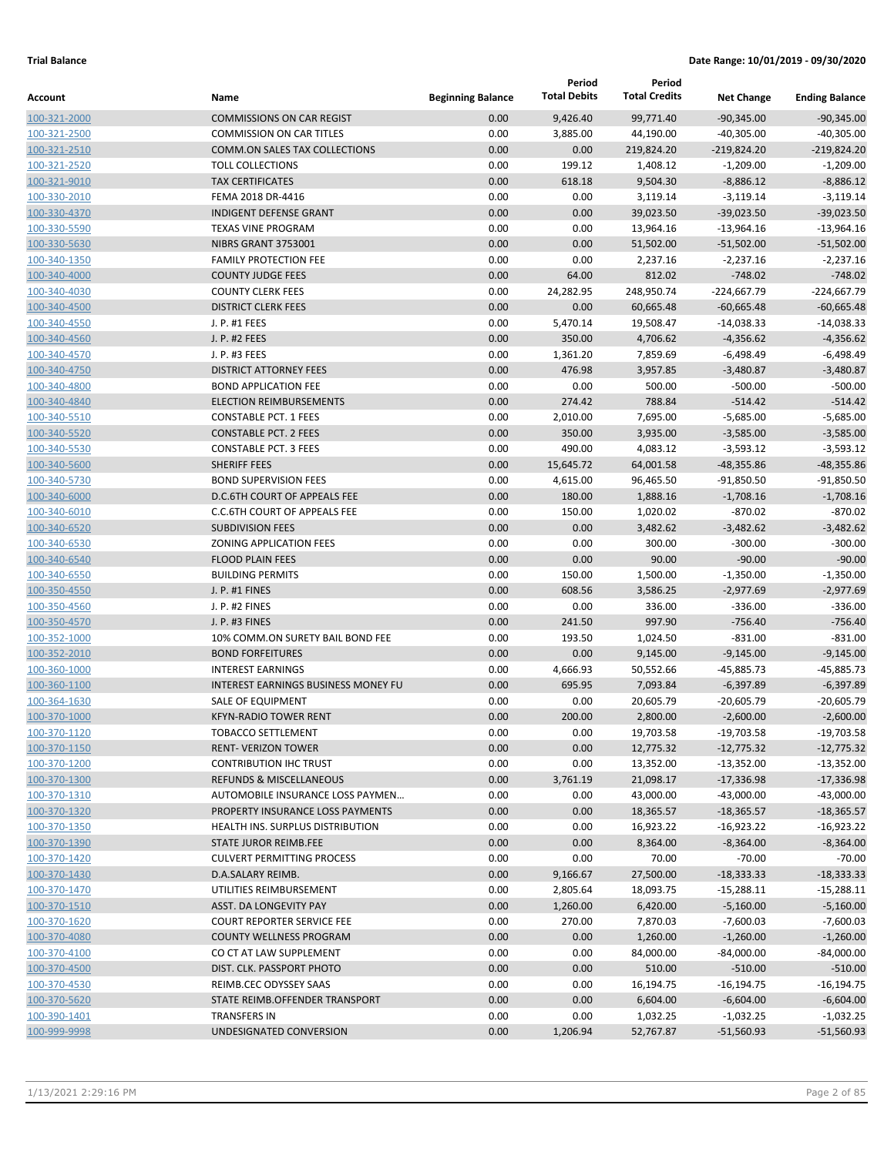|                              |                                                              |                          | Period              | Period               |                          |                          |
|------------------------------|--------------------------------------------------------------|--------------------------|---------------------|----------------------|--------------------------|--------------------------|
| Account                      | Name                                                         | <b>Beginning Balance</b> | <b>Total Debits</b> | <b>Total Credits</b> | <b>Net Change</b>        | <b>Ending Balance</b>    |
| 100-321-2000                 | <b>COMMISSIONS ON CAR REGIST</b>                             | 0.00                     | 9,426.40            | 99,771.40            | $-90,345.00$             | $-90,345.00$             |
| 100-321-2500                 | <b>COMMISSION ON CAR TITLES</b>                              | 0.00                     | 3,885.00            | 44,190.00            | $-40,305.00$             | $-40,305.00$             |
| 100-321-2510                 | <b>COMM.ON SALES TAX COLLECTIONS</b>                         | 0.00                     | 0.00                | 219,824.20           | $-219,824.20$            | $-219,824.20$            |
| 100-321-2520                 | <b>TOLL COLLECTIONS</b>                                      | 0.00                     | 199.12              | 1,408.12             | $-1,209.00$              | $-1,209.00$              |
| 100-321-9010                 | <b>TAX CERTIFICATES</b>                                      | 0.00                     | 618.18              | 9,504.30             | $-8,886.12$              | $-8,886.12$              |
| 100-330-2010                 | FEMA 2018 DR-4416                                            | 0.00                     | 0.00                | 3,119.14             | $-3,119.14$              | $-3,119.14$              |
| 100-330-4370                 | <b>INDIGENT DEFENSE GRANT</b>                                | 0.00                     | 0.00                | 39,023.50            | $-39,023.50$             | $-39,023.50$             |
| 100-330-5590                 | <b>TEXAS VINE PROGRAM</b>                                    | 0.00                     | 0.00                | 13,964.16            | $-13,964.16$             | $-13,964.16$             |
| 100-330-5630                 | NIBRS GRANT 3753001                                          | 0.00                     | 0.00                | 51,502.00            | $-51,502.00$             | $-51,502.00$             |
| 100-340-1350                 | <b>FAMILY PROTECTION FEE</b>                                 | 0.00                     | 0.00                | 2,237.16             | $-2,237.16$              | $-2,237.16$              |
| 100-340-4000                 | <b>COUNTY JUDGE FEES</b>                                     | 0.00                     | 64.00               | 812.02               | $-748.02$                | $-748.02$                |
| 100-340-4030                 | <b>COUNTY CLERK FEES</b>                                     | 0.00                     | 24,282.95           | 248,950.74           | $-224,667.79$            | $-224,667.79$            |
| 100-340-4500                 | <b>DISTRICT CLERK FEES</b>                                   | 0.00                     | 0.00                | 60,665.48            | $-60,665.48$             | $-60,665.48$             |
| 100-340-4550                 | J. P. #1 FEES                                                | 0.00                     | 5,470.14            | 19,508.47            | $-14,038.33$             | $-14,038.33$             |
| 100-340-4560                 | J. P. #2 FEES                                                | 0.00                     | 350.00              | 4,706.62             | $-4,356.62$              | $-4,356.62$              |
| 100-340-4570                 | J. P. #3 FEES                                                | 0.00                     | 1,361.20            | 7,859.69             | $-6,498.49$              | $-6,498.49$              |
| 100-340-4750                 | <b>DISTRICT ATTORNEY FEES</b>                                | 0.00                     | 476.98              | 3,957.85             | $-3,480.87$              | $-3,480.87$              |
| 100-340-4800                 | <b>BOND APPLICATION FEE</b>                                  | 0.00                     | 0.00                | 500.00               | $-500.00$                | $-500.00$                |
| 100-340-4840                 | <b>ELECTION REIMBURSEMENTS</b>                               | 0.00                     | 274.42              | 788.84               | $-514.42$                | $-514.42$                |
| 100-340-5510                 | <b>CONSTABLE PCT. 1 FEES</b>                                 | 0.00                     | 2,010.00            | 7,695.00             | $-5,685.00$              | $-5,685.00$              |
| 100-340-5520                 | <b>CONSTABLE PCT. 2 FEES</b>                                 | 0.00                     | 350.00              | 3,935.00             | $-3,585.00$              | $-3,585.00$              |
| 100-340-5530                 | <b>CONSTABLE PCT. 3 FEES</b>                                 | 0.00                     | 490.00              | 4,083.12             | $-3,593.12$              | $-3,593.12$              |
| 100-340-5600                 | <b>SHERIFF FEES</b>                                          | 0.00                     | 15,645.72           | 64,001.58            | $-48,355.86$             | $-48,355.86$             |
| 100-340-5730                 | <b>BOND SUPERVISION FEES</b><br>D.C.6TH COURT OF APPEALS FEE | 0.00                     | 4,615.00            | 96,465.50            | $-91,850.50$             | $-91,850.50$             |
| 100-340-6000<br>100-340-6010 | C.C.6TH COURT OF APPEALS FEE                                 | 0.00<br>0.00             | 180.00<br>150.00    | 1,888.16             | $-1,708.16$<br>$-870.02$ | $-1,708.16$<br>$-870.02$ |
|                              | <b>SUBDIVISION FEES</b>                                      | 0.00                     | 0.00                | 1,020.02<br>3,482.62 | $-3,482.62$              | $-3,482.62$              |
| 100-340-6520<br>100-340-6530 | <b>ZONING APPLICATION FEES</b>                               | 0.00                     | 0.00                | 300.00               | $-300.00$                | $-300.00$                |
| 100-340-6540                 | <b>FLOOD PLAIN FEES</b>                                      | 0.00                     | 0.00                | 90.00                | $-90.00$                 | $-90.00$                 |
| 100-340-6550                 | <b>BUILDING PERMITS</b>                                      | 0.00                     | 150.00              | 1,500.00             | $-1,350.00$              | $-1,350.00$              |
| 100-350-4550                 | J. P. #1 FINES                                               | 0.00                     | 608.56              | 3,586.25             | $-2,977.69$              | $-2,977.69$              |
| 100-350-4560                 | J. P. #2 FINES                                               | 0.00                     | 0.00                | 336.00               | $-336.00$                | $-336.00$                |
| 100-350-4570                 | J. P. #3 FINES                                               | 0.00                     | 241.50              | 997.90               | $-756.40$                | $-756.40$                |
| 100-352-1000                 | 10% COMM.ON SURETY BAIL BOND FEE                             | 0.00                     | 193.50              | 1,024.50             | $-831.00$                | $-831.00$                |
| 100-352-2010                 | <b>BOND FORFEITURES</b>                                      | 0.00                     | 0.00                | 9,145.00             | $-9,145.00$              | $-9,145.00$              |
| 100-360-1000                 | <b>INTEREST EARNINGS</b>                                     | 0.00                     | 4,666.93            | 50,552.66            | -45,885.73               | -45,885.73               |
| 100-360-1100                 | <b>INTEREST EARNINGS BUSINESS MONEY FU</b>                   | 0.00                     | 695.95              | 7,093.84             | $-6,397.89$              | $-6,397.89$              |
| 100-364-1630                 | SALE OF EQUIPMENT                                            | 0.00                     | 0.00                | 20,605.79            | $-20,605.79$             | $-20,605.79$             |
| 100-370-1000                 | <b>KFYN-RADIO TOWER RENT</b>                                 | 0.00                     | 200.00              | 2,800.00             | $-2,600.00$              | $-2,600.00$              |
| 100-370-1120                 | TOBACCO SETTLEMENT                                           | 0.00                     | 0.00                | 19,703.58            | $-19,703.58$             | $-19,703.58$             |
| 100-370-1150                 | <b>RENT- VERIZON TOWER</b>                                   | 0.00                     | 0.00                | 12,775.32            | $-12,775.32$             | $-12,775.32$             |
| 100-370-1200                 | <b>CONTRIBUTION IHC TRUST</b>                                | 0.00                     | 0.00                | 13,352.00            | $-13,352.00$             | $-13,352.00$             |
| 100-370-1300                 | <b>REFUNDS &amp; MISCELLANEOUS</b>                           | 0.00                     | 3,761.19            | 21,098.17            | $-17,336.98$             | $-17,336.98$             |
| 100-370-1310                 | AUTOMOBILE INSURANCE LOSS PAYMEN                             | 0.00                     | 0.00                | 43,000.00            | $-43,000.00$             | $-43,000.00$             |
| 100-370-1320                 | PROPERTY INSURANCE LOSS PAYMENTS                             | 0.00                     | 0.00                | 18,365.57            | $-18,365.57$             | $-18,365.57$             |
| 100-370-1350                 | HEALTH INS. SURPLUS DISTRIBUTION                             | 0.00                     | 0.00                | 16,923.22            | $-16,923.22$             | $-16,923.22$             |
| 100-370-1390                 | STATE JUROR REIMB.FEE                                        | 0.00                     | 0.00                | 8,364.00             | $-8,364.00$              | $-8,364.00$              |
| 100-370-1420                 | <b>CULVERT PERMITTING PROCESS</b>                            | 0.00                     | 0.00                | 70.00                | $-70.00$                 | $-70.00$                 |
| 100-370-1430                 | D.A.SALARY REIMB.                                            | 0.00                     | 9,166.67            | 27,500.00            | $-18,333.33$             | $-18,333.33$             |
| 100-370-1470                 | UTILITIES REIMBURSEMENT                                      | 0.00                     | 2,805.64            | 18,093.75            | $-15,288.11$             | $-15,288.11$             |
| 100-370-1510                 | ASST. DA LONGEVITY PAY                                       | 0.00                     | 1,260.00            | 6,420.00             | $-5,160.00$              | $-5,160.00$              |
| 100-370-1620                 | <b>COURT REPORTER SERVICE FEE</b>                            | 0.00                     | 270.00              | 7,870.03             | $-7,600.03$              | $-7,600.03$              |
| 100-370-4080                 | <b>COUNTY WELLNESS PROGRAM</b>                               | 0.00                     | 0.00                | 1,260.00             | $-1,260.00$              | $-1,260.00$              |
| 100-370-4100                 | CO CT AT LAW SUPPLEMENT                                      | 0.00                     | 0.00                | 84,000.00            | $-84,000.00$             | $-84,000.00$             |
| 100-370-4500                 | DIST. CLK. PASSPORT PHOTO                                    | 0.00                     | 0.00                | 510.00               | $-510.00$                | $-510.00$                |
| 100-370-4530                 | REIMB.CEC ODYSSEY SAAS                                       | 0.00                     | 0.00                | 16,194.75            | $-16,194.75$             | $-16, 194.75$            |
| 100-370-5620                 | STATE REIMB.OFFENDER TRANSPORT                               | 0.00                     | 0.00                | 6,604.00             | $-6,604.00$              | $-6,604.00$              |
| 100-390-1401                 | <b>TRANSFERS IN</b>                                          | 0.00                     | 0.00                | 1,032.25             | $-1,032.25$              | $-1,032.25$              |
| 100-999-9998                 | UNDESIGNATED CONVERSION                                      | 0.00                     | 1,206.94            | 52,767.87            | $-51,560.93$             | $-51,560.93$             |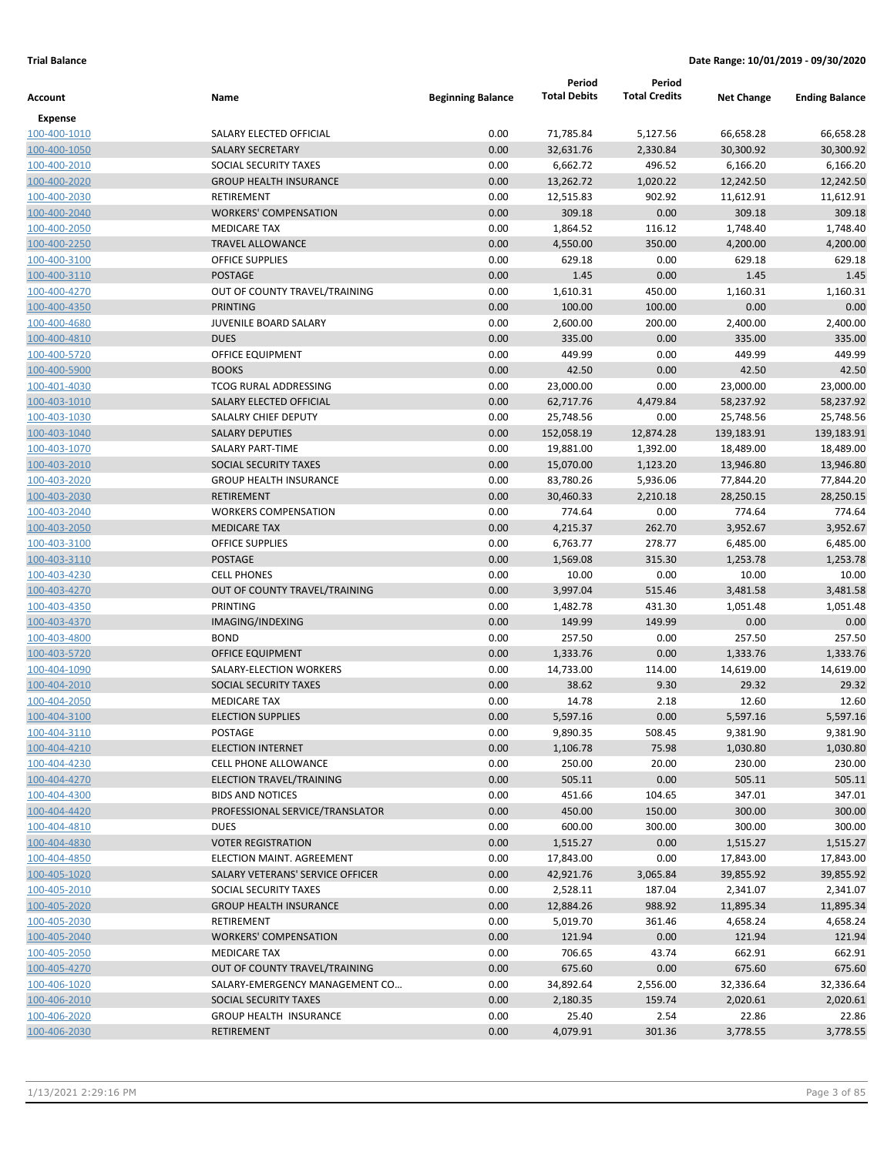| Account                      | Name                                                   | <b>Beginning Balance</b> | Period<br><b>Total Debits</b> | Period<br><b>Total Credits</b> | <b>Net Change</b>     | <b>Ending Balance</b> |
|------------------------------|--------------------------------------------------------|--------------------------|-------------------------------|--------------------------------|-----------------------|-----------------------|
| <b>Expense</b>               |                                                        |                          |                               |                                |                       |                       |
| 100-400-1010                 | SALARY ELECTED OFFICIAL                                | 0.00                     | 71,785.84                     | 5,127.56                       | 66,658.28             | 66,658.28             |
| 100-400-1050                 | <b>SALARY SECRETARY</b>                                | 0.00                     | 32,631.76                     | 2,330.84                       | 30,300.92             | 30,300.92             |
| 100-400-2010                 | SOCIAL SECURITY TAXES                                  | 0.00                     | 6,662.72                      | 496.52                         | 6,166.20              | 6,166.20              |
| 100-400-2020                 | <b>GROUP HEALTH INSURANCE</b>                          | 0.00                     | 13,262.72                     | 1,020.22                       | 12,242.50             | 12,242.50             |
| 100-400-2030                 | RETIREMENT                                             | 0.00                     | 12,515.83                     | 902.92                         | 11,612.91             | 11,612.91             |
| 100-400-2040                 | <b>WORKERS' COMPENSATION</b>                           | 0.00                     | 309.18                        | 0.00                           | 309.18                | 309.18                |
| 100-400-2050                 | <b>MEDICARE TAX</b>                                    | 0.00                     | 1,864.52                      | 116.12                         | 1,748.40              | 1,748.40              |
| 100-400-2250                 | <b>TRAVEL ALLOWANCE</b>                                | 0.00                     | 4,550.00                      | 350.00                         | 4,200.00              | 4,200.00              |
| 100-400-3100                 | <b>OFFICE SUPPLIES</b>                                 | 0.00                     | 629.18                        | 0.00                           | 629.18                | 629.18                |
| 100-400-3110                 | <b>POSTAGE</b>                                         | 0.00                     | 1.45                          | 0.00                           | 1.45                  | 1.45                  |
| 100-400-4270                 | OUT OF COUNTY TRAVEL/TRAINING                          | 0.00                     | 1,610.31                      | 450.00                         | 1,160.31              | 1,160.31              |
| 100-400-4350                 | <b>PRINTING</b>                                        | 0.00                     | 100.00                        | 100.00                         | 0.00                  | 0.00                  |
| 100-400-4680                 | JUVENILE BOARD SALARY<br><b>DUES</b>                   | 0.00                     | 2,600.00                      | 200.00                         | 2,400.00              | 2,400.00              |
| 100-400-4810                 | <b>OFFICE EQUIPMENT</b>                                | 0.00                     | 335.00<br>449.99              | 0.00                           | 335.00<br>449.99      | 335.00<br>449.99      |
| 100-400-5720<br>100-400-5900 | <b>BOOKS</b>                                           | 0.00<br>0.00             | 42.50                         | 0.00<br>0.00                   | 42.50                 | 42.50                 |
| 100-401-4030                 | <b>TCOG RURAL ADDRESSING</b>                           | 0.00                     | 23,000.00                     | 0.00                           | 23,000.00             | 23,000.00             |
| 100-403-1010                 | SALARY ELECTED OFFICIAL                                | 0.00                     | 62,717.76                     | 4,479.84                       | 58,237.92             | 58,237.92             |
| 100-403-1030                 | SALALRY CHIEF DEPUTY                                   | 0.00                     | 25,748.56                     | 0.00                           | 25,748.56             | 25,748.56             |
| 100-403-1040                 | <b>SALARY DEPUTIES</b>                                 | 0.00                     | 152,058.19                    | 12,874.28                      | 139,183.91            | 139,183.91            |
| 100-403-1070                 | <b>SALARY PART-TIME</b>                                | 0.00                     | 19,881.00                     | 1,392.00                       | 18,489.00             | 18,489.00             |
| 100-403-2010                 | SOCIAL SECURITY TAXES                                  | 0.00                     | 15,070.00                     | 1,123.20                       | 13,946.80             | 13,946.80             |
| 100-403-2020                 | <b>GROUP HEALTH INSURANCE</b>                          | 0.00                     | 83,780.26                     | 5,936.06                       | 77,844.20             | 77,844.20             |
| 100-403-2030                 | <b>RETIREMENT</b>                                      | 0.00                     | 30,460.33                     | 2,210.18                       | 28,250.15             | 28,250.15             |
| 100-403-2040                 | <b>WORKERS COMPENSATION</b>                            | 0.00                     | 774.64                        | 0.00                           | 774.64                | 774.64                |
| 100-403-2050                 | <b>MEDICARE TAX</b>                                    | 0.00                     | 4,215.37                      | 262.70                         | 3,952.67              | 3,952.67              |
| 100-403-3100                 | <b>OFFICE SUPPLIES</b>                                 | 0.00                     | 6,763.77                      | 278.77                         | 6,485.00              | 6,485.00              |
| 100-403-3110                 | <b>POSTAGE</b>                                         | 0.00                     | 1,569.08                      | 315.30                         | 1,253.78              | 1,253.78              |
| 100-403-4230                 | <b>CELL PHONES</b>                                     | 0.00                     | 10.00                         | 0.00                           | 10.00                 | 10.00                 |
| 100-403-4270                 | OUT OF COUNTY TRAVEL/TRAINING                          | 0.00                     | 3,997.04                      | 515.46                         | 3,481.58              | 3,481.58              |
| 100-403-4350                 | <b>PRINTING</b>                                        | 0.00                     | 1,482.78                      | 431.30                         | 1,051.48              | 1,051.48              |
| 100-403-4370                 | IMAGING/INDEXING                                       | 0.00                     | 149.99                        | 149.99                         | 0.00                  | 0.00                  |
| 100-403-4800                 | <b>BOND</b>                                            | 0.00                     | 257.50                        | 0.00                           | 257.50                | 257.50                |
| 100-403-5720                 | <b>OFFICE EQUIPMENT</b>                                | 0.00                     | 1,333.76                      | 0.00                           | 1,333.76              | 1,333.76              |
| 100-404-1090                 | SALARY-ELECTION WORKERS                                | 0.00                     | 14,733.00                     | 114.00                         | 14,619.00             | 14,619.00             |
| 100-404-2010                 | SOCIAL SECURITY TAXES                                  | 0.00                     | 38.62                         | 9.30                           | 29.32                 | 29.32                 |
| 100-404-2050                 | <b>MEDICARE TAX</b>                                    | 0.00                     | 14.78                         | 2.18                           | 12.60                 | 12.60                 |
| 100-404-3100                 | <b>ELECTION SUPPLIES</b>                               | 0.00                     | 5,597.16                      | 0.00                           | 5,597.16              | 5,597.16              |
| 100-404-3110                 | POSTAGE                                                | 0.00                     | 9,890.35                      | 508.45                         | 9,381.90              | 9,381.90              |
| 100-404-4210                 | <b>ELECTION INTERNET</b>                               | 0.00                     | 1,106.78                      | 75.98                          | 1,030.80              | 1,030.80              |
| 100-404-4230                 | CELL PHONE ALLOWANCE                                   | 0.00                     | 250.00                        | 20.00                          | 230.00                | 230.00                |
| 100-404-4270                 | <b>ELECTION TRAVEL/TRAINING</b>                        | 0.00                     | 505.11                        | 0.00                           | 505.11                | 505.11                |
| 100-404-4300                 | <b>BIDS AND NOTICES</b>                                | 0.00                     | 451.66                        | 104.65                         | 347.01                | 347.01                |
| 100-404-4420                 | PROFESSIONAL SERVICE/TRANSLATOR                        | 0.00                     | 450.00                        | 150.00                         | 300.00                | 300.00                |
| 100-404-4810                 | <b>DUES</b>                                            | 0.00                     | 600.00                        | 300.00                         | 300.00                | 300.00                |
| 100-404-4830                 | <b>VOTER REGISTRATION</b>                              | 0.00                     | 1,515.27                      | 0.00                           | 1,515.27              | 1,515.27              |
| 100-404-4850                 | ELECTION MAINT. AGREEMENT                              | 0.00                     | 17,843.00                     | 0.00                           | 17,843.00             | 17,843.00             |
| 100-405-1020                 | SALARY VETERANS' SERVICE OFFICER                       | 0.00                     | 42,921.76                     | 3,065.84                       | 39,855.92             | 39,855.92             |
| 100-405-2010<br>100-405-2020 | SOCIAL SECURITY TAXES<br><b>GROUP HEALTH INSURANCE</b> | 0.00<br>0.00             | 2,528.11<br>12,884.26         | 187.04<br>988.92               | 2,341.07<br>11,895.34 | 2,341.07<br>11,895.34 |
| 100-405-2030                 | RETIREMENT                                             | 0.00                     | 5,019.70                      | 361.46                         | 4,658.24              | 4,658.24              |
| 100-405-2040                 | <b>WORKERS' COMPENSATION</b>                           | 0.00                     | 121.94                        | 0.00                           | 121.94                | 121.94                |
| 100-405-2050                 | <b>MEDICARE TAX</b>                                    | 0.00                     | 706.65                        | 43.74                          | 662.91                | 662.91                |
| 100-405-4270                 | OUT OF COUNTY TRAVEL/TRAINING                          | 0.00                     | 675.60                        | 0.00                           | 675.60                | 675.60                |
| 100-406-1020                 | SALARY-EMERGENCY MANAGEMENT CO                         | 0.00                     | 34,892.64                     | 2,556.00                       | 32,336.64             | 32,336.64             |
| 100-406-2010                 | SOCIAL SECURITY TAXES                                  | 0.00                     | 2,180.35                      | 159.74                         | 2,020.61              | 2,020.61              |
| 100-406-2020                 | GROUP HEALTH INSURANCE                                 | 0.00                     | 25.40                         | 2.54                           | 22.86                 | 22.86                 |
| 100-406-2030                 | RETIREMENT                                             | 0.00                     | 4,079.91                      | 301.36                         | 3,778.55              | 3,778.55              |
|                              |                                                        |                          |                               |                                |                       |                       |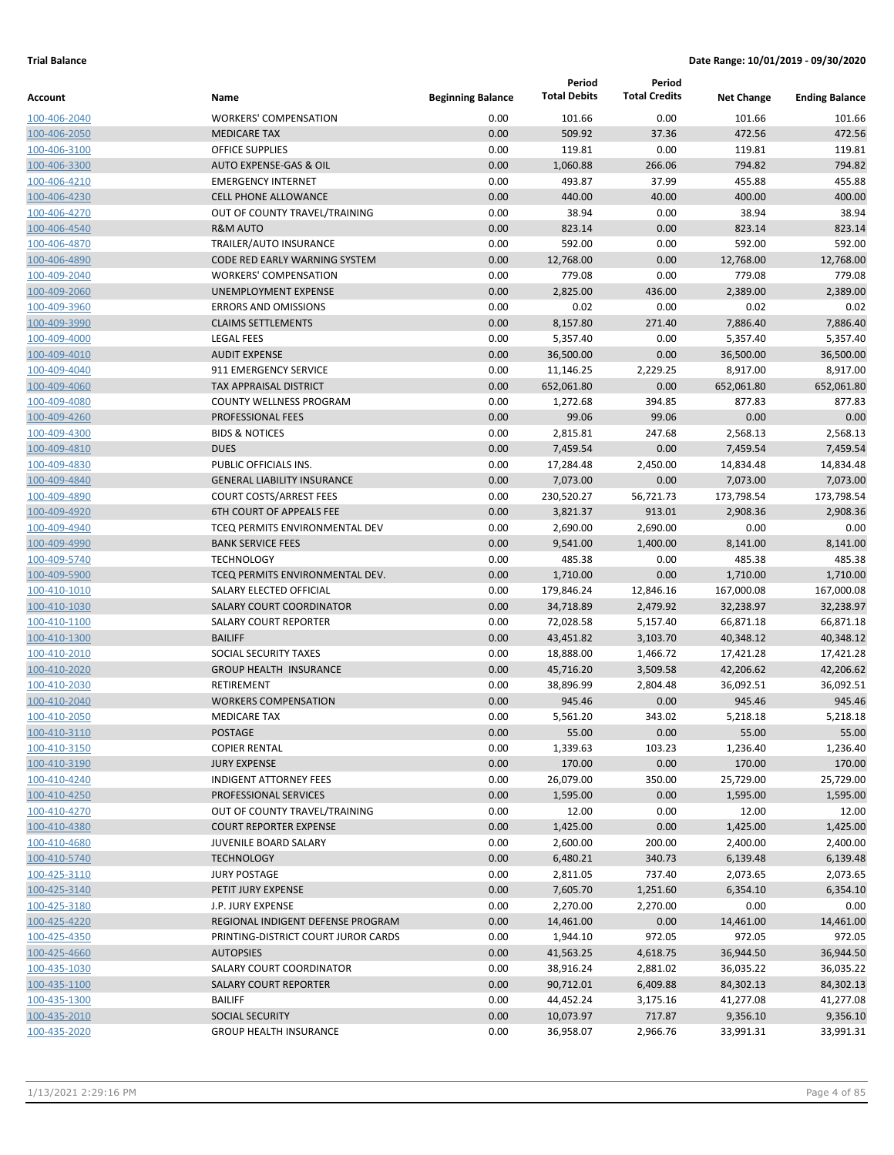|              |                                     |                          | Period              | Period               |                   |                       |
|--------------|-------------------------------------|--------------------------|---------------------|----------------------|-------------------|-----------------------|
| Account      | Name                                | <b>Beginning Balance</b> | <b>Total Debits</b> | <b>Total Credits</b> | <b>Net Change</b> | <b>Ending Balance</b> |
| 100-406-2040 | <b>WORKERS' COMPENSATION</b>        | 0.00                     | 101.66              | 0.00                 | 101.66            | 101.66                |
| 100-406-2050 | <b>MEDICARE TAX</b>                 | 0.00                     | 509.92              | 37.36                | 472.56            | 472.56                |
| 100-406-3100 | <b>OFFICE SUPPLIES</b>              | 0.00                     | 119.81              | 0.00                 | 119.81            | 119.81                |
| 100-406-3300 | <b>AUTO EXPENSE-GAS &amp; OIL</b>   | 0.00                     | 1,060.88            | 266.06               | 794.82            | 794.82                |
| 100-406-4210 | <b>EMERGENCY INTERNET</b>           | 0.00                     | 493.87              | 37.99                | 455.88            | 455.88                |
| 100-406-4230 | <b>CELL PHONE ALLOWANCE</b>         | 0.00                     | 440.00              | 40.00                | 400.00            | 400.00                |
| 100-406-4270 | OUT OF COUNTY TRAVEL/TRAINING       | 0.00                     | 38.94               | 0.00                 | 38.94             | 38.94                 |
| 100-406-4540 | <b>R&amp;M AUTO</b>                 | 0.00                     | 823.14              | 0.00                 | 823.14            | 823.14                |
| 100-406-4870 | TRAILER/AUTO INSURANCE              | 0.00                     | 592.00              | 0.00                 | 592.00            | 592.00                |
| 100-406-4890 | CODE RED EARLY WARNING SYSTEM       | 0.00                     | 12,768.00           | 0.00                 | 12,768.00         | 12,768.00             |
| 100-409-2040 | <b>WORKERS' COMPENSATION</b>        | 0.00                     | 779.08              | 0.00                 | 779.08            | 779.08                |
| 100-409-2060 | UNEMPLOYMENT EXPENSE                | 0.00                     | 2,825.00            | 436.00               | 2,389.00          | 2,389.00              |
| 100-409-3960 | <b>ERRORS AND OMISSIONS</b>         | 0.00                     | 0.02                | 0.00                 | 0.02              | 0.02                  |
| 100-409-3990 | <b>CLAIMS SETTLEMENTS</b>           | 0.00                     | 8,157.80            | 271.40               | 7,886.40          | 7,886.40              |
| 100-409-4000 | <b>LEGAL FEES</b>                   | 0.00                     | 5,357.40            | 0.00                 | 5,357.40          | 5,357.40              |
| 100-409-4010 | <b>AUDIT EXPENSE</b>                | 0.00                     | 36,500.00           | 0.00                 | 36,500.00         | 36,500.00             |
| 100-409-4040 | 911 EMERGENCY SERVICE               | 0.00                     | 11,146.25           | 2,229.25             | 8,917.00          | 8,917.00              |
| 100-409-4060 | <b>TAX APPRAISAL DISTRICT</b>       | 0.00                     | 652,061.80          | 0.00                 | 652,061.80        | 652,061.80            |
| 100-409-4080 | COUNTY WELLNESS PROGRAM             | 0.00                     | 1,272.68            | 394.85               | 877.83            | 877.83                |
| 100-409-4260 | PROFESSIONAL FEES                   | 0.00                     | 99.06               | 99.06                | 0.00              | 0.00                  |
| 100-409-4300 | <b>BIDS &amp; NOTICES</b>           | 0.00                     | 2,815.81            | 247.68               | 2,568.13          | 2,568.13              |
| 100-409-4810 | <b>DUES</b>                         | 0.00                     | 7,459.54            | 0.00                 | 7,459.54          | 7,459.54              |
| 100-409-4830 | PUBLIC OFFICIALS INS.               | 0.00                     | 17,284.48           | 2,450.00             | 14,834.48         | 14,834.48             |
| 100-409-4840 | <b>GENERAL LIABILITY INSURANCE</b>  | 0.00                     | 7,073.00            | 0.00                 | 7,073.00          | 7,073.00              |
| 100-409-4890 | <b>COURT COSTS/ARREST FEES</b>      | 0.00                     | 230,520.27          | 56,721.73            | 173,798.54        | 173,798.54            |
| 100-409-4920 | <b>6TH COURT OF APPEALS FEE</b>     | 0.00                     | 3,821.37            | 913.01               | 2,908.36          | 2,908.36              |
| 100-409-4940 | TCEQ PERMITS ENVIRONMENTAL DEV      | 0.00                     | 2,690.00            | 2,690.00             | 0.00              | 0.00                  |
| 100-409-4990 | <b>BANK SERVICE FEES</b>            | 0.00                     | 9,541.00            | 1,400.00             | 8,141.00          | 8,141.00              |
| 100-409-5740 | <b>TECHNOLOGY</b>                   | 0.00                     | 485.38              | 0.00                 | 485.38            | 485.38                |
| 100-409-5900 | TCEQ PERMITS ENVIRONMENTAL DEV.     | 0.00                     | 1,710.00            | 0.00                 | 1,710.00          | 1,710.00              |
| 100-410-1010 | SALARY ELECTED OFFICIAL             | 0.00                     | 179,846.24          | 12,846.16            | 167,000.08        | 167,000.08            |
| 100-410-1030 | <b>SALARY COURT COORDINATOR</b>     | 0.00                     | 34,718.89           | 2,479.92             | 32,238.97         | 32,238.97             |
| 100-410-1100 | <b>SALARY COURT REPORTER</b>        | 0.00                     | 72,028.58           | 5,157.40             | 66,871.18         | 66,871.18             |
| 100-410-1300 | <b>BAILIFF</b>                      | 0.00                     | 43,451.82           | 3,103.70             | 40,348.12         | 40,348.12             |
| 100-410-2010 | SOCIAL SECURITY TAXES               | 0.00                     | 18,888.00           | 1,466.72             | 17,421.28         | 17,421.28             |
| 100-410-2020 | <b>GROUP HEALTH INSURANCE</b>       | 0.00                     | 45,716.20           | 3,509.58             | 42,206.62         | 42,206.62             |
| 100-410-2030 | <b>RETIREMENT</b>                   | 0.00                     | 38,896.99           | 2,804.48             | 36,092.51         | 36,092.51             |
| 100-410-2040 | <b>WORKERS COMPENSATION</b>         | 0.00                     | 945.46              | 0.00                 | 945.46            | 945.46                |
| 100-410-2050 | <b>MEDICARE TAX</b>                 | 0.00                     | 5,561.20            | 343.02               | 5,218.18          | 5,218.18              |
| 100-410-3110 | POSTAGE                             | 0.00                     | 55.00               | 0.00                 | 55.00             | 55.00                 |
| 100-410-3150 | <b>COPIER RENTAL</b>                | 0.00                     | 1,339.63            | 103.23               | 1,236.40          | 1,236.40              |
| 100-410-3190 | <b>JURY EXPENSE</b>                 | 0.00                     | 170.00              | 0.00                 | 170.00            | 170.00                |
| 100-410-4240 | <b>INDIGENT ATTORNEY FEES</b>       | 0.00                     | 26,079.00           | 350.00               | 25,729.00         | 25,729.00             |
| 100-410-4250 | PROFESSIONAL SERVICES               | 0.00                     | 1,595.00            | 0.00                 | 1,595.00          | 1,595.00              |
| 100-410-4270 | OUT OF COUNTY TRAVEL/TRAINING       | 0.00                     | 12.00               | 0.00                 | 12.00             | 12.00                 |
| 100-410-4380 | <b>COURT REPORTER EXPENSE</b>       | 0.00                     | 1,425.00            | 0.00                 | 1,425.00          | 1,425.00              |
| 100-410-4680 | JUVENILE BOARD SALARY               | 0.00                     | 2,600.00            | 200.00               | 2,400.00          | 2,400.00              |
| 100-410-5740 | <b>TECHNOLOGY</b>                   | 0.00                     | 6,480.21            | 340.73               | 6,139.48          | 6,139.48              |
| 100-425-3110 | <b>JURY POSTAGE</b>                 | 0.00                     | 2,811.05            | 737.40               | 2,073.65          | 2,073.65              |
| 100-425-3140 | PETIT JURY EXPENSE                  | 0.00                     | 7,605.70            | 1,251.60             | 6,354.10          | 6,354.10              |
| 100-425-3180 | J.P. JURY EXPENSE                   | 0.00                     | 2,270.00            | 2,270.00             | 0.00              | 0.00                  |
| 100-425-4220 | REGIONAL INDIGENT DEFENSE PROGRAM   | 0.00                     | 14,461.00           | 0.00                 | 14,461.00         | 14,461.00             |
| 100-425-4350 | PRINTING-DISTRICT COURT JUROR CARDS | 0.00                     | 1,944.10            | 972.05               | 972.05            | 972.05                |
| 100-425-4660 | <b>AUTOPSIES</b>                    | 0.00                     | 41,563.25           | 4,618.75             | 36,944.50         | 36,944.50             |
| 100-435-1030 | SALARY COURT COORDINATOR            | 0.00                     | 38,916.24           | 2,881.02             | 36,035.22         | 36,035.22             |
| 100-435-1100 | <b>SALARY COURT REPORTER</b>        | 0.00                     | 90,712.01           | 6,409.88             | 84,302.13         | 84,302.13             |
| 100-435-1300 | <b>BAILIFF</b>                      | 0.00                     | 44,452.24           | 3,175.16             | 41,277.08         | 41,277.08             |
| 100-435-2010 | <b>SOCIAL SECURITY</b>              | 0.00                     | 10,073.97           | 717.87               | 9,356.10          | 9,356.10              |
| 100-435-2020 | <b>GROUP HEALTH INSURANCE</b>       | 0.00                     | 36,958.07           | 2,966.76             | 33,991.31         | 33,991.31             |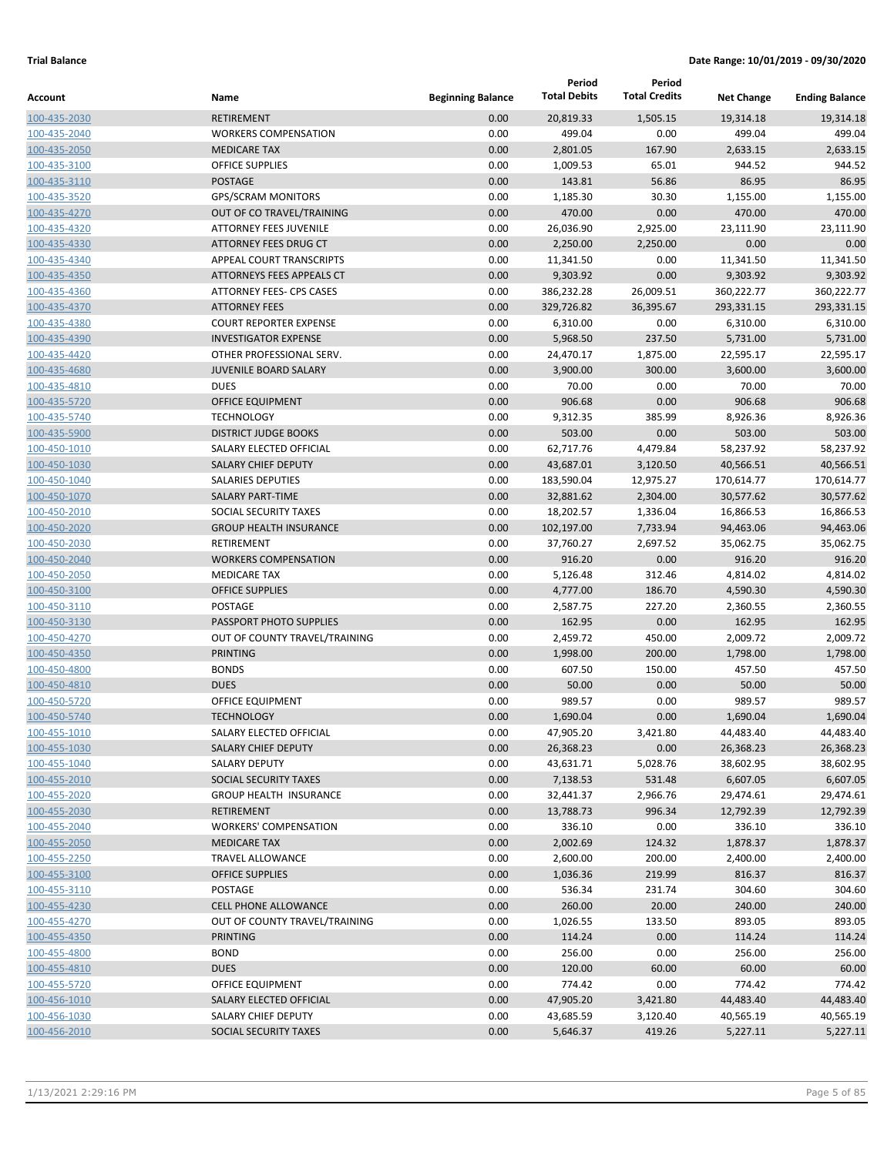|              |                                  |                          | Period              | Period               |                   |                       |
|--------------|----------------------------------|--------------------------|---------------------|----------------------|-------------------|-----------------------|
| Account      | Name                             | <b>Beginning Balance</b> | <b>Total Debits</b> | <b>Total Credits</b> | <b>Net Change</b> | <b>Ending Balance</b> |
| 100-435-2030 | <b>RETIREMENT</b>                | 0.00                     | 20,819.33           | 1,505.15             | 19,314.18         | 19,314.18             |
| 100-435-2040 | <b>WORKERS COMPENSATION</b>      | 0.00                     | 499.04              | 0.00                 | 499.04            | 499.04                |
| 100-435-2050 | <b>MEDICARE TAX</b>              | 0.00                     | 2,801.05            | 167.90               | 2,633.15          | 2,633.15              |
| 100-435-3100 | <b>OFFICE SUPPLIES</b>           | 0.00                     | 1,009.53            | 65.01                | 944.52            | 944.52                |
| 100-435-3110 | <b>POSTAGE</b>                   | 0.00                     | 143.81              | 56.86                | 86.95             | 86.95                 |
| 100-435-3520 | <b>GPS/SCRAM MONITORS</b>        | 0.00                     | 1,185.30            | 30.30                | 1,155.00          | 1,155.00              |
| 100-435-4270 | OUT OF CO TRAVEL/TRAINING        | 0.00                     | 470.00              | 0.00                 | 470.00            | 470.00                |
| 100-435-4320 | <b>ATTORNEY FEES JUVENILE</b>    | 0.00                     | 26,036.90           | 2,925.00             | 23,111.90         | 23,111.90             |
| 100-435-4330 | ATTORNEY FEES DRUG CT            | 0.00                     | 2,250.00            | 2,250.00             | 0.00              | 0.00                  |
| 100-435-4340 | APPEAL COURT TRANSCRIPTS         | 0.00                     | 11,341.50           | 0.00                 | 11,341.50         | 11,341.50             |
| 100-435-4350 | <b>ATTORNEYS FEES APPEALS CT</b> | 0.00                     | 9,303.92            | 0.00                 | 9,303.92          | 9,303.92              |
| 100-435-4360 | ATTORNEY FEES- CPS CASES         | 0.00                     | 386,232.28          | 26,009.51            | 360,222.77        | 360,222.77            |
| 100-435-4370 | <b>ATTORNEY FEES</b>             | 0.00                     | 329,726.82          | 36,395.67            | 293,331.15        | 293,331.15            |
| 100-435-4380 | <b>COURT REPORTER EXPENSE</b>    | 0.00                     | 6,310.00            | 0.00                 | 6,310.00          | 6,310.00              |
| 100-435-4390 | <b>INVESTIGATOR EXPENSE</b>      | 0.00                     | 5,968.50            | 237.50               | 5,731.00          | 5,731.00              |
| 100-435-4420 | OTHER PROFESSIONAL SERV.         | 0.00                     | 24,470.17           | 1,875.00             | 22,595.17         | 22,595.17             |
| 100-435-4680 | <b>JUVENILE BOARD SALARY</b>     | 0.00                     | 3,900.00            | 300.00               | 3,600.00          | 3,600.00              |
| 100-435-4810 | <b>DUES</b>                      | 0.00                     | 70.00               | 0.00                 | 70.00             | 70.00                 |
| 100-435-5720 | <b>OFFICE EQUIPMENT</b>          | 0.00                     | 906.68              | 0.00                 | 906.68            | 906.68                |
| 100-435-5740 | <b>TECHNOLOGY</b>                | 0.00                     | 9,312.35            | 385.99               | 8,926.36          | 8,926.36              |
| 100-435-5900 | <b>DISTRICT JUDGE BOOKS</b>      | 0.00                     | 503.00              | 0.00                 | 503.00            | 503.00                |
| 100-450-1010 | SALARY ELECTED OFFICIAL          | 0.00                     | 62,717.76           | 4,479.84             | 58,237.92         | 58,237.92             |
| 100-450-1030 | <b>SALARY CHIEF DEPUTY</b>       | 0.00                     | 43,687.01           | 3,120.50             | 40,566.51         | 40,566.51             |
| 100-450-1040 | <b>SALARIES DEPUTIES</b>         | 0.00                     | 183,590.04          | 12,975.27            | 170,614.77        | 170,614.77            |
| 100-450-1070 | <b>SALARY PART-TIME</b>          | 0.00                     | 32,881.62           | 2,304.00             | 30,577.62         | 30,577.62             |
| 100-450-2010 | SOCIAL SECURITY TAXES            | 0.00                     | 18,202.57           | 1,336.04             | 16,866.53         | 16,866.53             |
| 100-450-2020 | <b>GROUP HEALTH INSURANCE</b>    | 0.00                     | 102,197.00          | 7,733.94             | 94,463.06         | 94,463.06             |
| 100-450-2030 | RETIREMENT                       | 0.00                     | 37,760.27           | 2,697.52             | 35,062.75         | 35,062.75             |
| 100-450-2040 | <b>WORKERS COMPENSATION</b>      | 0.00                     | 916.20              | 0.00                 | 916.20            | 916.20                |
| 100-450-2050 | <b>MEDICARE TAX</b>              | 0.00                     | 5,126.48            | 312.46               | 4,814.02          | 4,814.02              |
| 100-450-3100 | <b>OFFICE SUPPLIES</b>           | 0.00                     | 4,777.00            | 186.70               | 4,590.30          | 4,590.30              |
| 100-450-3110 | <b>POSTAGE</b>                   | 0.00                     | 2,587.75            | 227.20               | 2,360.55          | 2,360.55              |
| 100-450-3130 | PASSPORT PHOTO SUPPLIES          | 0.00                     | 162.95              | 0.00                 | 162.95            | 162.95                |
| 100-450-4270 | OUT OF COUNTY TRAVEL/TRAINING    | 0.00                     | 2,459.72            | 450.00               | 2,009.72          | 2,009.72              |
| 100-450-4350 | <b>PRINTING</b>                  | 0.00                     | 1,998.00            | 200.00               | 1,798.00          | 1,798.00              |
| 100-450-4800 | <b>BONDS</b>                     | 0.00                     | 607.50              | 150.00               | 457.50            | 457.50                |
| 100-450-4810 | <b>DUES</b>                      | 0.00                     | 50.00               | 0.00                 | 50.00             | 50.00                 |
| 100-450-5720 | OFFICE EQUIPMENT                 | 0.00                     | 989.57              | 0.00                 | 989.57            | 989.57                |
| 100-450-5740 | <b>TECHNOLOGY</b>                | 0.00                     | 1,690.04            | 0.00                 | 1,690.04          | 1,690.04              |
| 100-455-1010 | SALARY ELECTED OFFICIAL          | 0.00                     | 47,905.20           | 3,421.80             | 44,483.40         | 44,483.40             |
| 100-455-1030 | SALARY CHIEF DEPUTY              | 0.00                     | 26,368.23           | 0.00                 | 26,368.23         | 26,368.23             |
| 100-455-1040 | <b>SALARY DEPUTY</b>             | 0.00                     | 43,631.71           | 5,028.76             | 38,602.95         | 38,602.95             |
| 100-455-2010 | SOCIAL SECURITY TAXES            | 0.00                     | 7,138.53            | 531.48               | 6,607.05          | 6,607.05              |
| 100-455-2020 | <b>GROUP HEALTH INSURANCE</b>    | 0.00                     | 32,441.37           | 2,966.76             | 29,474.61         | 29,474.61             |
| 100-455-2030 | <b>RETIREMENT</b>                | 0.00                     | 13,788.73           | 996.34               | 12,792.39         | 12,792.39             |
| 100-455-2040 | <b>WORKERS' COMPENSATION</b>     | 0.00                     | 336.10              | 0.00                 | 336.10            | 336.10                |
| 100-455-2050 | <b>MEDICARE TAX</b>              | 0.00                     | 2,002.69            | 124.32               | 1,878.37          | 1,878.37              |
| 100-455-2250 | TRAVEL ALLOWANCE                 | 0.00                     | 2,600.00            | 200.00               | 2,400.00          | 2,400.00              |
| 100-455-3100 | <b>OFFICE SUPPLIES</b>           | 0.00                     | 1,036.36            | 219.99               | 816.37            | 816.37                |
| 100-455-3110 | POSTAGE                          | 0.00                     | 536.34              | 231.74               | 304.60            | 304.60                |
| 100-455-4230 | <b>CELL PHONE ALLOWANCE</b>      | 0.00                     | 260.00              | 20.00                | 240.00            | 240.00                |
| 100-455-4270 | OUT OF COUNTY TRAVEL/TRAINING    | 0.00                     | 1,026.55            | 133.50               | 893.05            | 893.05                |
| 100-455-4350 | <b>PRINTING</b>                  | 0.00                     | 114.24              | 0.00                 | 114.24            | 114.24                |
| 100-455-4800 | <b>BOND</b>                      | 0.00                     | 256.00              | 0.00                 | 256.00            | 256.00                |
| 100-455-4810 | <b>DUES</b>                      | 0.00                     | 120.00              | 60.00                | 60.00             | 60.00                 |
| 100-455-5720 | OFFICE EQUIPMENT                 | 0.00                     | 774.42              | 0.00                 | 774.42            | 774.42                |
| 100-456-1010 | SALARY ELECTED OFFICIAL          | 0.00                     | 47,905.20           | 3,421.80             | 44,483.40         | 44,483.40             |
| 100-456-1030 | SALARY CHIEF DEPUTY              | 0.00                     | 43,685.59           | 3,120.40             | 40,565.19         | 40,565.19             |
| 100-456-2010 | SOCIAL SECURITY TAXES            | 0.00                     | 5,646.37            | 419.26               | 5,227.11          | 5,227.11              |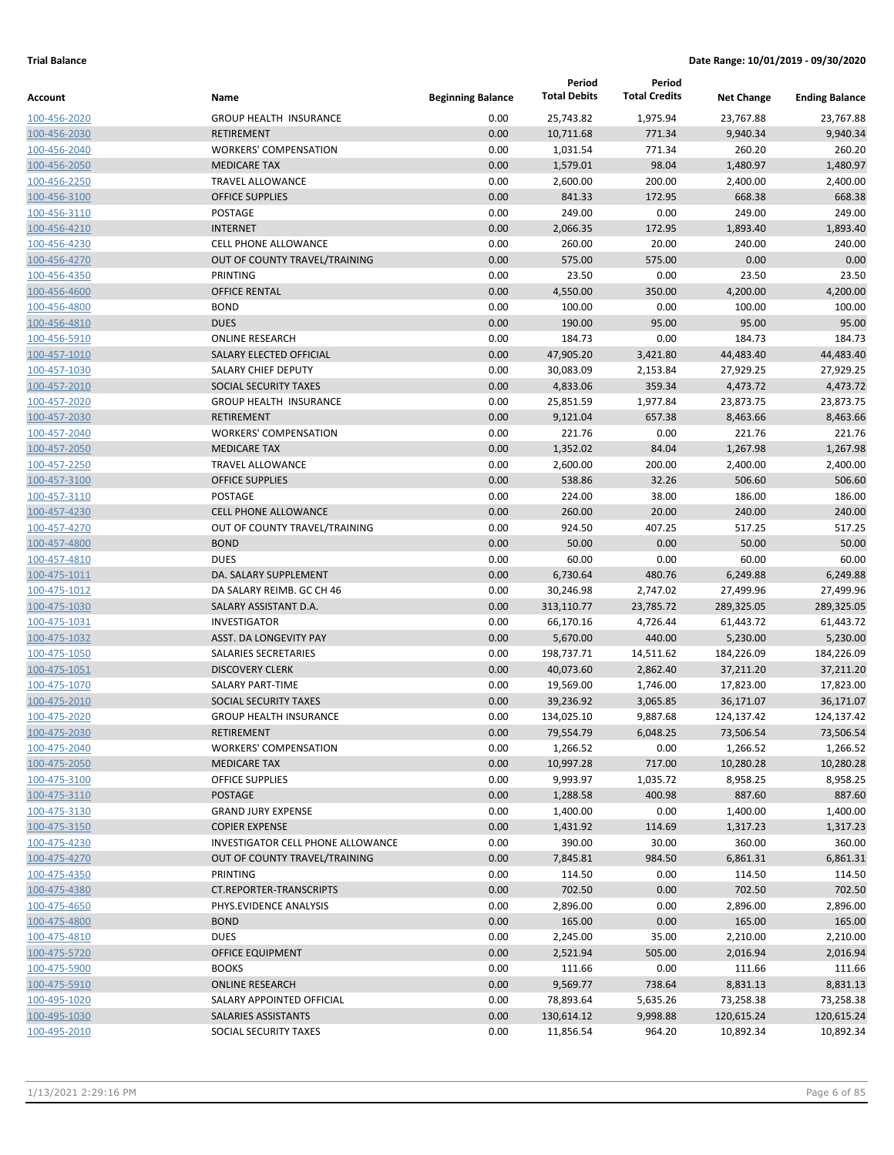| Name<br><b>Beginning Balance</b><br><b>Net Change</b><br><b>Ending Balance</b><br><b>GROUP HEALTH INSURANCE</b><br>0.00<br>25,743.82<br>1,975.94<br>23,767.88<br>100-456-2020<br>23,767.88<br>0.00<br><b>RETIREMENT</b><br>10,711.68<br>771.34<br>9,940.34<br>9,940.34<br>100-456-2030<br>771.34<br>260.20<br>260.20<br><b>WORKERS' COMPENSATION</b><br>0.00<br>1,031.54<br>98.04<br><b>MEDICARE TAX</b><br>0.00<br>1,579.01<br>1,480.97<br>1,480.97<br><b>TRAVEL ALLOWANCE</b><br>0.00<br>2,600.00<br>200.00<br>2,400.00<br>2,400.00<br><b>OFFICE SUPPLIES</b><br>0.00<br>841.33<br>172.95<br>668.38<br>668.38<br>0.00<br>249.00<br>249.00<br>249.00<br>POSTAGE<br>0.00<br><b>INTERNET</b><br>0.00<br>2,066.35<br>172.95<br>1,893.40<br>1,893.40<br>240.00<br><b>CELL PHONE ALLOWANCE</b><br>0.00<br>260.00<br>20.00<br>240.00<br>OUT OF COUNTY TRAVEL/TRAINING<br>0.00<br>575.00<br>575.00<br>0.00<br>0.00<br>0.00<br>0.00<br><b>PRINTING</b><br>23.50<br>23.50<br>23.50<br>0.00<br>4,550.00<br>350.00<br>4,200.00<br>4,200.00<br><b>OFFICE RENTAL</b><br>100-456-4600<br><b>BOND</b><br>0.00<br>100.00<br>100.00<br>100.00<br>0.00<br>100-456-4800<br><b>DUES</b><br>95.00<br>95.00<br>95.00<br>0.00<br>190.00<br>100-456-4810<br>184.73<br><b>ONLINE RESEARCH</b><br>0.00<br>184.73<br>0.00<br>184.73<br>100-456-5910<br>SALARY ELECTED OFFICIAL<br>0.00<br>47,905.20<br>3,421.80<br>44,483.40<br>44,483.40<br>100-457-1010<br>0.00<br>27,929.25<br>SALARY CHIEF DEPUTY<br>30,083.09<br>2,153.84<br>27,929.25<br>100-457-1030<br>359.34<br>SOCIAL SECURITY TAXES<br>0.00<br>4,833.06<br>4,473.72<br>4,473.72<br>100-457-2010<br>0.00<br>25,851.59<br>1,977.84<br>23,873.75<br>100-457-2020<br><b>GROUP HEALTH INSURANCE</b><br>23,873.75<br><b>RETIREMENT</b><br>0.00<br>9,121.04<br>657.38<br>8,463.66<br>8,463.66<br>100-457-2030<br>0.00<br><b>WORKERS' COMPENSATION</b><br>221.76<br>0.00<br>221.76<br>221.76<br>100-457-2040<br>0.00<br>1,352.02<br>84.04<br>1,267.98<br><b>MEDICARE TAX</b><br>1,267.98<br>100-457-2050<br>200.00<br>2,400.00<br><b>TRAVEL ALLOWANCE</b><br>0.00<br>2,600.00<br>2,400.00<br>100-457-2250<br>538.86<br>506.60<br><b>OFFICE SUPPLIES</b><br>0.00<br>32.26<br>506.60<br>100-457-3100<br>POSTAGE<br>0.00<br>224.00<br>38.00<br>186.00<br>186.00<br>100-457-3110<br><b>CELL PHONE ALLOWANCE</b><br>0.00<br>260.00<br>20.00<br>240.00<br>240.00<br>100-457-4230<br>0.00<br>924.50<br>407.25<br>OUT OF COUNTY TRAVEL/TRAINING<br>517.25<br>517.25<br>100-457-4270<br><b>BOND</b><br>0.00<br>50.00<br>0.00<br>50.00<br>50.00<br>100-457-4800<br><b>DUES</b><br>60.00<br>0.00<br>60.00<br>0.00<br>60.00<br>100-457-4810<br>480.76<br>6,249.88<br>DA. SALARY SUPPLEMENT<br>0.00<br>6,730.64<br>6,249.88<br>100-475-1011<br>0.00<br>27,499.96<br>DA SALARY REIMB. GC CH 46<br>30,246.98<br>2,747.02<br>27,499.96<br>100-475-1012<br>0.00<br>289,325.05<br>SALARY ASSISTANT D.A.<br>313,110.77<br>23,785.72<br>289,325.05<br>100-475-1030<br>61,443.72<br><b>INVESTIGATOR</b><br>0.00<br>66,170.16<br>4,726.44<br>61,443.72<br>100-475-1031<br>440.00<br>5,230.00<br><b>ASST. DA LONGEVITY PAY</b><br>0.00<br>5,670.00<br>5,230.00<br>100-475-1032<br>SALARIES SECRETARIES<br>0.00<br>198,737.71<br>14,511.62<br>184,226.09<br>184,226.09<br>100-475-1050<br><b>DISCOVERY CLERK</b><br>0.00<br>40,073.60<br>2,862.40<br>37,211.20<br>100-475-1051<br>37,211.20<br>0.00<br><b>SALARY PART-TIME</b><br>19,569.00<br>1,746.00<br>17,823.00<br>100-475-1070<br>17,823.00<br>SOCIAL SECURITY TAXES<br>0.00<br>39,236.92<br>36,171.07<br>100-475-2010<br>3,065.85<br>36,171.07<br>0.00<br>100-475-2020<br><b>GROUP HEALTH INSURANCE</b><br>134,025.10<br>9,887.68<br>124,137.42<br>124,137.42<br>73,506.54<br>73,506.54<br>100-475-2030<br>0.00<br>79,554.79<br>6,048.25<br>RETIREMENT<br>100-475-2040<br><b>WORKERS' COMPENSATION</b><br>0.00<br>1,266.52<br>0.00<br>1,266.52<br>1,266.52<br>0.00<br>10,997.28<br><b>MEDICARE TAX</b><br>717.00<br>10,280.28<br>10,280.28<br>100-475-2050<br><b>OFFICE SUPPLIES</b><br>0.00<br>9,993.97<br>1,035.72<br>8,958.25<br>8,958.25<br>100-475-3100<br>100-475-3110<br>POSTAGE<br>0.00<br>1,288.58<br>400.98<br>887.60<br>887.60<br><b>GRAND JURY EXPENSE</b><br>0.00<br>1,400.00<br>0.00<br>1,400.00<br>1,400.00<br>100-475-3130<br>100-475-3150<br><b>COPIER EXPENSE</b><br>0.00<br>1,431.92<br>114.69<br>1,317.23<br>1,317.23<br>0.00<br>INVESTIGATOR CELL PHONE ALLOWANCE<br>390.00<br>30.00<br>360.00<br>360.00<br>100-475-4230<br>100-475-4270<br>OUT OF COUNTY TRAVEL/TRAINING<br>0.00<br>7,845.81<br>984.50<br>6,861.31<br>6,861.31<br>PRINTING<br>0.00<br>114.50<br>0.00<br>114.50<br>114.50<br>100-475-4350<br>702.50<br>100-475-4380<br>CT.REPORTER-TRANSCRIPTS<br>0.00<br>702.50<br>0.00<br>702.50<br>100-475-4650<br>PHYS.EVIDENCE ANALYSIS<br>0.00<br>2,896.00<br>0.00<br>2,896.00<br>2,896.00<br>0.00<br>165.00<br>165.00<br><b>BOND</b><br>0.00<br>165.00<br>100-475-4800<br>35.00<br><b>DUES</b><br>0.00<br>2,245.00<br>2,210.00<br>2,210.00<br>100-475-4810<br>OFFICE EQUIPMENT<br>0.00<br>2,521.94<br>505.00<br>2,016.94<br>2,016.94<br>100-475-5720<br><b>BOOKS</b><br>0.00<br>111.66<br>0.00<br>111.66<br>111.66<br>100-475-5900<br>9,569.77<br><b>ONLINE RESEARCH</b><br>0.00<br>738.64<br>8,831.13<br>8,831.13<br>0.00<br>SALARY APPOINTED OFFICIAL<br>78,893.64<br>5,635.26<br>73,258.38<br>73,258.38<br>SALARIES ASSISTANTS<br>0.00<br>130,614.12<br>9,998.88<br>120,615.24<br>120,615.24<br>SOCIAL SECURITY TAXES<br>0.00<br>11,856.54<br>964.20<br>10,892.34<br>10,892.34 |              |  | Period              | Period               |  |
|-----------------------------------------------------------------------------------------------------------------------------------------------------------------------------------------------------------------------------------------------------------------------------------------------------------------------------------------------------------------------------------------------------------------------------------------------------------------------------------------------------------------------------------------------------------------------------------------------------------------------------------------------------------------------------------------------------------------------------------------------------------------------------------------------------------------------------------------------------------------------------------------------------------------------------------------------------------------------------------------------------------------------------------------------------------------------------------------------------------------------------------------------------------------------------------------------------------------------------------------------------------------------------------------------------------------------------------------------------------------------------------------------------------------------------------------------------------------------------------------------------------------------------------------------------------------------------------------------------------------------------------------------------------------------------------------------------------------------------------------------------------------------------------------------------------------------------------------------------------------------------------------------------------------------------------------------------------------------------------------------------------------------------------------------------------------------------------------------------------------------------------------------------------------------------------------------------------------------------------------------------------------------------------------------------------------------------------------------------------------------------------------------------------------------------------------------------------------------------------------------------------------------------------------------------------------------------------------------------------------------------------------------------------------------------------------------------------------------------------------------------------------------------------------------------------------------------------------------------------------------------------------------------------------------------------------------------------------------------------------------------------------------------------------------------------------------------------------------------------------------------------------------------------------------------------------------------------------------------------------------------------------------------------------------------------------------------------------------------------------------------------------------------------------------------------------------------------------------------------------------------------------------------------------------------------------------------------------------------------------------------------------------------------------------------------------------------------------------------------------------------------------------------------------------------------------------------------------------------------------------------------------------------------------------------------------------------------------------------------------------------------------------------------------------------------------------------------------------------------------------------------------------------------------------------------------------------------------------------------------------------------------------------------------------------------------------------------------------------------------------------------------------------------------------------------------------------------------------------------------------------------------------------------------------------------------------------------------------------------------------------------------------------------------------------------------------------------------------------------------------------------------------------------------------------------------------------------------------------------------------------------------------------------------------------------------------------------------------------------------------------------------------------------------------------------------------------------------------------------------------------------------------------------------------------------------------------------------------------------------------------------------------------------------------------------------------------------------------------------------------------------------------------------------------------------------------------------------------------------------------------------------------------------------------------------------------|--------------|--|---------------------|----------------------|--|
|                                                                                                                                                                                                                                                                                                                                                                                                                                                                                                                                                                                                                                                                                                                                                                                                                                                                                                                                                                                                                                                                                                                                                                                                                                                                                                                                                                                                                                                                                                                                                                                                                                                                                                                                                                                                                                                                                                                                                                                                                                                                                                                                                                                                                                                                                                                                                                                                                                                                                                                                                                                                                                                                                                                                                                                                                                                                                                                                                                                                                                                                                                                                                                                                                                                                                                                                                                                                                                                                                                                                                                                                                                                                                                                                                                                                                                                                                                                                                                                                                                                                                                                                                                                                                                                                                                                                                                                                                                                                                                                                                                                                                                                                                                                                                                                                                                                                                                                                                                                                                                                                                                                                                                                                                                                                                                                                                                                                                                                                                                                                                                       | Account      |  | <b>Total Debits</b> | <b>Total Credits</b> |  |
|                                                                                                                                                                                                                                                                                                                                                                                                                                                                                                                                                                                                                                                                                                                                                                                                                                                                                                                                                                                                                                                                                                                                                                                                                                                                                                                                                                                                                                                                                                                                                                                                                                                                                                                                                                                                                                                                                                                                                                                                                                                                                                                                                                                                                                                                                                                                                                                                                                                                                                                                                                                                                                                                                                                                                                                                                                                                                                                                                                                                                                                                                                                                                                                                                                                                                                                                                                                                                                                                                                                                                                                                                                                                                                                                                                                                                                                                                                                                                                                                                                                                                                                                                                                                                                                                                                                                                                                                                                                                                                                                                                                                                                                                                                                                                                                                                                                                                                                                                                                                                                                                                                                                                                                                                                                                                                                                                                                                                                                                                                                                                                       |              |  |                     |                      |  |
|                                                                                                                                                                                                                                                                                                                                                                                                                                                                                                                                                                                                                                                                                                                                                                                                                                                                                                                                                                                                                                                                                                                                                                                                                                                                                                                                                                                                                                                                                                                                                                                                                                                                                                                                                                                                                                                                                                                                                                                                                                                                                                                                                                                                                                                                                                                                                                                                                                                                                                                                                                                                                                                                                                                                                                                                                                                                                                                                                                                                                                                                                                                                                                                                                                                                                                                                                                                                                                                                                                                                                                                                                                                                                                                                                                                                                                                                                                                                                                                                                                                                                                                                                                                                                                                                                                                                                                                                                                                                                                                                                                                                                                                                                                                                                                                                                                                                                                                                                                                                                                                                                                                                                                                                                                                                                                                                                                                                                                                                                                                                                                       |              |  |                     |                      |  |
|                                                                                                                                                                                                                                                                                                                                                                                                                                                                                                                                                                                                                                                                                                                                                                                                                                                                                                                                                                                                                                                                                                                                                                                                                                                                                                                                                                                                                                                                                                                                                                                                                                                                                                                                                                                                                                                                                                                                                                                                                                                                                                                                                                                                                                                                                                                                                                                                                                                                                                                                                                                                                                                                                                                                                                                                                                                                                                                                                                                                                                                                                                                                                                                                                                                                                                                                                                                                                                                                                                                                                                                                                                                                                                                                                                                                                                                                                                                                                                                                                                                                                                                                                                                                                                                                                                                                                                                                                                                                                                                                                                                                                                                                                                                                                                                                                                                                                                                                                                                                                                                                                                                                                                                                                                                                                                                                                                                                                                                                                                                                                                       | 100-456-2040 |  |                     |                      |  |
|                                                                                                                                                                                                                                                                                                                                                                                                                                                                                                                                                                                                                                                                                                                                                                                                                                                                                                                                                                                                                                                                                                                                                                                                                                                                                                                                                                                                                                                                                                                                                                                                                                                                                                                                                                                                                                                                                                                                                                                                                                                                                                                                                                                                                                                                                                                                                                                                                                                                                                                                                                                                                                                                                                                                                                                                                                                                                                                                                                                                                                                                                                                                                                                                                                                                                                                                                                                                                                                                                                                                                                                                                                                                                                                                                                                                                                                                                                                                                                                                                                                                                                                                                                                                                                                                                                                                                                                                                                                                                                                                                                                                                                                                                                                                                                                                                                                                                                                                                                                                                                                                                                                                                                                                                                                                                                                                                                                                                                                                                                                                                                       | 100-456-2050 |  |                     |                      |  |
|                                                                                                                                                                                                                                                                                                                                                                                                                                                                                                                                                                                                                                                                                                                                                                                                                                                                                                                                                                                                                                                                                                                                                                                                                                                                                                                                                                                                                                                                                                                                                                                                                                                                                                                                                                                                                                                                                                                                                                                                                                                                                                                                                                                                                                                                                                                                                                                                                                                                                                                                                                                                                                                                                                                                                                                                                                                                                                                                                                                                                                                                                                                                                                                                                                                                                                                                                                                                                                                                                                                                                                                                                                                                                                                                                                                                                                                                                                                                                                                                                                                                                                                                                                                                                                                                                                                                                                                                                                                                                                                                                                                                                                                                                                                                                                                                                                                                                                                                                                                                                                                                                                                                                                                                                                                                                                                                                                                                                                                                                                                                                                       | 100-456-2250 |  |                     |                      |  |
|                                                                                                                                                                                                                                                                                                                                                                                                                                                                                                                                                                                                                                                                                                                                                                                                                                                                                                                                                                                                                                                                                                                                                                                                                                                                                                                                                                                                                                                                                                                                                                                                                                                                                                                                                                                                                                                                                                                                                                                                                                                                                                                                                                                                                                                                                                                                                                                                                                                                                                                                                                                                                                                                                                                                                                                                                                                                                                                                                                                                                                                                                                                                                                                                                                                                                                                                                                                                                                                                                                                                                                                                                                                                                                                                                                                                                                                                                                                                                                                                                                                                                                                                                                                                                                                                                                                                                                                                                                                                                                                                                                                                                                                                                                                                                                                                                                                                                                                                                                                                                                                                                                                                                                                                                                                                                                                                                                                                                                                                                                                                                                       | 100-456-3100 |  |                     |                      |  |
|                                                                                                                                                                                                                                                                                                                                                                                                                                                                                                                                                                                                                                                                                                                                                                                                                                                                                                                                                                                                                                                                                                                                                                                                                                                                                                                                                                                                                                                                                                                                                                                                                                                                                                                                                                                                                                                                                                                                                                                                                                                                                                                                                                                                                                                                                                                                                                                                                                                                                                                                                                                                                                                                                                                                                                                                                                                                                                                                                                                                                                                                                                                                                                                                                                                                                                                                                                                                                                                                                                                                                                                                                                                                                                                                                                                                                                                                                                                                                                                                                                                                                                                                                                                                                                                                                                                                                                                                                                                                                                                                                                                                                                                                                                                                                                                                                                                                                                                                                                                                                                                                                                                                                                                                                                                                                                                                                                                                                                                                                                                                                                       | 100-456-3110 |  |                     |                      |  |
|                                                                                                                                                                                                                                                                                                                                                                                                                                                                                                                                                                                                                                                                                                                                                                                                                                                                                                                                                                                                                                                                                                                                                                                                                                                                                                                                                                                                                                                                                                                                                                                                                                                                                                                                                                                                                                                                                                                                                                                                                                                                                                                                                                                                                                                                                                                                                                                                                                                                                                                                                                                                                                                                                                                                                                                                                                                                                                                                                                                                                                                                                                                                                                                                                                                                                                                                                                                                                                                                                                                                                                                                                                                                                                                                                                                                                                                                                                                                                                                                                                                                                                                                                                                                                                                                                                                                                                                                                                                                                                                                                                                                                                                                                                                                                                                                                                                                                                                                                                                                                                                                                                                                                                                                                                                                                                                                                                                                                                                                                                                                                                       | 100-456-4210 |  |                     |                      |  |
|                                                                                                                                                                                                                                                                                                                                                                                                                                                                                                                                                                                                                                                                                                                                                                                                                                                                                                                                                                                                                                                                                                                                                                                                                                                                                                                                                                                                                                                                                                                                                                                                                                                                                                                                                                                                                                                                                                                                                                                                                                                                                                                                                                                                                                                                                                                                                                                                                                                                                                                                                                                                                                                                                                                                                                                                                                                                                                                                                                                                                                                                                                                                                                                                                                                                                                                                                                                                                                                                                                                                                                                                                                                                                                                                                                                                                                                                                                                                                                                                                                                                                                                                                                                                                                                                                                                                                                                                                                                                                                                                                                                                                                                                                                                                                                                                                                                                                                                                                                                                                                                                                                                                                                                                                                                                                                                                                                                                                                                                                                                                                                       | 100-456-4230 |  |                     |                      |  |
|                                                                                                                                                                                                                                                                                                                                                                                                                                                                                                                                                                                                                                                                                                                                                                                                                                                                                                                                                                                                                                                                                                                                                                                                                                                                                                                                                                                                                                                                                                                                                                                                                                                                                                                                                                                                                                                                                                                                                                                                                                                                                                                                                                                                                                                                                                                                                                                                                                                                                                                                                                                                                                                                                                                                                                                                                                                                                                                                                                                                                                                                                                                                                                                                                                                                                                                                                                                                                                                                                                                                                                                                                                                                                                                                                                                                                                                                                                                                                                                                                                                                                                                                                                                                                                                                                                                                                                                                                                                                                                                                                                                                                                                                                                                                                                                                                                                                                                                                                                                                                                                                                                                                                                                                                                                                                                                                                                                                                                                                                                                                                                       | 100-456-4270 |  |                     |                      |  |
|                                                                                                                                                                                                                                                                                                                                                                                                                                                                                                                                                                                                                                                                                                                                                                                                                                                                                                                                                                                                                                                                                                                                                                                                                                                                                                                                                                                                                                                                                                                                                                                                                                                                                                                                                                                                                                                                                                                                                                                                                                                                                                                                                                                                                                                                                                                                                                                                                                                                                                                                                                                                                                                                                                                                                                                                                                                                                                                                                                                                                                                                                                                                                                                                                                                                                                                                                                                                                                                                                                                                                                                                                                                                                                                                                                                                                                                                                                                                                                                                                                                                                                                                                                                                                                                                                                                                                                                                                                                                                                                                                                                                                                                                                                                                                                                                                                                                                                                                                                                                                                                                                                                                                                                                                                                                                                                                                                                                                                                                                                                                                                       | 100-456-4350 |  |                     |                      |  |
|                                                                                                                                                                                                                                                                                                                                                                                                                                                                                                                                                                                                                                                                                                                                                                                                                                                                                                                                                                                                                                                                                                                                                                                                                                                                                                                                                                                                                                                                                                                                                                                                                                                                                                                                                                                                                                                                                                                                                                                                                                                                                                                                                                                                                                                                                                                                                                                                                                                                                                                                                                                                                                                                                                                                                                                                                                                                                                                                                                                                                                                                                                                                                                                                                                                                                                                                                                                                                                                                                                                                                                                                                                                                                                                                                                                                                                                                                                                                                                                                                                                                                                                                                                                                                                                                                                                                                                                                                                                                                                                                                                                                                                                                                                                                                                                                                                                                                                                                                                                                                                                                                                                                                                                                                                                                                                                                                                                                                                                                                                                                                                       |              |  |                     |                      |  |
|                                                                                                                                                                                                                                                                                                                                                                                                                                                                                                                                                                                                                                                                                                                                                                                                                                                                                                                                                                                                                                                                                                                                                                                                                                                                                                                                                                                                                                                                                                                                                                                                                                                                                                                                                                                                                                                                                                                                                                                                                                                                                                                                                                                                                                                                                                                                                                                                                                                                                                                                                                                                                                                                                                                                                                                                                                                                                                                                                                                                                                                                                                                                                                                                                                                                                                                                                                                                                                                                                                                                                                                                                                                                                                                                                                                                                                                                                                                                                                                                                                                                                                                                                                                                                                                                                                                                                                                                                                                                                                                                                                                                                                                                                                                                                                                                                                                                                                                                                                                                                                                                                                                                                                                                                                                                                                                                                                                                                                                                                                                                                                       |              |  |                     |                      |  |
|                                                                                                                                                                                                                                                                                                                                                                                                                                                                                                                                                                                                                                                                                                                                                                                                                                                                                                                                                                                                                                                                                                                                                                                                                                                                                                                                                                                                                                                                                                                                                                                                                                                                                                                                                                                                                                                                                                                                                                                                                                                                                                                                                                                                                                                                                                                                                                                                                                                                                                                                                                                                                                                                                                                                                                                                                                                                                                                                                                                                                                                                                                                                                                                                                                                                                                                                                                                                                                                                                                                                                                                                                                                                                                                                                                                                                                                                                                                                                                                                                                                                                                                                                                                                                                                                                                                                                                                                                                                                                                                                                                                                                                                                                                                                                                                                                                                                                                                                                                                                                                                                                                                                                                                                                                                                                                                                                                                                                                                                                                                                                                       |              |  |                     |                      |  |
|                                                                                                                                                                                                                                                                                                                                                                                                                                                                                                                                                                                                                                                                                                                                                                                                                                                                                                                                                                                                                                                                                                                                                                                                                                                                                                                                                                                                                                                                                                                                                                                                                                                                                                                                                                                                                                                                                                                                                                                                                                                                                                                                                                                                                                                                                                                                                                                                                                                                                                                                                                                                                                                                                                                                                                                                                                                                                                                                                                                                                                                                                                                                                                                                                                                                                                                                                                                                                                                                                                                                                                                                                                                                                                                                                                                                                                                                                                                                                                                                                                                                                                                                                                                                                                                                                                                                                                                                                                                                                                                                                                                                                                                                                                                                                                                                                                                                                                                                                                                                                                                                                                                                                                                                                                                                                                                                                                                                                                                                                                                                                                       |              |  |                     |                      |  |
|                                                                                                                                                                                                                                                                                                                                                                                                                                                                                                                                                                                                                                                                                                                                                                                                                                                                                                                                                                                                                                                                                                                                                                                                                                                                                                                                                                                                                                                                                                                                                                                                                                                                                                                                                                                                                                                                                                                                                                                                                                                                                                                                                                                                                                                                                                                                                                                                                                                                                                                                                                                                                                                                                                                                                                                                                                                                                                                                                                                                                                                                                                                                                                                                                                                                                                                                                                                                                                                                                                                                                                                                                                                                                                                                                                                                                                                                                                                                                                                                                                                                                                                                                                                                                                                                                                                                                                                                                                                                                                                                                                                                                                                                                                                                                                                                                                                                                                                                                                                                                                                                                                                                                                                                                                                                                                                                                                                                                                                                                                                                                                       |              |  |                     |                      |  |
|                                                                                                                                                                                                                                                                                                                                                                                                                                                                                                                                                                                                                                                                                                                                                                                                                                                                                                                                                                                                                                                                                                                                                                                                                                                                                                                                                                                                                                                                                                                                                                                                                                                                                                                                                                                                                                                                                                                                                                                                                                                                                                                                                                                                                                                                                                                                                                                                                                                                                                                                                                                                                                                                                                                                                                                                                                                                                                                                                                                                                                                                                                                                                                                                                                                                                                                                                                                                                                                                                                                                                                                                                                                                                                                                                                                                                                                                                                                                                                                                                                                                                                                                                                                                                                                                                                                                                                                                                                                                                                                                                                                                                                                                                                                                                                                                                                                                                                                                                                                                                                                                                                                                                                                                                                                                                                                                                                                                                                                                                                                                                                       |              |  |                     |                      |  |
|                                                                                                                                                                                                                                                                                                                                                                                                                                                                                                                                                                                                                                                                                                                                                                                                                                                                                                                                                                                                                                                                                                                                                                                                                                                                                                                                                                                                                                                                                                                                                                                                                                                                                                                                                                                                                                                                                                                                                                                                                                                                                                                                                                                                                                                                                                                                                                                                                                                                                                                                                                                                                                                                                                                                                                                                                                                                                                                                                                                                                                                                                                                                                                                                                                                                                                                                                                                                                                                                                                                                                                                                                                                                                                                                                                                                                                                                                                                                                                                                                                                                                                                                                                                                                                                                                                                                                                                                                                                                                                                                                                                                                                                                                                                                                                                                                                                                                                                                                                                                                                                                                                                                                                                                                                                                                                                                                                                                                                                                                                                                                                       |              |  |                     |                      |  |
|                                                                                                                                                                                                                                                                                                                                                                                                                                                                                                                                                                                                                                                                                                                                                                                                                                                                                                                                                                                                                                                                                                                                                                                                                                                                                                                                                                                                                                                                                                                                                                                                                                                                                                                                                                                                                                                                                                                                                                                                                                                                                                                                                                                                                                                                                                                                                                                                                                                                                                                                                                                                                                                                                                                                                                                                                                                                                                                                                                                                                                                                                                                                                                                                                                                                                                                                                                                                                                                                                                                                                                                                                                                                                                                                                                                                                                                                                                                                                                                                                                                                                                                                                                                                                                                                                                                                                                                                                                                                                                                                                                                                                                                                                                                                                                                                                                                                                                                                                                                                                                                                                                                                                                                                                                                                                                                                                                                                                                                                                                                                                                       |              |  |                     |                      |  |
|                                                                                                                                                                                                                                                                                                                                                                                                                                                                                                                                                                                                                                                                                                                                                                                                                                                                                                                                                                                                                                                                                                                                                                                                                                                                                                                                                                                                                                                                                                                                                                                                                                                                                                                                                                                                                                                                                                                                                                                                                                                                                                                                                                                                                                                                                                                                                                                                                                                                                                                                                                                                                                                                                                                                                                                                                                                                                                                                                                                                                                                                                                                                                                                                                                                                                                                                                                                                                                                                                                                                                                                                                                                                                                                                                                                                                                                                                                                                                                                                                                                                                                                                                                                                                                                                                                                                                                                                                                                                                                                                                                                                                                                                                                                                                                                                                                                                                                                                                                                                                                                                                                                                                                                                                                                                                                                                                                                                                                                                                                                                                                       |              |  |                     |                      |  |
|                                                                                                                                                                                                                                                                                                                                                                                                                                                                                                                                                                                                                                                                                                                                                                                                                                                                                                                                                                                                                                                                                                                                                                                                                                                                                                                                                                                                                                                                                                                                                                                                                                                                                                                                                                                                                                                                                                                                                                                                                                                                                                                                                                                                                                                                                                                                                                                                                                                                                                                                                                                                                                                                                                                                                                                                                                                                                                                                                                                                                                                                                                                                                                                                                                                                                                                                                                                                                                                                                                                                                                                                                                                                                                                                                                                                                                                                                                                                                                                                                                                                                                                                                                                                                                                                                                                                                                                                                                                                                                                                                                                                                                                                                                                                                                                                                                                                                                                                                                                                                                                                                                                                                                                                                                                                                                                                                                                                                                                                                                                                                                       |              |  |                     |                      |  |
|                                                                                                                                                                                                                                                                                                                                                                                                                                                                                                                                                                                                                                                                                                                                                                                                                                                                                                                                                                                                                                                                                                                                                                                                                                                                                                                                                                                                                                                                                                                                                                                                                                                                                                                                                                                                                                                                                                                                                                                                                                                                                                                                                                                                                                                                                                                                                                                                                                                                                                                                                                                                                                                                                                                                                                                                                                                                                                                                                                                                                                                                                                                                                                                                                                                                                                                                                                                                                                                                                                                                                                                                                                                                                                                                                                                                                                                                                                                                                                                                                                                                                                                                                                                                                                                                                                                                                                                                                                                                                                                                                                                                                                                                                                                                                                                                                                                                                                                                                                                                                                                                                                                                                                                                                                                                                                                                                                                                                                                                                                                                                                       |              |  |                     |                      |  |
|                                                                                                                                                                                                                                                                                                                                                                                                                                                                                                                                                                                                                                                                                                                                                                                                                                                                                                                                                                                                                                                                                                                                                                                                                                                                                                                                                                                                                                                                                                                                                                                                                                                                                                                                                                                                                                                                                                                                                                                                                                                                                                                                                                                                                                                                                                                                                                                                                                                                                                                                                                                                                                                                                                                                                                                                                                                                                                                                                                                                                                                                                                                                                                                                                                                                                                                                                                                                                                                                                                                                                                                                                                                                                                                                                                                                                                                                                                                                                                                                                                                                                                                                                                                                                                                                                                                                                                                                                                                                                                                                                                                                                                                                                                                                                                                                                                                                                                                                                                                                                                                                                                                                                                                                                                                                                                                                                                                                                                                                                                                                                                       |              |  |                     |                      |  |
|                                                                                                                                                                                                                                                                                                                                                                                                                                                                                                                                                                                                                                                                                                                                                                                                                                                                                                                                                                                                                                                                                                                                                                                                                                                                                                                                                                                                                                                                                                                                                                                                                                                                                                                                                                                                                                                                                                                                                                                                                                                                                                                                                                                                                                                                                                                                                                                                                                                                                                                                                                                                                                                                                                                                                                                                                                                                                                                                                                                                                                                                                                                                                                                                                                                                                                                                                                                                                                                                                                                                                                                                                                                                                                                                                                                                                                                                                                                                                                                                                                                                                                                                                                                                                                                                                                                                                                                                                                                                                                                                                                                                                                                                                                                                                                                                                                                                                                                                                                                                                                                                                                                                                                                                                                                                                                                                                                                                                                                                                                                                                                       |              |  |                     |                      |  |
|                                                                                                                                                                                                                                                                                                                                                                                                                                                                                                                                                                                                                                                                                                                                                                                                                                                                                                                                                                                                                                                                                                                                                                                                                                                                                                                                                                                                                                                                                                                                                                                                                                                                                                                                                                                                                                                                                                                                                                                                                                                                                                                                                                                                                                                                                                                                                                                                                                                                                                                                                                                                                                                                                                                                                                                                                                                                                                                                                                                                                                                                                                                                                                                                                                                                                                                                                                                                                                                                                                                                                                                                                                                                                                                                                                                                                                                                                                                                                                                                                                                                                                                                                                                                                                                                                                                                                                                                                                                                                                                                                                                                                                                                                                                                                                                                                                                                                                                                                                                                                                                                                                                                                                                                                                                                                                                                                                                                                                                                                                                                                                       |              |  |                     |                      |  |
|                                                                                                                                                                                                                                                                                                                                                                                                                                                                                                                                                                                                                                                                                                                                                                                                                                                                                                                                                                                                                                                                                                                                                                                                                                                                                                                                                                                                                                                                                                                                                                                                                                                                                                                                                                                                                                                                                                                                                                                                                                                                                                                                                                                                                                                                                                                                                                                                                                                                                                                                                                                                                                                                                                                                                                                                                                                                                                                                                                                                                                                                                                                                                                                                                                                                                                                                                                                                                                                                                                                                                                                                                                                                                                                                                                                                                                                                                                                                                                                                                                                                                                                                                                                                                                                                                                                                                                                                                                                                                                                                                                                                                                                                                                                                                                                                                                                                                                                                                                                                                                                                                                                                                                                                                                                                                                                                                                                                                                                                                                                                                                       |              |  |                     |                      |  |
|                                                                                                                                                                                                                                                                                                                                                                                                                                                                                                                                                                                                                                                                                                                                                                                                                                                                                                                                                                                                                                                                                                                                                                                                                                                                                                                                                                                                                                                                                                                                                                                                                                                                                                                                                                                                                                                                                                                                                                                                                                                                                                                                                                                                                                                                                                                                                                                                                                                                                                                                                                                                                                                                                                                                                                                                                                                                                                                                                                                                                                                                                                                                                                                                                                                                                                                                                                                                                                                                                                                                                                                                                                                                                                                                                                                                                                                                                                                                                                                                                                                                                                                                                                                                                                                                                                                                                                                                                                                                                                                                                                                                                                                                                                                                                                                                                                                                                                                                                                                                                                                                                                                                                                                                                                                                                                                                                                                                                                                                                                                                                                       |              |  |                     |                      |  |
|                                                                                                                                                                                                                                                                                                                                                                                                                                                                                                                                                                                                                                                                                                                                                                                                                                                                                                                                                                                                                                                                                                                                                                                                                                                                                                                                                                                                                                                                                                                                                                                                                                                                                                                                                                                                                                                                                                                                                                                                                                                                                                                                                                                                                                                                                                                                                                                                                                                                                                                                                                                                                                                                                                                                                                                                                                                                                                                                                                                                                                                                                                                                                                                                                                                                                                                                                                                                                                                                                                                                                                                                                                                                                                                                                                                                                                                                                                                                                                                                                                                                                                                                                                                                                                                                                                                                                                                                                                                                                                                                                                                                                                                                                                                                                                                                                                                                                                                                                                                                                                                                                                                                                                                                                                                                                                                                                                                                                                                                                                                                                                       |              |  |                     |                      |  |
|                                                                                                                                                                                                                                                                                                                                                                                                                                                                                                                                                                                                                                                                                                                                                                                                                                                                                                                                                                                                                                                                                                                                                                                                                                                                                                                                                                                                                                                                                                                                                                                                                                                                                                                                                                                                                                                                                                                                                                                                                                                                                                                                                                                                                                                                                                                                                                                                                                                                                                                                                                                                                                                                                                                                                                                                                                                                                                                                                                                                                                                                                                                                                                                                                                                                                                                                                                                                                                                                                                                                                                                                                                                                                                                                                                                                                                                                                                                                                                                                                                                                                                                                                                                                                                                                                                                                                                                                                                                                                                                                                                                                                                                                                                                                                                                                                                                                                                                                                                                                                                                                                                                                                                                                                                                                                                                                                                                                                                                                                                                                                                       |              |  |                     |                      |  |
|                                                                                                                                                                                                                                                                                                                                                                                                                                                                                                                                                                                                                                                                                                                                                                                                                                                                                                                                                                                                                                                                                                                                                                                                                                                                                                                                                                                                                                                                                                                                                                                                                                                                                                                                                                                                                                                                                                                                                                                                                                                                                                                                                                                                                                                                                                                                                                                                                                                                                                                                                                                                                                                                                                                                                                                                                                                                                                                                                                                                                                                                                                                                                                                                                                                                                                                                                                                                                                                                                                                                                                                                                                                                                                                                                                                                                                                                                                                                                                                                                                                                                                                                                                                                                                                                                                                                                                                                                                                                                                                                                                                                                                                                                                                                                                                                                                                                                                                                                                                                                                                                                                                                                                                                                                                                                                                                                                                                                                                                                                                                                                       |              |  |                     |                      |  |
|                                                                                                                                                                                                                                                                                                                                                                                                                                                                                                                                                                                                                                                                                                                                                                                                                                                                                                                                                                                                                                                                                                                                                                                                                                                                                                                                                                                                                                                                                                                                                                                                                                                                                                                                                                                                                                                                                                                                                                                                                                                                                                                                                                                                                                                                                                                                                                                                                                                                                                                                                                                                                                                                                                                                                                                                                                                                                                                                                                                                                                                                                                                                                                                                                                                                                                                                                                                                                                                                                                                                                                                                                                                                                                                                                                                                                                                                                                                                                                                                                                                                                                                                                                                                                                                                                                                                                                                                                                                                                                                                                                                                                                                                                                                                                                                                                                                                                                                                                                                                                                                                                                                                                                                                                                                                                                                                                                                                                                                                                                                                                                       |              |  |                     |                      |  |
|                                                                                                                                                                                                                                                                                                                                                                                                                                                                                                                                                                                                                                                                                                                                                                                                                                                                                                                                                                                                                                                                                                                                                                                                                                                                                                                                                                                                                                                                                                                                                                                                                                                                                                                                                                                                                                                                                                                                                                                                                                                                                                                                                                                                                                                                                                                                                                                                                                                                                                                                                                                                                                                                                                                                                                                                                                                                                                                                                                                                                                                                                                                                                                                                                                                                                                                                                                                                                                                                                                                                                                                                                                                                                                                                                                                                                                                                                                                                                                                                                                                                                                                                                                                                                                                                                                                                                                                                                                                                                                                                                                                                                                                                                                                                                                                                                                                                                                                                                                                                                                                                                                                                                                                                                                                                                                                                                                                                                                                                                                                                                                       |              |  |                     |                      |  |
|                                                                                                                                                                                                                                                                                                                                                                                                                                                                                                                                                                                                                                                                                                                                                                                                                                                                                                                                                                                                                                                                                                                                                                                                                                                                                                                                                                                                                                                                                                                                                                                                                                                                                                                                                                                                                                                                                                                                                                                                                                                                                                                                                                                                                                                                                                                                                                                                                                                                                                                                                                                                                                                                                                                                                                                                                                                                                                                                                                                                                                                                                                                                                                                                                                                                                                                                                                                                                                                                                                                                                                                                                                                                                                                                                                                                                                                                                                                                                                                                                                                                                                                                                                                                                                                                                                                                                                                                                                                                                                                                                                                                                                                                                                                                                                                                                                                                                                                                                                                                                                                                                                                                                                                                                                                                                                                                                                                                                                                                                                                                                                       |              |  |                     |                      |  |
|                                                                                                                                                                                                                                                                                                                                                                                                                                                                                                                                                                                                                                                                                                                                                                                                                                                                                                                                                                                                                                                                                                                                                                                                                                                                                                                                                                                                                                                                                                                                                                                                                                                                                                                                                                                                                                                                                                                                                                                                                                                                                                                                                                                                                                                                                                                                                                                                                                                                                                                                                                                                                                                                                                                                                                                                                                                                                                                                                                                                                                                                                                                                                                                                                                                                                                                                                                                                                                                                                                                                                                                                                                                                                                                                                                                                                                                                                                                                                                                                                                                                                                                                                                                                                                                                                                                                                                                                                                                                                                                                                                                                                                                                                                                                                                                                                                                                                                                                                                                                                                                                                                                                                                                                                                                                                                                                                                                                                                                                                                                                                                       |              |  |                     |                      |  |
|                                                                                                                                                                                                                                                                                                                                                                                                                                                                                                                                                                                                                                                                                                                                                                                                                                                                                                                                                                                                                                                                                                                                                                                                                                                                                                                                                                                                                                                                                                                                                                                                                                                                                                                                                                                                                                                                                                                                                                                                                                                                                                                                                                                                                                                                                                                                                                                                                                                                                                                                                                                                                                                                                                                                                                                                                                                                                                                                                                                                                                                                                                                                                                                                                                                                                                                                                                                                                                                                                                                                                                                                                                                                                                                                                                                                                                                                                                                                                                                                                                                                                                                                                                                                                                                                                                                                                                                                                                                                                                                                                                                                                                                                                                                                                                                                                                                                                                                                                                                                                                                                                                                                                                                                                                                                                                                                                                                                                                                                                                                                                                       |              |  |                     |                      |  |
|                                                                                                                                                                                                                                                                                                                                                                                                                                                                                                                                                                                                                                                                                                                                                                                                                                                                                                                                                                                                                                                                                                                                                                                                                                                                                                                                                                                                                                                                                                                                                                                                                                                                                                                                                                                                                                                                                                                                                                                                                                                                                                                                                                                                                                                                                                                                                                                                                                                                                                                                                                                                                                                                                                                                                                                                                                                                                                                                                                                                                                                                                                                                                                                                                                                                                                                                                                                                                                                                                                                                                                                                                                                                                                                                                                                                                                                                                                                                                                                                                                                                                                                                                                                                                                                                                                                                                                                                                                                                                                                                                                                                                                                                                                                                                                                                                                                                                                                                                                                                                                                                                                                                                                                                                                                                                                                                                                                                                                                                                                                                                                       |              |  |                     |                      |  |
|                                                                                                                                                                                                                                                                                                                                                                                                                                                                                                                                                                                                                                                                                                                                                                                                                                                                                                                                                                                                                                                                                                                                                                                                                                                                                                                                                                                                                                                                                                                                                                                                                                                                                                                                                                                                                                                                                                                                                                                                                                                                                                                                                                                                                                                                                                                                                                                                                                                                                                                                                                                                                                                                                                                                                                                                                                                                                                                                                                                                                                                                                                                                                                                                                                                                                                                                                                                                                                                                                                                                                                                                                                                                                                                                                                                                                                                                                                                                                                                                                                                                                                                                                                                                                                                                                                                                                                                                                                                                                                                                                                                                                                                                                                                                                                                                                                                                                                                                                                                                                                                                                                                                                                                                                                                                                                                                                                                                                                                                                                                                                                       |              |  |                     |                      |  |
|                                                                                                                                                                                                                                                                                                                                                                                                                                                                                                                                                                                                                                                                                                                                                                                                                                                                                                                                                                                                                                                                                                                                                                                                                                                                                                                                                                                                                                                                                                                                                                                                                                                                                                                                                                                                                                                                                                                                                                                                                                                                                                                                                                                                                                                                                                                                                                                                                                                                                                                                                                                                                                                                                                                                                                                                                                                                                                                                                                                                                                                                                                                                                                                                                                                                                                                                                                                                                                                                                                                                                                                                                                                                                                                                                                                                                                                                                                                                                                                                                                                                                                                                                                                                                                                                                                                                                                                                                                                                                                                                                                                                                                                                                                                                                                                                                                                                                                                                                                                                                                                                                                                                                                                                                                                                                                                                                                                                                                                                                                                                                                       |              |  |                     |                      |  |
|                                                                                                                                                                                                                                                                                                                                                                                                                                                                                                                                                                                                                                                                                                                                                                                                                                                                                                                                                                                                                                                                                                                                                                                                                                                                                                                                                                                                                                                                                                                                                                                                                                                                                                                                                                                                                                                                                                                                                                                                                                                                                                                                                                                                                                                                                                                                                                                                                                                                                                                                                                                                                                                                                                                                                                                                                                                                                                                                                                                                                                                                                                                                                                                                                                                                                                                                                                                                                                                                                                                                                                                                                                                                                                                                                                                                                                                                                                                                                                                                                                                                                                                                                                                                                                                                                                                                                                                                                                                                                                                                                                                                                                                                                                                                                                                                                                                                                                                                                                                                                                                                                                                                                                                                                                                                                                                                                                                                                                                                                                                                                                       |              |  |                     |                      |  |
|                                                                                                                                                                                                                                                                                                                                                                                                                                                                                                                                                                                                                                                                                                                                                                                                                                                                                                                                                                                                                                                                                                                                                                                                                                                                                                                                                                                                                                                                                                                                                                                                                                                                                                                                                                                                                                                                                                                                                                                                                                                                                                                                                                                                                                                                                                                                                                                                                                                                                                                                                                                                                                                                                                                                                                                                                                                                                                                                                                                                                                                                                                                                                                                                                                                                                                                                                                                                                                                                                                                                                                                                                                                                                                                                                                                                                                                                                                                                                                                                                                                                                                                                                                                                                                                                                                                                                                                                                                                                                                                                                                                                                                                                                                                                                                                                                                                                                                                                                                                                                                                                                                                                                                                                                                                                                                                                                                                                                                                                                                                                                                       |              |  |                     |                      |  |
|                                                                                                                                                                                                                                                                                                                                                                                                                                                                                                                                                                                                                                                                                                                                                                                                                                                                                                                                                                                                                                                                                                                                                                                                                                                                                                                                                                                                                                                                                                                                                                                                                                                                                                                                                                                                                                                                                                                                                                                                                                                                                                                                                                                                                                                                                                                                                                                                                                                                                                                                                                                                                                                                                                                                                                                                                                                                                                                                                                                                                                                                                                                                                                                                                                                                                                                                                                                                                                                                                                                                                                                                                                                                                                                                                                                                                                                                                                                                                                                                                                                                                                                                                                                                                                                                                                                                                                                                                                                                                                                                                                                                                                                                                                                                                                                                                                                                                                                                                                                                                                                                                                                                                                                                                                                                                                                                                                                                                                                                                                                                                                       |              |  |                     |                      |  |
|                                                                                                                                                                                                                                                                                                                                                                                                                                                                                                                                                                                                                                                                                                                                                                                                                                                                                                                                                                                                                                                                                                                                                                                                                                                                                                                                                                                                                                                                                                                                                                                                                                                                                                                                                                                                                                                                                                                                                                                                                                                                                                                                                                                                                                                                                                                                                                                                                                                                                                                                                                                                                                                                                                                                                                                                                                                                                                                                                                                                                                                                                                                                                                                                                                                                                                                                                                                                                                                                                                                                                                                                                                                                                                                                                                                                                                                                                                                                                                                                                                                                                                                                                                                                                                                                                                                                                                                                                                                                                                                                                                                                                                                                                                                                                                                                                                                                                                                                                                                                                                                                                                                                                                                                                                                                                                                                                                                                                                                                                                                                                                       |              |  |                     |                      |  |
|                                                                                                                                                                                                                                                                                                                                                                                                                                                                                                                                                                                                                                                                                                                                                                                                                                                                                                                                                                                                                                                                                                                                                                                                                                                                                                                                                                                                                                                                                                                                                                                                                                                                                                                                                                                                                                                                                                                                                                                                                                                                                                                                                                                                                                                                                                                                                                                                                                                                                                                                                                                                                                                                                                                                                                                                                                                                                                                                                                                                                                                                                                                                                                                                                                                                                                                                                                                                                                                                                                                                                                                                                                                                                                                                                                                                                                                                                                                                                                                                                                                                                                                                                                                                                                                                                                                                                                                                                                                                                                                                                                                                                                                                                                                                                                                                                                                                                                                                                                                                                                                                                                                                                                                                                                                                                                                                                                                                                                                                                                                                                                       |              |  |                     |                      |  |
|                                                                                                                                                                                                                                                                                                                                                                                                                                                                                                                                                                                                                                                                                                                                                                                                                                                                                                                                                                                                                                                                                                                                                                                                                                                                                                                                                                                                                                                                                                                                                                                                                                                                                                                                                                                                                                                                                                                                                                                                                                                                                                                                                                                                                                                                                                                                                                                                                                                                                                                                                                                                                                                                                                                                                                                                                                                                                                                                                                                                                                                                                                                                                                                                                                                                                                                                                                                                                                                                                                                                                                                                                                                                                                                                                                                                                                                                                                                                                                                                                                                                                                                                                                                                                                                                                                                                                                                                                                                                                                                                                                                                                                                                                                                                                                                                                                                                                                                                                                                                                                                                                                                                                                                                                                                                                                                                                                                                                                                                                                                                                                       |              |  |                     |                      |  |
|                                                                                                                                                                                                                                                                                                                                                                                                                                                                                                                                                                                                                                                                                                                                                                                                                                                                                                                                                                                                                                                                                                                                                                                                                                                                                                                                                                                                                                                                                                                                                                                                                                                                                                                                                                                                                                                                                                                                                                                                                                                                                                                                                                                                                                                                                                                                                                                                                                                                                                                                                                                                                                                                                                                                                                                                                                                                                                                                                                                                                                                                                                                                                                                                                                                                                                                                                                                                                                                                                                                                                                                                                                                                                                                                                                                                                                                                                                                                                                                                                                                                                                                                                                                                                                                                                                                                                                                                                                                                                                                                                                                                                                                                                                                                                                                                                                                                                                                                                                                                                                                                                                                                                                                                                                                                                                                                                                                                                                                                                                                                                                       |              |  |                     |                      |  |
|                                                                                                                                                                                                                                                                                                                                                                                                                                                                                                                                                                                                                                                                                                                                                                                                                                                                                                                                                                                                                                                                                                                                                                                                                                                                                                                                                                                                                                                                                                                                                                                                                                                                                                                                                                                                                                                                                                                                                                                                                                                                                                                                                                                                                                                                                                                                                                                                                                                                                                                                                                                                                                                                                                                                                                                                                                                                                                                                                                                                                                                                                                                                                                                                                                                                                                                                                                                                                                                                                                                                                                                                                                                                                                                                                                                                                                                                                                                                                                                                                                                                                                                                                                                                                                                                                                                                                                                                                                                                                                                                                                                                                                                                                                                                                                                                                                                                                                                                                                                                                                                                                                                                                                                                                                                                                                                                                                                                                                                                                                                                                                       |              |  |                     |                      |  |
|                                                                                                                                                                                                                                                                                                                                                                                                                                                                                                                                                                                                                                                                                                                                                                                                                                                                                                                                                                                                                                                                                                                                                                                                                                                                                                                                                                                                                                                                                                                                                                                                                                                                                                                                                                                                                                                                                                                                                                                                                                                                                                                                                                                                                                                                                                                                                                                                                                                                                                                                                                                                                                                                                                                                                                                                                                                                                                                                                                                                                                                                                                                                                                                                                                                                                                                                                                                                                                                                                                                                                                                                                                                                                                                                                                                                                                                                                                                                                                                                                                                                                                                                                                                                                                                                                                                                                                                                                                                                                                                                                                                                                                                                                                                                                                                                                                                                                                                                                                                                                                                                                                                                                                                                                                                                                                                                                                                                                                                                                                                                                                       |              |  |                     |                      |  |
|                                                                                                                                                                                                                                                                                                                                                                                                                                                                                                                                                                                                                                                                                                                                                                                                                                                                                                                                                                                                                                                                                                                                                                                                                                                                                                                                                                                                                                                                                                                                                                                                                                                                                                                                                                                                                                                                                                                                                                                                                                                                                                                                                                                                                                                                                                                                                                                                                                                                                                                                                                                                                                                                                                                                                                                                                                                                                                                                                                                                                                                                                                                                                                                                                                                                                                                                                                                                                                                                                                                                                                                                                                                                                                                                                                                                                                                                                                                                                                                                                                                                                                                                                                                                                                                                                                                                                                                                                                                                                                                                                                                                                                                                                                                                                                                                                                                                                                                                                                                                                                                                                                                                                                                                                                                                                                                                                                                                                                                                                                                                                                       |              |  |                     |                      |  |
|                                                                                                                                                                                                                                                                                                                                                                                                                                                                                                                                                                                                                                                                                                                                                                                                                                                                                                                                                                                                                                                                                                                                                                                                                                                                                                                                                                                                                                                                                                                                                                                                                                                                                                                                                                                                                                                                                                                                                                                                                                                                                                                                                                                                                                                                                                                                                                                                                                                                                                                                                                                                                                                                                                                                                                                                                                                                                                                                                                                                                                                                                                                                                                                                                                                                                                                                                                                                                                                                                                                                                                                                                                                                                                                                                                                                                                                                                                                                                                                                                                                                                                                                                                                                                                                                                                                                                                                                                                                                                                                                                                                                                                                                                                                                                                                                                                                                                                                                                                                                                                                                                                                                                                                                                                                                                                                                                                                                                                                                                                                                                                       |              |  |                     |                      |  |
|                                                                                                                                                                                                                                                                                                                                                                                                                                                                                                                                                                                                                                                                                                                                                                                                                                                                                                                                                                                                                                                                                                                                                                                                                                                                                                                                                                                                                                                                                                                                                                                                                                                                                                                                                                                                                                                                                                                                                                                                                                                                                                                                                                                                                                                                                                                                                                                                                                                                                                                                                                                                                                                                                                                                                                                                                                                                                                                                                                                                                                                                                                                                                                                                                                                                                                                                                                                                                                                                                                                                                                                                                                                                                                                                                                                                                                                                                                                                                                                                                                                                                                                                                                                                                                                                                                                                                                                                                                                                                                                                                                                                                                                                                                                                                                                                                                                                                                                                                                                                                                                                                                                                                                                                                                                                                                                                                                                                                                                                                                                                                                       |              |  |                     |                      |  |
|                                                                                                                                                                                                                                                                                                                                                                                                                                                                                                                                                                                                                                                                                                                                                                                                                                                                                                                                                                                                                                                                                                                                                                                                                                                                                                                                                                                                                                                                                                                                                                                                                                                                                                                                                                                                                                                                                                                                                                                                                                                                                                                                                                                                                                                                                                                                                                                                                                                                                                                                                                                                                                                                                                                                                                                                                                                                                                                                                                                                                                                                                                                                                                                                                                                                                                                                                                                                                                                                                                                                                                                                                                                                                                                                                                                                                                                                                                                                                                                                                                                                                                                                                                                                                                                                                                                                                                                                                                                                                                                                                                                                                                                                                                                                                                                                                                                                                                                                                                                                                                                                                                                                                                                                                                                                                                                                                                                                                                                                                                                                                                       |              |  |                     |                      |  |
|                                                                                                                                                                                                                                                                                                                                                                                                                                                                                                                                                                                                                                                                                                                                                                                                                                                                                                                                                                                                                                                                                                                                                                                                                                                                                                                                                                                                                                                                                                                                                                                                                                                                                                                                                                                                                                                                                                                                                                                                                                                                                                                                                                                                                                                                                                                                                                                                                                                                                                                                                                                                                                                                                                                                                                                                                                                                                                                                                                                                                                                                                                                                                                                                                                                                                                                                                                                                                                                                                                                                                                                                                                                                                                                                                                                                                                                                                                                                                                                                                                                                                                                                                                                                                                                                                                                                                                                                                                                                                                                                                                                                                                                                                                                                                                                                                                                                                                                                                                                                                                                                                                                                                                                                                                                                                                                                                                                                                                                                                                                                                                       |              |  |                     |                      |  |
|                                                                                                                                                                                                                                                                                                                                                                                                                                                                                                                                                                                                                                                                                                                                                                                                                                                                                                                                                                                                                                                                                                                                                                                                                                                                                                                                                                                                                                                                                                                                                                                                                                                                                                                                                                                                                                                                                                                                                                                                                                                                                                                                                                                                                                                                                                                                                                                                                                                                                                                                                                                                                                                                                                                                                                                                                                                                                                                                                                                                                                                                                                                                                                                                                                                                                                                                                                                                                                                                                                                                                                                                                                                                                                                                                                                                                                                                                                                                                                                                                                                                                                                                                                                                                                                                                                                                                                                                                                                                                                                                                                                                                                                                                                                                                                                                                                                                                                                                                                                                                                                                                                                                                                                                                                                                                                                                                                                                                                                                                                                                                                       |              |  |                     |                      |  |
|                                                                                                                                                                                                                                                                                                                                                                                                                                                                                                                                                                                                                                                                                                                                                                                                                                                                                                                                                                                                                                                                                                                                                                                                                                                                                                                                                                                                                                                                                                                                                                                                                                                                                                                                                                                                                                                                                                                                                                                                                                                                                                                                                                                                                                                                                                                                                                                                                                                                                                                                                                                                                                                                                                                                                                                                                                                                                                                                                                                                                                                                                                                                                                                                                                                                                                                                                                                                                                                                                                                                                                                                                                                                                                                                                                                                                                                                                                                                                                                                                                                                                                                                                                                                                                                                                                                                                                                                                                                                                                                                                                                                                                                                                                                                                                                                                                                                                                                                                                                                                                                                                                                                                                                                                                                                                                                                                                                                                                                                                                                                                                       |              |  |                     |                      |  |
|                                                                                                                                                                                                                                                                                                                                                                                                                                                                                                                                                                                                                                                                                                                                                                                                                                                                                                                                                                                                                                                                                                                                                                                                                                                                                                                                                                                                                                                                                                                                                                                                                                                                                                                                                                                                                                                                                                                                                                                                                                                                                                                                                                                                                                                                                                                                                                                                                                                                                                                                                                                                                                                                                                                                                                                                                                                                                                                                                                                                                                                                                                                                                                                                                                                                                                                                                                                                                                                                                                                                                                                                                                                                                                                                                                                                                                                                                                                                                                                                                                                                                                                                                                                                                                                                                                                                                                                                                                                                                                                                                                                                                                                                                                                                                                                                                                                                                                                                                                                                                                                                                                                                                                                                                                                                                                                                                                                                                                                                                                                                                                       | 100-475-5910 |  |                     |                      |  |
|                                                                                                                                                                                                                                                                                                                                                                                                                                                                                                                                                                                                                                                                                                                                                                                                                                                                                                                                                                                                                                                                                                                                                                                                                                                                                                                                                                                                                                                                                                                                                                                                                                                                                                                                                                                                                                                                                                                                                                                                                                                                                                                                                                                                                                                                                                                                                                                                                                                                                                                                                                                                                                                                                                                                                                                                                                                                                                                                                                                                                                                                                                                                                                                                                                                                                                                                                                                                                                                                                                                                                                                                                                                                                                                                                                                                                                                                                                                                                                                                                                                                                                                                                                                                                                                                                                                                                                                                                                                                                                                                                                                                                                                                                                                                                                                                                                                                                                                                                                                                                                                                                                                                                                                                                                                                                                                                                                                                                                                                                                                                                                       | 100-495-1020 |  |                     |                      |  |
|                                                                                                                                                                                                                                                                                                                                                                                                                                                                                                                                                                                                                                                                                                                                                                                                                                                                                                                                                                                                                                                                                                                                                                                                                                                                                                                                                                                                                                                                                                                                                                                                                                                                                                                                                                                                                                                                                                                                                                                                                                                                                                                                                                                                                                                                                                                                                                                                                                                                                                                                                                                                                                                                                                                                                                                                                                                                                                                                                                                                                                                                                                                                                                                                                                                                                                                                                                                                                                                                                                                                                                                                                                                                                                                                                                                                                                                                                                                                                                                                                                                                                                                                                                                                                                                                                                                                                                                                                                                                                                                                                                                                                                                                                                                                                                                                                                                                                                                                                                                                                                                                                                                                                                                                                                                                                                                                                                                                                                                                                                                                                                       | 100-495-1030 |  |                     |                      |  |
|                                                                                                                                                                                                                                                                                                                                                                                                                                                                                                                                                                                                                                                                                                                                                                                                                                                                                                                                                                                                                                                                                                                                                                                                                                                                                                                                                                                                                                                                                                                                                                                                                                                                                                                                                                                                                                                                                                                                                                                                                                                                                                                                                                                                                                                                                                                                                                                                                                                                                                                                                                                                                                                                                                                                                                                                                                                                                                                                                                                                                                                                                                                                                                                                                                                                                                                                                                                                                                                                                                                                                                                                                                                                                                                                                                                                                                                                                                                                                                                                                                                                                                                                                                                                                                                                                                                                                                                                                                                                                                                                                                                                                                                                                                                                                                                                                                                                                                                                                                                                                                                                                                                                                                                                                                                                                                                                                                                                                                                                                                                                                                       | 100-495-2010 |  |                     |                      |  |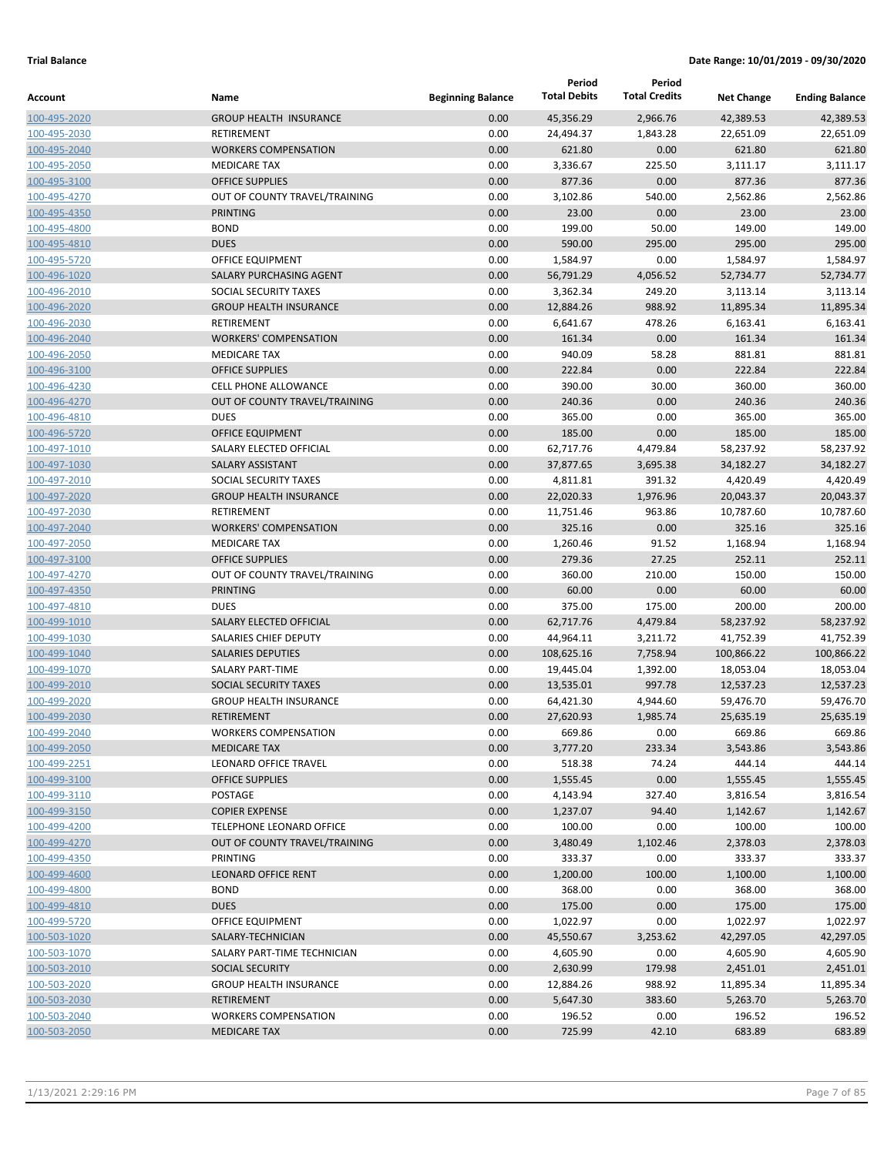|                              |                                             |                          | Period              | Period               |                    |                       |
|------------------------------|---------------------------------------------|--------------------------|---------------------|----------------------|--------------------|-----------------------|
| Account                      | Name                                        | <b>Beginning Balance</b> | <b>Total Debits</b> | <b>Total Credits</b> | <b>Net Change</b>  | <b>Ending Balance</b> |
| 100-495-2020                 | <b>GROUP HEALTH INSURANCE</b>               | 0.00                     | 45,356.29           | 2,966.76             | 42,389.53          | 42,389.53             |
| 100-495-2030                 | RETIREMENT                                  | 0.00                     | 24,494.37           | 1,843.28             | 22,651.09          | 22,651.09             |
| 100-495-2040                 | <b>WORKERS COMPENSATION</b>                 | 0.00                     | 621.80              | 0.00                 | 621.80             | 621.80                |
| 100-495-2050                 | <b>MEDICARE TAX</b>                         | 0.00                     | 3,336.67            | 225.50               | 3,111.17           | 3,111.17              |
| 100-495-3100                 | <b>OFFICE SUPPLIES</b>                      | 0.00                     | 877.36              | 0.00                 | 877.36             | 877.36                |
| 100-495-4270                 | OUT OF COUNTY TRAVEL/TRAINING               | 0.00                     | 3,102.86            | 540.00               | 2,562.86           | 2,562.86              |
| 100-495-4350                 | PRINTING                                    | 0.00                     | 23.00               | 0.00                 | 23.00              | 23.00                 |
| 100-495-4800                 | <b>BOND</b>                                 | 0.00                     | 199.00              | 50.00                | 149.00             | 149.00                |
| 100-495-4810                 | <b>DUES</b>                                 | 0.00                     | 590.00              | 295.00               | 295.00             | 295.00                |
| 100-495-5720                 | <b>OFFICE EQUIPMENT</b>                     | 0.00                     | 1,584.97            | 0.00                 | 1,584.97           | 1,584.97              |
| 100-496-1020                 | SALARY PURCHASING AGENT                     | 0.00                     | 56,791.29           | 4,056.52             | 52,734.77          | 52,734.77             |
| 100-496-2010                 | SOCIAL SECURITY TAXES                       | 0.00                     | 3,362.34            | 249.20               | 3,113.14           | 3,113.14              |
| 100-496-2020                 | <b>GROUP HEALTH INSURANCE</b><br>RETIREMENT | 0.00<br>0.00             | 12,884.26           | 988.92<br>478.26     | 11,895.34          | 11,895.34<br>6,163.41 |
| 100-496-2030<br>100-496-2040 | <b>WORKERS' COMPENSATION</b>                | 0.00                     | 6,641.67<br>161.34  | 0.00                 | 6,163.41<br>161.34 | 161.34                |
| 100-496-2050                 | <b>MEDICARE TAX</b>                         | 0.00                     | 940.09              | 58.28                | 881.81             | 881.81                |
| 100-496-3100                 | <b>OFFICE SUPPLIES</b>                      | 0.00                     | 222.84              | 0.00                 | 222.84             | 222.84                |
| 100-496-4230                 | <b>CELL PHONE ALLOWANCE</b>                 | 0.00                     | 390.00              | 30.00                | 360.00             | 360.00                |
| 100-496-4270                 | OUT OF COUNTY TRAVEL/TRAINING               | 0.00                     | 240.36              | 0.00                 | 240.36             | 240.36                |
| 100-496-4810                 | <b>DUES</b>                                 | 0.00                     | 365.00              | 0.00                 | 365.00             | 365.00                |
| 100-496-5720                 | <b>OFFICE EQUIPMENT</b>                     | 0.00                     | 185.00              | 0.00                 | 185.00             | 185.00                |
| 100-497-1010                 | SALARY ELECTED OFFICIAL                     | 0.00                     | 62,717.76           | 4,479.84             | 58,237.92          | 58,237.92             |
| 100-497-1030                 | <b>SALARY ASSISTANT</b>                     | 0.00                     | 37,877.65           | 3,695.38             | 34,182.27          | 34,182.27             |
| 100-497-2010                 | SOCIAL SECURITY TAXES                       | 0.00                     | 4,811.81            | 391.32               | 4,420.49           | 4,420.49              |
| 100-497-2020                 | <b>GROUP HEALTH INSURANCE</b>               | 0.00                     | 22,020.33           | 1,976.96             | 20,043.37          | 20,043.37             |
| 100-497-2030                 | <b>RETIREMENT</b>                           | 0.00                     | 11,751.46           | 963.86               | 10,787.60          | 10,787.60             |
| 100-497-2040                 | <b>WORKERS' COMPENSATION</b>                | 0.00                     | 325.16              | 0.00                 | 325.16             | 325.16                |
| 100-497-2050                 | <b>MEDICARE TAX</b>                         | 0.00                     | 1,260.46            | 91.52                | 1,168.94           | 1,168.94              |
| 100-497-3100                 | <b>OFFICE SUPPLIES</b>                      | 0.00                     | 279.36              | 27.25                | 252.11             | 252.11                |
| 100-497-4270                 | OUT OF COUNTY TRAVEL/TRAINING               | 0.00                     | 360.00              | 210.00               | 150.00             | 150.00                |
| 100-497-4350                 | <b>PRINTING</b>                             | 0.00                     | 60.00               | 0.00                 | 60.00              | 60.00                 |
| 100-497-4810                 | <b>DUES</b>                                 | 0.00                     | 375.00              | 175.00               | 200.00             | 200.00                |
| 100-499-1010                 | SALARY ELECTED OFFICIAL                     | 0.00                     | 62,717.76           | 4,479.84             | 58,237.92          | 58,237.92             |
| 100-499-1030                 | SALARIES CHIEF DEPUTY                       | 0.00                     | 44,964.11           | 3,211.72             | 41,752.39          | 41,752.39             |
| 100-499-1040                 | <b>SALARIES DEPUTIES</b>                    | 0.00                     | 108,625.16          | 7,758.94             | 100,866.22         | 100,866.22            |
| 100-499-1070                 | <b>SALARY PART-TIME</b>                     | 0.00                     | 19,445.04           | 1,392.00             | 18,053.04          | 18,053.04             |
| 100-499-2010                 | SOCIAL SECURITY TAXES                       | 0.00                     | 13,535.01           | 997.78               | 12,537.23          | 12,537.23             |
| 100-499-2020                 | <b>GROUP HEALTH INSURANCE</b>               | 0.00                     | 64,421.30           | 4,944.60             | 59,476.70          | 59,476.70             |
| 100-499-2030                 | <b>RETIREMENT</b>                           | 0.00                     | 27,620.93           | 1,985.74             | 25,635.19          | 25,635.19             |
| 100-499-2040                 | <b>WORKERS COMPENSATION</b>                 | 0.00                     | 669.86              | 0.00                 | 669.86             | 669.86                |
| 100-499-2050                 | <b>MEDICARE TAX</b>                         | 0.00                     | 3,777.20            | 233.34               | 3,543.86           | 3,543.86              |
| 100-499-2251                 | LEONARD OFFICE TRAVEL                       | 0.00                     | 518.38              | 74.24                | 444.14             | 444.14                |
| 100-499-3100                 | <b>OFFICE SUPPLIES</b>                      | 0.00                     | 1,555.45            | 0.00                 | 1,555.45           | 1,555.45              |
| 100-499-3110                 | POSTAGE                                     | 0.00                     | 4,143.94            | 327.40               | 3,816.54           | 3,816.54              |
| 100-499-3150                 | <b>COPIER EXPENSE</b>                       | 0.00                     | 1,237.07            | 94.40                | 1,142.67           | 1,142.67              |
| 100-499-4200                 | TELEPHONE LEONARD OFFICE                    | 0.00                     | 100.00              | 0.00                 | 100.00             | 100.00                |
| 100-499-4270                 | OUT OF COUNTY TRAVEL/TRAINING               | 0.00                     | 3,480.49            | 1,102.46             | 2,378.03           | 2,378.03              |
| 100-499-4350                 | PRINTING<br><b>LEONARD OFFICE RENT</b>      | 0.00                     | 333.37              | 0.00                 | 333.37             | 333.37                |
| 100-499-4600<br>100-499-4800 | <b>BOND</b>                                 | 0.00<br>0.00             | 1,200.00<br>368.00  | 100.00<br>0.00       | 1,100.00<br>368.00 | 1,100.00<br>368.00    |
| 100-499-4810                 | <b>DUES</b>                                 | 0.00                     | 175.00              | 0.00                 | 175.00             | 175.00                |
| 100-499-5720                 | OFFICE EQUIPMENT                            | 0.00                     | 1,022.97            | 0.00                 | 1,022.97           | 1,022.97              |
| 100-503-1020                 | SALARY-TECHNICIAN                           | 0.00                     | 45,550.67           | 3,253.62             | 42,297.05          | 42,297.05             |
| 100-503-1070                 | SALARY PART-TIME TECHNICIAN                 | 0.00                     | 4,605.90            | 0.00                 | 4,605.90           | 4,605.90              |
| 100-503-2010                 | <b>SOCIAL SECURITY</b>                      | 0.00                     | 2,630.99            | 179.98               | 2,451.01           | 2,451.01              |
| 100-503-2020                 | <b>GROUP HEALTH INSURANCE</b>               | 0.00                     | 12,884.26           | 988.92               | 11,895.34          | 11,895.34             |
| 100-503-2030                 | RETIREMENT                                  | 0.00                     | 5,647.30            | 383.60               | 5,263.70           | 5,263.70              |
| 100-503-2040                 | <b>WORKERS COMPENSATION</b>                 | 0.00                     | 196.52              | 0.00                 | 196.52             | 196.52                |
| 100-503-2050                 | <b>MEDICARE TAX</b>                         | 0.00                     | 725.99              | 42.10                | 683.89             | 683.89                |
|                              |                                             |                          |                     |                      |                    |                       |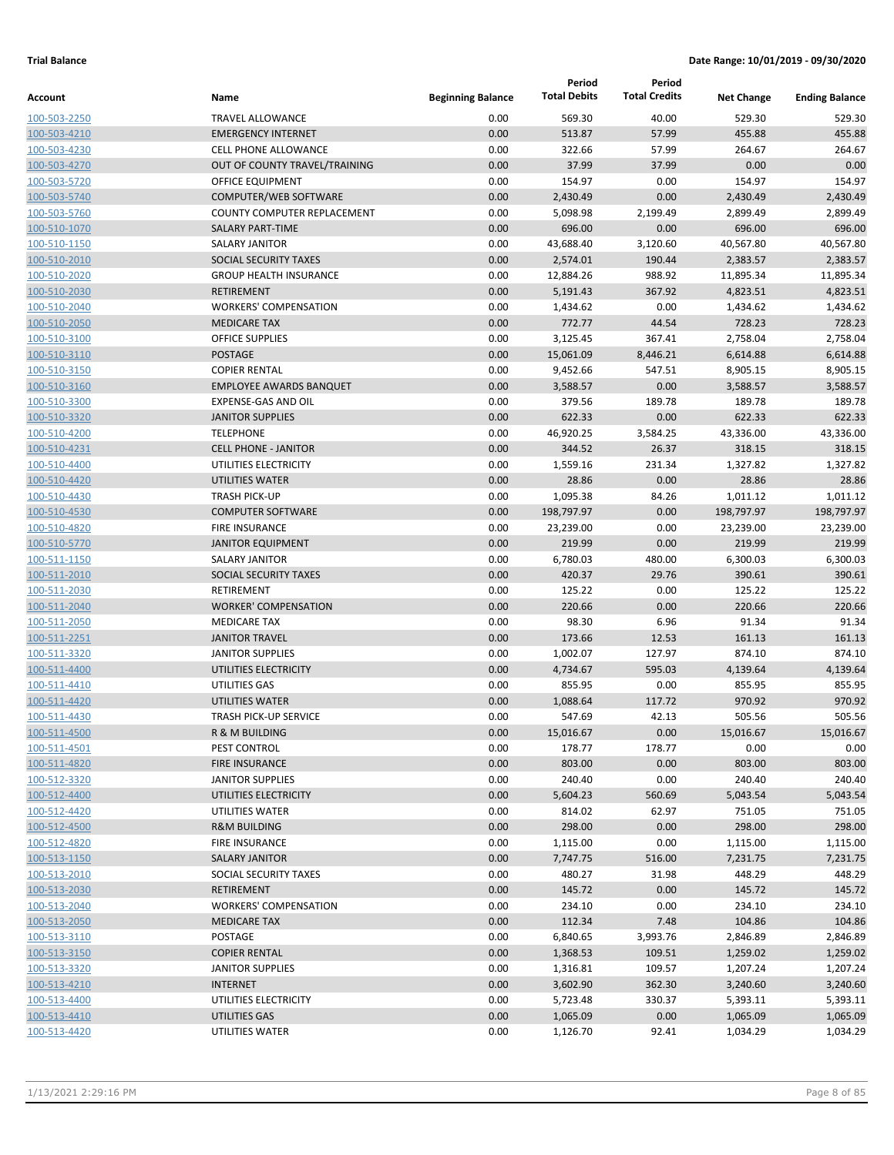|                              |                                                  |                          | Period              | Period               |                   |                       |
|------------------------------|--------------------------------------------------|--------------------------|---------------------|----------------------|-------------------|-----------------------|
| <b>Account</b>               | Name                                             | <b>Beginning Balance</b> | <b>Total Debits</b> | <b>Total Credits</b> | <b>Net Change</b> | <b>Ending Balance</b> |
| 100-503-2250                 | <b>TRAVEL ALLOWANCE</b>                          | 0.00                     | 569.30              | 40.00                | 529.30            | 529.30                |
| 100-503-4210                 | <b>EMERGENCY INTERNET</b>                        | 0.00                     | 513.87              | 57.99                | 455.88            | 455.88                |
| 100-503-4230                 | <b>CELL PHONE ALLOWANCE</b>                      | 0.00                     | 322.66              | 57.99                | 264.67            | 264.67                |
| 100-503-4270                 | OUT OF COUNTY TRAVEL/TRAINING                    | 0.00                     | 37.99               | 37.99                | 0.00              | 0.00                  |
| 100-503-5720                 | OFFICE EQUIPMENT                                 | 0.00                     | 154.97              | 0.00                 | 154.97            | 154.97                |
| 100-503-5740                 | COMPUTER/WEB SOFTWARE                            | 0.00                     | 2,430.49            | 0.00                 | 2,430.49          | 2,430.49              |
| 100-503-5760                 | COUNTY COMPUTER REPLACEMENT                      | 0.00                     | 5,098.98            | 2,199.49             | 2,899.49          | 2,899.49              |
| 100-510-1070                 | <b>SALARY PART-TIME</b>                          | 0.00                     | 696.00              | 0.00                 | 696.00            | 696.00                |
| 100-510-1150                 | SALARY JANITOR                                   | 0.00                     | 43,688.40           | 3,120.60             | 40,567.80         | 40,567.80             |
| 100-510-2010                 | SOCIAL SECURITY TAXES                            | 0.00                     | 2,574.01            | 190.44               | 2,383.57          | 2,383.57              |
| 100-510-2020                 | <b>GROUP HEALTH INSURANCE</b>                    | 0.00                     | 12,884.26           | 988.92               | 11,895.34         | 11,895.34             |
| 100-510-2030                 | <b>RETIREMENT</b>                                | 0.00                     | 5,191.43            | 367.92               | 4,823.51          | 4,823.51              |
| 100-510-2040                 | <b>WORKERS' COMPENSATION</b>                     | 0.00                     | 1,434.62            | 0.00                 | 1,434.62          | 1,434.62              |
| 100-510-2050                 | <b>MEDICARE TAX</b>                              | 0.00                     | 772.77              | 44.54                | 728.23            | 728.23                |
| 100-510-3100                 | <b>OFFICE SUPPLIES</b>                           | 0.00                     | 3,125.45            | 367.41               | 2,758.04          | 2,758.04              |
| 100-510-3110                 | <b>POSTAGE</b>                                   | 0.00                     | 15,061.09           | 8,446.21             | 6,614.88          | 6,614.88              |
| 100-510-3150                 | <b>COPIER RENTAL</b>                             | 0.00                     | 9,452.66            | 547.51               | 8,905.15          | 8,905.15              |
| 100-510-3160                 | <b>EMPLOYEE AWARDS BANQUET</b>                   | 0.00                     | 3,588.57            | 0.00                 | 3,588.57          | 3,588.57              |
| 100-510-3300                 | <b>EXPENSE-GAS AND OIL</b>                       | 0.00                     | 379.56              | 189.78               | 189.78            | 189.78                |
| 100-510-3320                 | <b>JANITOR SUPPLIES</b>                          | 0.00                     | 622.33              | 0.00                 | 622.33            | 622.33                |
| 100-510-4200                 | <b>TELEPHONE</b>                                 | 0.00                     | 46,920.25           | 3,584.25             | 43,336.00         | 43,336.00             |
| 100-510-4231                 | <b>CELL PHONE - JANITOR</b>                      | 0.00                     | 344.52              | 26.37                | 318.15            | 318.15                |
| 100-510-4400                 | UTILITIES ELECTRICITY                            | 0.00                     | 1,559.16            | 231.34               | 1,327.82          | 1,327.82              |
| 100-510-4420                 | UTILITIES WATER                                  | 0.00                     | 28.86               | 0.00                 | 28.86             | 28.86                 |
| 100-510-4430                 | <b>TRASH PICK-UP</b>                             | 0.00                     | 1,095.38            | 84.26                | 1,011.12          | 1,011.12              |
| 100-510-4530                 | <b>COMPUTER SOFTWARE</b>                         | 0.00                     | 198,797.97          | 0.00                 | 198,797.97        | 198,797.97            |
| 100-510-4820                 | <b>FIRE INSURANCE</b>                            | 0.00                     | 23,239.00           | 0.00                 | 23,239.00         | 23,239.00             |
| 100-510-5770                 | <b>JANITOR EQUIPMENT</b>                         | 0.00                     | 219.99              | 0.00                 | 219.99            | 219.99                |
| 100-511-1150                 | SALARY JANITOR                                   | 0.00                     | 6,780.03            | 480.00               | 6,300.03          | 6,300.03              |
| 100-511-2010                 | SOCIAL SECURITY TAXES                            | 0.00                     | 420.37              | 29.76                | 390.61            | 390.61                |
| 100-511-2030                 | RETIREMENT                                       | 0.00                     | 125.22              | 0.00                 | 125.22            | 125.22                |
| 100-511-2040                 | <b>WORKER' COMPENSATION</b>                      | 0.00                     | 220.66              | 0.00                 | 220.66            | 220.66                |
| 100-511-2050                 | <b>MEDICARE TAX</b>                              | 0.00                     | 98.30               | 6.96                 | 91.34             | 91.34                 |
| 100-511-2251                 | <b>JANITOR TRAVEL</b>                            | 0.00                     | 173.66              | 12.53                | 161.13            | 161.13                |
| 100-511-3320                 | <b>JANITOR SUPPLIES</b><br>UTILITIES ELECTRICITY | 0.00                     | 1,002.07            | 127.97               | 874.10            | 874.10                |
| 100-511-4400                 |                                                  | 0.00                     | 4,734.67            | 595.03               | 4,139.64          | 4,139.64              |
| 100-511-4410                 | UTILITIES GAS                                    | 0.00                     | 855.95              | 0.00                 | 855.95            | 855.95                |
| 100-511-4420<br>100-511-4430 | UTILITIES WATER<br><b>TRASH PICK-UP SERVICE</b>  | 0.00<br>0.00             | 1,088.64<br>547.69  | 117.72<br>42.13      | 970.92<br>505.56  | 970.92<br>505.56      |
| 100-511-4500                 | R & M BUILDING                                   | 0.00                     | 15,016.67           | 0.00                 | 15,016.67         | 15,016.67             |
| 100-511-4501                 | PEST CONTROL                                     | 0.00                     | 178.77              | 178.77               | 0.00              | 0.00                  |
| 100-511-4820                 | <b>FIRE INSURANCE</b>                            | 0.00                     | 803.00              | 0.00                 | 803.00            | 803.00                |
| 100-512-3320                 | <b>JANITOR SUPPLIES</b>                          | 0.00                     | 240.40              | 0.00                 | 240.40            | 240.40                |
| 100-512-4400                 | UTILITIES ELECTRICITY                            | 0.00                     | 5,604.23            | 560.69               | 5,043.54          | 5,043.54              |
| 100-512-4420                 | UTILITIES WATER                                  | 0.00                     | 814.02              | 62.97                | 751.05            | 751.05                |
| 100-512-4500                 | <b>R&amp;M BUILDING</b>                          | 0.00                     | 298.00              | 0.00                 | 298.00            | 298.00                |
| 100-512-4820                 | FIRE INSURANCE                                   | 0.00                     | 1,115.00            | 0.00                 | 1,115.00          | 1,115.00              |
| 100-513-1150                 | <b>SALARY JANITOR</b>                            | 0.00                     | 7,747.75            | 516.00               | 7,231.75          | 7,231.75              |
| 100-513-2010                 | SOCIAL SECURITY TAXES                            | 0.00                     | 480.27              | 31.98                | 448.29            | 448.29                |
| 100-513-2030                 | <b>RETIREMENT</b>                                | 0.00                     | 145.72              | 0.00                 | 145.72            | 145.72                |
| 100-513-2040                 | <b>WORKERS' COMPENSATION</b>                     | 0.00                     | 234.10              | 0.00                 | 234.10            | 234.10                |
| 100-513-2050                 | <b>MEDICARE TAX</b>                              | 0.00                     | 112.34              | 7.48                 | 104.86            | 104.86                |
| 100-513-3110                 | POSTAGE                                          | 0.00                     | 6,840.65            | 3,993.76             | 2,846.89          | 2,846.89              |
| 100-513-3150                 | <b>COPIER RENTAL</b>                             | 0.00                     | 1,368.53            | 109.51               | 1,259.02          | 1,259.02              |
| 100-513-3320                 | <b>JANITOR SUPPLIES</b>                          | 0.00                     | 1,316.81            | 109.57               | 1,207.24          | 1,207.24              |
| 100-513-4210                 | <b>INTERNET</b>                                  | 0.00                     | 3,602.90            | 362.30               | 3,240.60          | 3,240.60              |
| 100-513-4400                 | UTILITIES ELECTRICITY                            | 0.00                     | 5,723.48            | 330.37               | 5,393.11          | 5,393.11              |
| 100-513-4410                 | UTILITIES GAS                                    | 0.00                     | 1,065.09            | 0.00                 | 1,065.09          | 1,065.09              |
| 100-513-4420                 | UTILITIES WATER                                  | 0.00                     | 1,126.70            | 92.41                | 1,034.29          | 1,034.29              |
|                              |                                                  |                          |                     |                      |                   |                       |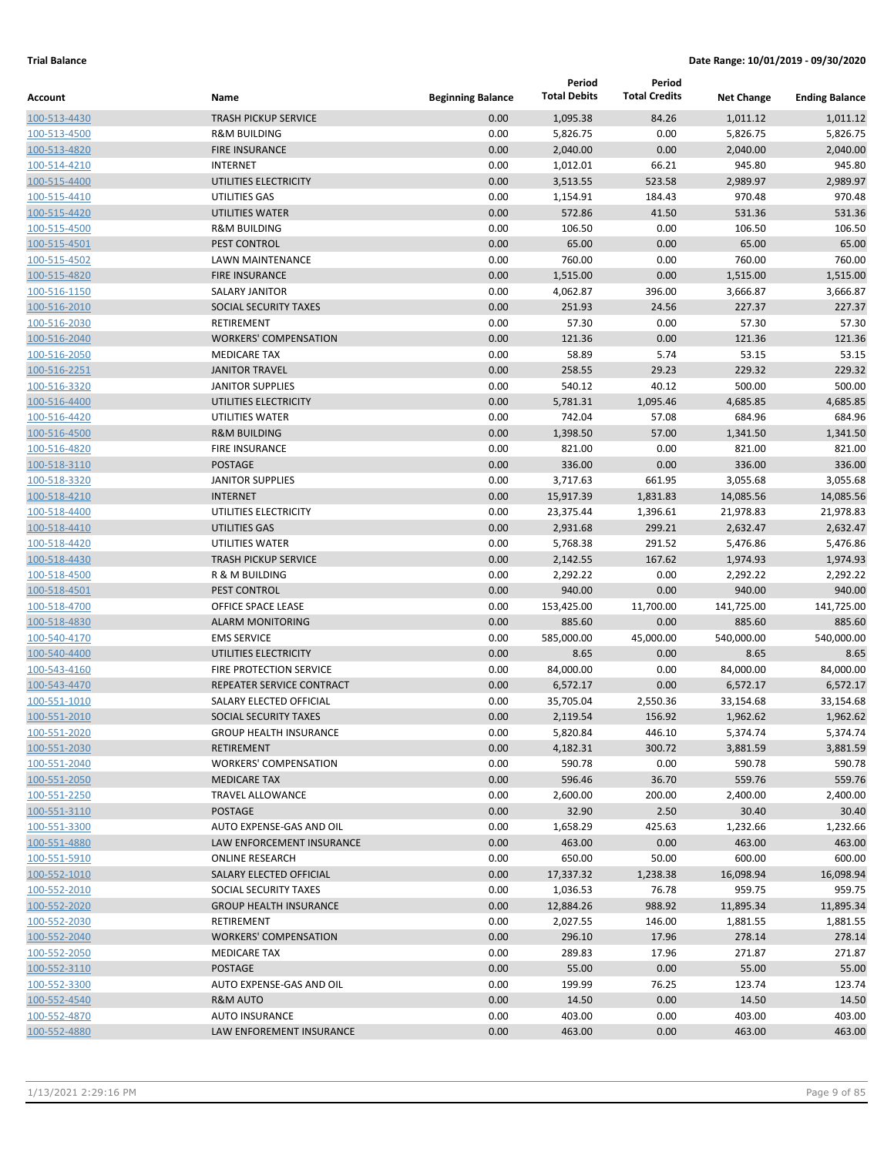|              |                               |                          | Period              | Period               |                   |                       |
|--------------|-------------------------------|--------------------------|---------------------|----------------------|-------------------|-----------------------|
| Account      | Name                          | <b>Beginning Balance</b> | <b>Total Debits</b> | <b>Total Credits</b> | <b>Net Change</b> | <b>Ending Balance</b> |
| 100-513-4430 | <b>TRASH PICKUP SERVICE</b>   | 0.00                     | 1,095.38            | 84.26                | 1,011.12          | 1,011.12              |
| 100-513-4500 | <b>R&amp;M BUILDING</b>       | 0.00                     | 5,826.75            | 0.00                 | 5,826.75          | 5,826.75              |
| 100-513-4820 | <b>FIRE INSURANCE</b>         | 0.00                     | 2,040.00            | 0.00                 | 2,040.00          | 2,040.00              |
| 100-514-4210 | <b>INTERNET</b>               | 0.00                     | 1,012.01            | 66.21                | 945.80            | 945.80                |
| 100-515-4400 | UTILITIES ELECTRICITY         | 0.00                     | 3,513.55            | 523.58               | 2,989.97          | 2,989.97              |
| 100-515-4410 | UTILITIES GAS                 | 0.00                     | 1,154.91            | 184.43               | 970.48            | 970.48                |
| 100-515-4420 | UTILITIES WATER               | 0.00                     | 572.86              | 41.50                | 531.36            | 531.36                |
| 100-515-4500 | <b>R&amp;M BUILDING</b>       | 0.00                     | 106.50              | 0.00                 | 106.50            | 106.50                |
| 100-515-4501 | PEST CONTROL                  | 0.00                     | 65.00               | 0.00                 | 65.00             | 65.00                 |
| 100-515-4502 | LAWN MAINTENANCE              | 0.00                     | 760.00              | 0.00                 | 760.00            | 760.00                |
| 100-515-4820 | <b>FIRE INSURANCE</b>         | 0.00                     | 1,515.00            | 0.00                 | 1,515.00          | 1,515.00              |
| 100-516-1150 | <b>SALARY JANITOR</b>         | 0.00                     | 4,062.87            | 396.00               | 3,666.87          | 3,666.87              |
| 100-516-2010 | SOCIAL SECURITY TAXES         | 0.00                     | 251.93              | 24.56                | 227.37            | 227.37                |
| 100-516-2030 | RETIREMENT                    | 0.00                     | 57.30               | 0.00                 | 57.30             | 57.30                 |
| 100-516-2040 | <b>WORKERS' COMPENSATION</b>  | 0.00                     | 121.36              | 0.00                 | 121.36            | 121.36                |
| 100-516-2050 | <b>MEDICARE TAX</b>           | 0.00                     | 58.89               | 5.74                 | 53.15             | 53.15                 |
| 100-516-2251 | <b>JANITOR TRAVEL</b>         | 0.00                     | 258.55              | 29.23                | 229.32            | 229.32                |
| 100-516-3320 | <b>JANITOR SUPPLIES</b>       | 0.00                     | 540.12              | 40.12                | 500.00            | 500.00                |
| 100-516-4400 | UTILITIES ELECTRICITY         | 0.00                     | 5,781.31            | 1,095.46             | 4,685.85          | 4,685.85              |
| 100-516-4420 | UTILITIES WATER               | 0.00                     | 742.04              | 57.08                | 684.96            | 684.96                |
| 100-516-4500 | <b>R&amp;M BUILDING</b>       | 0.00                     | 1,398.50            | 57.00                | 1,341.50          | 1,341.50              |
| 100-516-4820 | <b>FIRE INSURANCE</b>         | 0.00                     | 821.00              | 0.00                 | 821.00            | 821.00                |
| 100-518-3110 | <b>POSTAGE</b>                | 0.00                     | 336.00              | 0.00                 | 336.00            | 336.00                |
| 100-518-3320 | <b>JANITOR SUPPLIES</b>       | 0.00                     | 3,717.63            | 661.95               | 3,055.68          | 3,055.68              |
| 100-518-4210 | <b>INTERNET</b>               | 0.00                     | 15,917.39           | 1,831.83             | 14,085.56         | 14,085.56             |
| 100-518-4400 | UTILITIES ELECTRICITY         | 0.00                     | 23,375.44           | 1,396.61             | 21,978.83         | 21,978.83             |
| 100-518-4410 | UTILITIES GAS                 | 0.00                     | 2,931.68            | 299.21               | 2,632.47          | 2,632.47              |
| 100-518-4420 | UTILITIES WATER               | 0.00                     | 5,768.38            | 291.52               | 5,476.86          | 5,476.86              |
| 100-518-4430 | <b>TRASH PICKUP SERVICE</b>   | 0.00                     | 2,142.55            | 167.62               | 1,974.93          | 1,974.93              |
| 100-518-4500 | R & M BUILDING                | 0.00                     | 2,292.22            | 0.00                 | 2,292.22          | 2,292.22              |
| 100-518-4501 | PEST CONTROL                  | 0.00                     | 940.00              | 0.00                 | 940.00            | 940.00                |
| 100-518-4700 | OFFICE SPACE LEASE            | 0.00                     | 153,425.00          | 11,700.00            | 141,725.00        | 141,725.00            |
| 100-518-4830 | <b>ALARM MONITORING</b>       | 0.00                     | 885.60              | 0.00                 | 885.60            | 885.60                |
| 100-540-4170 | <b>EMS SERVICE</b>            | 0.00                     | 585,000.00          | 45,000.00            | 540,000.00        | 540,000.00            |
| 100-540-4400 | UTILITIES ELECTRICITY         | 0.00                     | 8.65                | 0.00                 | 8.65              | 8.65                  |
| 100-543-4160 | FIRE PROTECTION SERVICE       | 0.00                     | 84,000.00           | 0.00                 | 84,000.00         | 84,000.00             |
| 100-543-4470 | REPEATER SERVICE CONTRACT     | 0.00                     | 6,572.17            | 0.00                 | 6,572.17          | 6,572.17              |
| 100-551-1010 | SALARY ELECTED OFFICIAL       | 0.00                     | 35,705.04           | 2,550.36             | 33,154.68         | 33,154.68             |
| 100-551-2010 | SOCIAL SECURITY TAXES         | 0.00                     | 2,119.54            | 156.92               | 1,962.62          | 1,962.62              |
| 100-551-2020 | <b>GROUP HEALTH INSURANCE</b> | 0.00                     | 5,820.84            | 446.10               | 5,374.74          | 5,374.74              |
| 100-551-2030 | RETIREMENT                    | 0.00                     | 4,182.31            | 300.72               | 3,881.59          | 3,881.59              |
| 100-551-2040 | <b>WORKERS' COMPENSATION</b>  | 0.00                     | 590.78              | 0.00                 | 590.78            | 590.78                |
| 100-551-2050 | <b>MEDICARE TAX</b>           | 0.00                     | 596.46              | 36.70                | 559.76            | 559.76                |
| 100-551-2250 | TRAVEL ALLOWANCE              | 0.00                     | 2,600.00            | 200.00               | 2,400.00          | 2,400.00              |
| 100-551-3110 | POSTAGE                       | 0.00                     | 32.90               | 2.50                 | 30.40             | 30.40                 |
| 100-551-3300 | AUTO EXPENSE-GAS AND OIL      | 0.00                     | 1,658.29            | 425.63               | 1,232.66          | 1,232.66              |
| 100-551-4880 | LAW ENFORCEMENT INSURANCE     | 0.00                     | 463.00              | 0.00                 | 463.00            | 463.00                |
| 100-551-5910 | <b>ONLINE RESEARCH</b>        | 0.00                     | 650.00              | 50.00                | 600.00            | 600.00                |
| 100-552-1010 | SALARY ELECTED OFFICIAL       | 0.00                     | 17,337.32           | 1,238.38             | 16,098.94         | 16,098.94             |
| 100-552-2010 | SOCIAL SECURITY TAXES         | 0.00                     | 1,036.53            | 76.78                | 959.75            | 959.75                |
| 100-552-2020 | <b>GROUP HEALTH INSURANCE</b> | 0.00                     | 12,884.26           | 988.92               | 11,895.34         | 11,895.34             |
| 100-552-2030 | RETIREMENT                    | 0.00                     | 2,027.55            | 146.00               | 1,881.55          | 1,881.55              |
| 100-552-2040 | <b>WORKERS' COMPENSATION</b>  | 0.00                     | 296.10              | 17.96                | 278.14            | 278.14                |
| 100-552-2050 | <b>MEDICARE TAX</b>           | 0.00                     | 289.83              | 17.96                | 271.87            | 271.87                |
| 100-552-3110 | POSTAGE                       | 0.00                     | 55.00               | 0.00                 | 55.00             | 55.00                 |
| 100-552-3300 | AUTO EXPENSE-GAS AND OIL      | 0.00                     | 199.99              | 76.25                | 123.74            | 123.74                |
| 100-552-4540 | <b>R&amp;M AUTO</b>           | 0.00                     | 14.50               | 0.00                 | 14.50             | 14.50                 |
| 100-552-4870 | <b>AUTO INSURANCE</b>         | 0.00                     | 403.00              | 0.00                 | 403.00            | 403.00                |
| 100-552-4880 | LAW ENFOREMENT INSURANCE      | 0.00                     | 463.00              | 0.00                 | 463.00            | 463.00                |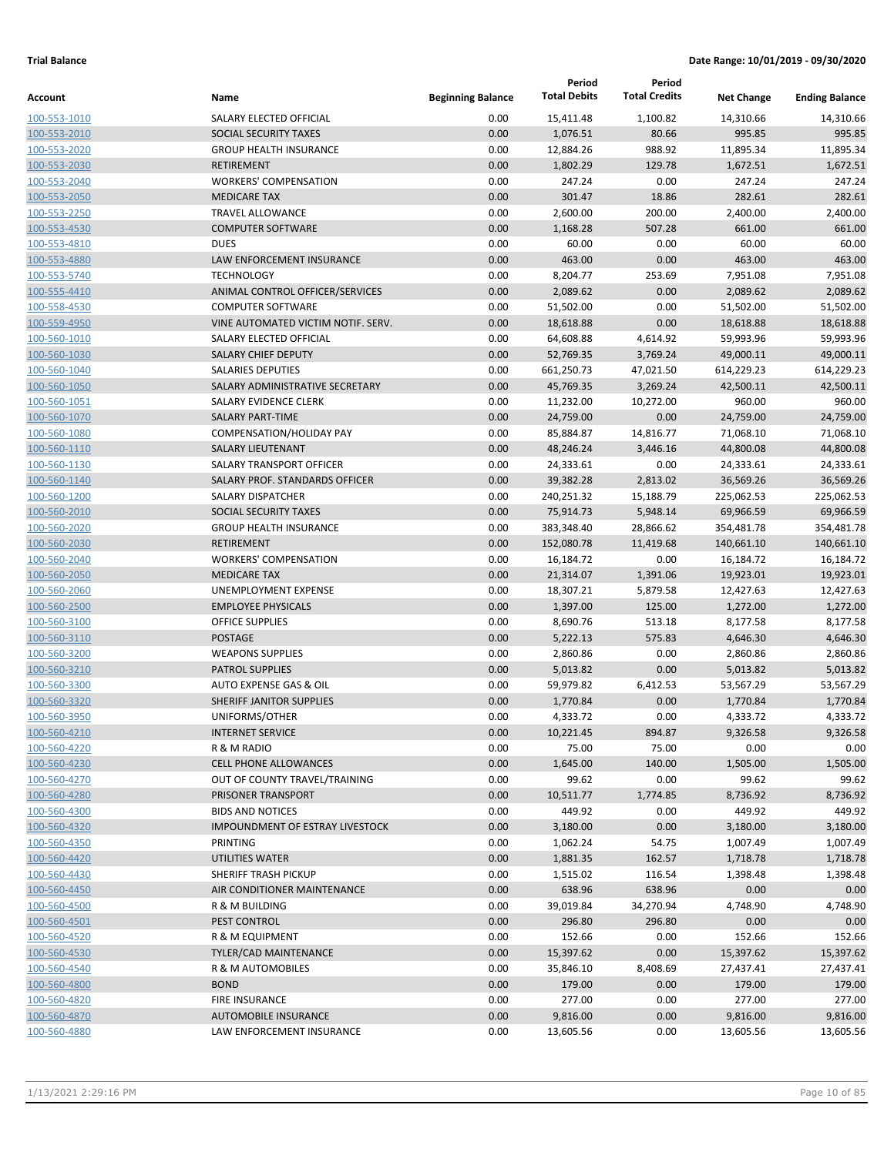|                              |                                        |                          | Period                | Period               |                       |                       |
|------------------------------|----------------------------------------|--------------------------|-----------------------|----------------------|-----------------------|-----------------------|
| Account                      | Name                                   | <b>Beginning Balance</b> | <b>Total Debits</b>   | <b>Total Credits</b> | <b>Net Change</b>     | <b>Ending Balance</b> |
| 100-553-1010                 | SALARY ELECTED OFFICIAL                | 0.00                     | 15,411.48             | 1,100.82             | 14,310.66             | 14,310.66             |
| 100-553-2010                 | SOCIAL SECURITY TAXES                  | 0.00                     | 1,076.51              | 80.66                | 995.85                | 995.85                |
| 100-553-2020                 | <b>GROUP HEALTH INSURANCE</b>          | 0.00                     | 12,884.26             | 988.92               | 11,895.34             | 11,895.34             |
| 100-553-2030                 | <b>RETIREMENT</b>                      | 0.00                     | 1,802.29              | 129.78               | 1,672.51              | 1,672.51              |
| 100-553-2040                 | <b>WORKERS' COMPENSATION</b>           | 0.00                     | 247.24                | 0.00                 | 247.24                | 247.24                |
| 100-553-2050                 | <b>MEDICARE TAX</b>                    | 0.00                     | 301.47                | 18.86                | 282.61                | 282.61                |
| 100-553-2250                 | <b>TRAVEL ALLOWANCE</b>                | 0.00                     | 2,600.00              | 200.00               | 2,400.00              | 2,400.00              |
| 100-553-4530                 | <b>COMPUTER SOFTWARE</b>               | 0.00                     | 1,168.28              | 507.28               | 661.00                | 661.00                |
| 100-553-4810                 | <b>DUES</b>                            | 0.00                     | 60.00                 | 0.00                 | 60.00                 | 60.00                 |
| 100-553-4880                 | LAW ENFORCEMENT INSURANCE              | 0.00                     | 463.00                | 0.00                 | 463.00                | 463.00                |
| 100-553-5740                 | <b>TECHNOLOGY</b>                      | 0.00                     | 8,204.77              | 253.69               | 7,951.08              | 7,951.08              |
| 100-555-4410                 | ANIMAL CONTROL OFFICER/SERVICES        | 0.00                     | 2,089.62              | 0.00                 | 2,089.62              | 2,089.62              |
| 100-558-4530                 | <b>COMPUTER SOFTWARE</b>               | 0.00                     | 51,502.00             | 0.00                 | 51,502.00             | 51,502.00             |
| 100-559-4950                 | VINE AUTOMATED VICTIM NOTIF. SERV.     | 0.00                     | 18,618.88             | 0.00                 | 18,618.88             | 18,618.88             |
| 100-560-1010                 | SALARY ELECTED OFFICIAL                | 0.00                     | 64,608.88             | 4,614.92             | 59,993.96             | 59,993.96             |
| 100-560-1030                 | <b>SALARY CHIEF DEPUTY</b>             | 0.00                     | 52,769.35             | 3,769.24             | 49,000.11             | 49,000.11             |
| 100-560-1040                 | <b>SALARIES DEPUTIES</b>               | 0.00                     | 661,250.73            | 47,021.50            | 614,229.23            | 614,229.23            |
| 100-560-1050                 | SALARY ADMINISTRATIVE SECRETARY        | 0.00                     | 45,769.35             | 3,269.24             | 42,500.11             | 42,500.11             |
| 100-560-1051                 | SALARY EVIDENCE CLERK                  | 0.00                     | 11,232.00             | 10,272.00            | 960.00                | 960.00                |
| 100-560-1070                 | <b>SALARY PART-TIME</b>                | 0.00                     | 24,759.00             | 0.00                 | 24,759.00             | 24,759.00             |
| 100-560-1080                 | COMPENSATION/HOLIDAY PAY               | 0.00                     | 85,884.87             | 14,816.77            | 71,068.10             | 71,068.10             |
| 100-560-1110                 | SALARY LIEUTENANT                      | 0.00                     | 48,246.24             | 3,446.16             | 44,800.08             | 44,800.08             |
| 100-560-1130                 | SALARY TRANSPORT OFFICER               | 0.00                     | 24,333.61             | 0.00                 | 24,333.61             | 24,333.61             |
| 100-560-1140                 | SALARY PROF. STANDARDS OFFICER         | 0.00                     | 39,382.28             | 2,813.02             | 36,569.26             | 36,569.26             |
| 100-560-1200                 | SALARY DISPATCHER                      | 0.00                     | 240,251.32            | 15,188.79            | 225,062.53            | 225,062.53            |
| 100-560-2010                 | SOCIAL SECURITY TAXES                  | 0.00                     | 75,914.73             | 5,948.14             | 69,966.59             | 69,966.59             |
| 100-560-2020                 | <b>GROUP HEALTH INSURANCE</b>          | 0.00                     | 383,348.40            | 28,866.62            | 354,481.78            | 354,481.78            |
| 100-560-2030                 | <b>RETIREMENT</b>                      | 0.00                     | 152,080.78            | 11,419.68            | 140,661.10            | 140,661.10            |
| 100-560-2040                 | <b>WORKERS' COMPENSATION</b>           | 0.00                     | 16,184.72             | 0.00                 | 16,184.72             | 16,184.72             |
| 100-560-2050                 | <b>MEDICARE TAX</b>                    | 0.00                     | 21,314.07             | 1,391.06             | 19,923.01             | 19,923.01             |
| 100-560-2060                 | UNEMPLOYMENT EXPENSE                   | 0.00                     | 18,307.21             | 5,879.58             | 12,427.63             | 12,427.63             |
| 100-560-2500                 | <b>EMPLOYEE PHYSICALS</b>              | 0.00                     | 1,397.00              | 125.00               | 1,272.00              | 1,272.00              |
| 100-560-3100                 | OFFICE SUPPLIES<br><b>POSTAGE</b>      | 0.00                     | 8,690.76              | 513.18               | 8,177.58              | 8,177.58              |
| 100-560-3110                 | <b>WEAPONS SUPPLIES</b>                | 0.00<br>0.00             | 5,222.13              | 575.83<br>0.00       | 4,646.30              | 4,646.30<br>2,860.86  |
| 100-560-3200<br>100-560-3210 | <b>PATROL SUPPLIES</b>                 | 0.00                     | 2,860.86              | 0.00                 | 2,860.86<br>5,013.82  | 5,013.82              |
| 100-560-3300                 | AUTO EXPENSE GAS & OIL                 | 0.00                     | 5,013.82<br>59,979.82 | 6,412.53             |                       | 53,567.29             |
| 100-560-3320                 | SHERIFF JANITOR SUPPLIES               | 0.00                     | 1,770.84              | 0.00                 | 53,567.29<br>1,770.84 | 1,770.84              |
| 100-560-3950                 | UNIFORMS/OTHER                         | 0.00                     | 4,333.72              | 0.00                 | 4,333.72              | 4,333.72              |
| 100-560-4210                 | <b>INTERNET SERVICE</b>                | 0.00                     | 10,221.45             | 894.87               | 9,326.58              | 9,326.58              |
| 100-560-4220                 | R & M RADIO                            | 0.00                     | 75.00                 | 75.00                | 0.00                  | 0.00                  |
| 100-560-4230                 | <b>CELL PHONE ALLOWANCES</b>           | 0.00                     | 1,645.00              | 140.00               | 1,505.00              | 1,505.00              |
| 100-560-4270                 | OUT OF COUNTY TRAVEL/TRAINING          | 0.00                     | 99.62                 | 0.00                 | 99.62                 | 99.62                 |
| 100-560-4280                 | PRISONER TRANSPORT                     | 0.00                     | 10,511.77             | 1,774.85             | 8,736.92              | 8,736.92              |
| 100-560-4300                 | <b>BIDS AND NOTICES</b>                | 0.00                     | 449.92                | 0.00                 | 449.92                | 449.92                |
| 100-560-4320                 | <b>IMPOUNDMENT OF ESTRAY LIVESTOCK</b> | 0.00                     | 3,180.00              | 0.00                 | 3,180.00              | 3,180.00              |
| 100-560-4350                 | PRINTING                               | 0.00                     | 1,062.24              | 54.75                | 1,007.49              | 1,007.49              |
| 100-560-4420                 | UTILITIES WATER                        | 0.00                     | 1,881.35              | 162.57               | 1,718.78              | 1,718.78              |
| 100-560-4430                 | SHERIFF TRASH PICKUP                   | 0.00                     | 1,515.02              | 116.54               | 1,398.48              | 1,398.48              |
| 100-560-4450                 | AIR CONDITIONER MAINTENANCE            | 0.00                     | 638.96                | 638.96               | 0.00                  | 0.00                  |
| 100-560-4500                 | R & M BUILDING                         | 0.00                     | 39,019.84             | 34,270.94            | 4,748.90              | 4,748.90              |
| 100-560-4501                 | PEST CONTROL                           | 0.00                     | 296.80                | 296.80               | 0.00                  | 0.00                  |
| 100-560-4520                 | R & M EQUIPMENT                        | 0.00                     | 152.66                | 0.00                 | 152.66                | 152.66                |
| 100-560-4530                 | TYLER/CAD MAINTENANCE                  | 0.00                     | 15,397.62             | 0.00                 | 15,397.62             | 15,397.62             |
| 100-560-4540                 | R & M AUTOMOBILES                      | 0.00                     | 35,846.10             | 8,408.69             | 27,437.41             | 27,437.41             |
| 100-560-4800                 | <b>BOND</b>                            | 0.00                     | 179.00                | 0.00                 | 179.00                | 179.00                |
| 100-560-4820                 | <b>FIRE INSURANCE</b>                  | 0.00                     | 277.00                | 0.00                 | 277.00                | 277.00                |
| 100-560-4870                 | AUTOMOBILE INSURANCE                   | 0.00                     | 9,816.00              | 0.00                 | 9,816.00              | 9,816.00              |
| 100-560-4880                 | LAW ENFORCEMENT INSURANCE              | 0.00                     | 13,605.56             | 0.00                 | 13,605.56             | 13,605.56             |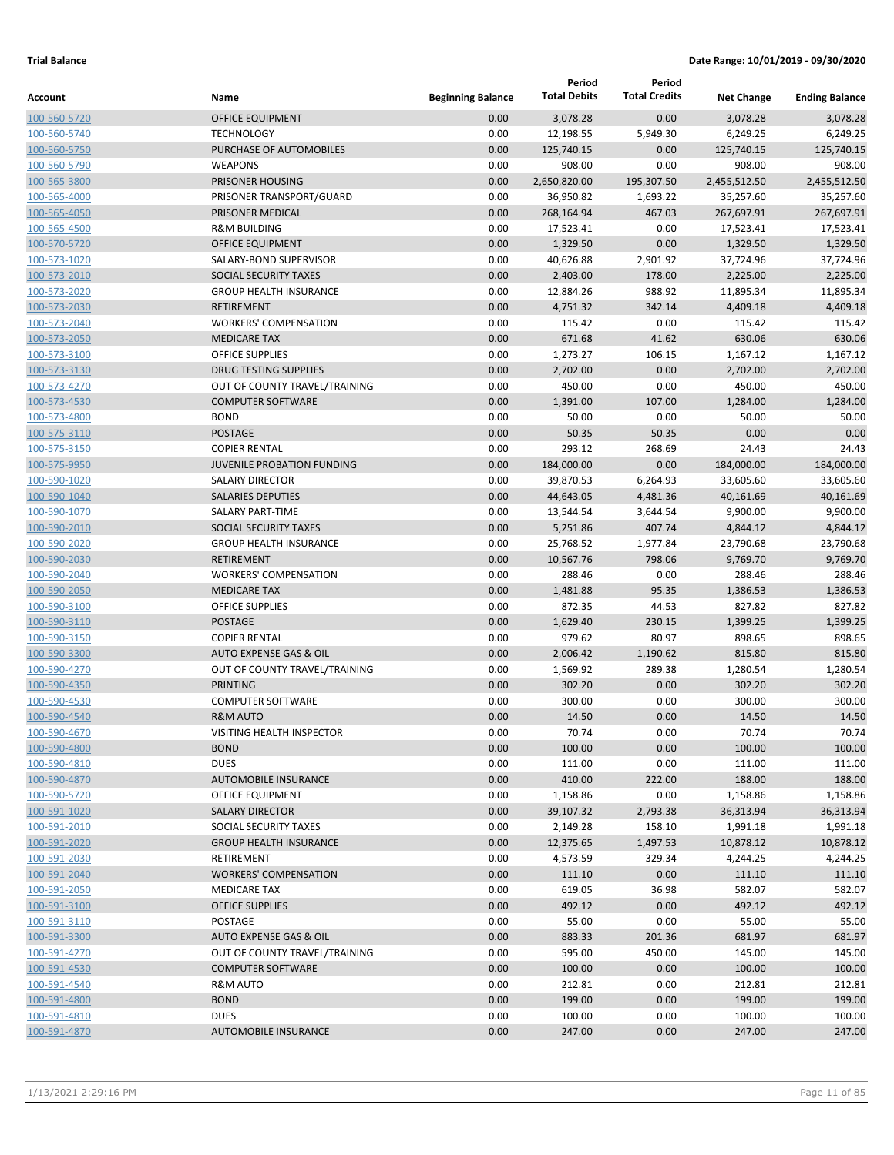|              |                                   |                          | Period              | Period               |                   |                       |
|--------------|-----------------------------------|--------------------------|---------------------|----------------------|-------------------|-----------------------|
| Account      | Name                              | <b>Beginning Balance</b> | <b>Total Debits</b> | <b>Total Credits</b> | <b>Net Change</b> | <b>Ending Balance</b> |
| 100-560-5720 | <b>OFFICE EQUIPMENT</b>           | 0.00                     | 3,078.28            | 0.00                 | 3,078.28          | 3,078.28              |
| 100-560-5740 | <b>TECHNOLOGY</b>                 | 0.00                     | 12,198.55           | 5,949.30             | 6,249.25          | 6,249.25              |
| 100-560-5750 | PURCHASE OF AUTOMOBILES           | 0.00                     | 125,740.15          | 0.00                 | 125,740.15        | 125,740.15            |
| 100-560-5790 | <b>WEAPONS</b>                    | 0.00                     | 908.00              | 0.00                 | 908.00            | 908.00                |
| 100-565-3800 | PRISONER HOUSING                  | 0.00                     | 2,650,820.00        | 195,307.50           | 2,455,512.50      | 2,455,512.50          |
| 100-565-4000 | PRISONER TRANSPORT/GUARD          | 0.00                     | 36,950.82           | 1,693.22             | 35,257.60         | 35,257.60             |
| 100-565-4050 | PRISONER MEDICAL                  | 0.00                     | 268,164.94          | 467.03               | 267,697.91        | 267,697.91            |
| 100-565-4500 | <b>R&amp;M BUILDING</b>           | 0.00                     | 17,523.41           | 0.00                 | 17,523.41         | 17,523.41             |
| 100-570-5720 | OFFICE EQUIPMENT                  | 0.00                     | 1,329.50            | 0.00                 | 1,329.50          | 1,329.50              |
| 100-573-1020 | SALARY-BOND SUPERVISOR            | 0.00                     | 40,626.88           | 2,901.92             | 37,724.96         | 37,724.96             |
| 100-573-2010 | <b>SOCIAL SECURITY TAXES</b>      | 0.00                     | 2,403.00            | 178.00               | 2,225.00          | 2,225.00              |
| 100-573-2020 | <b>GROUP HEALTH INSURANCE</b>     | 0.00                     | 12,884.26           | 988.92               | 11,895.34         | 11,895.34             |
| 100-573-2030 | <b>RETIREMENT</b>                 | 0.00                     | 4,751.32            | 342.14               | 4,409.18          | 4,409.18              |
| 100-573-2040 | <b>WORKERS' COMPENSATION</b>      | 0.00                     | 115.42              | 0.00                 | 115.42            | 115.42                |
| 100-573-2050 | <b>MEDICARE TAX</b>               | 0.00                     | 671.68              | 41.62                | 630.06            | 630.06                |
| 100-573-3100 | <b>OFFICE SUPPLIES</b>            | 0.00                     | 1,273.27            | 106.15               | 1,167.12          | 1,167.12              |
| 100-573-3130 | <b>DRUG TESTING SUPPLIES</b>      | 0.00                     | 2,702.00            | 0.00                 | 2,702.00          | 2,702.00              |
| 100-573-4270 | OUT OF COUNTY TRAVEL/TRAINING     | 0.00                     | 450.00              | 0.00                 | 450.00            | 450.00                |
| 100-573-4530 | <b>COMPUTER SOFTWARE</b>          | 0.00                     | 1,391.00            | 107.00               | 1,284.00          | 1,284.00              |
| 100-573-4800 | <b>BOND</b>                       | 0.00                     | 50.00               | 0.00                 | 50.00             | 50.00                 |
| 100-575-3110 | <b>POSTAGE</b>                    | 0.00                     | 50.35               | 50.35                | 0.00              | 0.00                  |
| 100-575-3150 | <b>COPIER RENTAL</b>              | 0.00                     | 293.12              | 268.69               | 24.43             | 24.43                 |
| 100-575-9950 | <b>JUVENILE PROBATION FUNDING</b> | 0.00                     | 184,000.00          | 0.00                 | 184,000.00        | 184,000.00            |
| 100-590-1020 | <b>SALARY DIRECTOR</b>            | 0.00                     | 39,870.53           | 6,264.93             | 33,605.60         | 33,605.60             |
| 100-590-1040 | <b>SALARIES DEPUTIES</b>          | 0.00                     | 44,643.05           | 4,481.36             | 40,161.69         | 40,161.69             |
| 100-590-1070 | <b>SALARY PART-TIME</b>           | 0.00                     | 13,544.54           | 3,644.54             | 9,900.00          | 9,900.00              |
| 100-590-2010 | SOCIAL SECURITY TAXES             | 0.00                     | 5,251.86            | 407.74               | 4,844.12          | 4,844.12              |
| 100-590-2020 | <b>GROUP HEALTH INSURANCE</b>     | 0.00                     | 25,768.52           | 1,977.84             | 23,790.68         | 23,790.68             |
| 100-590-2030 | <b>RETIREMENT</b>                 | 0.00                     | 10,567.76           | 798.06               | 9,769.70          | 9,769.70              |
| 100-590-2040 | <b>WORKERS' COMPENSATION</b>      | 0.00                     | 288.46              | 0.00                 | 288.46            | 288.46                |
| 100-590-2050 | <b>MEDICARE TAX</b>               | 0.00                     | 1,481.88            | 95.35                | 1,386.53          | 1,386.53              |
| 100-590-3100 | <b>OFFICE SUPPLIES</b>            | 0.00                     | 872.35              | 44.53                | 827.82            | 827.82                |
| 100-590-3110 | <b>POSTAGE</b>                    | 0.00                     | 1,629.40            | 230.15               | 1,399.25          | 1,399.25              |
| 100-590-3150 | <b>COPIER RENTAL</b>              | 0.00                     | 979.62              | 80.97                | 898.65            | 898.65                |
| 100-590-3300 | <b>AUTO EXPENSE GAS &amp; OIL</b> | 0.00                     | 2,006.42            | 1,190.62             | 815.80            | 815.80                |
| 100-590-4270 | OUT OF COUNTY TRAVEL/TRAINING     | 0.00                     | 1,569.92            | 289.38               | 1,280.54          | 1,280.54              |
| 100-590-4350 | <b>PRINTING</b>                   | 0.00                     | 302.20              | 0.00                 | 302.20            | 302.20                |
| 100-590-4530 | <b>COMPUTER SOFTWARE</b>          | 0.00                     | 300.00              | 0.00                 | 300.00            | 300.00                |
| 100-590-4540 | R&M AUTO                          | 0.00                     | 14.50               | 0.00                 | 14.50             | 14.50                 |
| 100-590-4670 | VISITING HEALTH INSPECTOR         | 0.00                     | 70.74               | 0.00                 | 70.74             | 70.74                 |
| 100-590-4800 | <b>BOND</b>                       | 0.00                     | 100.00              | 0.00                 | 100.00            | 100.00                |
| 100-590-4810 | <b>DUES</b>                       | 0.00                     | 111.00              | 0.00                 | 111.00            | 111.00                |
| 100-590-4870 | <b>AUTOMOBILE INSURANCE</b>       | 0.00                     | 410.00              | 222.00               | 188.00            | 188.00                |
| 100-590-5720 | OFFICE EQUIPMENT                  | 0.00                     | 1,158.86            | 0.00                 | 1,158.86          | 1,158.86              |
| 100-591-1020 | <b>SALARY DIRECTOR</b>            | 0.00                     | 39,107.32           | 2,793.38             | 36,313.94         | 36,313.94             |
| 100-591-2010 | SOCIAL SECURITY TAXES             | 0.00                     | 2,149.28            | 158.10               | 1,991.18          | 1,991.18              |
| 100-591-2020 | <b>GROUP HEALTH INSURANCE</b>     | 0.00                     | 12,375.65           | 1,497.53             | 10,878.12         | 10,878.12             |
| 100-591-2030 | RETIREMENT                        | 0.00                     | 4,573.59            | 329.34               | 4,244.25          | 4,244.25              |
| 100-591-2040 | <b>WORKERS' COMPENSATION</b>      | 0.00                     | 111.10              | 0.00                 | 111.10            | 111.10                |
| 100-591-2050 | <b>MEDICARE TAX</b>               | 0.00                     | 619.05              | 36.98                | 582.07            | 582.07                |
| 100-591-3100 | <b>OFFICE SUPPLIES</b>            | 0.00                     | 492.12              | 0.00                 | 492.12            | 492.12                |
| 100-591-3110 | POSTAGE                           | 0.00                     | 55.00               | 0.00                 | 55.00             | 55.00                 |
| 100-591-3300 | AUTO EXPENSE GAS & OIL            | 0.00                     | 883.33              | 201.36               | 681.97            | 681.97                |
| 100-591-4270 | OUT OF COUNTY TRAVEL/TRAINING     | 0.00                     | 595.00              | 450.00               | 145.00            | 145.00                |
| 100-591-4530 | <b>COMPUTER SOFTWARE</b>          | 0.00                     | 100.00              | 0.00                 | 100.00            | 100.00                |
| 100-591-4540 | R&M AUTO                          | 0.00                     | 212.81              | 0.00                 | 212.81            | 212.81                |
| 100-591-4800 | <b>BOND</b>                       | 0.00                     | 199.00              | 0.00                 | 199.00            | 199.00                |
| 100-591-4810 | <b>DUES</b>                       | 0.00                     | 100.00              | 0.00                 | 100.00            | 100.00                |
| 100-591-4870 | <b>AUTOMOBILE INSURANCE</b>       | 0.00                     | 247.00              | 0.00                 | 247.00            | 247.00                |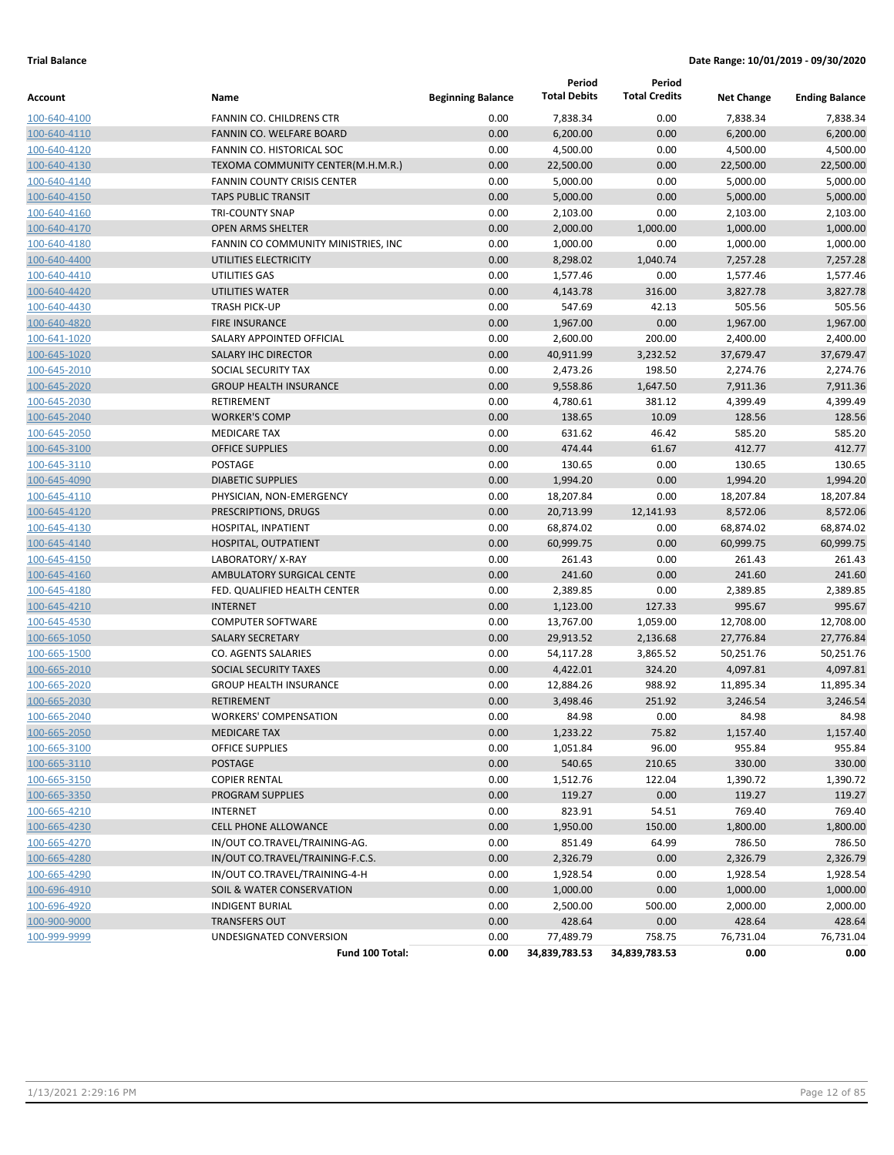|              |                                     |                          | Period              | Period               |                   |                       |
|--------------|-------------------------------------|--------------------------|---------------------|----------------------|-------------------|-----------------------|
| Account      | Name                                | <b>Beginning Balance</b> | <b>Total Debits</b> | <b>Total Credits</b> | <b>Net Change</b> | <b>Ending Balance</b> |
| 100-640-4100 | <b>FANNIN CO. CHILDRENS CTR</b>     | 0.00                     | 7,838.34            | 0.00                 | 7,838.34          | 7,838.34              |
| 100-640-4110 | FANNIN CO. WELFARE BOARD            | 0.00                     | 6,200.00            | 0.00                 | 6,200.00          | 6,200.00              |
| 100-640-4120 | FANNIN CO. HISTORICAL SOC           | 0.00                     | 4,500.00            | 0.00                 | 4,500.00          | 4,500.00              |
| 100-640-4130 | TEXOMA COMMUNITY CENTER(M.H.M.R.)   | 0.00                     | 22,500.00           | 0.00                 | 22,500.00         | 22,500.00             |
| 100-640-4140 | <b>FANNIN COUNTY CRISIS CENTER</b>  | 0.00                     | 5,000.00            | 0.00                 | 5,000.00          | 5,000.00              |
| 100-640-4150 | <b>TAPS PUBLIC TRANSIT</b>          | 0.00                     | 5,000.00            | 0.00                 | 5,000.00          | 5,000.00              |
| 100-640-4160 | <b>TRI-COUNTY SNAP</b>              | 0.00                     | 2,103.00            | 0.00                 | 2,103.00          | 2,103.00              |
| 100-640-4170 | <b>OPEN ARMS SHELTER</b>            | 0.00                     | 2,000.00            | 1,000.00             | 1,000.00          | 1,000.00              |
| 100-640-4180 | FANNIN CO COMMUNITY MINISTRIES, INC | 0.00                     | 1,000.00            | 0.00                 | 1,000.00          | 1,000.00              |
| 100-640-4400 | UTILITIES ELECTRICITY               | 0.00                     | 8,298.02            | 1,040.74             | 7,257.28          | 7,257.28              |
| 100-640-4410 | UTILITIES GAS                       | 0.00                     | 1,577.46            | 0.00                 | 1,577.46          | 1,577.46              |
| 100-640-4420 | <b>UTILITIES WATER</b>              | 0.00                     | 4,143.78            | 316.00               | 3,827.78          | 3,827.78              |
| 100-640-4430 | <b>TRASH PICK-UP</b>                | 0.00                     | 547.69              | 42.13                | 505.56            | 505.56                |
| 100-640-4820 | <b>FIRE INSURANCE</b>               | 0.00                     | 1,967.00            | 0.00                 | 1,967.00          | 1,967.00              |
| 100-641-1020 | SALARY APPOINTED OFFICIAL           | 0.00                     | 2,600.00            | 200.00               | 2,400.00          | 2,400.00              |
| 100-645-1020 | SALARY IHC DIRECTOR                 | 0.00                     | 40,911.99           | 3,232.52             | 37,679.47         | 37,679.47             |
| 100-645-2010 | SOCIAL SECURITY TAX                 | 0.00                     | 2,473.26            | 198.50               | 2,274.76          | 2,274.76              |
| 100-645-2020 | <b>GROUP HEALTH INSURANCE</b>       | 0.00                     | 9,558.86            | 1,647.50             | 7,911.36          | 7,911.36              |
| 100-645-2030 | RETIREMENT                          | 0.00                     | 4,780.61            | 381.12               | 4,399.49          | 4,399.49              |
| 100-645-2040 | <b>WORKER'S COMP</b>                | 0.00                     | 138.65              | 10.09                | 128.56            | 128.56                |
| 100-645-2050 | <b>MEDICARE TAX</b>                 | 0.00                     | 631.62              | 46.42                | 585.20            | 585.20                |
| 100-645-3100 | <b>OFFICE SUPPLIES</b>              | 0.00                     | 474.44              | 61.67                | 412.77            | 412.77                |
| 100-645-3110 | POSTAGE                             | 0.00                     | 130.65              | 0.00                 | 130.65            | 130.65                |
| 100-645-4090 | <b>DIABETIC SUPPLIES</b>            | 0.00                     | 1,994.20            | 0.00                 | 1,994.20          | 1,994.20              |
| 100-645-4110 | PHYSICIAN, NON-EMERGENCY            | 0.00                     | 18,207.84           | 0.00                 | 18,207.84         | 18,207.84             |
| 100-645-4120 | PRESCRIPTIONS, DRUGS                | 0.00                     | 20,713.99           | 12,141.93            | 8,572.06          | 8,572.06              |
| 100-645-4130 | HOSPITAL, INPATIENT                 | 0.00                     | 68,874.02           | 0.00                 | 68,874.02         | 68,874.02             |
| 100-645-4140 | HOSPITAL, OUTPATIENT                | 0.00                     | 60,999.75           | 0.00                 | 60,999.75         | 60,999.75             |
| 100-645-4150 | LABORATORY/X-RAY                    | 0.00                     | 261.43              | 0.00                 | 261.43            | 261.43                |
| 100-645-4160 | AMBULATORY SURGICAL CENTE           | 0.00                     | 241.60              | 0.00                 | 241.60            | 241.60                |
| 100-645-4180 | FED. QUALIFIED HEALTH CENTER        | 0.00                     | 2,389.85            | 0.00                 | 2,389.85          | 2,389.85              |
| 100-645-4210 | <b>INTERNET</b>                     | 0.00                     | 1,123.00            | 127.33               | 995.67            | 995.67                |
| 100-645-4530 | <b>COMPUTER SOFTWARE</b>            | 0.00                     | 13,767.00           | 1,059.00             | 12,708.00         | 12,708.00             |
| 100-665-1050 | <b>SALARY SECRETARY</b>             | 0.00                     | 29,913.52           | 2,136.68             | 27,776.84         | 27,776.84             |
| 100-665-1500 | CO. AGENTS SALARIES                 | 0.00                     | 54,117.28           | 3,865.52             | 50,251.76         | 50,251.76             |
| 100-665-2010 | SOCIAL SECURITY TAXES               | 0.00                     | 4,422.01            | 324.20               | 4,097.81          | 4,097.81              |
| 100-665-2020 | <b>GROUP HEALTH INSURANCE</b>       | 0.00                     | 12,884.26           | 988.92               | 11,895.34         | 11,895.34             |
| 100-665-2030 | <b>RETIREMENT</b>                   | 0.00                     | 3,498.46            | 251.92               | 3,246.54          | 3,246.54              |
| 100-665-2040 | <b>WORKERS' COMPENSATION</b>        | 0.00                     | 84.98               | 0.00                 | 84.98             | 84.98                 |
| 100-665-2050 | <b>MEDICARE TAX</b>                 | 0.00                     | 1,233.22            | 75.82                | 1,157.40          | 1,157.40              |
| 100-665-3100 | <b>OFFICE SUPPLIES</b>              | 0.00                     | 1,051.84            | 96.00                | 955.84            | 955.84                |
| 100-665-3110 | <b>POSTAGE</b>                      | 0.00                     | 540.65              | 210.65               | 330.00            | 330.00                |
| 100-665-3150 | <b>COPIER RENTAL</b>                | 0.00                     | 1,512.76            | 122.04               | 1,390.72          | 1,390.72              |
| 100-665-3350 | PROGRAM SUPPLIES                    | 0.00                     | 119.27              | 0.00                 | 119.27            | 119.27                |
| 100-665-4210 | <b>INTERNET</b>                     | 0.00                     | 823.91              | 54.51                | 769.40            | 769.40                |
| 100-665-4230 | <b>CELL PHONE ALLOWANCE</b>         | 0.00                     | 1,950.00            | 150.00               | 1,800.00          | 1,800.00              |
| 100-665-4270 | IN/OUT CO.TRAVEL/TRAINING-AG.       | 0.00                     | 851.49              | 64.99                | 786.50            | 786.50                |
| 100-665-4280 | IN/OUT CO.TRAVEL/TRAINING-F.C.S.    | 0.00                     | 2,326.79            | 0.00                 | 2,326.79          | 2,326.79              |
| 100-665-4290 | IN/OUT CO.TRAVEL/TRAINING-4-H       | 0.00                     | 1,928.54            | 0.00                 | 1,928.54          | 1,928.54              |
| 100-696-4910 | SOIL & WATER CONSERVATION           | 0.00                     | 1,000.00            | 0.00                 | 1,000.00          | 1,000.00              |
| 100-696-4920 | <b>INDIGENT BURIAL</b>              | 0.00                     | 2,500.00            | 500.00               | 2,000.00          | 2,000.00              |
| 100-900-9000 | <b>TRANSFERS OUT</b>                | 0.00                     | 428.64              | 0.00                 | 428.64            | 428.64                |
| 100-999-9999 | UNDESIGNATED CONVERSION             | 0.00                     | 77,489.79           | 758.75               | 76,731.04         | 76,731.04             |
|              | Fund 100 Total:                     | 0.00                     | 34,839,783.53       | 34,839,783.53        | 0.00              | 0.00                  |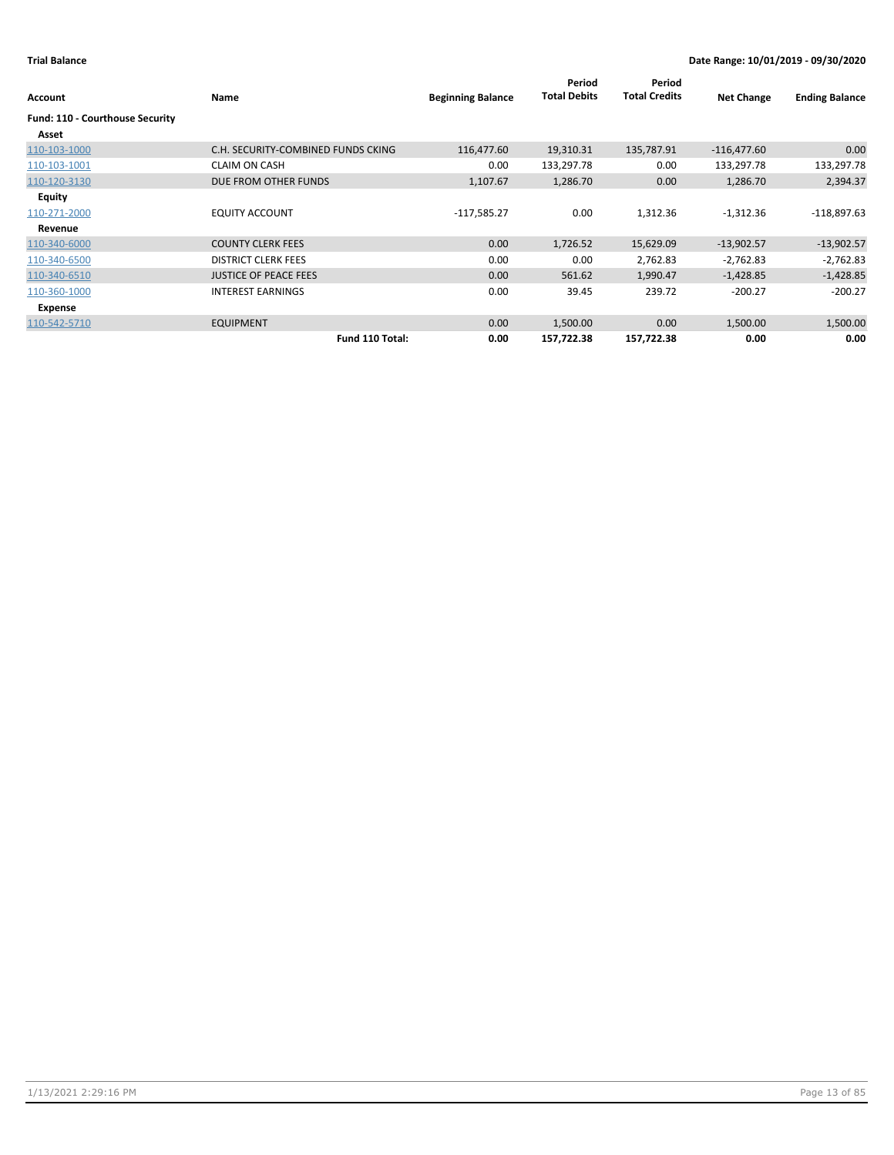| Account                         | Name                               | <b>Beginning Balance</b> | Period<br><b>Total Debits</b> | Period<br><b>Total Credits</b> | <b>Net Change</b> | <b>Ending Balance</b> |
|---------------------------------|------------------------------------|--------------------------|-------------------------------|--------------------------------|-------------------|-----------------------|
| Fund: 110 - Courthouse Security |                                    |                          |                               |                                |                   |                       |
| Asset                           |                                    |                          |                               |                                |                   |                       |
| 110-103-1000                    | C.H. SECURITY-COMBINED FUNDS CKING | 116,477.60               | 19,310.31                     | 135,787.91                     | $-116,477.60$     | 0.00                  |
| 110-103-1001                    | <b>CLAIM ON CASH</b>               | 0.00                     | 133,297.78                    | 0.00                           | 133,297.78        | 133,297.78            |
| 110-120-3130                    | DUE FROM OTHER FUNDS               | 1,107.67                 | 1,286.70                      | 0.00                           | 1,286.70          | 2,394.37              |
| Equity                          |                                    |                          |                               |                                |                   |                       |
| 110-271-2000                    | <b>EQUITY ACCOUNT</b>              | $-117,585.27$            | 0.00                          | 1,312.36                       | $-1,312.36$       | $-118,897.63$         |
| Revenue                         |                                    |                          |                               |                                |                   |                       |
| 110-340-6000                    | <b>COUNTY CLERK FEES</b>           | 0.00                     | 1,726.52                      | 15,629.09                      | $-13,902.57$      | $-13,902.57$          |
| 110-340-6500                    | <b>DISTRICT CLERK FEES</b>         | 0.00                     | 0.00                          | 2,762.83                       | $-2,762.83$       | $-2,762.83$           |
| 110-340-6510                    | <b>JUSTICE OF PEACE FEES</b>       | 0.00                     | 561.62                        | 1,990.47                       | $-1,428.85$       | $-1,428.85$           |
| 110-360-1000                    | <b>INTEREST EARNINGS</b>           | 0.00                     | 39.45                         | 239.72                         | $-200.27$         | $-200.27$             |
| Expense                         |                                    |                          |                               |                                |                   |                       |
| 110-542-5710                    | <b>EQUIPMENT</b>                   | 0.00                     | 1,500.00                      | 0.00                           | 1,500.00          | 1,500.00              |
|                                 | Fund 110 Total:                    | 0.00                     | 157,722.38                    | 157,722.38                     | 0.00              | 0.00                  |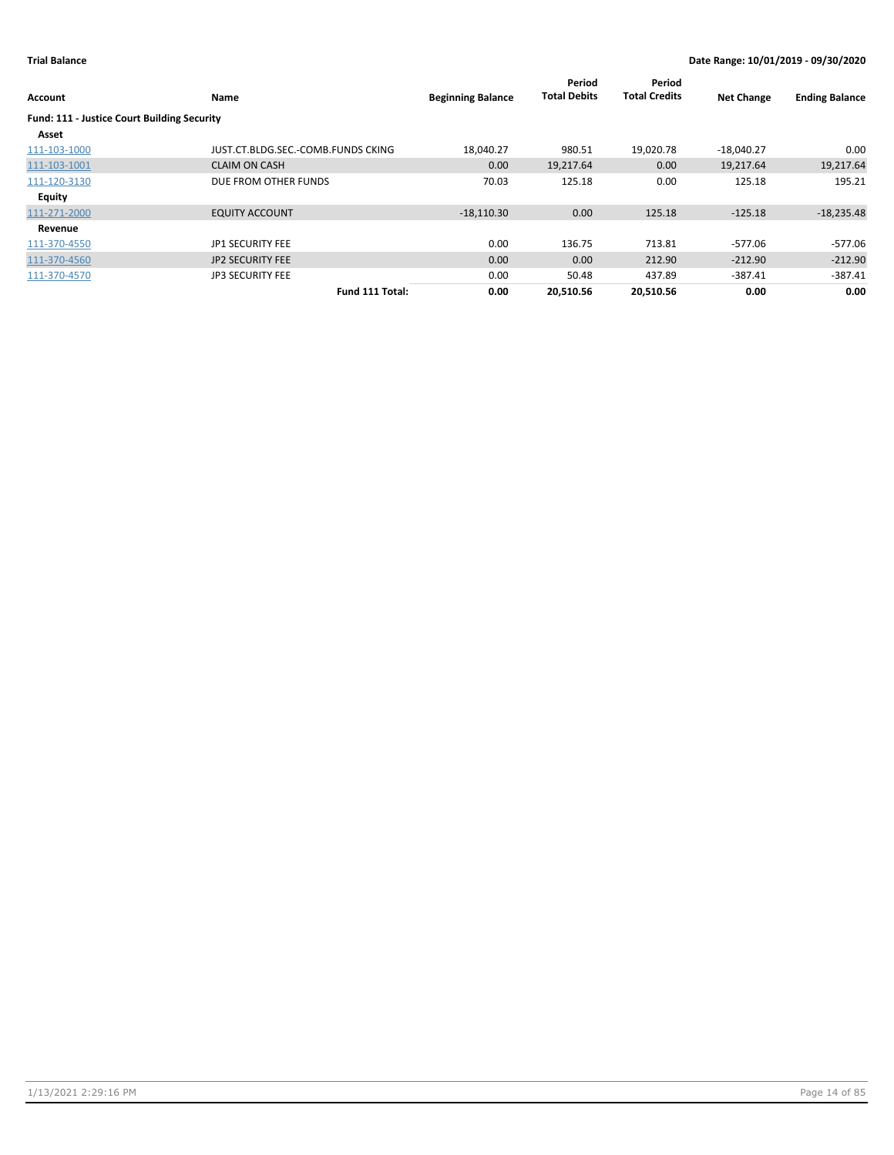| <b>Account</b>                                     | Name                               | <b>Beginning Balance</b> | Period<br><b>Total Debits</b> | Period<br><b>Total Credits</b> | <b>Net Change</b> | <b>Ending Balance</b> |
|----------------------------------------------------|------------------------------------|--------------------------|-------------------------------|--------------------------------|-------------------|-----------------------|
| <b>Fund: 111 - Justice Court Building Security</b> |                                    |                          |                               |                                |                   |                       |
| Asset                                              |                                    |                          |                               |                                |                   |                       |
| 111-103-1000                                       | JUST.CT.BLDG.SEC.-COMB.FUNDS CKING | 18,040.27                | 980.51                        | 19,020.78                      | $-18,040.27$      | 0.00                  |
| 111-103-1001                                       | <b>CLAIM ON CASH</b>               | 0.00                     | 19,217.64                     | 0.00                           | 19,217.64         | 19,217.64             |
| 111-120-3130                                       | DUE FROM OTHER FUNDS               | 70.03                    | 125.18                        | 0.00                           | 125.18            | 195.21                |
| Equity                                             |                                    |                          |                               |                                |                   |                       |
| 111-271-2000                                       | <b>EQUITY ACCOUNT</b>              | $-18,110.30$             | 0.00                          | 125.18                         | $-125.18$         | $-18,235.48$          |
| Revenue                                            |                                    |                          |                               |                                |                   |                       |
| 111-370-4550                                       | <b>JP1 SECURITY FEE</b>            | 0.00                     | 136.75                        | 713.81                         | -577.06           | $-577.06$             |
| 111-370-4560                                       | <b>JP2 SECURITY FEE</b>            | 0.00                     | 0.00                          | 212.90                         | $-212.90$         | $-212.90$             |
| 111-370-4570                                       | <b>JP3 SECURITY FEE</b>            | 0.00                     | 50.48                         | 437.89                         | $-387.41$         | $-387.41$             |
|                                                    | Fund 111 Total:                    | 0.00                     | 20.510.56                     | 20.510.56                      | 0.00              | 0.00                  |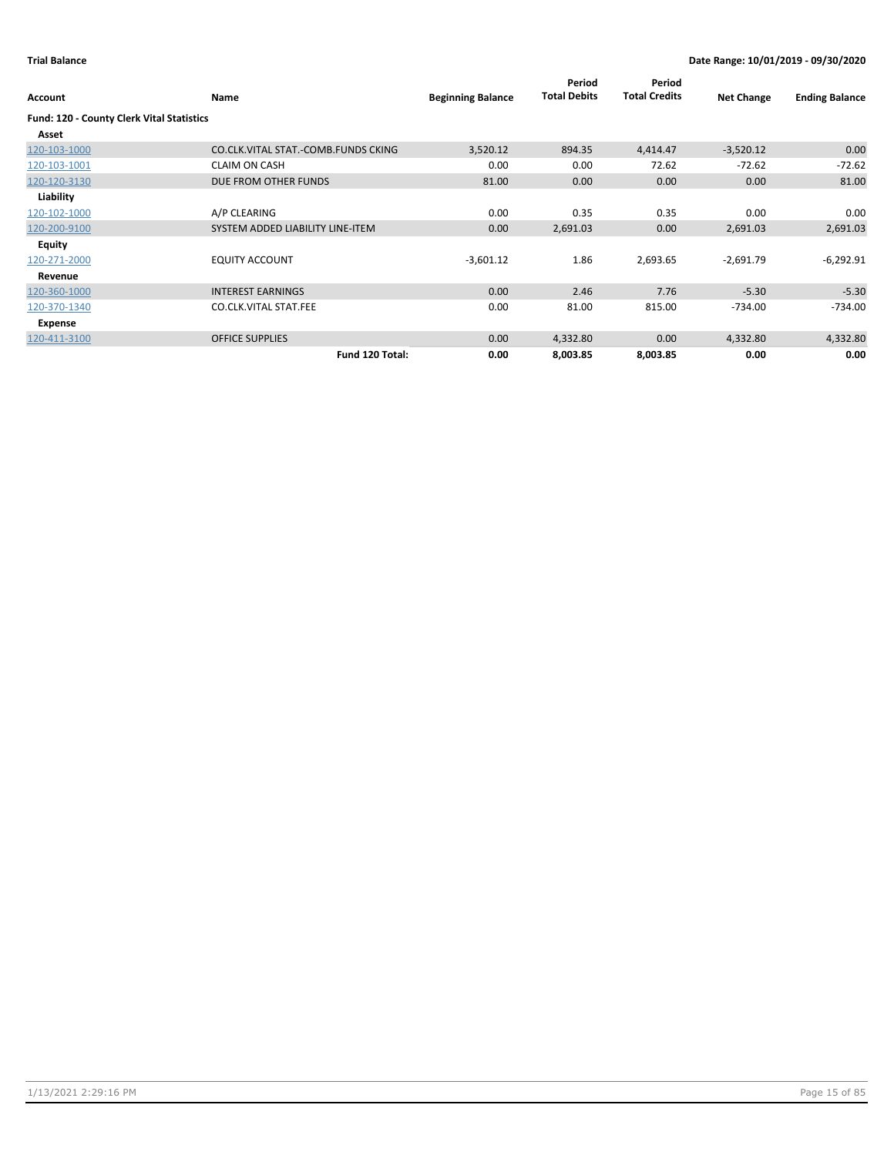| Account                                          | Name                                | <b>Beginning Balance</b> | Period<br><b>Total Debits</b> | Period<br><b>Total Credits</b> | <b>Net Change</b> | <b>Ending Balance</b> |
|--------------------------------------------------|-------------------------------------|--------------------------|-------------------------------|--------------------------------|-------------------|-----------------------|
| <b>Fund: 120 - County Clerk Vital Statistics</b> |                                     |                          |                               |                                |                   |                       |
| Asset                                            |                                     |                          |                               |                                |                   |                       |
| 120-103-1000                                     | CO.CLK.VITAL STAT.-COMB.FUNDS CKING | 3,520.12                 | 894.35                        | 4,414.47                       | $-3,520.12$       | 0.00                  |
| 120-103-1001                                     | <b>CLAIM ON CASH</b>                | 0.00                     | 0.00                          | 72.62                          | $-72.62$          | $-72.62$              |
| 120-120-3130                                     | DUE FROM OTHER FUNDS                | 81.00                    | 0.00                          | 0.00                           | 0.00              | 81.00                 |
| Liability                                        |                                     |                          |                               |                                |                   |                       |
| 120-102-1000                                     | A/P CLEARING                        | 0.00                     | 0.35                          | 0.35                           | 0.00              | 0.00                  |
| 120-200-9100                                     | SYSTEM ADDED LIABILITY LINE-ITEM    | 0.00                     | 2,691.03                      | 0.00                           | 2,691.03          | 2,691.03              |
| Equity                                           |                                     |                          |                               |                                |                   |                       |
| 120-271-2000                                     | <b>EQUITY ACCOUNT</b>               | $-3,601.12$              | 1.86                          | 2,693.65                       | $-2,691.79$       | $-6,292.91$           |
| Revenue                                          |                                     |                          |                               |                                |                   |                       |
| 120-360-1000                                     | <b>INTEREST EARNINGS</b>            | 0.00                     | 2.46                          | 7.76                           | $-5.30$           | $-5.30$               |
| 120-370-1340                                     | <b>CO.CLK.VITAL STAT.FEE</b>        | 0.00                     | 81.00                         | 815.00                         | $-734.00$         | $-734.00$             |
| Expense                                          |                                     |                          |                               |                                |                   |                       |
| 120-411-3100                                     | <b>OFFICE SUPPLIES</b>              | 0.00                     | 4,332.80                      | 0.00                           | 4,332.80          | 4,332.80              |
|                                                  | Fund 120 Total:                     | 0.00                     | 8,003.85                      | 8,003.85                       | 0.00              | 0.00                  |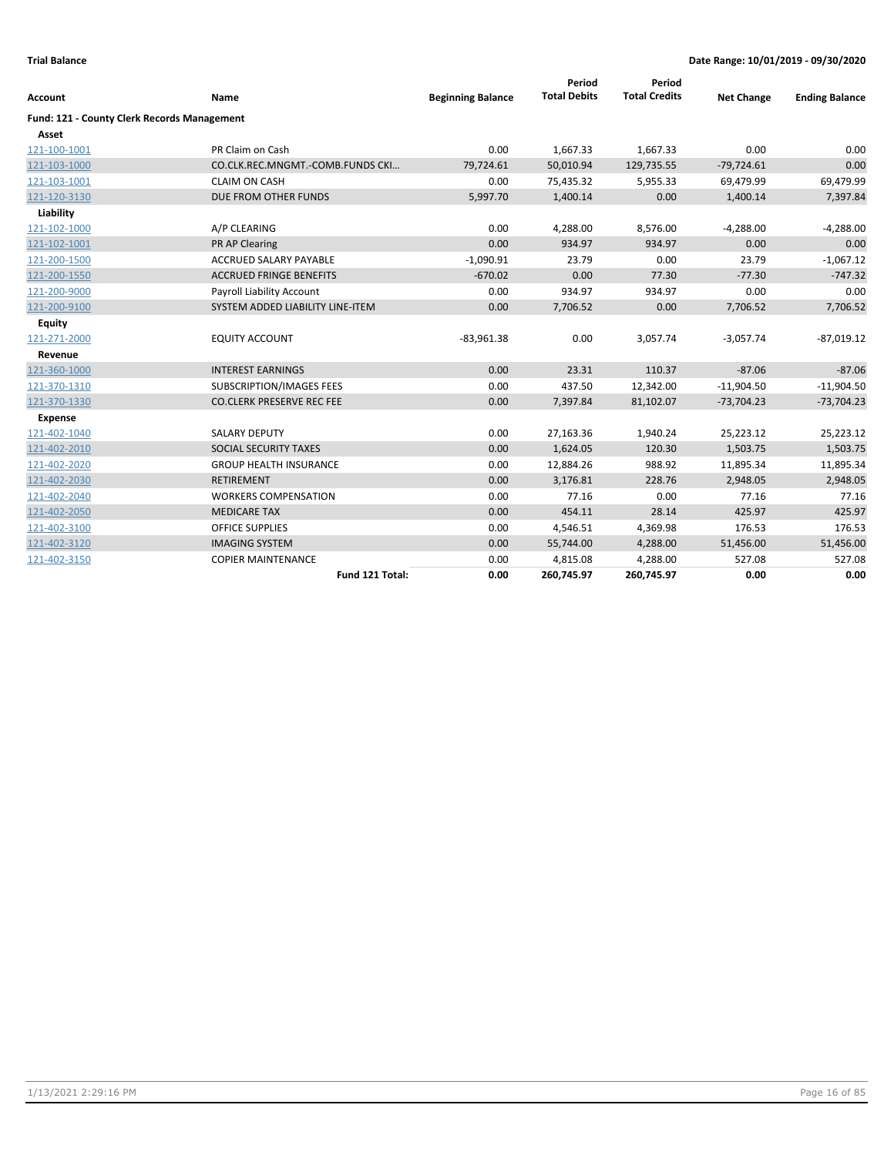|                                             |                                  |                          | Period<br><b>Total Debits</b> | Period<br><b>Total Credits</b> |                   |                       |
|---------------------------------------------|----------------------------------|--------------------------|-------------------------------|--------------------------------|-------------------|-----------------------|
| <b>Account</b>                              | Name                             | <b>Beginning Balance</b> |                               |                                | <b>Net Change</b> | <b>Ending Balance</b> |
| Fund: 121 - County Clerk Records Management |                                  |                          |                               |                                |                   |                       |
| Asset                                       |                                  |                          |                               |                                |                   |                       |
| 121-100-1001                                | PR Claim on Cash                 | 0.00                     | 1,667.33                      | 1,667.33                       | 0.00              | 0.00                  |
| 121-103-1000                                | CO.CLK.REC.MNGMT.-COMB.FUNDS CKI | 79,724.61                | 50,010.94                     | 129,735.55                     | $-79,724.61$      | 0.00                  |
| 121-103-1001                                | <b>CLAIM ON CASH</b>             | 0.00                     | 75,435.32                     | 5,955.33                       | 69,479.99         | 69,479.99             |
| 121-120-3130                                | DUE FROM OTHER FUNDS             | 5,997.70                 | 1,400.14                      | 0.00                           | 1,400.14          | 7,397.84              |
| Liability                                   |                                  |                          |                               |                                |                   |                       |
| 121-102-1000                                | A/P CLEARING                     | 0.00                     | 4,288.00                      | 8,576.00                       | $-4,288.00$       | $-4,288.00$           |
| 121-102-1001                                | PR AP Clearing                   | 0.00                     | 934.97                        | 934.97                         | 0.00              | 0.00                  |
| 121-200-1500                                | <b>ACCRUED SALARY PAYABLE</b>    | $-1,090.91$              | 23.79                         | 0.00                           | 23.79             | $-1,067.12$           |
| 121-200-1550                                | <b>ACCRUED FRINGE BENEFITS</b>   | $-670.02$                | 0.00                          | 77.30                          | $-77.30$          | $-747.32$             |
| 121-200-9000                                | Payroll Liability Account        | 0.00                     | 934.97                        | 934.97                         | 0.00              | 0.00                  |
| 121-200-9100                                | SYSTEM ADDED LIABILITY LINE-ITEM | 0.00                     | 7,706.52                      | 0.00                           | 7,706.52          | 7,706.52              |
| <b>Equity</b>                               |                                  |                          |                               |                                |                   |                       |
| 121-271-2000                                | <b>EQUITY ACCOUNT</b>            | $-83,961.38$             | 0.00                          | 3,057.74                       | $-3,057.74$       | $-87,019.12$          |
| Revenue                                     |                                  |                          |                               |                                |                   |                       |
| 121-360-1000                                | <b>INTEREST EARNINGS</b>         | 0.00                     | 23.31                         | 110.37                         | $-87.06$          | $-87.06$              |
| 121-370-1310                                | <b>SUBSCRIPTION/IMAGES FEES</b>  | 0.00                     | 437.50                        | 12,342.00                      | $-11,904.50$      | $-11,904.50$          |
| 121-370-1330                                | <b>CO.CLERK PRESERVE REC FEE</b> | 0.00                     | 7,397.84                      | 81,102.07                      | $-73,704.23$      | $-73,704.23$          |
| <b>Expense</b>                              |                                  |                          |                               |                                |                   |                       |
| 121-402-1040                                | <b>SALARY DEPUTY</b>             | 0.00                     | 27,163.36                     | 1,940.24                       | 25,223.12         | 25,223.12             |
| 121-402-2010                                | SOCIAL SECURITY TAXES            | 0.00                     | 1,624.05                      | 120.30                         | 1,503.75          | 1,503.75              |
| 121-402-2020                                | <b>GROUP HEALTH INSURANCE</b>    | 0.00                     | 12,884.26                     | 988.92                         | 11,895.34         | 11,895.34             |
| 121-402-2030                                | <b>RETIREMENT</b>                | 0.00                     | 3,176.81                      | 228.76                         | 2,948.05          | 2,948.05              |
| 121-402-2040                                | <b>WORKERS COMPENSATION</b>      | 0.00                     | 77.16                         | 0.00                           | 77.16             | 77.16                 |
| 121-402-2050                                | <b>MEDICARE TAX</b>              | 0.00                     | 454.11                        | 28.14                          | 425.97            | 425.97                |
| 121-402-3100                                | <b>OFFICE SUPPLIES</b>           | 0.00                     | 4,546.51                      | 4,369.98                       | 176.53            | 176.53                |
| 121-402-3120                                | <b>IMAGING SYSTEM</b>            | 0.00                     | 55,744.00                     | 4,288.00                       | 51,456.00         | 51,456.00             |
| 121-402-3150                                | <b>COPIER MAINTENANCE</b>        | 0.00                     | 4,815.08                      | 4,288.00                       | 527.08            | 527.08                |
|                                             | Fund 121 Total:                  | 0.00                     | 260,745.97                    | 260,745.97                     | 0.00              | 0.00                  |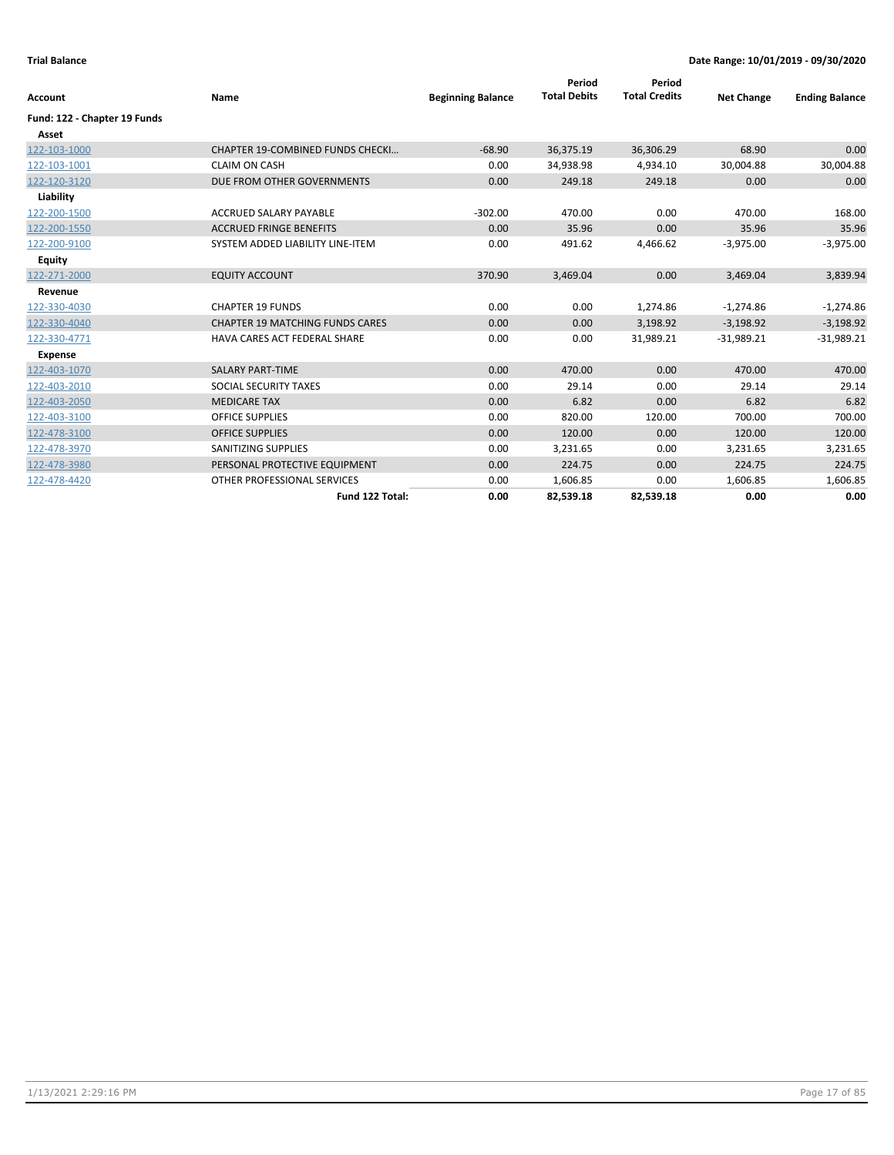| Account                      | Name                                   | <b>Beginning Balance</b> | Period<br><b>Total Debits</b> | Period<br><b>Total Credits</b> | <b>Net Change</b> | <b>Ending Balance</b> |
|------------------------------|----------------------------------------|--------------------------|-------------------------------|--------------------------------|-------------------|-----------------------|
| Fund: 122 - Chapter 19 Funds |                                        |                          |                               |                                |                   |                       |
| Asset                        |                                        |                          |                               |                                |                   |                       |
| 122-103-1000                 | CHAPTER 19-COMBINED FUNDS CHECKI       | $-68.90$                 | 36,375.19                     | 36,306.29                      | 68.90             | 0.00                  |
| 122-103-1001                 | <b>CLAIM ON CASH</b>                   | 0.00                     | 34,938.98                     | 4,934.10                       | 30,004.88         | 30,004.88             |
| 122-120-3120                 | DUE FROM OTHER GOVERNMENTS             | 0.00                     | 249.18                        | 249.18                         | 0.00              | 0.00                  |
| Liability                    |                                        |                          |                               |                                |                   |                       |
| 122-200-1500                 | ACCRUED SALARY PAYABLE                 | $-302.00$                | 470.00                        | 0.00                           | 470.00            | 168.00                |
| 122-200-1550                 | <b>ACCRUED FRINGE BENEFITS</b>         | 0.00                     | 35.96                         | 0.00                           | 35.96             | 35.96                 |
| 122-200-9100                 | SYSTEM ADDED LIABILITY LINE-ITEM       | 0.00                     | 491.62                        | 4,466.62                       | $-3,975.00$       | $-3,975.00$           |
| Equity                       |                                        |                          |                               |                                |                   |                       |
| 122-271-2000                 | <b>EQUITY ACCOUNT</b>                  | 370.90                   | 3,469.04                      | 0.00                           | 3,469.04          | 3,839.94              |
| Revenue                      |                                        |                          |                               |                                |                   |                       |
| 122-330-4030                 | <b>CHAPTER 19 FUNDS</b>                | 0.00                     | 0.00                          | 1,274.86                       | $-1,274.86$       | $-1,274.86$           |
| 122-330-4040                 | <b>CHAPTER 19 MATCHING FUNDS CARES</b> | 0.00                     | 0.00                          | 3,198.92                       | $-3,198.92$       | $-3,198.92$           |
| 122-330-4771                 | HAVA CARES ACT FEDERAL SHARE           | 0.00                     | 0.00                          | 31,989.21                      | $-31,989.21$      | $-31,989.21$          |
| <b>Expense</b>               |                                        |                          |                               |                                |                   |                       |
| 122-403-1070                 | <b>SALARY PART-TIME</b>                | 0.00                     | 470.00                        | 0.00                           | 470.00            | 470.00                |
| 122-403-2010                 | SOCIAL SECURITY TAXES                  | 0.00                     | 29.14                         | 0.00                           | 29.14             | 29.14                 |
| 122-403-2050                 | <b>MEDICARE TAX</b>                    | 0.00                     | 6.82                          | 0.00                           | 6.82              | 6.82                  |
| 122-403-3100                 | <b>OFFICE SUPPLIES</b>                 | 0.00                     | 820.00                        | 120.00                         | 700.00            | 700.00                |
| 122-478-3100                 | <b>OFFICE SUPPLIES</b>                 | 0.00                     | 120.00                        | 0.00                           | 120.00            | 120.00                |
| 122-478-3970                 | SANITIZING SUPPLIES                    | 0.00                     | 3,231.65                      | 0.00                           | 3,231.65          | 3,231.65              |
| 122-478-3980                 | PERSONAL PROTECTIVE EQUIPMENT          | 0.00                     | 224.75                        | 0.00                           | 224.75            | 224.75                |
| 122-478-4420                 | OTHER PROFESSIONAL SERVICES            | 0.00                     | 1,606.85                      | 0.00                           | 1,606.85          | 1,606.85              |
|                              | Fund 122 Total:                        | 0.00                     | 82,539.18                     | 82,539.18                      | 0.00              | 0.00                  |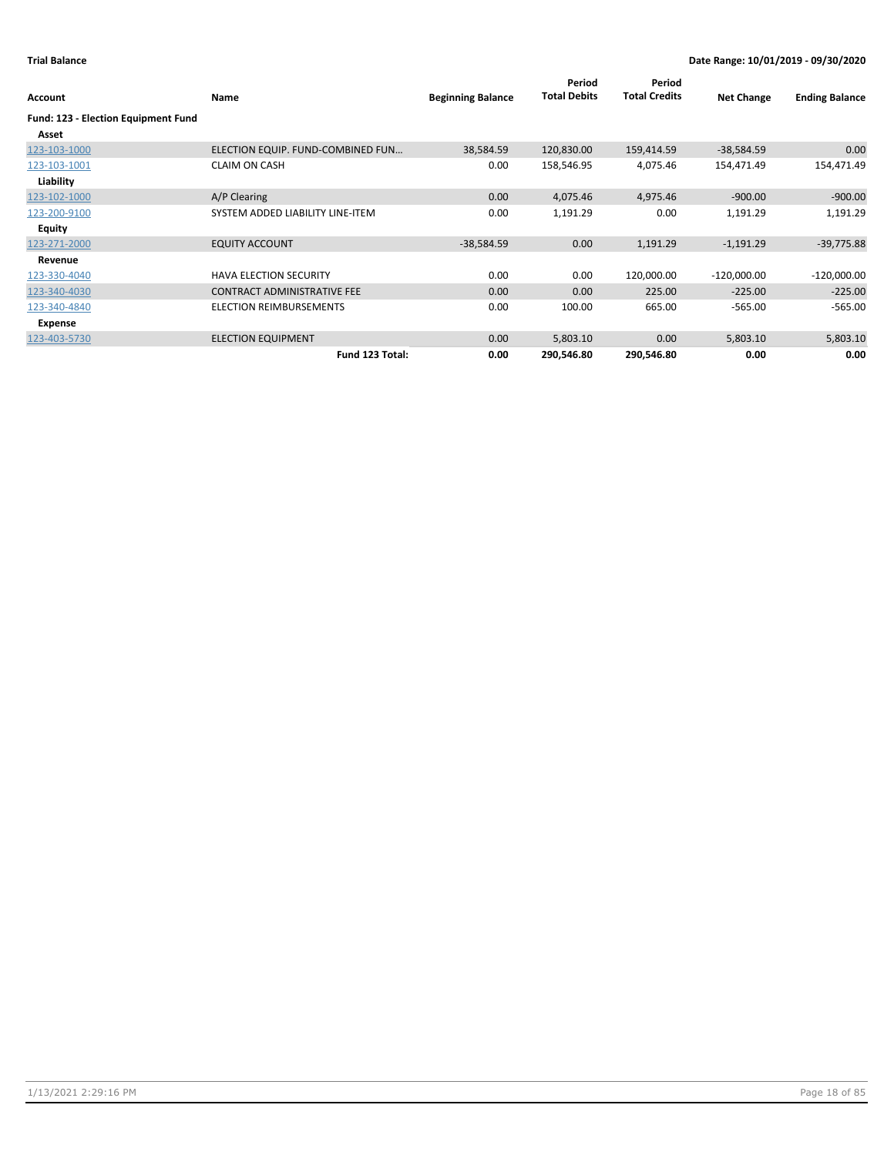| Account                                      | Name                               | <b>Beginning Balance</b> | Period<br><b>Total Debits</b> | Period<br><b>Total Credits</b> | <b>Net Change</b> | <b>Ending Balance</b> |
|----------------------------------------------|------------------------------------|--------------------------|-------------------------------|--------------------------------|-------------------|-----------------------|
| Fund: 123 - Election Equipment Fund<br>Asset |                                    |                          |                               |                                |                   |                       |
| 123-103-1000                                 | ELECTION EQUIP. FUND-COMBINED FUN  | 38,584.59                | 120,830.00                    | 159,414.59                     | $-38,584.59$      | 0.00                  |
| 123-103-1001                                 | <b>CLAIM ON CASH</b>               | 0.00                     | 158,546.95                    | 4,075.46                       | 154,471.49        | 154,471.49            |
| Liability                                    |                                    |                          |                               |                                |                   |                       |
| 123-102-1000                                 | A/P Clearing                       | 0.00                     | 4,075.46                      | 4,975.46                       | $-900.00$         | $-900.00$             |
| 123-200-9100                                 | SYSTEM ADDED LIABILITY LINE-ITEM   | 0.00                     | 1,191.29                      | 0.00                           | 1,191.29          | 1,191.29              |
| <b>Equity</b>                                |                                    |                          |                               |                                |                   |                       |
| 123-271-2000                                 | <b>EQUITY ACCOUNT</b>              | $-38,584.59$             | 0.00                          | 1,191.29                       | $-1,191.29$       | $-39,775.88$          |
| Revenue                                      |                                    |                          |                               |                                |                   |                       |
| 123-330-4040                                 | <b>HAVA ELECTION SECURITY</b>      | 0.00                     | 0.00                          | 120,000.00                     | $-120,000.00$     | $-120,000.00$         |
| 123-340-4030                                 | <b>CONTRACT ADMINISTRATIVE FEE</b> | 0.00                     | 0.00                          | 225.00                         | $-225.00$         | $-225.00$             |
| 123-340-4840                                 | <b>ELECTION REIMBURSEMENTS</b>     | 0.00                     | 100.00                        | 665.00                         | $-565.00$         | $-565.00$             |
| Expense                                      |                                    |                          |                               |                                |                   |                       |
| 123-403-5730                                 | <b>ELECTION EQUIPMENT</b>          | 0.00                     | 5,803.10                      | 0.00                           | 5,803.10          | 5,803.10              |
|                                              | Fund 123 Total:                    | 0.00                     | 290,546.80                    | 290,546.80                     | 0.00              | 0.00                  |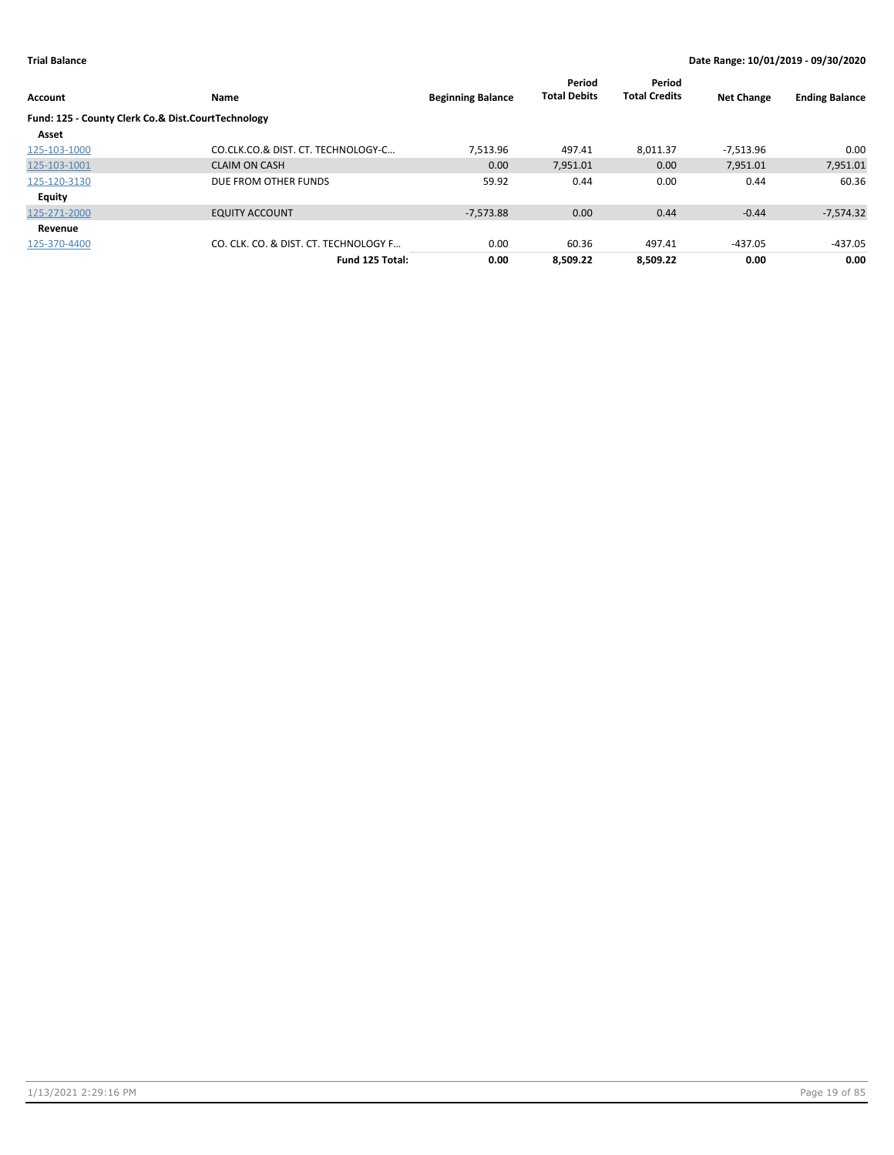| Account                                            | Name                                  | <b>Beginning Balance</b> | Period<br><b>Total Debits</b> | Period<br><b>Total Credits</b> | <b>Net Change</b> | <b>Ending Balance</b> |
|----------------------------------------------------|---------------------------------------|--------------------------|-------------------------------|--------------------------------|-------------------|-----------------------|
| Fund: 125 - County Clerk Co.& Dist.CourtTechnology |                                       |                          |                               |                                |                   |                       |
| Asset                                              |                                       |                          |                               |                                |                   |                       |
| 125-103-1000                                       | CO.CLK.CO.& DIST. CT. TECHNOLOGY-C    | 7,513.96                 | 497.41                        | 8.011.37                       | -7.513.96         | 0.00                  |
| 125-103-1001                                       | <b>CLAIM ON CASH</b>                  | 0.00                     | 7,951.01                      | 0.00                           | 7,951.01          | 7,951.01              |
| 125-120-3130                                       | DUE FROM OTHER FUNDS                  | 59.92                    | 0.44                          | 0.00                           | 0.44              | 60.36                 |
| <b>Equity</b>                                      |                                       |                          |                               |                                |                   |                       |
| 125-271-2000                                       | <b>EQUITY ACCOUNT</b>                 | $-7.573.88$              | 0.00                          | 0.44                           | $-0.44$           | $-7,574.32$           |
| Revenue                                            |                                       |                          |                               |                                |                   |                       |
| 125-370-4400                                       | CO. CLK. CO. & DIST. CT. TECHNOLOGY F | 0.00                     | 60.36                         | 497.41                         | $-437.05$         | $-437.05$             |
|                                                    | Fund 125 Total:                       | 0.00                     | 8.509.22                      | 8.509.22                       | 0.00              | 0.00                  |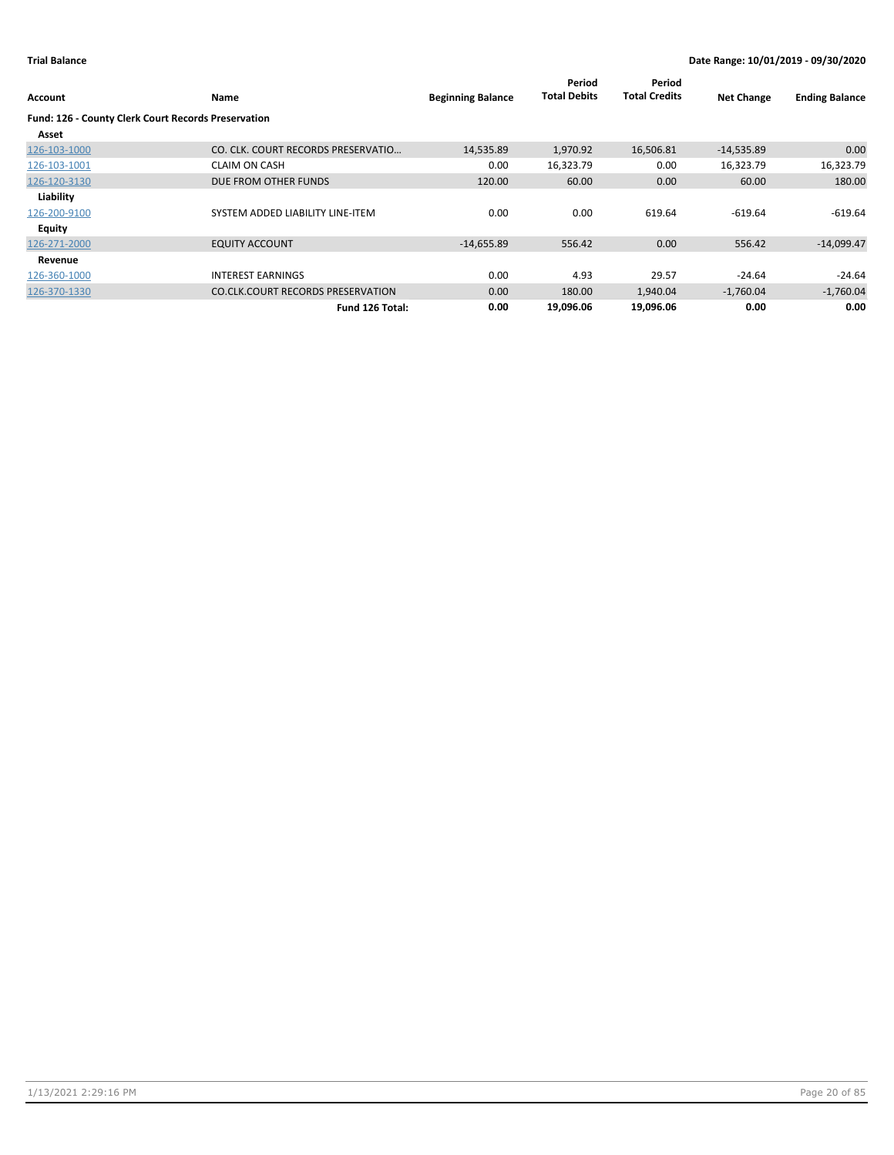| Account                                             | Name                                     | <b>Beginning Balance</b> | Period<br><b>Total Debits</b> | Period<br><b>Total Credits</b> | <b>Net Change</b> | <b>Ending Balance</b> |
|-----------------------------------------------------|------------------------------------------|--------------------------|-------------------------------|--------------------------------|-------------------|-----------------------|
| Fund: 126 - County Clerk Court Records Preservation |                                          |                          |                               |                                |                   |                       |
| Asset                                               |                                          |                          |                               |                                |                   |                       |
| 126-103-1000                                        | CO. CLK. COURT RECORDS PRESERVATIO       | 14,535.89                | 1,970.92                      | 16,506.81                      | $-14,535.89$      | 0.00                  |
| 126-103-1001                                        | <b>CLAIM ON CASH</b>                     | 0.00                     | 16,323.79                     | 0.00                           | 16,323.79         | 16,323.79             |
| 126-120-3130                                        | DUE FROM OTHER FUNDS                     | 120.00                   | 60.00                         | 0.00                           | 60.00             | 180.00                |
| Liability                                           |                                          |                          |                               |                                |                   |                       |
| 126-200-9100                                        | SYSTEM ADDED LIABILITY LINE-ITEM         | 0.00                     | 0.00                          | 619.64                         | $-619.64$         | $-619.64$             |
| Equity                                              |                                          |                          |                               |                                |                   |                       |
| 126-271-2000                                        | <b>EQUITY ACCOUNT</b>                    | $-14,655.89$             | 556.42                        | 0.00                           | 556.42            | $-14,099.47$          |
| Revenue                                             |                                          |                          |                               |                                |                   |                       |
| 126-360-1000                                        | <b>INTEREST EARNINGS</b>                 | 0.00                     | 4.93                          | 29.57                          | $-24.64$          | $-24.64$              |
| 126-370-1330                                        | <b>CO.CLK.COURT RECORDS PRESERVATION</b> | 0.00                     | 180.00                        | 1,940.04                       | $-1,760.04$       | $-1,760.04$           |
|                                                     | Fund 126 Total:                          | 0.00                     | 19,096.06                     | 19,096.06                      | 0.00              | 0.00                  |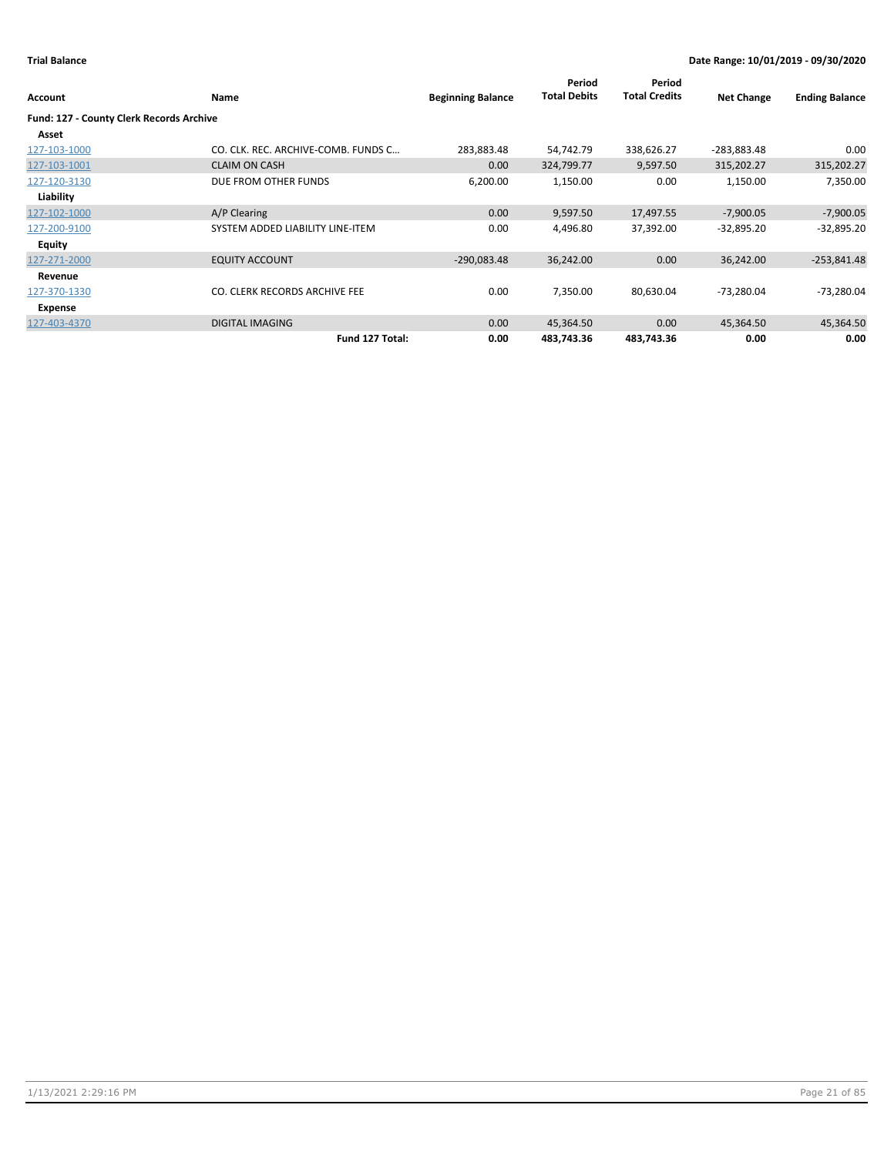|                                          |                                     |                          | Period              | Period               |                   |                       |
|------------------------------------------|-------------------------------------|--------------------------|---------------------|----------------------|-------------------|-----------------------|
| Account                                  | <b>Name</b>                         | <b>Beginning Balance</b> | <b>Total Debits</b> | <b>Total Credits</b> | <b>Net Change</b> | <b>Ending Balance</b> |
| Fund: 127 - County Clerk Records Archive |                                     |                          |                     |                      |                   |                       |
| Asset                                    |                                     |                          |                     |                      |                   |                       |
| 127-103-1000                             | CO. CLK. REC. ARCHIVE-COMB. FUNDS C | 283,883.48               | 54,742.79           | 338,626.27           | -283,883.48       | 0.00                  |
| 127-103-1001                             | <b>CLAIM ON CASH</b>                | 0.00                     | 324,799.77          | 9,597.50             | 315,202.27        | 315,202.27            |
| 127-120-3130                             | DUE FROM OTHER FUNDS                | 6,200.00                 | 1,150.00            | 0.00                 | 1,150.00          | 7,350.00              |
| Liability                                |                                     |                          |                     |                      |                   |                       |
| 127-102-1000                             | A/P Clearing                        | 0.00                     | 9,597.50            | 17,497.55            | $-7,900.05$       | $-7,900.05$           |
| 127-200-9100                             | SYSTEM ADDED LIABILITY LINE-ITEM    | 0.00                     | 4,496.80            | 37,392.00            | $-32,895.20$      | $-32,895.20$          |
| <b>Equity</b>                            |                                     |                          |                     |                      |                   |                       |
| 127-271-2000                             | <b>EQUITY ACCOUNT</b>               | $-290,083.48$            | 36,242.00           | 0.00                 | 36,242.00         | $-253,841.48$         |
| Revenue                                  |                                     |                          |                     |                      |                   |                       |
| 127-370-1330                             | CO. CLERK RECORDS ARCHIVE FEE       | 0.00                     | 7,350.00            | 80,630.04            | $-73,280.04$      | -73,280.04            |
| <b>Expense</b>                           |                                     |                          |                     |                      |                   |                       |
| 127-403-4370                             | <b>DIGITAL IMAGING</b>              | 0.00                     | 45,364.50           | 0.00                 | 45,364.50         | 45,364.50             |
|                                          | Fund 127 Total:                     | 0.00                     | 483,743.36          | 483,743.36           | 0.00              | 0.00                  |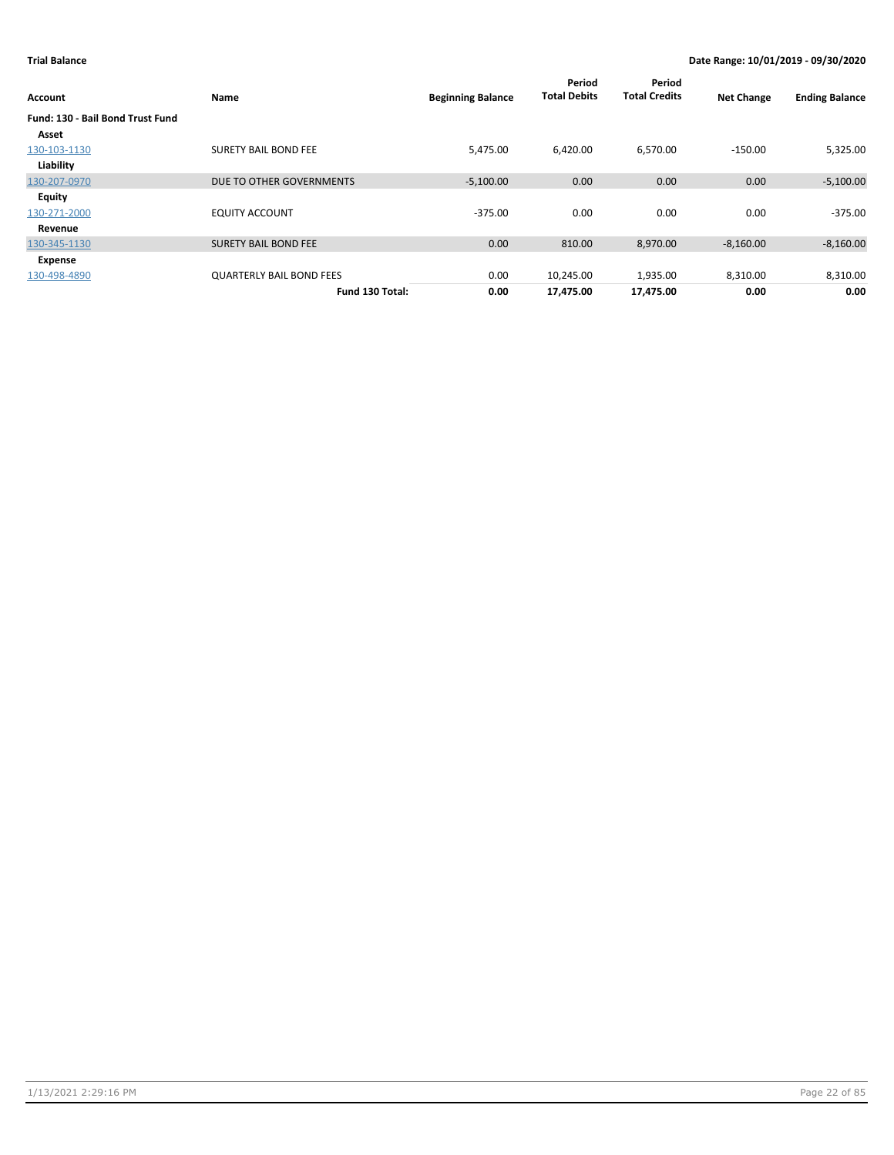| Account                          | Name                            | <b>Beginning Balance</b> | Period<br><b>Total Debits</b> | Period<br><b>Total Credits</b> | <b>Net Change</b> | <b>Ending Balance</b> |
|----------------------------------|---------------------------------|--------------------------|-------------------------------|--------------------------------|-------------------|-----------------------|
| Fund: 130 - Bail Bond Trust Fund |                                 |                          |                               |                                |                   |                       |
| Asset                            |                                 |                          |                               |                                |                   |                       |
| 130-103-1130                     | <b>SURETY BAIL BOND FEE</b>     | 5,475.00                 | 6,420.00                      | 6,570.00                       | $-150.00$         | 5,325.00              |
| Liability                        |                                 |                          |                               |                                |                   |                       |
| 130-207-0970                     | DUE TO OTHER GOVERNMENTS        | $-5,100.00$              | 0.00                          | 0.00                           | 0.00              | $-5,100.00$           |
| Equity                           |                                 |                          |                               |                                |                   |                       |
| 130-271-2000                     | <b>EQUITY ACCOUNT</b>           | $-375.00$                | 0.00                          | 0.00                           | 0.00              | $-375.00$             |
| Revenue                          |                                 |                          |                               |                                |                   |                       |
| 130-345-1130                     | <b>SURETY BAIL BOND FEE</b>     | 0.00                     | 810.00                        | 8,970.00                       | $-8,160.00$       | $-8,160.00$           |
| Expense                          |                                 |                          |                               |                                |                   |                       |
| 130-498-4890                     | <b>QUARTERLY BAIL BOND FEES</b> | 0.00                     | 10,245.00                     | 1,935.00                       | 8,310.00          | 8,310.00              |
|                                  | Fund 130 Total:                 | 0.00                     | 17,475.00                     | 17,475.00                      | 0.00              | 0.00                  |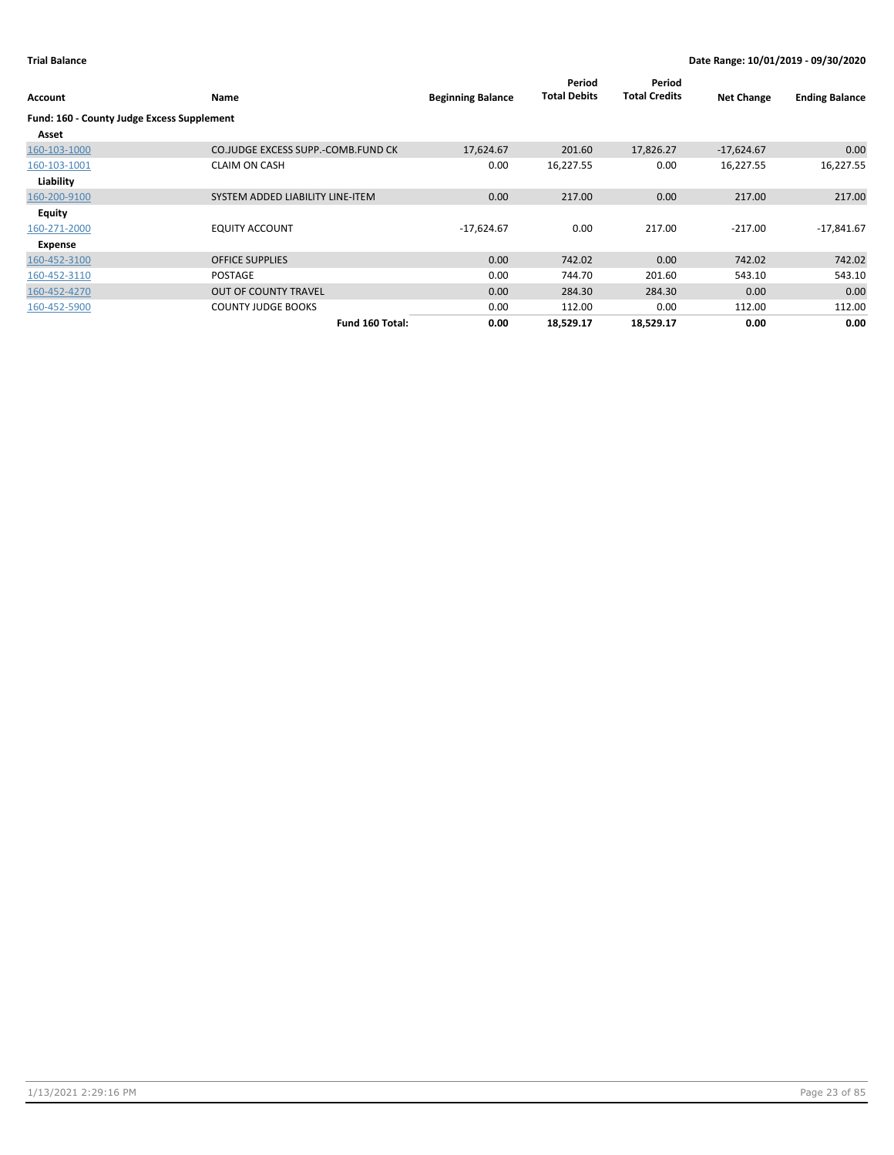| Account                                    | Name                               | <b>Beginning Balance</b> | Period<br><b>Total Debits</b> | Period<br><b>Total Credits</b> | <b>Net Change</b> | <b>Ending Balance</b> |
|--------------------------------------------|------------------------------------|--------------------------|-------------------------------|--------------------------------|-------------------|-----------------------|
| Fund: 160 - County Judge Excess Supplement |                                    |                          |                               |                                |                   |                       |
| Asset                                      |                                    |                          |                               |                                |                   |                       |
| 160-103-1000                               | CO.JUDGE EXCESS SUPP.-COMB.FUND CK | 17,624.67                | 201.60                        | 17,826.27                      | $-17,624.67$      | 0.00                  |
| 160-103-1001                               | <b>CLAIM ON CASH</b>               | 0.00                     | 16,227.55                     | 0.00                           | 16,227.55         | 16,227.55             |
| Liability                                  |                                    |                          |                               |                                |                   |                       |
| 160-200-9100                               | SYSTEM ADDED LIABILITY LINE-ITEM   | 0.00                     | 217.00                        | 0.00                           | 217.00            | 217.00                |
| <b>Equity</b>                              |                                    |                          |                               |                                |                   |                       |
| 160-271-2000                               | <b>EQUITY ACCOUNT</b>              | $-17,624.67$             | 0.00                          | 217.00                         | $-217.00$         | $-17,841.67$          |
| Expense                                    |                                    |                          |                               |                                |                   |                       |
| 160-452-3100                               | <b>OFFICE SUPPLIES</b>             | 0.00                     | 742.02                        | 0.00                           | 742.02            | 742.02                |
| 160-452-3110                               | <b>POSTAGE</b>                     | 0.00                     | 744.70                        | 201.60                         | 543.10            | 543.10                |
| 160-452-4270                               | <b>OUT OF COUNTY TRAVEL</b>        | 0.00                     | 284.30                        | 284.30                         | 0.00              | 0.00                  |
| 160-452-5900                               | <b>COUNTY JUDGE BOOKS</b>          | 0.00                     | 112.00                        | 0.00                           | 112.00            | 112.00                |
|                                            | Fund 160 Total:                    | 0.00                     | 18,529.17                     | 18,529.17                      | 0.00              | 0.00                  |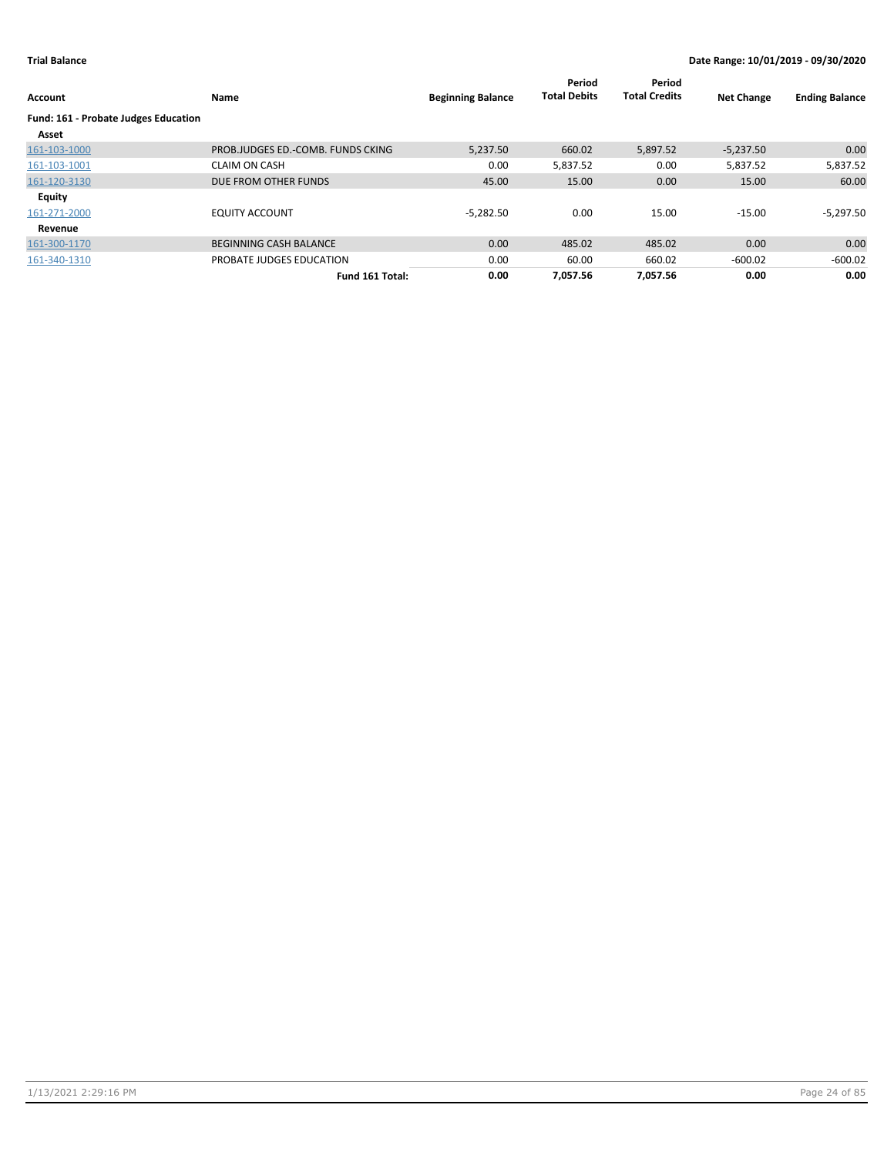| Account                                     | Name                              | <b>Beginning Balance</b> | Period<br><b>Total Debits</b> | Period<br><b>Total Credits</b> | <b>Net Change</b> | <b>Ending Balance</b> |
|---------------------------------------------|-----------------------------------|--------------------------|-------------------------------|--------------------------------|-------------------|-----------------------|
| <b>Fund: 161 - Probate Judges Education</b> |                                   |                          |                               |                                |                   |                       |
| Asset                                       |                                   |                          |                               |                                |                   |                       |
| 161-103-1000                                | PROB.JUDGES ED.-COMB. FUNDS CKING | 5.237.50                 | 660.02                        | 5,897.52                       | $-5,237.50$       | 0.00                  |
| 161-103-1001                                | <b>CLAIM ON CASH</b>              | 0.00                     | 5,837.52                      | 0.00                           | 5,837.52          | 5,837.52              |
| 161-120-3130                                | DUE FROM OTHER FUNDS              | 45.00                    | 15.00                         | 0.00                           | 15.00             | 60.00                 |
| Equity                                      |                                   |                          |                               |                                |                   |                       |
| 161-271-2000                                | <b>EQUITY ACCOUNT</b>             | $-5.282.50$              | 0.00                          | 15.00                          | $-15.00$          | $-5,297.50$           |
| Revenue                                     |                                   |                          |                               |                                |                   |                       |
| 161-300-1170                                | <b>BEGINNING CASH BALANCE</b>     | 0.00                     | 485.02                        | 485.02                         | 0.00              | 0.00                  |
| 161-340-1310                                | PROBATE JUDGES EDUCATION          | 0.00                     | 60.00                         | 660.02                         | $-600.02$         | $-600.02$             |
|                                             | Fund 161 Total:                   | 0.00                     | 7.057.56                      | 7.057.56                       | 0.00              | 0.00                  |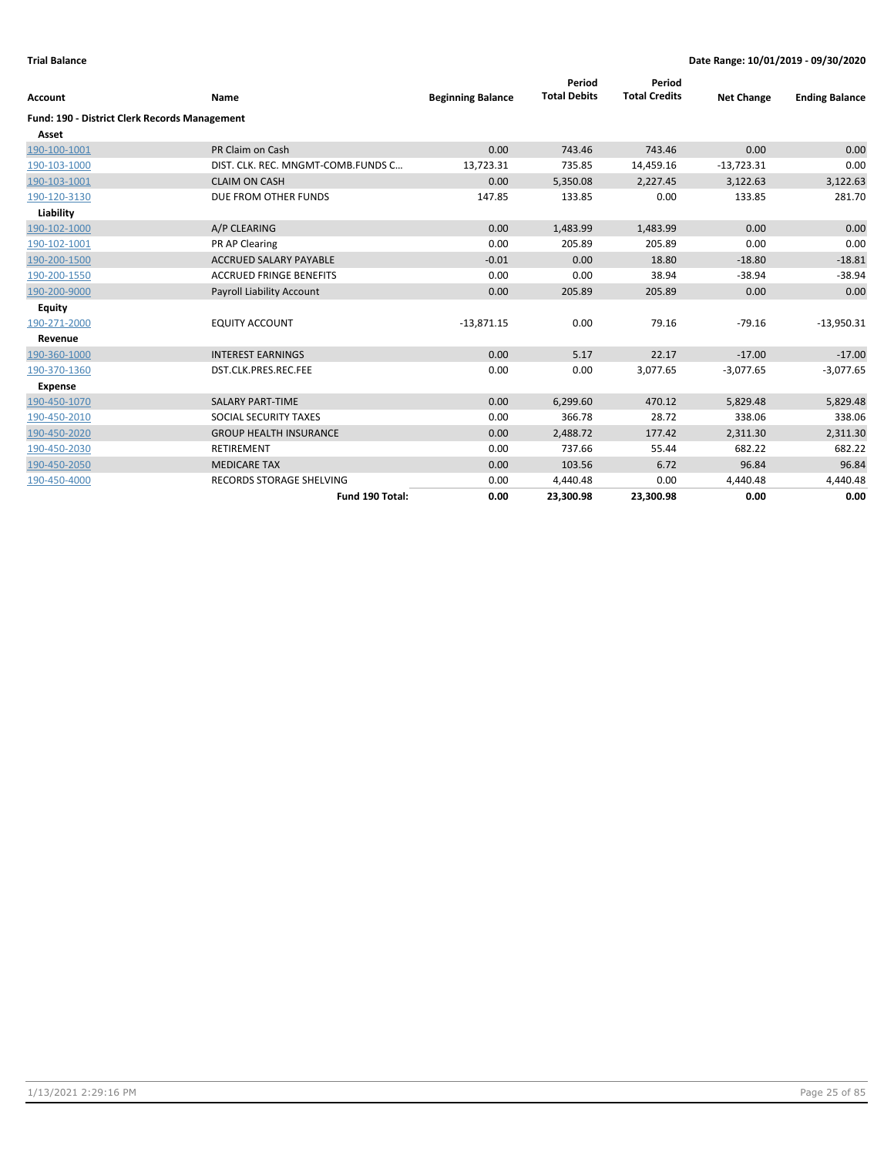| Account                                              | Name                               | <b>Beginning Balance</b> | Period<br><b>Total Debits</b> | Period<br><b>Total Credits</b> | <b>Net Change</b> | <b>Ending Balance</b> |
|------------------------------------------------------|------------------------------------|--------------------------|-------------------------------|--------------------------------|-------------------|-----------------------|
|                                                      |                                    |                          |                               |                                |                   |                       |
| <b>Fund: 190 - District Clerk Records Management</b> |                                    |                          |                               |                                |                   |                       |
| Asset                                                |                                    |                          |                               |                                |                   |                       |
| 190-100-1001                                         | PR Claim on Cash                   | 0.00                     | 743.46                        | 743.46                         | 0.00              | 0.00                  |
| 190-103-1000                                         | DIST. CLK. REC. MNGMT-COMB.FUNDS C | 13,723.31                | 735.85                        | 14,459.16                      | $-13,723.31$      | 0.00                  |
| 190-103-1001                                         | <b>CLAIM ON CASH</b>               | 0.00                     | 5,350.08                      | 2,227.45                       | 3,122.63          | 3,122.63              |
| 190-120-3130                                         | DUE FROM OTHER FUNDS               | 147.85                   | 133.85                        | 0.00                           | 133.85            | 281.70                |
| Liability                                            |                                    |                          |                               |                                |                   |                       |
| 190-102-1000                                         | A/P CLEARING                       | 0.00                     | 1,483.99                      | 1,483.99                       | 0.00              | 0.00                  |
| 190-102-1001                                         | PR AP Clearing                     | 0.00                     | 205.89                        | 205.89                         | 0.00              | 0.00                  |
| 190-200-1500                                         | <b>ACCRUED SALARY PAYABLE</b>      | $-0.01$                  | 0.00                          | 18.80                          | $-18.80$          | $-18.81$              |
| 190-200-1550                                         | <b>ACCRUED FRINGE BENEFITS</b>     | 0.00                     | 0.00                          | 38.94                          | $-38.94$          | $-38.94$              |
| 190-200-9000                                         | <b>Payroll Liability Account</b>   | 0.00                     | 205.89                        | 205.89                         | 0.00              | 0.00                  |
| <b>Equity</b>                                        |                                    |                          |                               |                                |                   |                       |
| 190-271-2000                                         | <b>EQUITY ACCOUNT</b>              | $-13,871.15$             | 0.00                          | 79.16                          | $-79.16$          | $-13,950.31$          |
| Revenue                                              |                                    |                          |                               |                                |                   |                       |
| 190-360-1000                                         | <b>INTEREST EARNINGS</b>           | 0.00                     | 5.17                          | 22.17                          | $-17.00$          | $-17.00$              |
| 190-370-1360                                         | DST.CLK.PRES.REC.FEE               | 0.00                     | 0.00                          | 3,077.65                       | $-3,077.65$       | $-3,077.65$           |
| <b>Expense</b>                                       |                                    |                          |                               |                                |                   |                       |
| 190-450-1070                                         | <b>SALARY PART-TIME</b>            | 0.00                     | 6,299.60                      | 470.12                         | 5,829.48          | 5,829.48              |
| 190-450-2010                                         | SOCIAL SECURITY TAXES              | 0.00                     | 366.78                        | 28.72                          | 338.06            | 338.06                |
| 190-450-2020                                         | <b>GROUP HEALTH INSURANCE</b>      | 0.00                     | 2,488.72                      | 177.42                         | 2,311.30          | 2,311.30              |
| 190-450-2030                                         | <b>RETIREMENT</b>                  | 0.00                     | 737.66                        | 55.44                          | 682.22            | 682.22                |
| 190-450-2050                                         | <b>MEDICARE TAX</b>                | 0.00                     | 103.56                        | 6.72                           | 96.84             | 96.84                 |
| 190-450-4000                                         | RECORDS STORAGE SHELVING           | 0.00                     | 4,440.48                      | 0.00                           | 4,440.48          | 4,440.48              |
|                                                      | Fund 190 Total:                    | 0.00                     | 23,300.98                     | 23,300.98                      | 0.00              | 0.00                  |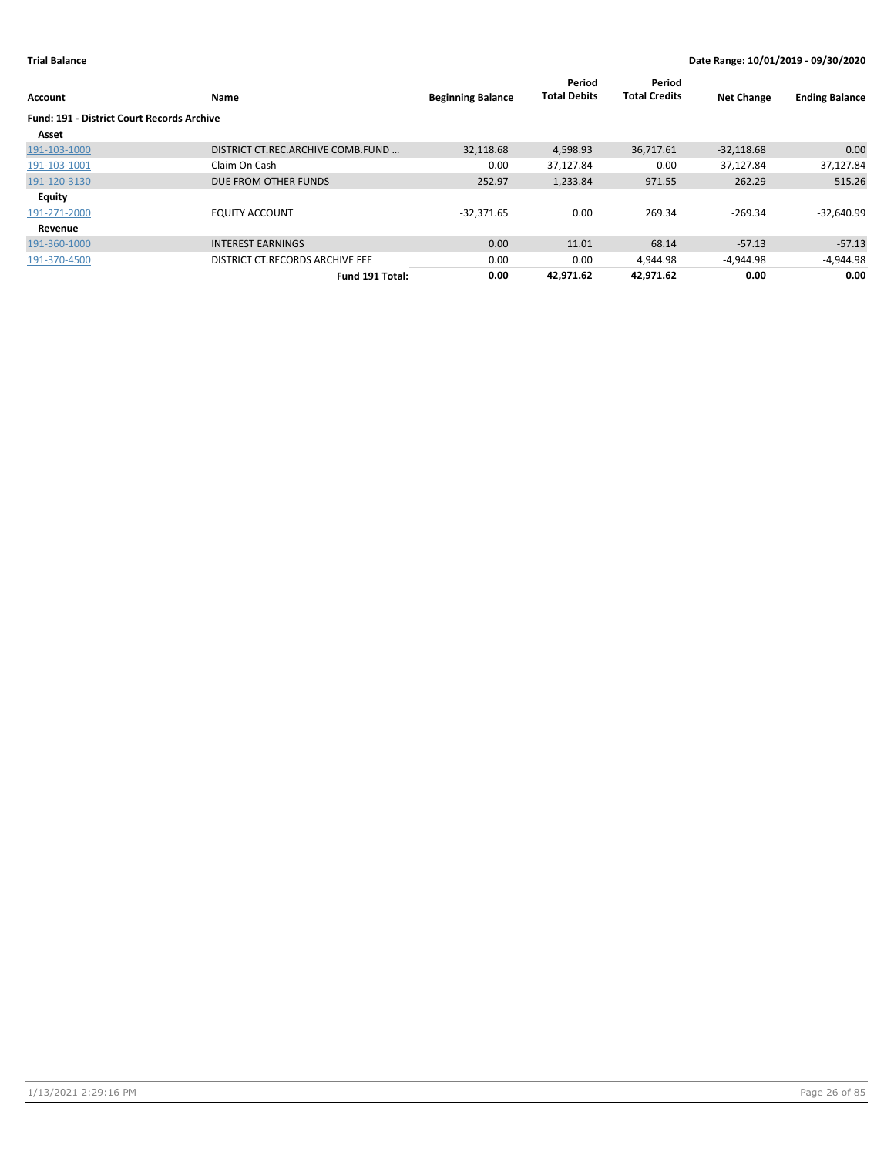| Account                                    | Name                              | <b>Beginning Balance</b> | Period<br><b>Total Debits</b> | Period<br><b>Total Credits</b> | <b>Net Change</b> | <b>Ending Balance</b> |
|--------------------------------------------|-----------------------------------|--------------------------|-------------------------------|--------------------------------|-------------------|-----------------------|
| Fund: 191 - District Court Records Archive |                                   |                          |                               |                                |                   |                       |
| Asset                                      |                                   |                          |                               |                                |                   |                       |
| 191-103-1000                               | DISTRICT CT.REC.ARCHIVE COMB.FUND | 32,118.68                | 4,598.93                      | 36,717.61                      | $-32,118.68$      | 0.00                  |
| 191-103-1001                               | Claim On Cash                     | 0.00                     | 37,127.84                     | 0.00                           | 37,127.84         | 37,127.84             |
| 191-120-3130                               | DUE FROM OTHER FUNDS              | 252.97                   | 1,233.84                      | 971.55                         | 262.29            | 515.26                |
| <b>Equity</b>                              |                                   |                          |                               |                                |                   |                       |
| 191-271-2000                               | <b>EQUITY ACCOUNT</b>             | $-32,371.65$             | 0.00                          | 269.34                         | $-269.34$         | $-32,640.99$          |
| Revenue                                    |                                   |                          |                               |                                |                   |                       |
| 191-360-1000                               | <b>INTEREST EARNINGS</b>          | 0.00                     | 11.01                         | 68.14                          | $-57.13$          | $-57.13$              |
| 191-370-4500                               | DISTRICT CT.RECORDS ARCHIVE FEE   | 0.00                     | 0.00                          | 4,944.98                       | -4,944.98         | $-4,944.98$           |
|                                            | Fund 191 Total:                   | 0.00                     | 42.971.62                     | 42.971.62                      | 0.00              | 0.00                  |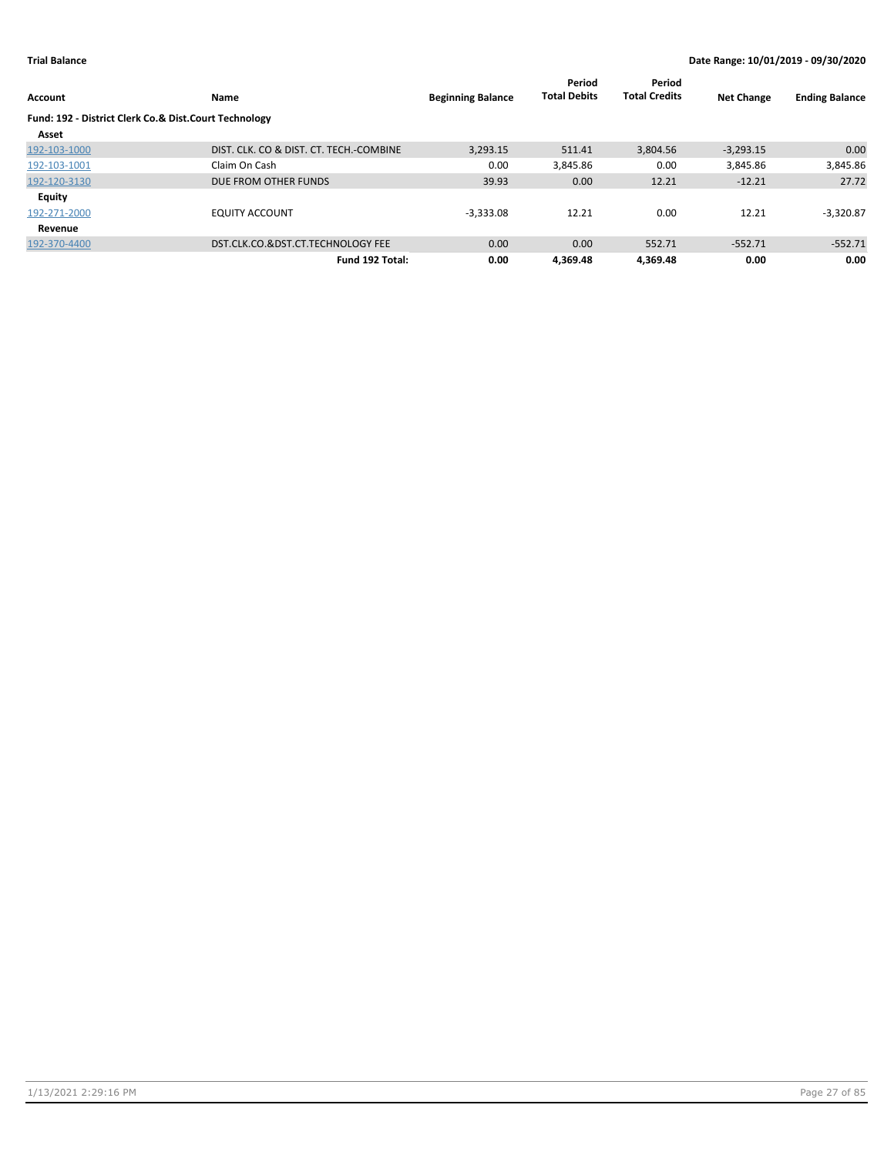| Account                                               | Name                                    | <b>Beginning Balance</b> | Period<br><b>Total Debits</b> | Period<br><b>Total Credits</b> | <b>Net Change</b> | <b>Ending Balance</b> |
|-------------------------------------------------------|-----------------------------------------|--------------------------|-------------------------------|--------------------------------|-------------------|-----------------------|
| Fund: 192 - District Clerk Co.& Dist.Court Technology |                                         |                          |                               |                                |                   |                       |
| Asset                                                 |                                         |                          |                               |                                |                   |                       |
| 192-103-1000                                          | DIST. CLK. CO & DIST. CT. TECH.-COMBINE | 3,293.15                 | 511.41                        | 3,804.56                       | $-3,293.15$       | 0.00                  |
| 192-103-1001                                          | Claim On Cash                           | 0.00                     | 3,845.86                      | 0.00                           | 3,845.86          | 3,845.86              |
| 192-120-3130                                          | DUE FROM OTHER FUNDS                    | 39.93                    | 0.00                          | 12.21                          | $-12.21$          | 27.72                 |
| Equity                                                |                                         |                          |                               |                                |                   |                       |
| 192-271-2000                                          | <b>EQUITY ACCOUNT</b>                   | $-3.333.08$              | 12.21                         | 0.00                           | 12.21             | $-3,320.87$           |
| Revenue                                               |                                         |                          |                               |                                |                   |                       |
| 192-370-4400                                          | DST.CLK.CO.&DST.CT.TECHNOLOGY FEE       | 0.00                     | 0.00                          | 552.71                         | $-552.71$         | $-552.71$             |
|                                                       | Fund 192 Total:                         | 0.00                     | 4.369.48                      | 4.369.48                       | 0.00              | 0.00                  |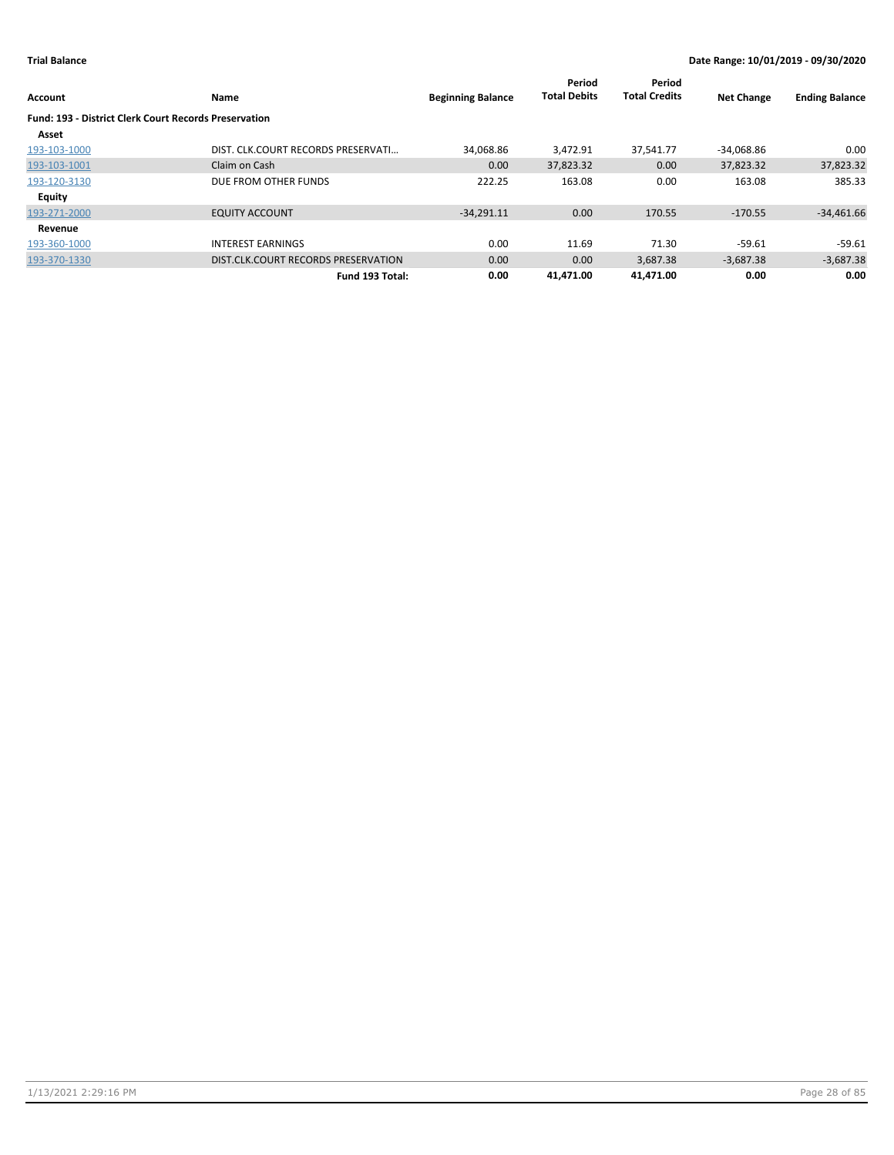| <b>Account</b>                                               | Name                                | <b>Beginning Balance</b> | Period<br><b>Total Debits</b> | Period<br><b>Total Credits</b> | <b>Net Change</b> | <b>Ending Balance</b> |
|--------------------------------------------------------------|-------------------------------------|--------------------------|-------------------------------|--------------------------------|-------------------|-----------------------|
| <b>Fund: 193 - District Clerk Court Records Preservation</b> |                                     |                          |                               |                                |                   |                       |
| Asset                                                        |                                     |                          |                               |                                |                   |                       |
| 193-103-1000                                                 | DIST. CLK.COURT RECORDS PRESERVATI  | 34,068.86                | 3.472.91                      | 37,541.77                      | $-34,068.86$      | 0.00                  |
| 193-103-1001                                                 | Claim on Cash                       | 0.00                     | 37,823.32                     | 0.00                           | 37,823.32         | 37,823.32             |
| 193-120-3130                                                 | DUE FROM OTHER FUNDS                | 222.25                   | 163.08                        | 0.00                           | 163.08            | 385.33                |
| <b>Equity</b>                                                |                                     |                          |                               |                                |                   |                       |
| 193-271-2000                                                 | <b>EQUITY ACCOUNT</b>               | $-34,291.11$             | 0.00                          | 170.55                         | $-170.55$         | $-34,461.66$          |
| Revenue                                                      |                                     |                          |                               |                                |                   |                       |
| 193-360-1000                                                 | <b>INTEREST EARNINGS</b>            | 0.00                     | 11.69                         | 71.30                          | $-59.61$          | -59.61                |
| 193-370-1330                                                 | DIST.CLK.COURT RECORDS PRESERVATION | 0.00                     | 0.00                          | 3,687.38                       | $-3,687.38$       | $-3,687.38$           |
|                                                              | Fund 193 Total:                     | 0.00                     | 41.471.00                     | 41.471.00                      | 0.00              | 0.00                  |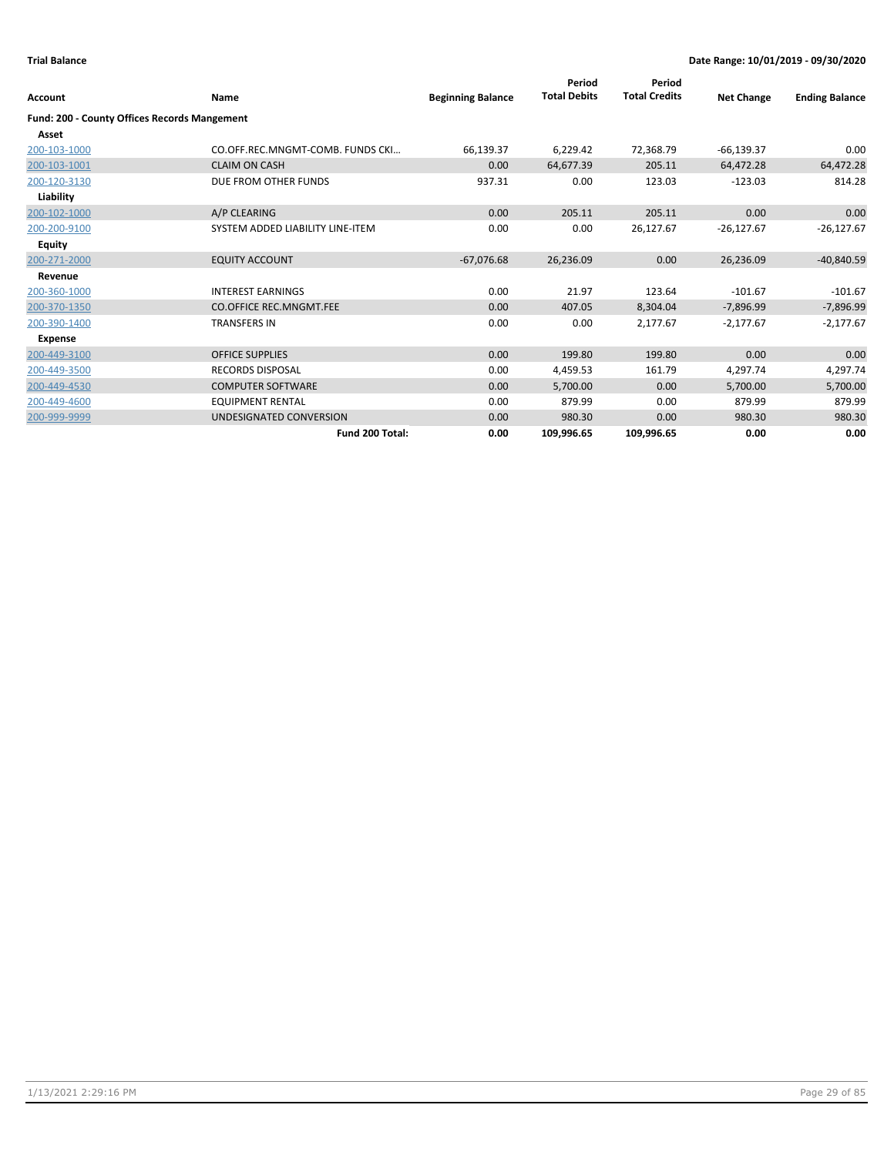| Account                                             | Name                             | <b>Beginning Balance</b> | Period<br><b>Total Debits</b> | Period<br><b>Total Credits</b> | <b>Net Change</b> | <b>Ending Balance</b> |
|-----------------------------------------------------|----------------------------------|--------------------------|-------------------------------|--------------------------------|-------------------|-----------------------|
| <b>Fund: 200 - County Offices Records Mangement</b> |                                  |                          |                               |                                |                   |                       |
| Asset                                               |                                  |                          |                               |                                |                   |                       |
| 200-103-1000                                        | CO.OFF.REC.MNGMT-COMB. FUNDS CKI | 66,139.37                | 6,229.42                      | 72,368.79                      | $-66,139.37$      | 0.00                  |
| 200-103-1001                                        | <b>CLAIM ON CASH</b>             | 0.00                     | 64,677.39                     | 205.11                         | 64,472.28         | 64,472.28             |
| 200-120-3130                                        | DUE FROM OTHER FUNDS             | 937.31                   | 0.00                          | 123.03                         | $-123.03$         | 814.28                |
| Liability                                           |                                  |                          |                               |                                |                   |                       |
| 200-102-1000                                        | A/P CLEARING                     | 0.00                     | 205.11                        | 205.11                         | 0.00              | 0.00                  |
| 200-200-9100                                        | SYSTEM ADDED LIABILITY LINE-ITEM | 0.00                     | 0.00                          | 26,127.67                      | $-26,127.67$      | $-26,127.67$          |
| Equity                                              |                                  |                          |                               |                                |                   |                       |
| 200-271-2000                                        | <b>EQUITY ACCOUNT</b>            | $-67,076.68$             | 26,236.09                     | 0.00                           | 26,236.09         | $-40,840.59$          |
| Revenue                                             |                                  |                          |                               |                                |                   |                       |
| 200-360-1000                                        | <b>INTEREST EARNINGS</b>         | 0.00                     | 21.97                         | 123.64                         | $-101.67$         | $-101.67$             |
| 200-370-1350                                        | <b>CO.OFFICE REC.MNGMT.FEE</b>   | 0.00                     | 407.05                        | 8,304.04                       | $-7,896.99$       | $-7,896.99$           |
| 200-390-1400                                        | <b>TRANSFERS IN</b>              | 0.00                     | 0.00                          | 2,177.67                       | $-2,177.67$       | $-2,177.67$           |
| <b>Expense</b>                                      |                                  |                          |                               |                                |                   |                       |
| 200-449-3100                                        | <b>OFFICE SUPPLIES</b>           | 0.00                     | 199.80                        | 199.80                         | 0.00              | 0.00                  |
| 200-449-3500                                        | <b>RECORDS DISPOSAL</b>          | 0.00                     | 4,459.53                      | 161.79                         | 4,297.74          | 4,297.74              |
| 200-449-4530                                        | <b>COMPUTER SOFTWARE</b>         | 0.00                     | 5,700.00                      | 0.00                           | 5,700.00          | 5,700.00              |
| 200-449-4600                                        | <b>EQUIPMENT RENTAL</b>          | 0.00                     | 879.99                        | 0.00                           | 879.99            | 879.99                |
| 200-999-9999                                        | UNDESIGNATED CONVERSION          | 0.00                     | 980.30                        | 0.00                           | 980.30            | 980.30                |
|                                                     | Fund 200 Total:                  | 0.00                     | 109,996.65                    | 109,996.65                     | 0.00              | 0.00                  |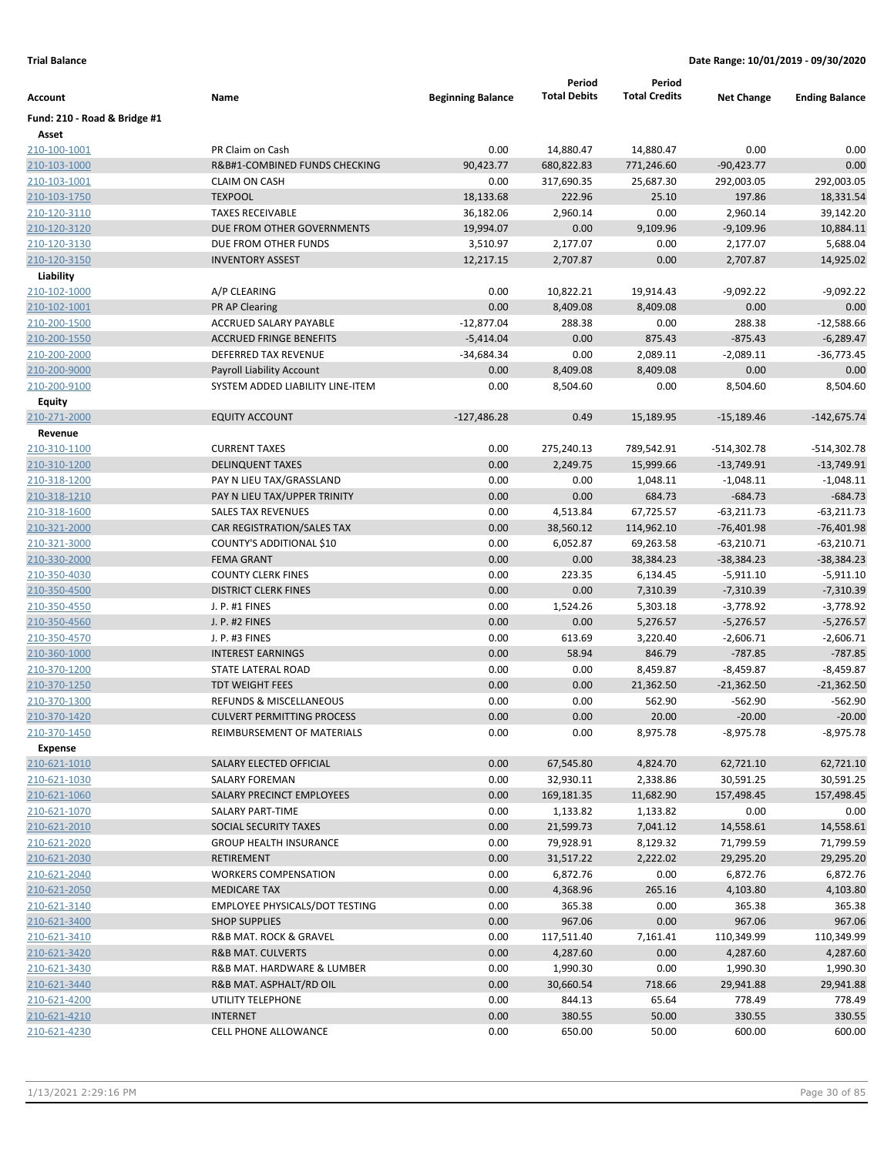| Account                      | Name                              | <b>Beginning Balance</b> | Period<br><b>Total Debits</b> | Period<br><b>Total Credits</b> | <b>Net Change</b> | <b>Ending Balance</b> |
|------------------------------|-----------------------------------|--------------------------|-------------------------------|--------------------------------|-------------------|-----------------------|
| Fund: 210 - Road & Bridge #1 |                                   |                          |                               |                                |                   |                       |
| Asset                        |                                   |                          |                               |                                |                   |                       |
| 210-100-1001                 | PR Claim on Cash                  | 0.00                     | 14,880.47                     | 14,880.47                      | 0.00              | 0.00                  |
| 210-103-1000                 | R&B#1-COMBINED FUNDS CHECKING     | 90,423.77                | 680,822.83                    | 771,246.60                     | $-90,423.77$      | 0.00                  |
| 210-103-1001                 | <b>CLAIM ON CASH</b>              | 0.00                     | 317,690.35                    | 25,687.30                      | 292,003.05        | 292,003.05            |
| 210-103-1750                 | <b>TEXPOOL</b>                    | 18,133.68                | 222.96                        | 25.10                          | 197.86            | 18,331.54             |
| 210-120-3110                 | <b>TAXES RECEIVABLE</b>           | 36,182.06                | 2,960.14                      | 0.00                           | 2,960.14          | 39,142.20             |
| 210-120-3120                 | DUE FROM OTHER GOVERNMENTS        | 19,994.07                | 0.00                          | 9,109.96                       | $-9,109.96$       | 10,884.11             |
| 210-120-3130                 | DUE FROM OTHER FUNDS              | 3,510.97                 | 2,177.07                      | 0.00                           | 2,177.07          | 5,688.04              |
| 210-120-3150                 | <b>INVENTORY ASSEST</b>           | 12,217.15                | 2,707.87                      | 0.00                           | 2,707.87          | 14,925.02             |
| Liability                    |                                   |                          |                               |                                |                   |                       |
| 210-102-1000                 | A/P CLEARING                      | 0.00                     | 10,822.21                     | 19,914.43                      | $-9,092.22$       | $-9,092.22$           |
| 210-102-1001                 | PR AP Clearing                    | 0.00                     | 8,409.08                      | 8,409.08                       | 0.00              | 0.00                  |
| 210-200-1500                 | ACCRUED SALARY PAYABLE            | $-12,877.04$             | 288.38                        | 0.00                           | 288.38            | $-12,588.66$          |
| 210-200-1550                 | <b>ACCRUED FRINGE BENEFITS</b>    | $-5,414.04$              | 0.00                          | 875.43                         | $-875.43$         | $-6,289.47$           |
| 210-200-2000                 | DEFERRED TAX REVENUE              | $-34,684.34$             | 0.00                          | 2,089.11                       | $-2,089.11$       | $-36,773.45$          |
| 210-200-9000                 | Payroll Liability Account         | 0.00                     | 8,409.08                      | 8,409.08                       | 0.00              | 0.00                  |
| 210-200-9100                 | SYSTEM ADDED LIABILITY LINE-ITEM  | 0.00                     | 8,504.60                      | 0.00                           | 8,504.60          | 8,504.60              |
| Equity                       |                                   |                          |                               |                                |                   |                       |
| 210-271-2000                 | <b>EQUITY ACCOUNT</b>             | $-127,486.28$            | 0.49                          | 15,189.95                      | $-15,189.46$      | $-142,675.74$         |
| Revenue                      |                                   |                          |                               |                                |                   |                       |
| 210-310-1100                 | <b>CURRENT TAXES</b>              | 0.00                     | 275,240.13                    | 789,542.91                     | $-514,302.78$     | $-514,302.78$         |
| 210-310-1200                 | <b>DELINQUENT TAXES</b>           | 0.00                     | 2,249.75                      | 15,999.66                      | $-13,749.91$      | $-13,749.91$          |
| 210-318-1200                 | PAY N LIEU TAX/GRASSLAND          | 0.00                     | 0.00                          | 1,048.11                       | $-1,048.11$       | $-1,048.11$           |
| 210-318-1210                 | PAY N LIEU TAX/UPPER TRINITY      | 0.00                     | 0.00                          | 684.73                         | $-684.73$         | $-684.73$             |
| 210-318-1600                 | <b>SALES TAX REVENUES</b>         | 0.00                     | 4,513.84                      | 67,725.57                      | $-63,211.73$      | $-63,211.73$          |
| 210-321-2000                 | CAR REGISTRATION/SALES TAX        | 0.00                     | 38,560.12                     | 114,962.10                     | $-76,401.98$      | $-76,401.98$          |
| 210-321-3000                 | COUNTY'S ADDITIONAL \$10          | 0.00                     | 6,052.87                      | 69,263.58                      | $-63,210.71$      | $-63,210.71$          |
| 210-330-2000                 | <b>FEMA GRANT</b>                 | 0.00                     | 0.00                          | 38,384.23                      | $-38,384.23$      | $-38,384.23$          |
| 210-350-4030                 | <b>COUNTY CLERK FINES</b>         | 0.00                     | 223.35                        | 6,134.45                       | $-5,911.10$       | $-5,911.10$           |
| 210-350-4500                 | <b>DISTRICT CLERK FINES</b>       | 0.00                     | 0.00                          | 7,310.39                       | $-7,310.39$       | $-7,310.39$           |
| 210-350-4550                 | J. P. #1 FINES                    | 0.00                     | 1,524.26                      | 5,303.18                       | $-3,778.92$       | $-3,778.92$           |
| 210-350-4560                 | J. P. #2 FINES                    | 0.00                     | 0.00                          | 5,276.57                       | $-5,276.57$       | $-5,276.57$           |
| 210-350-4570                 | J. P. #3 FINES                    | 0.00                     | 613.69                        | 3,220.40                       | $-2,606.71$       | $-2,606.71$           |
| 210-360-1000                 | <b>INTEREST EARNINGS</b>          | 0.00                     | 58.94                         | 846.79                         | $-787.85$         | $-787.85$             |
| 210-370-1200                 | STATE LATERAL ROAD                | 0.00                     | 0.00                          | 8,459.87                       | $-8,459.87$       | $-8,459.87$           |
| 210-370-1250                 | <b>TDT WEIGHT FEES</b>            | 0.00                     | 0.00                          | 21,362.50                      | $-21,362.50$      | $-21,362.50$          |
| 210-370-1300                 | REFUNDS & MISCELLANEOUS           | 0.00                     | 0.00                          | 562.90                         | $-562.90$         | $-562.90$             |
| 210-370-1420                 | <b>CULVERT PERMITTING PROCESS</b> | 0.00                     | 0.00                          | 20.00                          | $-20.00$          | $-20.00$              |
| 210-370-1450                 | REIMBURSEMENT OF MATERIALS        | 0.00                     | 0.00                          | 8,975.78                       | $-8,975.78$       | $-8,975.78$           |
| <b>Expense</b>               |                                   |                          |                               |                                |                   |                       |
| 210-621-1010                 | SALARY ELECTED OFFICIAL           | 0.00                     | 67,545.80                     | 4,824.70                       | 62,721.10         | 62,721.10             |
| 210-621-1030                 | SALARY FOREMAN                    | 0.00                     | 32,930.11                     | 2,338.86                       | 30,591.25         | 30,591.25             |
| 210-621-1060                 | SALARY PRECINCT EMPLOYEES         | 0.00                     | 169,181.35                    | 11,682.90                      | 157,498.45        | 157,498.45            |
| 210-621-1070                 | SALARY PART-TIME                  | 0.00                     | 1,133.82                      | 1,133.82                       | 0.00              | 0.00                  |
| 210-621-2010                 | SOCIAL SECURITY TAXES             | 0.00                     | 21,599.73                     | 7,041.12                       | 14,558.61         | 14,558.61             |
| 210-621-2020                 | <b>GROUP HEALTH INSURANCE</b>     | 0.00                     | 79,928.91                     | 8,129.32                       | 71,799.59         | 71,799.59             |
| 210-621-2030                 | RETIREMENT                        | 0.00                     | 31,517.22                     | 2,222.02                       | 29,295.20         | 29,295.20             |
| 210-621-2040                 | <b>WORKERS COMPENSATION</b>       | 0.00                     | 6,872.76                      | 0.00                           | 6,872.76          | 6,872.76              |
| 210-621-2050                 | <b>MEDICARE TAX</b>               | 0.00                     | 4,368.96                      | 265.16                         | 4,103.80          | 4,103.80              |
| 210-621-3140                 | EMPLOYEE PHYSICALS/DOT TESTING    | 0.00                     | 365.38                        | 0.00                           | 365.38            | 365.38                |
| 210-621-3400                 | <b>SHOP SUPPLIES</b>              | 0.00                     | 967.06                        | 0.00                           | 967.06            | 967.06                |
| 210-621-3410                 | R&B MAT. ROCK & GRAVEL            | 0.00                     | 117,511.40                    | 7,161.41                       | 110,349.99        | 110,349.99            |
| 210-621-3420                 | R&B MAT. CULVERTS                 | 0.00                     | 4,287.60                      | 0.00                           | 4,287.60          | 4,287.60              |
| 210-621-3430                 | R&B MAT. HARDWARE & LUMBER        | 0.00                     | 1,990.30                      | 0.00                           | 1,990.30          | 1,990.30              |
| 210-621-3440                 | R&B MAT. ASPHALT/RD OIL           | 0.00                     | 30,660.54                     | 718.66                         | 29,941.88         | 29,941.88             |
| 210-621-4200                 | UTILITY TELEPHONE                 | 0.00                     | 844.13                        | 65.64                          | 778.49            | 778.49                |
| 210-621-4210                 | <b>INTERNET</b>                   | 0.00                     | 380.55                        | 50.00                          | 330.55            | 330.55                |
| 210-621-4230                 | CELL PHONE ALLOWANCE              | 0.00                     | 650.00                        | 50.00                          | 600.00            | 600.00                |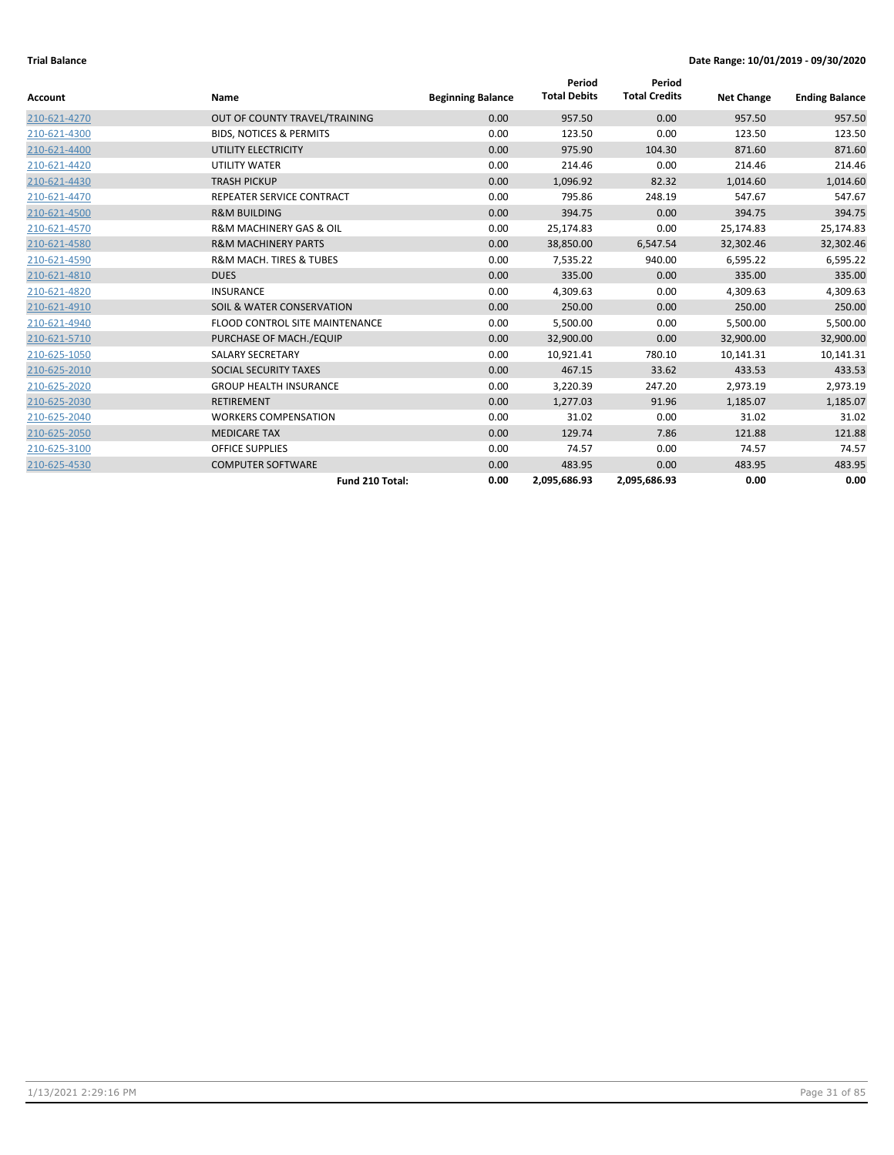|              |                                        |                          | Period              | Period               |                   |                       |
|--------------|----------------------------------------|--------------------------|---------------------|----------------------|-------------------|-----------------------|
| Account      | Name                                   | <b>Beginning Balance</b> | <b>Total Debits</b> | <b>Total Credits</b> | <b>Net Change</b> | <b>Ending Balance</b> |
| 210-621-4270 | OUT OF COUNTY TRAVEL/TRAINING          | 0.00                     | 957.50              | 0.00                 | 957.50            | 957.50                |
| 210-621-4300 | <b>BIDS, NOTICES &amp; PERMITS</b>     | 0.00                     | 123.50              | 0.00                 | 123.50            | 123.50                |
| 210-621-4400 | UTILITY ELECTRICITY                    | 0.00                     | 975.90              | 104.30               | 871.60            | 871.60                |
| 210-621-4420 | <b>UTILITY WATER</b>                   | 0.00                     | 214.46              | 0.00                 | 214.46            | 214.46                |
| 210-621-4430 | <b>TRASH PICKUP</b>                    | 0.00                     | 1,096.92            | 82.32                | 1,014.60          | 1,014.60              |
| 210-621-4470 | REPEATER SERVICE CONTRACT              | 0.00                     | 795.86              | 248.19               | 547.67            | 547.67                |
| 210-621-4500 | <b>R&amp;M BUILDING</b>                | 0.00                     | 394.75              | 0.00                 | 394.75            | 394.75                |
| 210-621-4570 | <b>R&amp;M MACHINERY GAS &amp; OIL</b> | 0.00                     | 25,174.83           | 0.00                 | 25,174.83         | 25,174.83             |
| 210-621-4580 | <b>R&amp;M MACHINERY PARTS</b>         | 0.00                     | 38,850.00           | 6,547.54             | 32,302.46         | 32,302.46             |
| 210-621-4590 | <b>R&amp;M MACH. TIRES &amp; TUBES</b> | 0.00                     | 7,535.22            | 940.00               | 6,595.22          | 6,595.22              |
| 210-621-4810 | <b>DUES</b>                            | 0.00                     | 335.00              | 0.00                 | 335.00            | 335.00                |
| 210-621-4820 | <b>INSURANCE</b>                       | 0.00                     | 4,309.63            | 0.00                 | 4,309.63          | 4,309.63              |
| 210-621-4910 | SOIL & WATER CONSERVATION              | 0.00                     | 250.00              | 0.00                 | 250.00            | 250.00                |
| 210-621-4940 | <b>FLOOD CONTROL SITE MAINTENANCE</b>  | 0.00                     | 5,500.00            | 0.00                 | 5,500.00          | 5,500.00              |
| 210-621-5710 | PURCHASE OF MACH./EQUIP                | 0.00                     | 32,900.00           | 0.00                 | 32,900.00         | 32,900.00             |
| 210-625-1050 | <b>SALARY SECRETARY</b>                | 0.00                     | 10,921.41           | 780.10               | 10,141.31         | 10,141.31             |
| 210-625-2010 | SOCIAL SECURITY TAXES                  | 0.00                     | 467.15              | 33.62                | 433.53            | 433.53                |
| 210-625-2020 | <b>GROUP HEALTH INSURANCE</b>          | 0.00                     | 3,220.39            | 247.20               | 2,973.19          | 2,973.19              |
| 210-625-2030 | <b>RETIREMENT</b>                      | 0.00                     | 1,277.03            | 91.96                | 1,185.07          | 1,185.07              |
| 210-625-2040 | <b>WORKERS COMPENSATION</b>            | 0.00                     | 31.02               | 0.00                 | 31.02             | 31.02                 |
| 210-625-2050 | <b>MEDICARE TAX</b>                    | 0.00                     | 129.74              | 7.86                 | 121.88            | 121.88                |
| 210-625-3100 | <b>OFFICE SUPPLIES</b>                 | 0.00                     | 74.57               | 0.00                 | 74.57             | 74.57                 |
| 210-625-4530 | <b>COMPUTER SOFTWARE</b>               | 0.00                     | 483.95              | 0.00                 | 483.95            | 483.95                |
|              | Fund 210 Total:                        | 0.00                     | 2,095,686.93        | 2,095,686.93         | 0.00              | 0.00                  |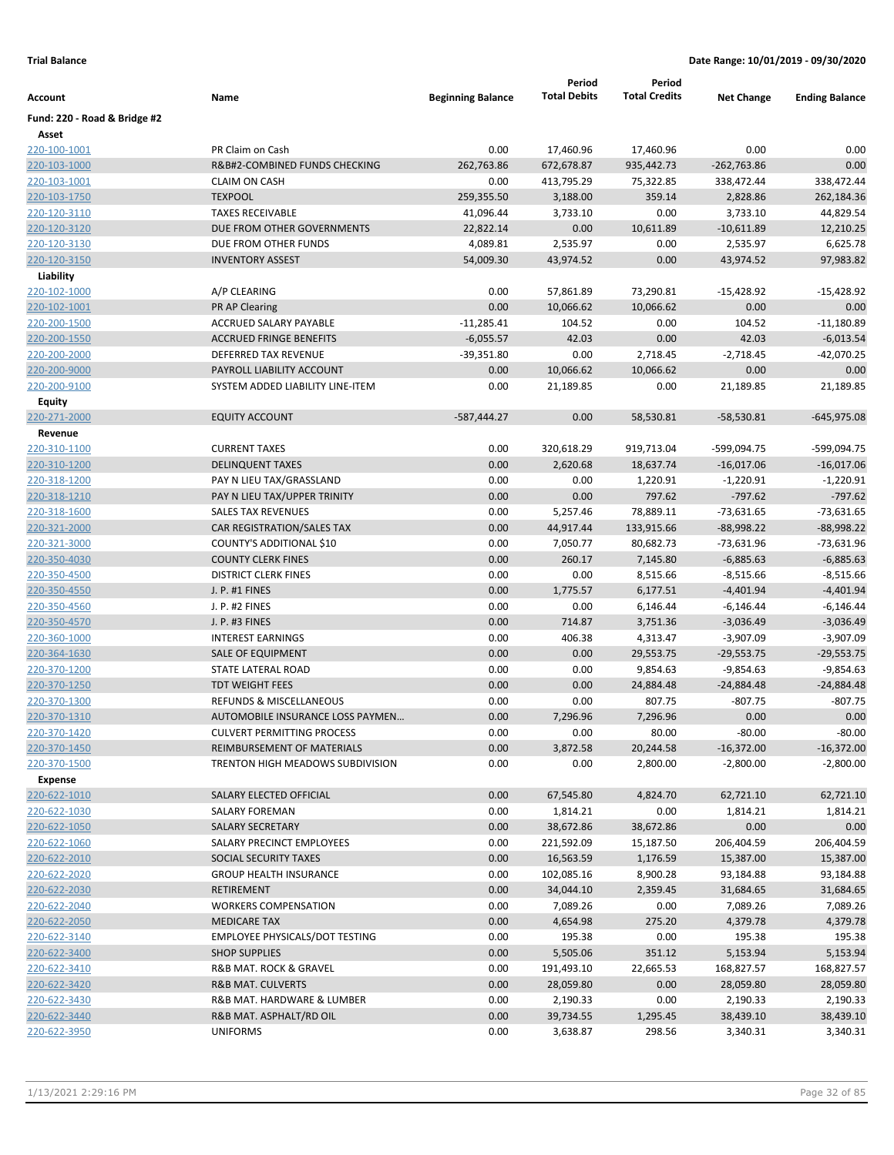|                              |                                         |                          | Period              | Period               |                   |                       |
|------------------------------|-----------------------------------------|--------------------------|---------------------|----------------------|-------------------|-----------------------|
| Account                      | Name                                    | <b>Beginning Balance</b> | <b>Total Debits</b> | <b>Total Credits</b> | <b>Net Change</b> | <b>Ending Balance</b> |
| Fund: 220 - Road & Bridge #2 |                                         |                          |                     |                      |                   |                       |
| Asset                        |                                         |                          |                     |                      |                   |                       |
| 220-100-1001                 | PR Claim on Cash                        | 0.00                     | 17,460.96           | 17,460.96            | 0.00              | 0.00                  |
| 220-103-1000                 | R&B#2-COMBINED FUNDS CHECKING           | 262,763.86               | 672,678.87          | 935,442.73           | $-262,763.86$     | 0.00                  |
| 220-103-1001                 | <b>CLAIM ON CASH</b>                    | 0.00                     | 413,795.29          | 75,322.85            | 338,472.44        | 338,472.44            |
| 220-103-1750                 | <b>TEXPOOL</b>                          | 259,355.50               | 3,188.00            | 359.14               | 2,828.86          | 262,184.36            |
| 220-120-3110                 | <b>TAXES RECEIVABLE</b>                 | 41,096.44                | 3,733.10            | 0.00                 | 3,733.10          | 44,829.54             |
| 220-120-3120                 | DUE FROM OTHER GOVERNMENTS              | 22,822.14                | 0.00                | 10,611.89            | $-10,611.89$      | 12,210.25             |
| 220-120-3130                 | DUE FROM OTHER FUNDS                    | 4,089.81                 | 2,535.97            | 0.00                 | 2,535.97          | 6,625.78              |
| 220-120-3150                 | <b>INVENTORY ASSEST</b>                 | 54,009.30                | 43,974.52           | 0.00                 | 43,974.52         | 97,983.82             |
| Liability                    |                                         |                          |                     |                      |                   |                       |
| 220-102-1000                 | A/P CLEARING                            | 0.00                     | 57,861.89           | 73,290.81            | $-15,428.92$      | $-15,428.92$          |
| 220-102-1001                 | <b>PR AP Clearing</b>                   | 0.00                     | 10,066.62           | 10,066.62            | 0.00              | 0.00                  |
| 220-200-1500                 | ACCRUED SALARY PAYABLE                  | $-11,285.41$             | 104.52              | 0.00                 | 104.52            | $-11,180.89$          |
| 220-200-1550                 | <b>ACCRUED FRINGE BENEFITS</b>          | $-6,055.57$              | 42.03               | 0.00                 | 42.03             | $-6,013.54$           |
| 220-200-2000                 | DEFERRED TAX REVENUE                    | $-39,351.80$             | 0.00                | 2,718.45             | $-2,718.45$       | $-42,070.25$          |
| 220-200-9000                 | PAYROLL LIABILITY ACCOUNT               | 0.00                     | 10,066.62           | 10,066.62            | 0.00              | 0.00                  |
| 220-200-9100                 | SYSTEM ADDED LIABILITY LINE-ITEM        | 0.00                     | 21,189.85           | 0.00                 | 21,189.85         | 21,189.85             |
| Equity                       |                                         |                          |                     |                      |                   |                       |
| 220-271-2000                 | <b>EQUITY ACCOUNT</b>                   | $-587,444.27$            | 0.00                | 58,530.81            | $-58,530.81$      | $-645,975.08$         |
| Revenue                      |                                         |                          |                     |                      |                   |                       |
| 220-310-1100                 | <b>CURRENT TAXES</b>                    | 0.00                     | 320,618.29          | 919,713.04           | -599,094.75       | -599,094.75           |
| 220-310-1200                 | <b>DELINQUENT TAXES</b>                 | 0.00                     | 2,620.68            | 18,637.74            | $-16,017.06$      | $-16,017.06$          |
| 220-318-1200                 | PAY N LIEU TAX/GRASSLAND                | 0.00                     | 0.00                | 1,220.91             | $-1,220.91$       | $-1,220.91$           |
| 220-318-1210                 | PAY N LIEU TAX/UPPER TRINITY            | 0.00                     | 0.00                | 797.62               | $-797.62$         | $-797.62$             |
| 220-318-1600                 | <b>SALES TAX REVENUES</b>               | 0.00                     | 5,257.46            | 78,889.11            | -73,631.65        | $-73,631.65$          |
| 220-321-2000                 | CAR REGISTRATION/SALES TAX              | 0.00                     | 44,917.44           | 133,915.66           | $-88,998.22$      | $-88,998.22$          |
| 220-321-3000                 | COUNTY'S ADDITIONAL \$10                | 0.00                     | 7,050.77            | 80,682.73            | -73,631.96        | -73,631.96            |
| 220-350-4030                 | <b>COUNTY CLERK FINES</b>               | 0.00                     | 260.17              | 7,145.80             | $-6,885.63$       | $-6,885.63$           |
| 220-350-4500                 | <b>DISTRICT CLERK FINES</b>             | 0.00                     | 0.00                | 8,515.66             | $-8,515.66$       | $-8,515.66$           |
| 220-350-4550                 | J. P. #1 FINES                          | 0.00                     | 1,775.57            | 6,177.51             | $-4,401.94$       | $-4,401.94$           |
| 220-350-4560                 | J. P. #2 FINES                          | 0.00                     | 0.00                | 6,146.44             | $-6,146.44$       | $-6,146.44$           |
| 220-350-4570                 | J. P. #3 FINES                          | 0.00                     | 714.87              | 3,751.36             | $-3,036.49$       | $-3,036.49$           |
| 220-360-1000                 | <b>INTEREST EARNINGS</b>                | 0.00                     | 406.38              | 4,313.47             | $-3,907.09$       | $-3,907.09$           |
| 220-364-1630                 | SALE OF EQUIPMENT                       | 0.00                     | 0.00                | 29,553.75            | $-29,553.75$      | $-29,553.75$          |
| 220-370-1200                 | STATE LATERAL ROAD                      | 0.00                     | 0.00                | 9,854.63             | $-9,854.63$       | $-9,854.63$           |
| 220-370-1250                 | <b>TDT WEIGHT FEES</b>                  | 0.00                     | 0.00                | 24,884.48            | $-24,884.48$      | $-24,884.48$          |
| 220-370-1300                 | REFUNDS & MISCELLANEOUS                 | 0.00                     | 0.00                | 807.75               | $-807.75$         | -807.75               |
| 220-370-1310                 | AUTOMOBILE INSURANCE LOSS PAYMEN        | 0.00                     | 7,296.96            | 7,296.96             | 0.00              | 0.00                  |
| 220-370-1420                 | <b>CULVERT PERMITTING PROCESS</b>       | 0.00                     | 0.00                | 80.00                | $-80.00$          | $-80.00$              |
| 220-370-1450                 | REIMBURSEMENT OF MATERIALS              | 0.00                     | 3,872.58            | 20,244.58            | $-16,372.00$      | $-16,372.00$          |
| 220-370-1500                 | <b>TRENTON HIGH MEADOWS SUBDIVISION</b> | 0.00                     | 0.00                | 2,800.00             | $-2,800.00$       | $-2,800.00$           |
| <b>Expense</b>               |                                         |                          |                     |                      |                   |                       |
| 220-622-1010                 | SALARY ELECTED OFFICIAL                 | 0.00                     | 67,545.80           | 4,824.70             | 62,721.10         | 62,721.10             |
| 220-622-1030                 | SALARY FOREMAN                          | 0.00                     | 1,814.21            | 0.00                 | 1,814.21          | 1,814.21              |
| 220-622-1050                 | <b>SALARY SECRETARY</b>                 | 0.00                     | 38,672.86           | 38,672.86            | 0.00              | 0.00                  |
| 220-622-1060                 | SALARY PRECINCT EMPLOYEES               | 0.00                     | 221,592.09          | 15,187.50            | 206,404.59        | 206,404.59            |
| 220-622-2010                 | SOCIAL SECURITY TAXES                   | 0.00                     | 16,563.59           | 1,176.59             | 15,387.00         | 15,387.00             |
| 220-622-2020                 | <b>GROUP HEALTH INSURANCE</b>           | 0.00                     | 102,085.16          | 8,900.28             | 93,184.88         | 93,184.88             |
| 220-622-2030                 | RETIREMENT                              | 0.00                     | 34,044.10           | 2,359.45             | 31,684.65         | 31,684.65             |
| 220-622-2040                 | <b>WORKERS COMPENSATION</b>             | 0.00                     | 7,089.26            | 0.00                 | 7,089.26          | 7,089.26              |
| 220-622-2050                 | <b>MEDICARE TAX</b>                     | 0.00                     | 4,654.98            | 275.20               | 4,379.78          | 4,379.78              |
| 220-622-3140                 | <b>EMPLOYEE PHYSICALS/DOT TESTING</b>   | 0.00                     | 195.38              | 0.00                 | 195.38            | 195.38                |
| 220-622-3400                 | <b>SHOP SUPPLIES</b>                    | 0.00                     | 5,505.06            | 351.12               | 5,153.94          | 5,153.94              |
| 220-622-3410                 | R&B MAT. ROCK & GRAVEL                  | 0.00                     | 191,493.10          | 22,665.53            | 168,827.57        | 168,827.57            |
| 220-622-3420                 | <b>R&amp;B MAT. CULVERTS</b>            | 0.00                     | 28,059.80           | 0.00                 | 28,059.80         | 28,059.80             |
| 220-622-3430                 | R&B MAT. HARDWARE & LUMBER              | 0.00                     | 2,190.33            | 0.00                 | 2,190.33          | 2,190.33              |
| 220-622-3440                 | R&B MAT. ASPHALT/RD OIL                 | 0.00                     | 39,734.55           | 1,295.45             | 38,439.10         | 38,439.10             |
| 220-622-3950                 | <b>UNIFORMS</b>                         | 0.00                     | 3,638.87            | 298.56               | 3,340.31          | 3,340.31              |
|                              |                                         |                          |                     |                      |                   |                       |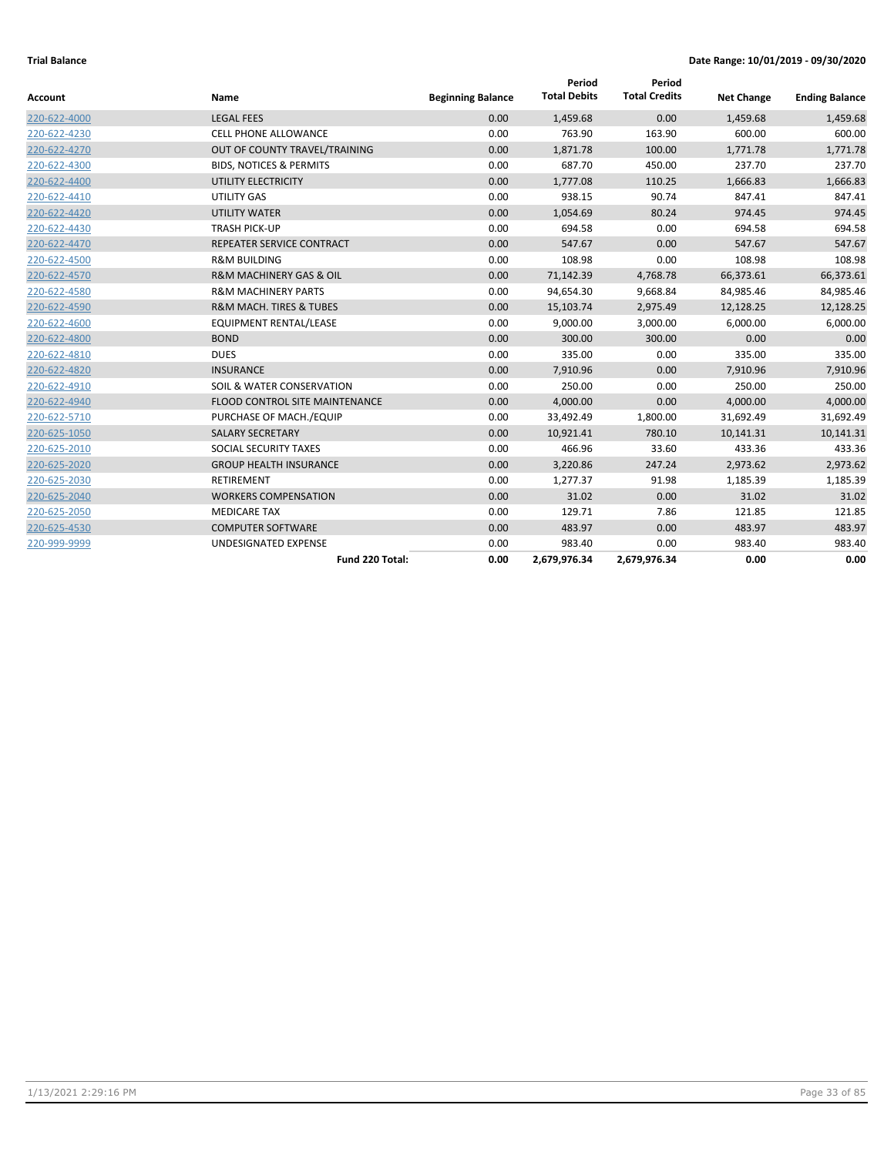| <b>Account</b> | Name                                   | <b>Beginning Balance</b> | Period<br><b>Total Debits</b> | Period<br><b>Total Credits</b> | <b>Net Change</b> | <b>Ending Balance</b> |
|----------------|----------------------------------------|--------------------------|-------------------------------|--------------------------------|-------------------|-----------------------|
| 220-622-4000   | <b>LEGAL FEES</b>                      | 0.00                     | 1,459.68                      | 0.00                           | 1,459.68          | 1,459.68              |
| 220-622-4230   | <b>CELL PHONE ALLOWANCE</b>            | 0.00                     | 763.90                        | 163.90                         | 600.00            | 600.00                |
| 220-622-4270   | OUT OF COUNTY TRAVEL/TRAINING          | 0.00                     | 1,871.78                      | 100.00                         | 1,771.78          | 1,771.78              |
| 220-622-4300   | <b>BIDS, NOTICES &amp; PERMITS</b>     | 0.00                     | 687.70                        | 450.00                         | 237.70            | 237.70                |
| 220-622-4400   | UTILITY ELECTRICITY                    | 0.00                     | 1,777.08                      | 110.25                         | 1,666.83          | 1,666.83              |
| 220-622-4410   | UTILITY GAS                            | 0.00                     | 938.15                        | 90.74                          | 847.41            | 847.41                |
| 220-622-4420   | <b>UTILITY WATER</b>                   | 0.00                     | 1,054.69                      | 80.24                          | 974.45            | 974.45                |
| 220-622-4430   | <b>TRASH PICK-UP</b>                   | 0.00                     | 694.58                        | 0.00                           | 694.58            | 694.58                |
| 220-622-4470   | REPEATER SERVICE CONTRACT              | 0.00                     | 547.67                        | 0.00                           | 547.67            | 547.67                |
| 220-622-4500   | <b>R&amp;M BUILDING</b>                | 0.00                     | 108.98                        | 0.00                           | 108.98            | 108.98                |
| 220-622-4570   | <b>R&amp;M MACHINERY GAS &amp; OIL</b> | 0.00                     | 71,142.39                     | 4,768.78                       | 66,373.61         | 66,373.61             |
| 220-622-4580   | <b>R&amp;M MACHINERY PARTS</b>         | 0.00                     | 94,654.30                     | 9,668.84                       | 84,985.46         | 84,985.46             |
| 220-622-4590   | <b>R&amp;M MACH. TIRES &amp; TUBES</b> | 0.00                     | 15,103.74                     | 2,975.49                       | 12,128.25         | 12,128.25             |
| 220-622-4600   | <b>EQUIPMENT RENTAL/LEASE</b>          | 0.00                     | 9,000.00                      | 3,000.00                       | 6,000.00          | 6,000.00              |
| 220-622-4800   | <b>BOND</b>                            | 0.00                     | 300.00                        | 300.00                         | 0.00              | 0.00                  |
| 220-622-4810   | <b>DUES</b>                            | 0.00                     | 335.00                        | 0.00                           | 335.00            | 335.00                |
| 220-622-4820   | <b>INSURANCE</b>                       | 0.00                     | 7,910.96                      | 0.00                           | 7,910.96          | 7,910.96              |
| 220-622-4910   | SOIL & WATER CONSERVATION              | 0.00                     | 250.00                        | 0.00                           | 250.00            | 250.00                |
| 220-622-4940   | FLOOD CONTROL SITE MAINTENANCE         | 0.00                     | 4,000.00                      | 0.00                           | 4,000.00          | 4,000.00              |
| 220-622-5710   | PURCHASE OF MACH./EQUIP                | 0.00                     | 33,492.49                     | 1,800.00                       | 31,692.49         | 31,692.49             |
| 220-625-1050   | <b>SALARY SECRETARY</b>                | 0.00                     | 10,921.41                     | 780.10                         | 10,141.31         | 10,141.31             |
| 220-625-2010   | SOCIAL SECURITY TAXES                  | 0.00                     | 466.96                        | 33.60                          | 433.36            | 433.36                |
| 220-625-2020   | <b>GROUP HEALTH INSURANCE</b>          | 0.00                     | 3,220.86                      | 247.24                         | 2,973.62          | 2,973.62              |
| 220-625-2030   | <b>RETIREMENT</b>                      | 0.00                     | 1,277.37                      | 91.98                          | 1,185.39          | 1,185.39              |
| 220-625-2040   | <b>WORKERS COMPENSATION</b>            | 0.00                     | 31.02                         | 0.00                           | 31.02             | 31.02                 |
| 220-625-2050   | <b>MEDICARE TAX</b>                    | 0.00                     | 129.71                        | 7.86                           | 121.85            | 121.85                |
| 220-625-4530   | <b>COMPUTER SOFTWARE</b>               | 0.00                     | 483.97                        | 0.00                           | 483.97            | 483.97                |
| 220-999-9999   | UNDESIGNATED EXPENSE                   | 0.00                     | 983.40                        | 0.00                           | 983.40            | 983.40                |
|                | Fund 220 Total:                        | 0.00                     | 2,679,976.34                  | 2,679,976.34                   | 0.00              | 0.00                  |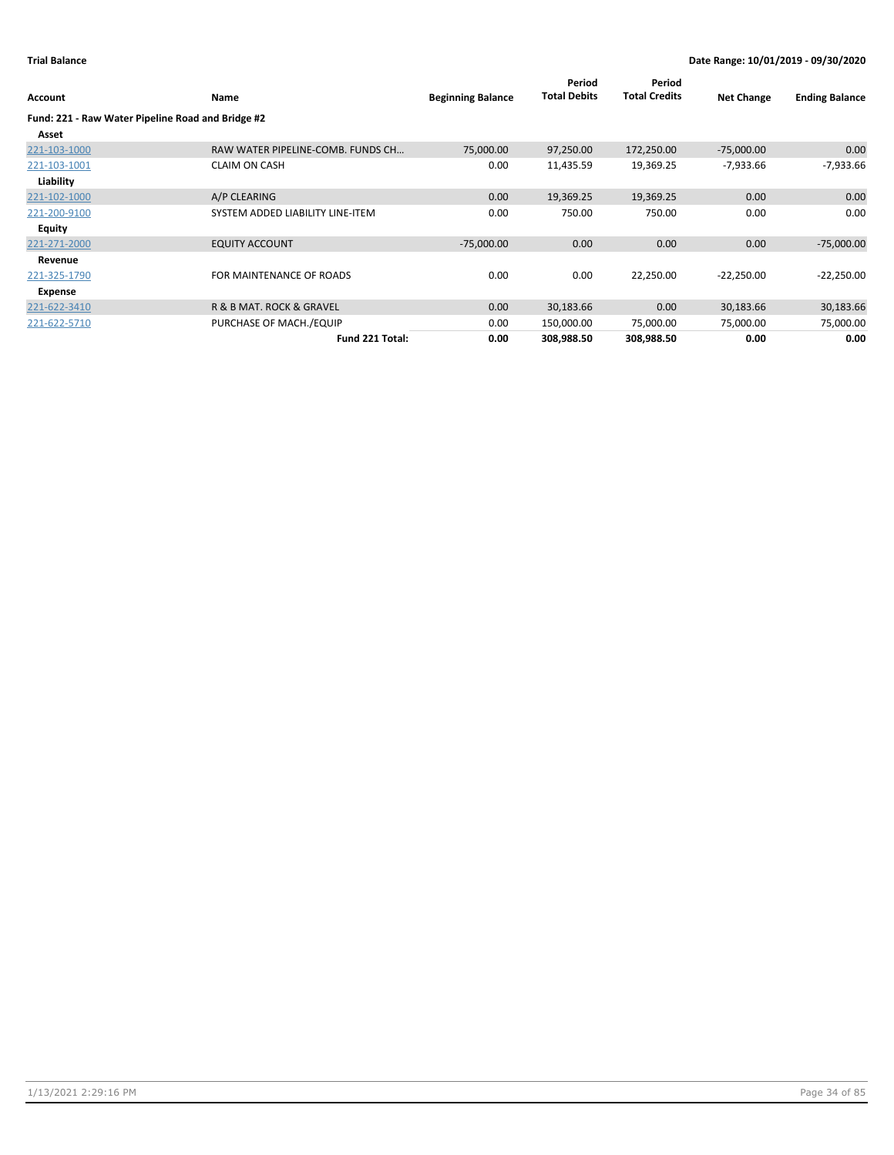| <b>Account</b>                                    | Name                              | <b>Beginning Balance</b> | Period<br><b>Total Debits</b> | Period<br><b>Total Credits</b> | <b>Net Change</b> | <b>Ending Balance</b> |
|---------------------------------------------------|-----------------------------------|--------------------------|-------------------------------|--------------------------------|-------------------|-----------------------|
| Fund: 221 - Raw Water Pipeline Road and Bridge #2 |                                   |                          |                               |                                |                   |                       |
| Asset                                             |                                   |                          |                               |                                |                   |                       |
| 221-103-1000                                      | RAW WATER PIPELINE-COMB. FUNDS CH | 75,000.00                | 97,250.00                     | 172,250.00                     | $-75,000.00$      | 0.00                  |
| 221-103-1001                                      | <b>CLAIM ON CASH</b>              | 0.00                     | 11,435.59                     | 19,369.25                      | $-7,933.66$       | $-7,933.66$           |
| Liability                                         |                                   |                          |                               |                                |                   |                       |
| 221-102-1000                                      | A/P CLEARING                      | 0.00                     | 19,369.25                     | 19,369.25                      | 0.00              | 0.00                  |
| 221-200-9100                                      | SYSTEM ADDED LIABILITY LINE-ITEM  | 0.00                     | 750.00                        | 750.00                         | 0.00              | 0.00                  |
| Equity                                            |                                   |                          |                               |                                |                   |                       |
| 221-271-2000                                      | <b>EQUITY ACCOUNT</b>             | $-75,000.00$             | 0.00                          | 0.00                           | 0.00              | $-75,000.00$          |
| Revenue                                           |                                   |                          |                               |                                |                   |                       |
| 221-325-1790                                      | FOR MAINTENANCE OF ROADS          | 0.00                     | 0.00                          | 22,250.00                      | $-22,250.00$      | $-22,250.00$          |
| Expense                                           |                                   |                          |                               |                                |                   |                       |
| 221-622-3410                                      | R & B MAT. ROCK & GRAVEL          | 0.00                     | 30,183.66                     | 0.00                           | 30,183.66         | 30,183.66             |
| 221-622-5710                                      | PURCHASE OF MACH./EQUIP           | 0.00                     | 150,000.00                    | 75,000.00                      | 75,000.00         | 75,000.00             |
|                                                   | Fund 221 Total:                   | 0.00                     | 308,988.50                    | 308,988.50                     | 0.00              | 0.00                  |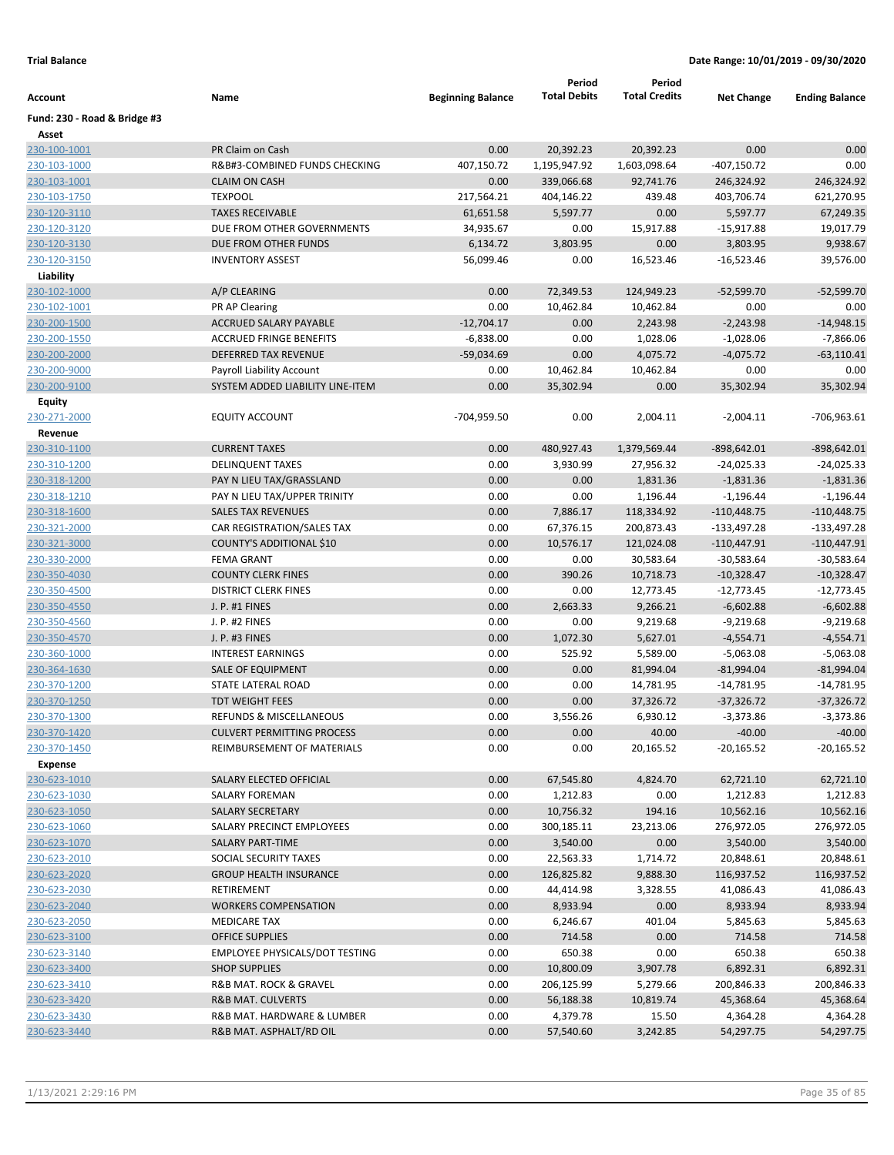|                              |                                       |                          | Period              | Period               |                   |                       |
|------------------------------|---------------------------------------|--------------------------|---------------------|----------------------|-------------------|-----------------------|
| Account                      | Name                                  | <b>Beginning Balance</b> | <b>Total Debits</b> | <b>Total Credits</b> | <b>Net Change</b> | <b>Ending Balance</b> |
| Fund: 230 - Road & Bridge #3 |                                       |                          |                     |                      |                   |                       |
| Asset                        |                                       |                          |                     |                      |                   |                       |
| 230-100-1001                 | PR Claim on Cash                      | 0.00                     | 20,392.23           | 20,392.23            | 0.00              | 0.00                  |
| 230-103-1000                 | R&B#3-COMBINED FUNDS CHECKING         | 407,150.72               | 1,195,947.92        | 1,603,098.64         | $-407,150.72$     | 0.00                  |
| 230-103-1001                 | <b>CLAIM ON CASH</b>                  | 0.00                     | 339,066.68          | 92,741.76            | 246,324.92        | 246,324.92            |
| 230-103-1750                 | <b>TEXPOOL</b>                        | 217,564.21               | 404,146.22          | 439.48               | 403,706.74        | 621,270.95            |
| 230-120-3110                 | <b>TAXES RECEIVABLE</b>               | 61,651.58                | 5,597.77            | 0.00                 | 5,597.77          | 67,249.35             |
| 230-120-3120                 | DUE FROM OTHER GOVERNMENTS            | 34,935.67                | 0.00                | 15,917.88            | $-15,917.88$      | 19,017.79             |
| 230-120-3130                 | DUE FROM OTHER FUNDS                  | 6,134.72                 | 3,803.95            | 0.00                 | 3,803.95          | 9,938.67              |
| 230-120-3150                 | <b>INVENTORY ASSEST</b>               | 56,099.46                | 0.00                | 16,523.46            | $-16,523.46$      | 39,576.00             |
| Liability                    |                                       |                          |                     |                      |                   |                       |
| 230-102-1000                 | A/P CLEARING                          | 0.00                     | 72,349.53           | 124,949.23           | $-52,599.70$      | $-52,599.70$          |
| 230-102-1001                 | PR AP Clearing                        | 0.00                     | 10,462.84           | 10,462.84            | 0.00              | 0.00                  |
| 230-200-1500                 | ACCRUED SALARY PAYABLE                | $-12,704.17$             | 0.00                | 2,243.98             | $-2,243.98$       | $-14,948.15$          |
| 230-200-1550                 | <b>ACCRUED FRINGE BENEFITS</b>        | $-6,838.00$              | 0.00                | 1,028.06             | $-1,028.06$       | $-7,866.06$           |
| 230-200-2000                 | DEFERRED TAX REVENUE                  | $-59,034.69$             | 0.00                | 4,075.72             | $-4,075.72$       | $-63,110.41$          |
| 230-200-9000                 | Payroll Liability Account             | 0.00                     | 10,462.84           | 10,462.84            | 0.00              | 0.00                  |
| 230-200-9100                 | SYSTEM ADDED LIABILITY LINE-ITEM      | 0.00                     | 35,302.94           | 0.00                 | 35,302.94         | 35,302.94             |
| <b>Equity</b>                |                                       |                          |                     |                      |                   |                       |
| 230-271-2000                 | EQUITY ACCOUNT                        | -704,959.50              | 0.00                | 2,004.11             | $-2,004.11$       | $-706,963.61$         |
| Revenue                      |                                       |                          |                     |                      |                   |                       |
| 230-310-1100                 | <b>CURRENT TAXES</b>                  | 0.00                     | 480,927.43          | 1,379,569.44         | -898,642.01       | $-898,642.01$         |
| 230-310-1200                 | <b>DELINQUENT TAXES</b>               | 0.00                     | 3,930.99            | 27,956.32            | $-24,025.33$      | $-24,025.33$          |
| 230-318-1200                 | PAY N LIEU TAX/GRASSLAND              | 0.00                     | 0.00                | 1,831.36             | $-1,831.36$       | $-1,831.36$           |
| 230-318-1210                 | PAY N LIEU TAX/UPPER TRINITY          | 0.00                     | 0.00                | 1,196.44             | $-1,196.44$       | $-1,196.44$           |
| 230-318-1600                 | <b>SALES TAX REVENUES</b>             | 0.00                     | 7,886.17            | 118,334.92           | $-110,448.75$     | $-110,448.75$         |
| 230-321-2000                 | CAR REGISTRATION/SALES TAX            | 0.00                     | 67,376.15           | 200,873.43           | $-133,497.28$     | $-133,497.28$         |
| 230-321-3000                 | COUNTY'S ADDITIONAL \$10              | 0.00                     | 10,576.17           | 121,024.08           | $-110,447.91$     | $-110,447.91$         |
| 230-330-2000                 | <b>FEMA GRANT</b>                     | 0.00                     | 0.00                | 30,583.64            | $-30,583.64$      | $-30,583.64$          |
| 230-350-4030                 | <b>COUNTY CLERK FINES</b>             | 0.00                     | 390.26              | 10,718.73            | $-10,328.47$      | $-10,328.47$          |
| 230-350-4500                 | <b>DISTRICT CLERK FINES</b>           | 0.00                     | 0.00                | 12,773.45            | $-12,773.45$      | $-12,773.45$          |
| 230-350-4550                 | J. P. #1 FINES                        | 0.00                     | 2,663.33            | 9,266.21             | $-6,602.88$       | $-6,602.88$           |
| 230-350-4560                 | J. P. #2 FINES                        | 0.00                     | 0.00                | 9,219.68             | $-9,219.68$       | $-9,219.68$           |
| 230-350-4570                 | J. P. #3 FINES                        | 0.00                     | 1,072.30            | 5,627.01             | $-4,554.71$       | $-4,554.71$           |
| 230-360-1000                 | <b>INTEREST EARNINGS</b>              | 0.00                     | 525.92              | 5,589.00             | $-5,063.08$       | $-5,063.08$           |
| 230-364-1630                 | SALE OF EQUIPMENT                     | 0.00                     | 0.00                | 81,994.04            | $-81,994.04$      | $-81,994.04$          |
| 230-370-1200                 | STATE LATERAL ROAD                    | 0.00                     | 0.00                | 14,781.95            | $-14,781.95$      | $-14,781.95$          |
| 230-370-1250                 | <b>TDT WEIGHT FEES</b>                | 0.00                     | 0.00                | 37,326.72            | $-37,326.72$      | $-37,326.72$          |
| 230-370-1300                 | <b>REFUNDS &amp; MISCELLANEOUS</b>    | 0.00                     | 3,556.26            | 6,930.12             | $-3,373.86$       | $-3,373.86$           |
| 230-370-1420                 | <b>CULVERT PERMITTING PROCESS</b>     | 0.00                     | 0.00                | 40.00                | $-40.00$          | $-40.00$              |
| 230-370-1450                 | REIMBURSEMENT OF MATERIALS            | 0.00                     | 0.00                | 20,165.52            | $-20,165.52$      | $-20,165.52$          |
| Expense                      |                                       |                          |                     |                      |                   |                       |
| 230-623-1010                 | SALARY ELECTED OFFICIAL               | 0.00                     | 67,545.80           | 4,824.70             | 62,721.10         | 62,721.10             |
| 230-623-1030                 | SALARY FOREMAN                        | 0.00                     | 1,212.83            | 0.00                 | 1,212.83          | 1,212.83              |
| 230-623-1050                 | <b>SALARY SECRETARY</b>               | 0.00                     | 10,756.32           | 194.16               | 10,562.16         | 10,562.16             |
| 230-623-1060                 | SALARY PRECINCT EMPLOYEES             |                          | 300,185.11          | 23,213.06            | 276,972.05        | 276,972.05            |
|                              |                                       | 0.00                     |                     |                      |                   |                       |
| 230-623-1070                 | SALARY PART-TIME                      | 0.00                     | 3,540.00            | 0.00                 | 3,540.00          | 3,540.00              |
| 230-623-2010                 | SOCIAL SECURITY TAXES                 | 0.00                     | 22,563.33           | 1,714.72             | 20,848.61         | 20,848.61             |
| 230-623-2020                 | <b>GROUP HEALTH INSURANCE</b>         | 0.00                     | 126,825.82          | 9,888.30             | 116,937.52        | 116,937.52            |
| 230-623-2030                 | RETIREMENT                            | 0.00                     | 44,414.98           | 3,328.55             | 41,086.43         | 41,086.43             |
| 230-623-2040                 | <b>WORKERS COMPENSATION</b>           | 0.00                     | 8,933.94            | 0.00                 | 8,933.94          | 8,933.94              |
| 230-623-2050                 | <b>MEDICARE TAX</b>                   | 0.00                     | 6,246.67            | 401.04               | 5,845.63          | 5,845.63              |
| 230-623-3100                 | <b>OFFICE SUPPLIES</b>                | 0.00                     | 714.58              | 0.00                 | 714.58            | 714.58                |
| 230-623-3140                 | <b>EMPLOYEE PHYSICALS/DOT TESTING</b> | 0.00                     | 650.38              | 0.00                 | 650.38            | 650.38                |
| 230-623-3400                 | <b>SHOP SUPPLIES</b>                  | 0.00                     | 10,800.09           | 3,907.78             | 6,892.31          | 6,892.31              |
| 230-623-3410                 | R&B MAT. ROCK & GRAVEL                | 0.00                     | 206,125.99          | 5,279.66             | 200,846.33        | 200,846.33            |
| 230-623-3420                 | <b>R&amp;B MAT. CULVERTS</b>          | 0.00                     | 56,188.38           | 10,819.74            | 45,368.64         | 45,368.64             |
| 230-623-3430                 | R&B MAT. HARDWARE & LUMBER            | 0.00                     | 4,379.78            | 15.50                | 4,364.28          | 4,364.28              |
| 230-623-3440                 | R&B MAT. ASPHALT/RD OIL               | 0.00                     | 57,540.60           | 3,242.85             | 54,297.75         | 54,297.75             |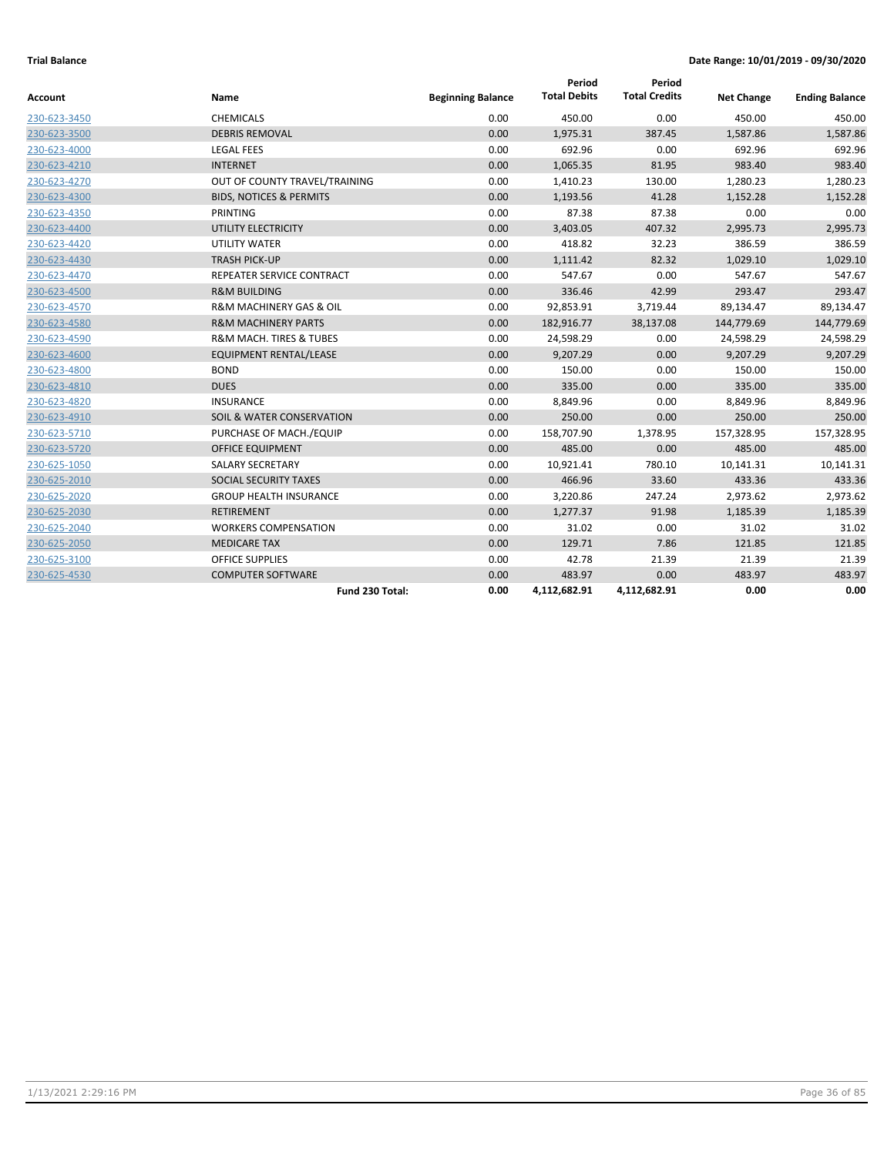| Account      | Name                                   | <b>Beginning Balance</b> | Period<br><b>Total Debits</b> | Period<br><b>Total Credits</b> | <b>Net Change</b> | <b>Ending Balance</b> |
|--------------|----------------------------------------|--------------------------|-------------------------------|--------------------------------|-------------------|-----------------------|
| 230-623-3450 | <b>CHEMICALS</b>                       | 0.00                     | 450.00                        | 0.00                           | 450.00            | 450.00                |
| 230-623-3500 | <b>DEBRIS REMOVAL</b>                  | 0.00                     | 1,975.31                      | 387.45                         | 1,587.86          | 1,587.86              |
| 230-623-4000 | <b>LEGAL FEES</b>                      | 0.00                     | 692.96                        | 0.00                           | 692.96            | 692.96                |
| 230-623-4210 | <b>INTERNET</b>                        | 0.00                     | 1,065.35                      | 81.95                          | 983.40            | 983.40                |
| 230-623-4270 | OUT OF COUNTY TRAVEL/TRAINING          | 0.00                     | 1,410.23                      | 130.00                         | 1,280.23          | 1,280.23              |
| 230-623-4300 | <b>BIDS, NOTICES &amp; PERMITS</b>     | 0.00                     | 1,193.56                      | 41.28                          | 1,152.28          | 1,152.28              |
| 230-623-4350 | <b>PRINTING</b>                        | 0.00                     | 87.38                         | 87.38                          | 0.00              | 0.00                  |
| 230-623-4400 | UTILITY ELECTRICITY                    | 0.00                     | 3,403.05                      | 407.32                         | 2,995.73          | 2,995.73              |
| 230-623-4420 | <b>UTILITY WATER</b>                   | 0.00                     | 418.82                        | 32.23                          | 386.59            | 386.59                |
| 230-623-4430 | <b>TRASH PICK-UP</b>                   | 0.00                     | 1,111.42                      | 82.32                          | 1,029.10          | 1,029.10              |
| 230-623-4470 | REPEATER SERVICE CONTRACT              | 0.00                     | 547.67                        | 0.00                           | 547.67            | 547.67                |
| 230-623-4500 | <b>R&amp;M BUILDING</b>                | 0.00                     | 336.46                        | 42.99                          | 293.47            | 293.47                |
| 230-623-4570 | <b>R&amp;M MACHINERY GAS &amp; OIL</b> | 0.00                     | 92,853.91                     | 3,719.44                       | 89,134.47         | 89,134.47             |
| 230-623-4580 | <b>R&amp;M MACHINERY PARTS</b>         | 0.00                     | 182,916.77                    | 38,137.08                      | 144,779.69        | 144,779.69            |
| 230-623-4590 | <b>R&amp;M MACH. TIRES &amp; TUBES</b> | 0.00                     | 24,598.29                     | 0.00                           | 24,598.29         | 24,598.29             |
| 230-623-4600 | <b>EQUIPMENT RENTAL/LEASE</b>          | 0.00                     | 9,207.29                      | 0.00                           | 9,207.29          | 9,207.29              |
| 230-623-4800 | <b>BOND</b>                            | 0.00                     | 150.00                        | 0.00                           | 150.00            | 150.00                |
| 230-623-4810 | <b>DUES</b>                            | 0.00                     | 335.00                        | 0.00                           | 335.00            | 335.00                |
| 230-623-4820 | <b>INSURANCE</b>                       | 0.00                     | 8,849.96                      | 0.00                           | 8,849.96          | 8,849.96              |
| 230-623-4910 | SOIL & WATER CONSERVATION              | 0.00                     | 250.00                        | 0.00                           | 250.00            | 250.00                |
| 230-623-5710 | PURCHASE OF MACH./EQUIP                | 0.00                     | 158,707.90                    | 1,378.95                       | 157,328.95        | 157,328.95            |
| 230-623-5720 | <b>OFFICE EQUIPMENT</b>                | 0.00                     | 485.00                        | 0.00                           | 485.00            | 485.00                |
| 230-625-1050 | <b>SALARY SECRETARY</b>                | 0.00                     | 10,921.41                     | 780.10                         | 10,141.31         | 10,141.31             |
| 230-625-2010 | SOCIAL SECURITY TAXES                  | 0.00                     | 466.96                        | 33.60                          | 433.36            | 433.36                |
| 230-625-2020 | <b>GROUP HEALTH INSURANCE</b>          | 0.00                     | 3,220.86                      | 247.24                         | 2,973.62          | 2,973.62              |
| 230-625-2030 | <b>RETIREMENT</b>                      | 0.00                     | 1,277.37                      | 91.98                          | 1,185.39          | 1,185.39              |
| 230-625-2040 | <b>WORKERS COMPENSATION</b>            | 0.00                     | 31.02                         | 0.00                           | 31.02             | 31.02                 |
| 230-625-2050 | <b>MEDICARE TAX</b>                    | 0.00                     | 129.71                        | 7.86                           | 121.85            | 121.85                |
| 230-625-3100 | <b>OFFICE SUPPLIES</b>                 | 0.00                     | 42.78                         | 21.39                          | 21.39             | 21.39                 |
| 230-625-4530 | <b>COMPUTER SOFTWARE</b>               | 0.00                     | 483.97                        | 0.00                           | 483.97            | 483.97                |
|              | Fund 230 Total:                        | 0.00                     | 4,112,682.91                  | 4,112,682.91                   | 0.00              | 0.00                  |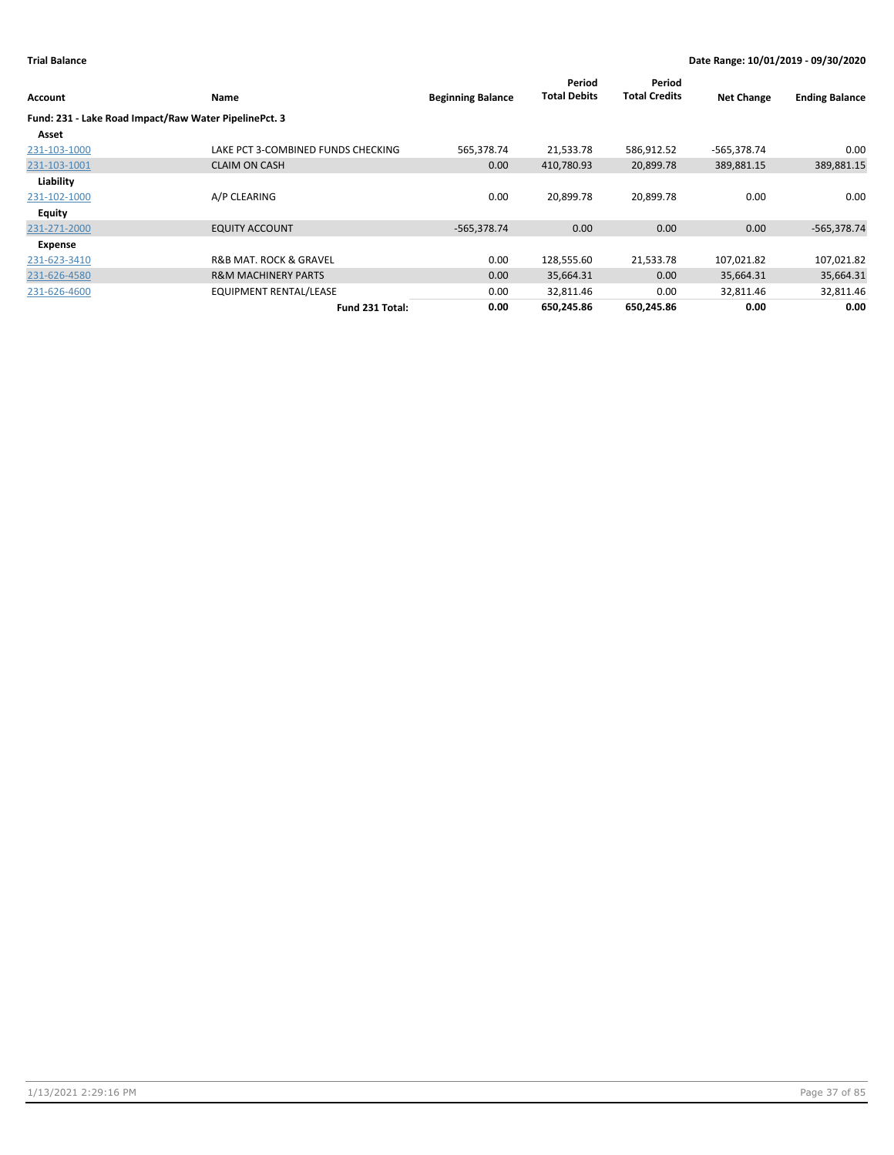| Account        | <b>Name</b>                                           | <b>Beginning Balance</b> | Period<br><b>Total Debits</b> | Period<br><b>Total Credits</b> | <b>Net Change</b> | <b>Ending Balance</b> |
|----------------|-------------------------------------------------------|--------------------------|-------------------------------|--------------------------------|-------------------|-----------------------|
|                | Fund: 231 - Lake Road Impact/Raw Water PipelinePct. 3 |                          |                               |                                |                   |                       |
| Asset          |                                                       |                          |                               |                                |                   |                       |
| 231-103-1000   | LAKE PCT 3-COMBINED FUNDS CHECKING                    | 565,378.74               | 21,533.78                     | 586,912.52                     | -565,378.74       | 0.00                  |
| 231-103-1001   | <b>CLAIM ON CASH</b>                                  | 0.00                     | 410,780.93                    | 20,899.78                      | 389,881.15        | 389,881.15            |
| Liability      |                                                       |                          |                               |                                |                   |                       |
| 231-102-1000   | A/P CLEARING                                          | 0.00                     | 20,899.78                     | 20,899.78                      | 0.00              | 0.00                  |
| Equity         |                                                       |                          |                               |                                |                   |                       |
| 231-271-2000   | <b>EQUITY ACCOUNT</b>                                 | $-565,378.74$            | 0.00                          | 0.00                           | 0.00              | $-565,378.74$         |
| <b>Expense</b> |                                                       |                          |                               |                                |                   |                       |
| 231-623-3410   | <b>R&amp;B MAT. ROCK &amp; GRAVEL</b>                 | 0.00                     | 128,555.60                    | 21,533.78                      | 107,021.82        | 107,021.82            |
| 231-626-4580   | <b>R&amp;M MACHINERY PARTS</b>                        | 0.00                     | 35,664.31                     | 0.00                           | 35,664.31         | 35,664.31             |
| 231-626-4600   | <b>EQUIPMENT RENTAL/LEASE</b>                         | 0.00                     | 32,811.46                     | 0.00                           | 32,811.46         | 32,811.46             |
|                | Fund 231 Total:                                       | 0.00                     | 650,245.86                    | 650,245.86                     | 0.00              | 0.00                  |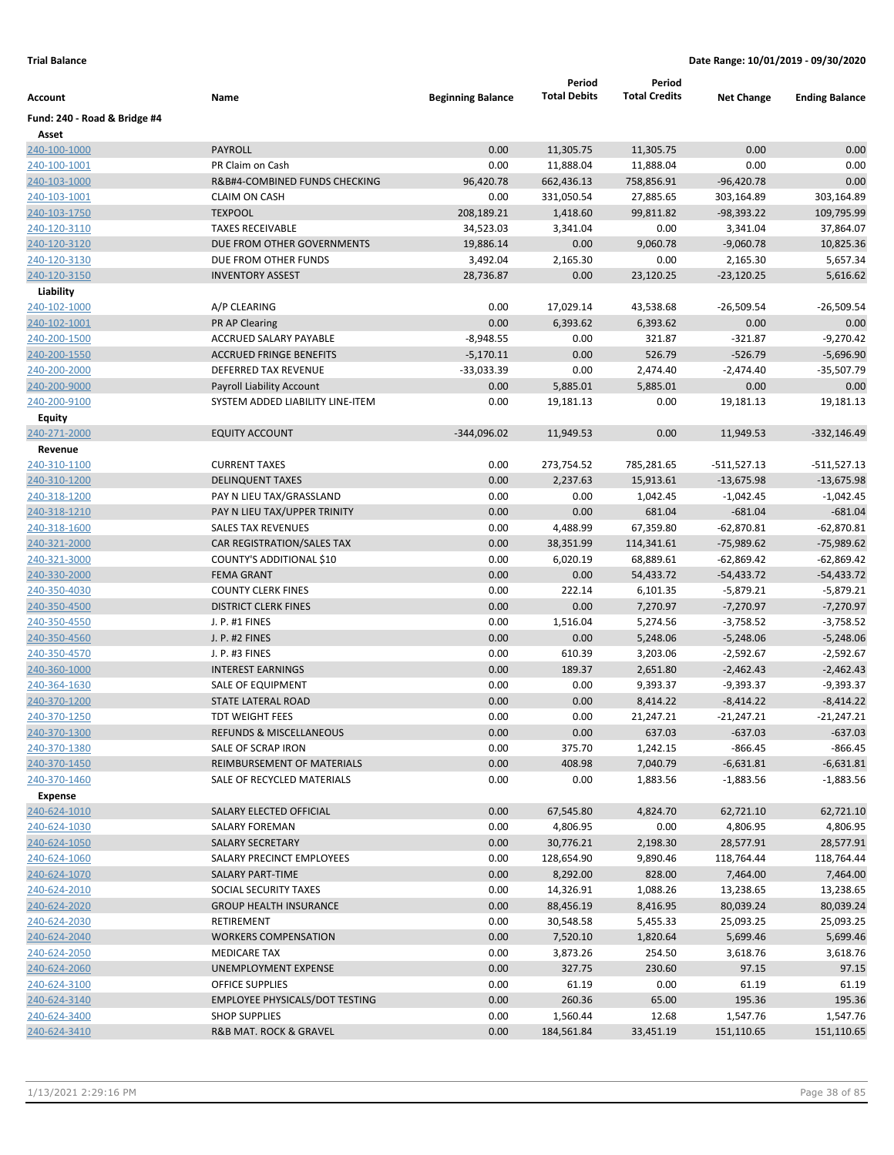|                              |                                       |                          | Period              | Period               |                   |                       |
|------------------------------|---------------------------------------|--------------------------|---------------------|----------------------|-------------------|-----------------------|
| Account                      | Name                                  | <b>Beginning Balance</b> | <b>Total Debits</b> | <b>Total Credits</b> | <b>Net Change</b> | <b>Ending Balance</b> |
| Fund: 240 - Road & Bridge #4 |                                       |                          |                     |                      |                   |                       |
| Asset                        |                                       |                          |                     |                      |                   |                       |
| 240-100-1000                 | PAYROLL                               | 0.00                     | 11,305.75           | 11,305.75            | 0.00              | 0.00                  |
| <u>240-100-1001</u>          | PR Claim on Cash                      | 0.00                     | 11,888.04           | 11,888.04            | 0.00              | 0.00                  |
| 240-103-1000                 | R&B#4-COMBINED FUNDS CHECKING         | 96,420.78                | 662,436.13          | 758,856.91           | $-96,420.78$      | 0.00                  |
| 240-103-1001                 | <b>CLAIM ON CASH</b>                  | 0.00                     | 331,050.54          | 27,885.65            | 303,164.89        | 303,164.89            |
| 240-103-1750                 | <b>TEXPOOL</b>                        | 208,189.21               | 1,418.60            | 99,811.82            | $-98,393.22$      | 109,795.99            |
| 240-120-3110                 | <b>TAXES RECEIVABLE</b>               | 34,523.03                | 3,341.04            | 0.00                 | 3,341.04          | 37,864.07             |
| 240-120-3120                 | DUE FROM OTHER GOVERNMENTS            | 19,886.14                | 0.00                | 9,060.78             | $-9,060.78$       | 10,825.36             |
| 240-120-3130                 | DUE FROM OTHER FUNDS                  | 3,492.04                 | 2,165.30            | 0.00                 | 2,165.30          | 5,657.34              |
| 240-120-3150                 | <b>INVENTORY ASSEST</b>               | 28,736.87                | 0.00                | 23,120.25            | $-23,120.25$      | 5,616.62              |
| Liability                    |                                       |                          |                     |                      |                   |                       |
| 240-102-1000                 | A/P CLEARING                          | 0.00                     | 17,029.14           | 43,538.68            | $-26,509.54$      | $-26,509.54$          |
| 240-102-1001                 | <b>PR AP Clearing</b>                 | 0.00                     | 6,393.62            | 6,393.62             | 0.00              | 0.00                  |
| 240-200-1500                 | ACCRUED SALARY PAYABLE                | $-8,948.55$              | 0.00                | 321.87               | $-321.87$         | $-9,270.42$           |
| 240-200-1550                 | <b>ACCRUED FRINGE BENEFITS</b>        | $-5,170.11$              | 0.00                | 526.79               | $-526.79$         | $-5,696.90$           |
| 240-200-2000                 | DEFERRED TAX REVENUE                  | -33,033.39               | 0.00                | 2,474.40             | $-2,474.40$       | $-35,507.79$          |
| 240-200-9000                 | <b>Payroll Liability Account</b>      | 0.00                     | 5,885.01            | 5,885.01             | 0.00              | 0.00                  |
| 240-200-9100                 | SYSTEM ADDED LIABILITY LINE-ITEM      | 0.00                     | 19,181.13           | 0.00                 | 19,181.13         | 19,181.13             |
| <b>Equity</b>                |                                       |                          |                     |                      |                   |                       |
| 240-271-2000                 | <b>EQUITY ACCOUNT</b>                 | $-344,096.02$            | 11,949.53           | 0.00                 | 11,949.53         | $-332,146.49$         |
| Revenue                      |                                       |                          |                     |                      |                   |                       |
| 240-310-1100                 | <b>CURRENT TAXES</b>                  | 0.00                     | 273,754.52          | 785,281.65           | -511,527.13       | $-511,527.13$         |
| 240-310-1200                 | <b>DELINQUENT TAXES</b>               | 0.00                     | 2,237.63            | 15,913.61            | $-13,675.98$      | $-13,675.98$          |
| 240-318-1200                 | PAY N LIEU TAX/GRASSLAND              | 0.00                     | 0.00                | 1,042.45             | $-1,042.45$       | $-1,042.45$           |
| 240-318-1210                 | PAY N LIEU TAX/UPPER TRINITY          | 0.00                     | 0.00                | 681.04               | $-681.04$         | $-681.04$             |
| 240-318-1600                 | <b>SALES TAX REVENUES</b>             | 0.00                     | 4,488.99            | 67,359.80            | $-62,870.81$      | $-62,870.81$          |
| 240-321-2000                 | CAR REGISTRATION/SALES TAX            | 0.00                     | 38,351.99           | 114,341.61           | $-75,989.62$      | $-75,989.62$          |
| 240-321-3000                 | COUNTY'S ADDITIONAL \$10              | 0.00                     | 6,020.19            | 68,889.61            | $-62,869.42$      | $-62,869.42$          |
| 240-330-2000                 | <b>FEMA GRANT</b>                     | 0.00                     | 0.00                | 54,433.72            | $-54,433.72$      | $-54,433.72$          |
| 240-350-4030                 | <b>COUNTY CLERK FINES</b>             | 0.00                     | 222.14              | 6,101.35             | $-5,879.21$       | $-5,879.21$           |
| 240-350-4500                 | <b>DISTRICT CLERK FINES</b>           | 0.00                     | 0.00                | 7,270.97             | $-7,270.97$       | $-7,270.97$           |
| 240-350-4550                 | J. P. #1 FINES                        | 0.00                     | 1,516.04            | 5,274.56             | $-3,758.52$       | $-3,758.52$           |
| 240-350-4560                 | J. P. #2 FINES                        | 0.00                     | 0.00                | 5,248.06             | $-5,248.06$       | $-5,248.06$           |
| 240-350-4570                 | J. P. #3 FINES                        | 0.00                     | 610.39              | 3,203.06             | $-2,592.67$       | $-2,592.67$           |
| 240-360-1000                 | <b>INTEREST EARNINGS</b>              | 0.00                     | 189.37              | 2,651.80             | $-2,462.43$       | $-2,462.43$           |
| 240-364-1630                 | SALE OF EQUIPMENT                     | 0.00                     | 0.00                | 9,393.37             | $-9,393.37$       | $-9,393.37$           |
| 240-370-1200                 | STATE LATERAL ROAD                    | 0.00                     | 0.00                | 8,414.22             | $-8,414.22$       | $-8,414.22$           |
| 240-370-1250                 | <b>TDT WEIGHT FEES</b>                | 0.00                     | 0.00                | 21,247.21            | -21,247.21        | $-21,247.21$          |
| 240-370-1300                 | REFUNDS & MISCELLANEOUS               | 0.00                     | 0.00                | 637.03               | $-637.03$         | $-637.03$             |
| 240-370-1380                 | SALE OF SCRAP IRON                    | 0.00                     | 375.70              | 1,242.15             | -866.45           | $-866.45$             |
| 240-370-1450                 | REIMBURSEMENT OF MATERIALS            | 0.00                     | 408.98              | 7,040.79             | $-6,631.81$       | $-6,631.81$           |
| 240-370-1460                 | SALE OF RECYCLED MATERIALS            | 0.00                     | 0.00                | 1,883.56             | $-1,883.56$       | $-1,883.56$           |
| Expense                      |                                       |                          |                     |                      |                   |                       |
| 240-624-1010                 | SALARY ELECTED OFFICIAL               | 0.00                     | 67,545.80           | 4,824.70             | 62,721.10         | 62,721.10             |
| 240-624-1030                 | <b>SALARY FOREMAN</b>                 | 0.00                     | 4,806.95            | 0.00                 | 4,806.95          | 4,806.95              |
| 240-624-1050                 | SALARY SECRETARY                      | 0.00                     | 30,776.21           | 2,198.30             | 28,577.91         | 28,577.91             |
| 240-624-1060                 | SALARY PRECINCT EMPLOYEES             | 0.00                     | 128,654.90          | 9,890.46             | 118,764.44        | 118,764.44            |
| 240-624-1070                 | SALARY PART-TIME                      | 0.00                     | 8,292.00            | 828.00               | 7,464.00          | 7,464.00              |
| 240-624-2010                 | SOCIAL SECURITY TAXES                 | 0.00                     | 14,326.91           | 1,088.26             | 13,238.65         | 13,238.65             |
| 240-624-2020                 | <b>GROUP HEALTH INSURANCE</b>         | 0.00                     | 88,456.19           | 8,416.95             | 80,039.24         | 80,039.24             |
| 240-624-2030                 | RETIREMENT                            | 0.00                     | 30,548.58           | 5,455.33             | 25,093.25         | 25,093.25             |
| 240-624-2040                 | <b>WORKERS COMPENSATION</b>           | 0.00                     | 7,520.10            | 1,820.64             | 5,699.46          | 5,699.46              |
| 240-624-2050                 | MEDICARE TAX                          | 0.00                     | 3,873.26            | 254.50               | 3,618.76          | 3,618.76              |
| 240-624-2060                 | UNEMPLOYMENT EXPENSE                  | 0.00                     | 327.75              | 230.60               | 97.15             | 97.15                 |
| 240-624-3100                 | <b>OFFICE SUPPLIES</b>                | 0.00                     | 61.19               | 0.00                 | 61.19             | 61.19                 |
| 240-624-3140                 | <b>EMPLOYEE PHYSICALS/DOT TESTING</b> | 0.00                     | 260.36              | 65.00                | 195.36            | 195.36                |
| 240-624-3400                 | <b>SHOP SUPPLIES</b>                  | 0.00                     | 1,560.44            | 12.68                | 1,547.76          | 1,547.76              |
| 240-624-3410                 | R&B MAT. ROCK & GRAVEL                | 0.00                     | 184,561.84          | 33,451.19            | 151,110.65        | 151,110.65            |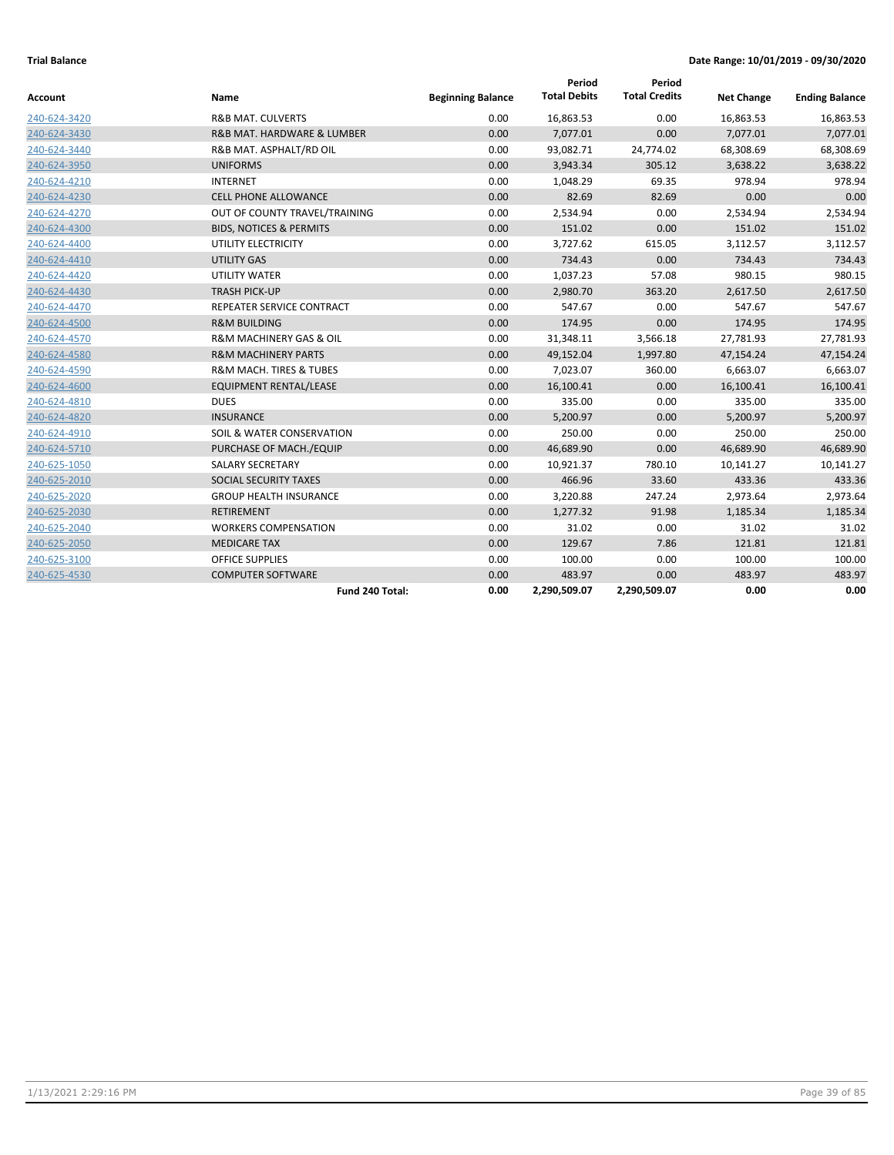| Account      | Name                                   | <b>Beginning Balance</b> | Period<br><b>Total Debits</b> | Period<br><b>Total Credits</b> | <b>Net Change</b> | <b>Ending Balance</b> |
|--------------|----------------------------------------|--------------------------|-------------------------------|--------------------------------|-------------------|-----------------------|
| 240-624-3420 | <b>R&amp;B MAT. CULVERTS</b>           | 0.00                     | 16,863.53                     | 0.00                           | 16,863.53         | 16,863.53             |
| 240-624-3430 | R&B MAT. HARDWARE & LUMBER             | 0.00                     | 7,077.01                      | 0.00                           | 7,077.01          | 7,077.01              |
| 240-624-3440 | R&B MAT. ASPHALT/RD OIL                | 0.00                     | 93,082.71                     | 24,774.02                      | 68,308.69         | 68,308.69             |
| 240-624-3950 | <b>UNIFORMS</b>                        | 0.00                     | 3,943.34                      | 305.12                         | 3,638.22          | 3,638.22              |
| 240-624-4210 | <b>INTERNET</b>                        | 0.00                     | 1,048.29                      | 69.35                          | 978.94            | 978.94                |
| 240-624-4230 | <b>CELL PHONE ALLOWANCE</b>            | 0.00                     | 82.69                         | 82.69                          | 0.00              | 0.00                  |
| 240-624-4270 | OUT OF COUNTY TRAVEL/TRAINING          | 0.00                     | 2,534.94                      | 0.00                           | 2,534.94          | 2,534.94              |
| 240-624-4300 | <b>BIDS, NOTICES &amp; PERMITS</b>     | 0.00                     | 151.02                        | 0.00                           | 151.02            | 151.02                |
| 240-624-4400 | UTILITY ELECTRICITY                    | 0.00                     | 3,727.62                      | 615.05                         | 3,112.57          | 3,112.57              |
| 240-624-4410 | <b>UTILITY GAS</b>                     | 0.00                     | 734.43                        | 0.00                           | 734.43            | 734.43                |
| 240-624-4420 | UTILITY WATER                          | 0.00                     | 1,037.23                      | 57.08                          | 980.15            | 980.15                |
| 240-624-4430 | <b>TRASH PICK-UP</b>                   | 0.00                     | 2,980.70                      | 363.20                         | 2,617.50          | 2,617.50              |
| 240-624-4470 | REPEATER SERVICE CONTRACT              | 0.00                     | 547.67                        | 0.00                           | 547.67            | 547.67                |
| 240-624-4500 | <b>R&amp;M BUILDING</b>                | 0.00                     | 174.95                        | 0.00                           | 174.95            | 174.95                |
| 240-624-4570 | <b>R&amp;M MACHINERY GAS &amp; OIL</b> | 0.00                     | 31,348.11                     | 3,566.18                       | 27,781.93         | 27,781.93             |
| 240-624-4580 | <b>R&amp;M MACHINERY PARTS</b>         | 0.00                     | 49,152.04                     | 1,997.80                       | 47,154.24         | 47,154.24             |
| 240-624-4590 | <b>R&amp;M MACH. TIRES &amp; TUBES</b> | 0.00                     | 7,023.07                      | 360.00                         | 6,663.07          | 6,663.07              |
| 240-624-4600 | <b>EQUIPMENT RENTAL/LEASE</b>          | 0.00                     | 16,100.41                     | 0.00                           | 16,100.41         | 16,100.41             |
| 240-624-4810 | <b>DUES</b>                            | 0.00                     | 335.00                        | 0.00                           | 335.00            | 335.00                |
| 240-624-4820 | <b>INSURANCE</b>                       | 0.00                     | 5,200.97                      | 0.00                           | 5,200.97          | 5,200.97              |
| 240-624-4910 | SOIL & WATER CONSERVATION              | 0.00                     | 250.00                        | 0.00                           | 250.00            | 250.00                |
| 240-624-5710 | PURCHASE OF MACH./EQUIP                | 0.00                     | 46,689.90                     | 0.00                           | 46,689.90         | 46,689.90             |
| 240-625-1050 | SALARY SECRETARY                       | 0.00                     | 10,921.37                     | 780.10                         | 10,141.27         | 10,141.27             |
| 240-625-2010 | SOCIAL SECURITY TAXES                  | 0.00                     | 466.96                        | 33.60                          | 433.36            | 433.36                |
| 240-625-2020 | <b>GROUP HEALTH INSURANCE</b>          | 0.00                     | 3,220.88                      | 247.24                         | 2,973.64          | 2,973.64              |
| 240-625-2030 | <b>RETIREMENT</b>                      | 0.00                     | 1,277.32                      | 91.98                          | 1,185.34          | 1,185.34              |
| 240-625-2040 | <b>WORKERS COMPENSATION</b>            | 0.00                     | 31.02                         | 0.00                           | 31.02             | 31.02                 |
| 240-625-2050 | <b>MEDICARE TAX</b>                    | 0.00                     | 129.67                        | 7.86                           | 121.81            | 121.81                |
| 240-625-3100 | <b>OFFICE SUPPLIES</b>                 | 0.00                     | 100.00                        | 0.00                           | 100.00            | 100.00                |
| 240-625-4530 | <b>COMPUTER SOFTWARE</b>               | 0.00                     | 483.97                        | 0.00                           | 483.97            | 483.97                |
|              | Fund 240 Total:                        | 0.00                     | 2,290,509.07                  | 2,290,509.07                   | 0.00              | 0.00                  |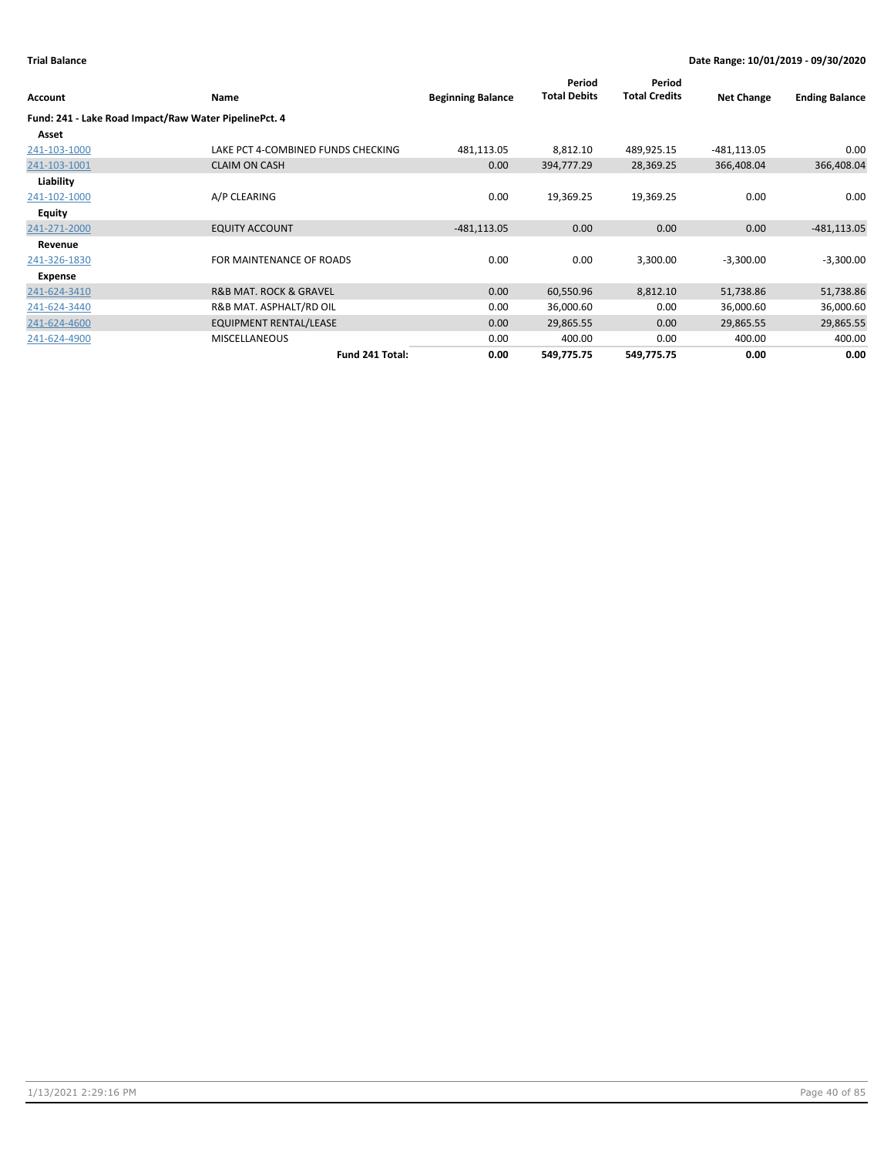|                                                       |                                       |                          | Period              | Period               |                   |                       |
|-------------------------------------------------------|---------------------------------------|--------------------------|---------------------|----------------------|-------------------|-----------------------|
| Account                                               | Name                                  | <b>Beginning Balance</b> | <b>Total Debits</b> | <b>Total Credits</b> | <b>Net Change</b> | <b>Ending Balance</b> |
| Fund: 241 - Lake Road Impact/Raw Water PipelinePct. 4 |                                       |                          |                     |                      |                   |                       |
| Asset                                                 |                                       |                          |                     |                      |                   |                       |
| 241-103-1000                                          | LAKE PCT 4-COMBINED FUNDS CHECKING    | 481,113.05               | 8,812.10            | 489,925.15           | $-481,113.05$     | 0.00                  |
| 241-103-1001                                          | <b>CLAIM ON CASH</b>                  | 0.00                     | 394,777.29          | 28,369.25            | 366,408.04        | 366,408.04            |
| Liability                                             |                                       |                          |                     |                      |                   |                       |
| 241-102-1000                                          | A/P CLEARING                          | 0.00                     | 19,369.25           | 19,369.25            | 0.00              | 0.00                  |
| Equity                                                |                                       |                          |                     |                      |                   |                       |
| 241-271-2000                                          | <b>EQUITY ACCOUNT</b>                 | $-481, 113.05$           | 0.00                | 0.00                 | 0.00              | $-481, 113.05$        |
| Revenue                                               |                                       |                          |                     |                      |                   |                       |
| 241-326-1830                                          | FOR MAINTENANCE OF ROADS              | 0.00                     | 0.00                | 3,300.00             | $-3,300.00$       | $-3,300.00$           |
| <b>Expense</b>                                        |                                       |                          |                     |                      |                   |                       |
| 241-624-3410                                          | <b>R&amp;B MAT. ROCK &amp; GRAVEL</b> | 0.00                     | 60,550.96           | 8,812.10             | 51,738.86         | 51,738.86             |
| 241-624-3440                                          | R&B MAT. ASPHALT/RD OIL               | 0.00                     | 36,000.60           | 0.00                 | 36,000.60         | 36,000.60             |
| 241-624-4600                                          | <b>EQUIPMENT RENTAL/LEASE</b>         | 0.00                     | 29,865.55           | 0.00                 | 29,865.55         | 29,865.55             |
| 241-624-4900                                          | <b>MISCELLANEOUS</b>                  | 0.00                     | 400.00              | 0.00                 | 400.00            | 400.00                |
|                                                       | Fund 241 Total:                       | 0.00                     | 549,775.75          | 549,775.75           | 0.00              | 0.00                  |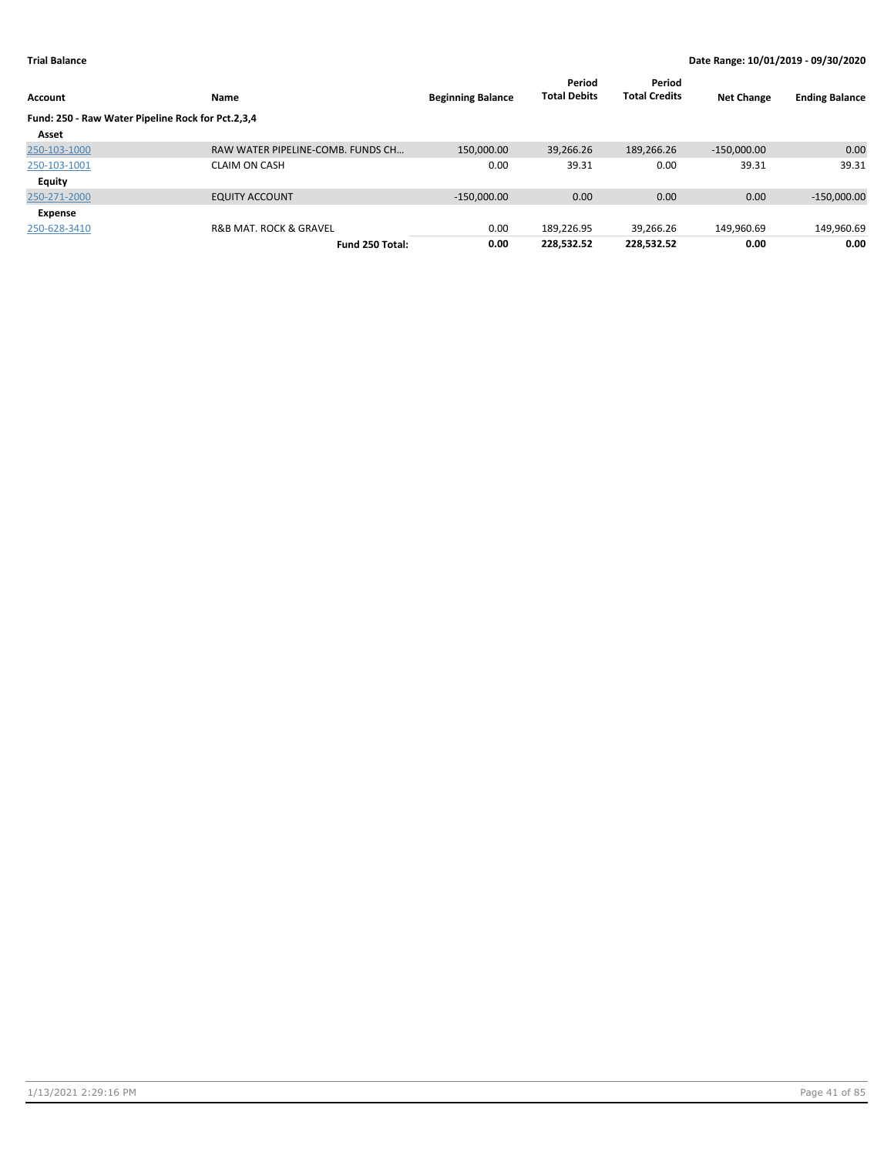| Account                                           | Name                                  | <b>Beginning Balance</b> | Period<br><b>Total Debits</b> | Period<br><b>Total Credits</b> | <b>Net Change</b> | <b>Ending Balance</b> |
|---------------------------------------------------|---------------------------------------|--------------------------|-------------------------------|--------------------------------|-------------------|-----------------------|
| Fund: 250 - Raw Water Pipeline Rock for Pct.2,3,4 |                                       |                          |                               |                                |                   |                       |
| Asset                                             |                                       |                          |                               |                                |                   |                       |
| 250-103-1000                                      | RAW WATER PIPELINE-COMB. FUNDS CH     | 150.000.00               | 39.266.26                     | 189,266.26                     | $-150,000.00$     | 0.00                  |
| 250-103-1001                                      | <b>CLAIM ON CASH</b>                  | 0.00                     | 39.31                         | 0.00                           | 39.31             | 39.31                 |
| <b>Equity</b>                                     |                                       |                          |                               |                                |                   |                       |
| 250-271-2000                                      | <b>EQUITY ACCOUNT</b>                 | $-150.000.00$            | 0.00                          | 0.00                           | 0.00              | $-150,000.00$         |
| Expense                                           |                                       |                          |                               |                                |                   |                       |
| 250-628-3410                                      | <b>R&amp;B MAT, ROCK &amp; GRAVEL</b> | 0.00                     | 189.226.95                    | 39.266.26                      | 149,960.69        | 149,960.69            |
|                                                   | Fund 250 Total:                       | 0.00                     | 228,532.52                    | 228,532.52                     | 0.00              | 0.00                  |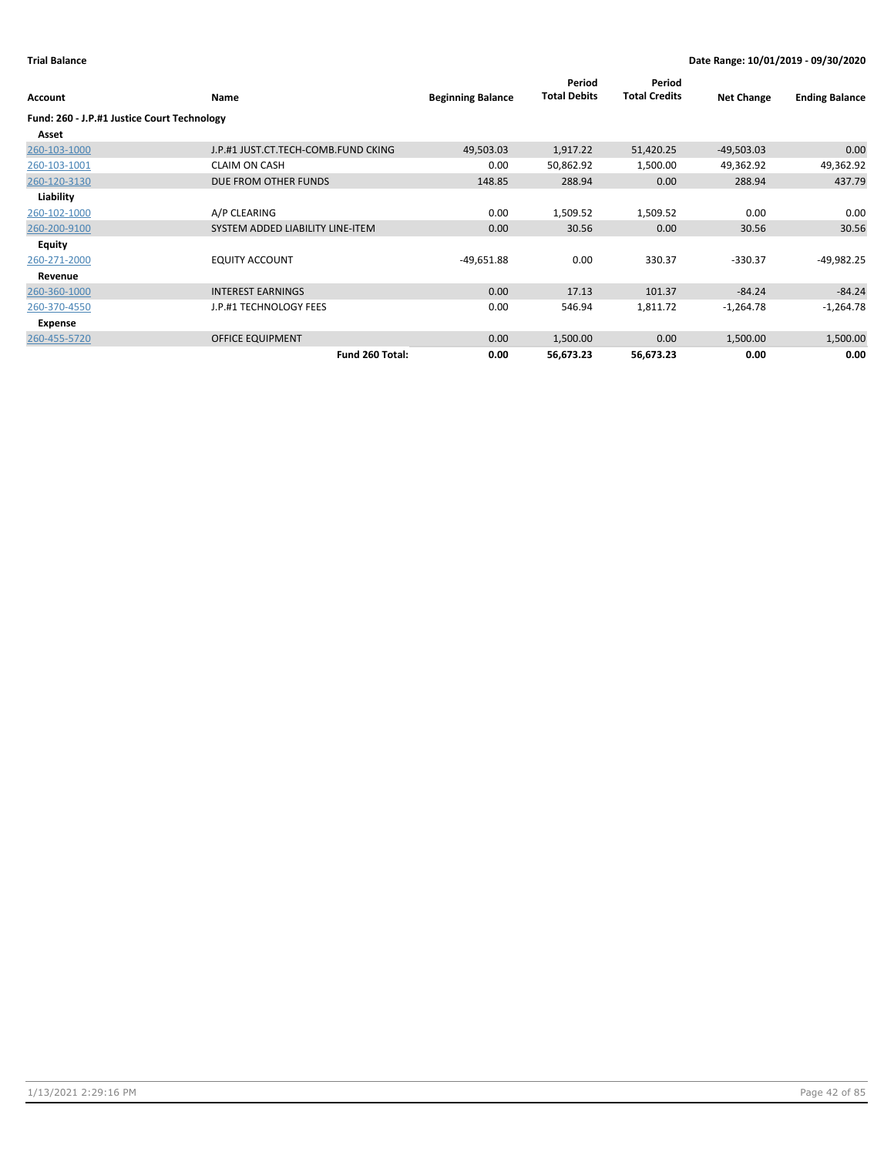| Account                                     | Name                                | <b>Beginning Balance</b> | Period<br><b>Total Debits</b> | Period<br><b>Total Credits</b> | <b>Net Change</b> | <b>Ending Balance</b> |
|---------------------------------------------|-------------------------------------|--------------------------|-------------------------------|--------------------------------|-------------------|-----------------------|
| Fund: 260 - J.P.#1 Justice Court Technology |                                     |                          |                               |                                |                   |                       |
| Asset                                       |                                     |                          |                               |                                |                   |                       |
| 260-103-1000                                | J.P.#1 JUST.CT.TECH-COMB.FUND CKING | 49,503.03                | 1,917.22                      | 51,420.25                      | $-49,503.03$      | 0.00                  |
| 260-103-1001                                | <b>CLAIM ON CASH</b>                | 0.00                     | 50,862.92                     | 1,500.00                       | 49,362.92         | 49,362.92             |
| 260-120-3130                                | DUE FROM OTHER FUNDS                | 148.85                   | 288.94                        | 0.00                           | 288.94            | 437.79                |
| Liability                                   |                                     |                          |                               |                                |                   |                       |
| 260-102-1000                                | A/P CLEARING                        | 0.00                     | 1,509.52                      | 1,509.52                       | 0.00              | 0.00                  |
| 260-200-9100                                | SYSTEM ADDED LIABILITY LINE-ITEM    | 0.00                     | 30.56                         | 0.00                           | 30.56             | 30.56                 |
| <b>Equity</b>                               |                                     |                          |                               |                                |                   |                       |
| 260-271-2000                                | <b>EQUITY ACCOUNT</b>               | $-49,651.88$             | 0.00                          | 330.37                         | $-330.37$         | $-49,982.25$          |
| Revenue                                     |                                     |                          |                               |                                |                   |                       |
| 260-360-1000                                | <b>INTEREST EARNINGS</b>            | 0.00                     | 17.13                         | 101.37                         | $-84.24$          | $-84.24$              |
| 260-370-4550                                | J.P.#1 TECHNOLOGY FEES              | 0.00                     | 546.94                        | 1,811.72                       | $-1,264.78$       | $-1,264.78$           |
| Expense                                     |                                     |                          |                               |                                |                   |                       |
| 260-455-5720                                | <b>OFFICE EQUIPMENT</b>             | 0.00                     | 1,500.00                      | 0.00                           | 1,500.00          | 1,500.00              |
|                                             | Fund 260 Total:                     | 0.00                     | 56,673.23                     | 56,673.23                      | 0.00              | 0.00                  |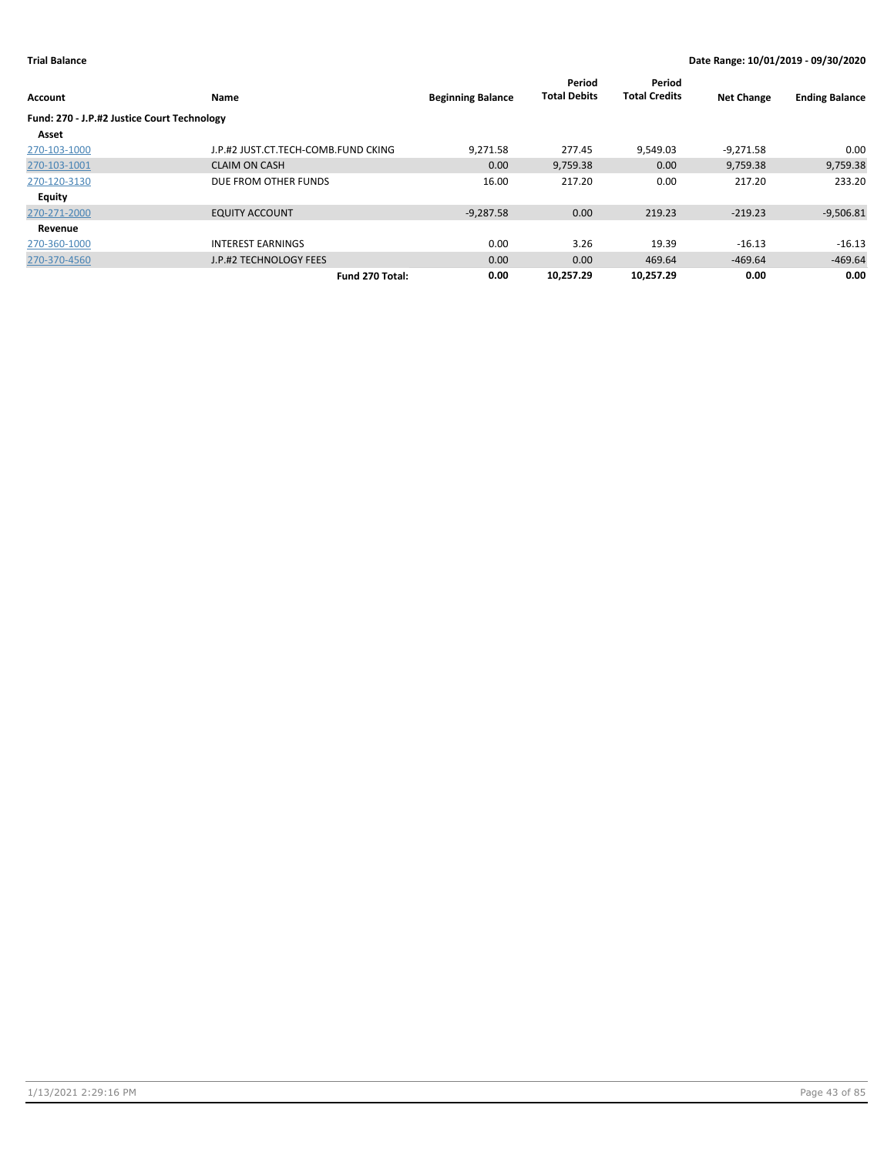| Account                                     | Name                                | <b>Beginning Balance</b> | Period<br><b>Total Debits</b> | Period<br><b>Total Credits</b> | <b>Net Change</b> | <b>Ending Balance</b> |
|---------------------------------------------|-------------------------------------|--------------------------|-------------------------------|--------------------------------|-------------------|-----------------------|
| Fund: 270 - J.P.#2 Justice Court Technology |                                     |                          |                               |                                |                   |                       |
| Asset                                       |                                     |                          |                               |                                |                   |                       |
| 270-103-1000                                | J.P.#2 JUST.CT.TECH-COMB.FUND CKING | 9.271.58                 | 277.45                        | 9,549.03                       | $-9,271.58$       | 0.00                  |
| 270-103-1001                                | <b>CLAIM ON CASH</b>                | 0.00                     | 9,759.38                      | 0.00                           | 9,759.38          | 9,759.38              |
| 270-120-3130                                | DUE FROM OTHER FUNDS                | 16.00                    | 217.20                        | 0.00                           | 217.20            | 233.20                |
| <b>Equity</b>                               |                                     |                          |                               |                                |                   |                       |
| 270-271-2000                                | <b>EQUITY ACCOUNT</b>               | $-9,287.58$              | 0.00                          | 219.23                         | $-219.23$         | $-9,506.81$           |
| Revenue                                     |                                     |                          |                               |                                |                   |                       |
| 270-360-1000                                | <b>INTEREST EARNINGS</b>            | 0.00                     | 3.26                          | 19.39                          | $-16.13$          | $-16.13$              |
| 270-370-4560                                | J.P.#2 TECHNOLOGY FEES              | 0.00                     | 0.00                          | 469.64                         | $-469.64$         | $-469.64$             |
|                                             | Fund 270 Total:                     | 0.00                     | 10.257.29                     | 10.257.29                      | 0.00              | 0.00                  |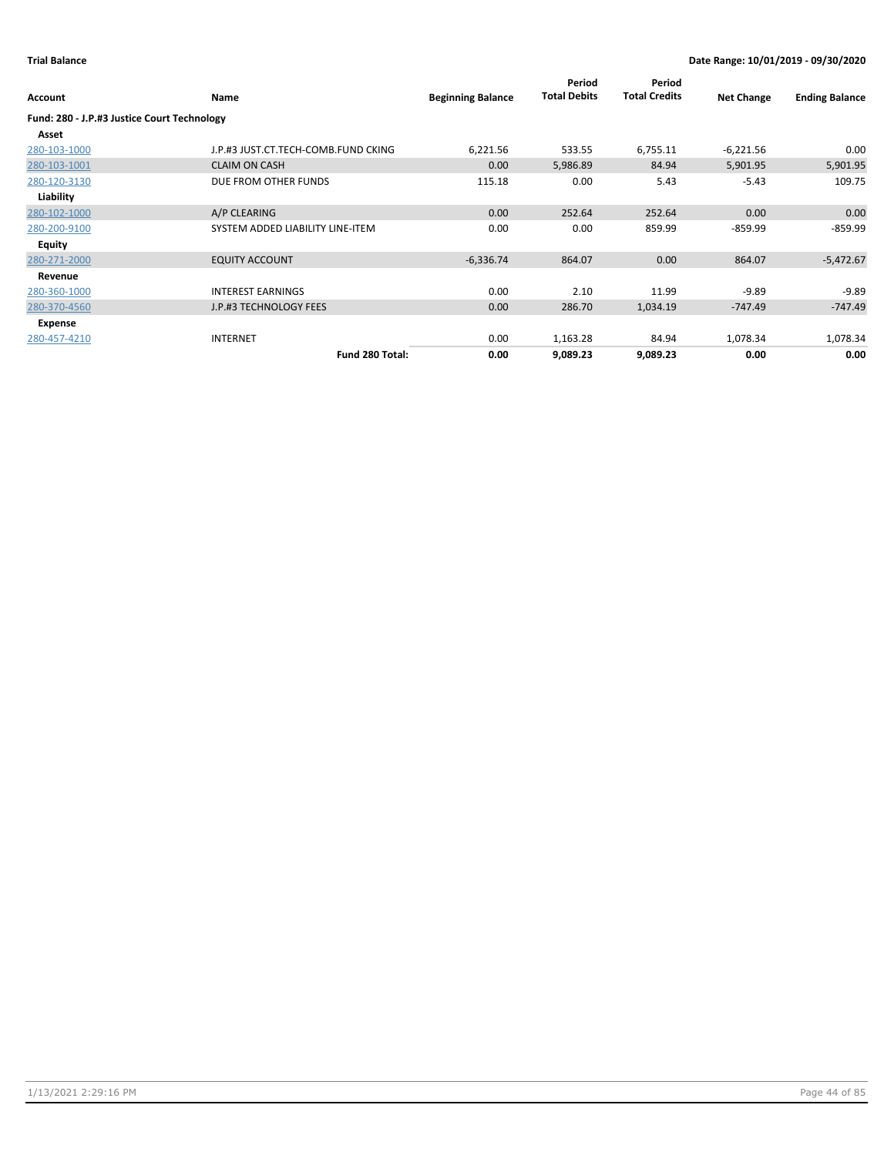| Account                                     | Name                                | <b>Beginning Balance</b> | Period<br><b>Total Debits</b> | Period<br><b>Total Credits</b> | <b>Net Change</b> | <b>Ending Balance</b> |
|---------------------------------------------|-------------------------------------|--------------------------|-------------------------------|--------------------------------|-------------------|-----------------------|
| Fund: 280 - J.P.#3 Justice Court Technology |                                     |                          |                               |                                |                   |                       |
| Asset                                       |                                     |                          |                               |                                |                   |                       |
| 280-103-1000                                | J.P.#3 JUST.CT.TECH-COMB.FUND CKING | 6,221.56                 | 533.55                        | 6,755.11                       | $-6,221.56$       | 0.00                  |
| 280-103-1001                                | <b>CLAIM ON CASH</b>                | 0.00                     | 5,986.89                      | 84.94                          | 5,901.95          | 5,901.95              |
| 280-120-3130                                | DUE FROM OTHER FUNDS                | 115.18                   | 0.00                          | 5.43                           | $-5.43$           | 109.75                |
| Liability                                   |                                     |                          |                               |                                |                   |                       |
| 280-102-1000                                | A/P CLEARING                        | 0.00                     | 252.64                        | 252.64                         | 0.00              | 0.00                  |
| 280-200-9100                                | SYSTEM ADDED LIABILITY LINE-ITEM    | 0.00                     | 0.00                          | 859.99                         | $-859.99$         | $-859.99$             |
| Equity                                      |                                     |                          |                               |                                |                   |                       |
| 280-271-2000                                | <b>EQUITY ACCOUNT</b>               | $-6,336.74$              | 864.07                        | 0.00                           | 864.07            | $-5,472.67$           |
| Revenue                                     |                                     |                          |                               |                                |                   |                       |
| 280-360-1000                                | <b>INTEREST EARNINGS</b>            | 0.00                     | 2.10                          | 11.99                          | $-9.89$           | $-9.89$               |
| 280-370-4560                                | J.P.#3 TECHNOLOGY FEES              | 0.00                     | 286.70                        | 1,034.19                       | -747.49           | $-747.49$             |
| Expense                                     |                                     |                          |                               |                                |                   |                       |
| 280-457-4210                                | <b>INTERNET</b>                     | 0.00                     | 1,163.28                      | 84.94                          | 1,078.34          | 1,078.34              |
|                                             | Fund 280 Total:                     | 0.00                     | 9,089.23                      | 9,089.23                       | 0.00              | 0.00                  |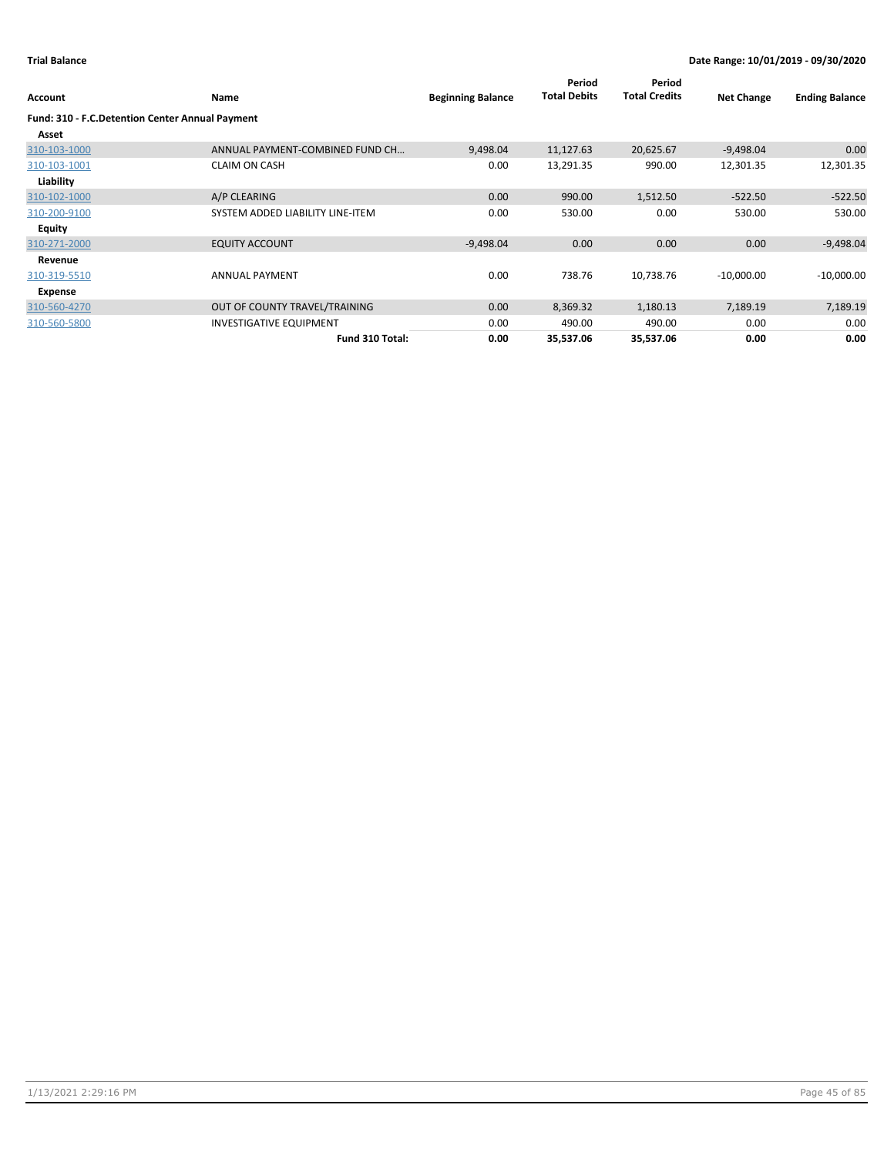| Account                                         | Name                             | <b>Beginning Balance</b> | Period<br><b>Total Debits</b> | Period<br><b>Total Credits</b> | <b>Net Change</b> | <b>Ending Balance</b> |
|-------------------------------------------------|----------------------------------|--------------------------|-------------------------------|--------------------------------|-------------------|-----------------------|
| Fund: 310 - F.C.Detention Center Annual Payment |                                  |                          |                               |                                |                   |                       |
| Asset                                           |                                  |                          |                               |                                |                   |                       |
| 310-103-1000                                    | ANNUAL PAYMENT-COMBINED FUND CH  | 9,498.04                 | 11,127.63                     | 20,625.67                      | $-9,498.04$       | 0.00                  |
| 310-103-1001                                    | <b>CLAIM ON CASH</b>             | 0.00                     | 13,291.35                     | 990.00                         | 12,301.35         | 12,301.35             |
| Liability                                       |                                  |                          |                               |                                |                   |                       |
| 310-102-1000                                    | A/P CLEARING                     | 0.00                     | 990.00                        | 1,512.50                       | $-522.50$         | $-522.50$             |
| 310-200-9100                                    | SYSTEM ADDED LIABILITY LINE-ITEM | 0.00                     | 530.00                        | 0.00                           | 530.00            | 530.00                |
| <b>Equity</b>                                   |                                  |                          |                               |                                |                   |                       |
| 310-271-2000                                    | <b>EQUITY ACCOUNT</b>            | $-9,498.04$              | 0.00                          | 0.00                           | 0.00              | $-9,498.04$           |
| Revenue                                         |                                  |                          |                               |                                |                   |                       |
| 310-319-5510                                    | <b>ANNUAL PAYMENT</b>            | 0.00                     | 738.76                        | 10,738.76                      | $-10,000.00$      | $-10,000.00$          |
| Expense                                         |                                  |                          |                               |                                |                   |                       |
| 310-560-4270                                    | OUT OF COUNTY TRAVEL/TRAINING    | 0.00                     | 8,369.32                      | 1,180.13                       | 7,189.19          | 7,189.19              |
| 310-560-5800                                    | <b>INVESTIGATIVE EQUIPMENT</b>   | 0.00                     | 490.00                        | 490.00                         | 0.00              | 0.00                  |
|                                                 | Fund 310 Total:                  | 0.00                     | 35,537.06                     | 35,537.06                      | 0.00              | 0.00                  |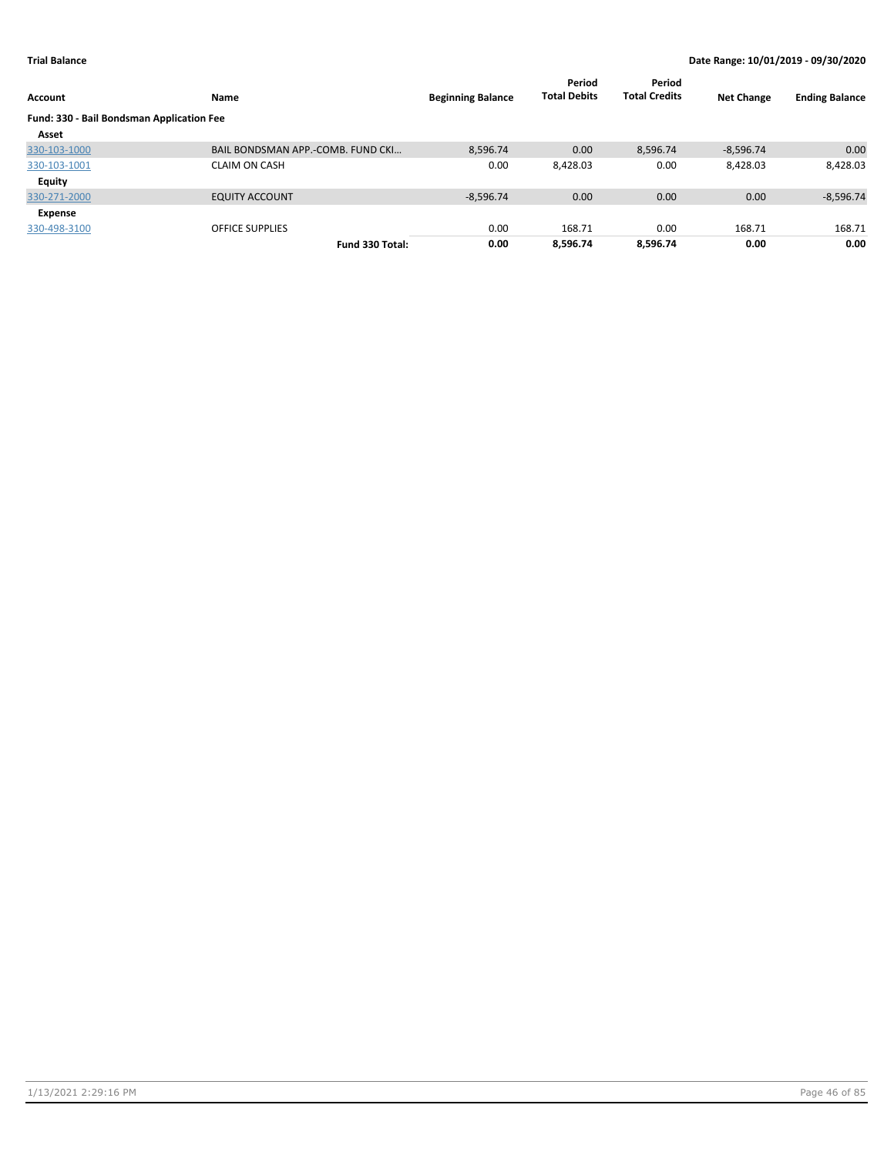| Account                                   | Name                              | <b>Beginning Balance</b> | Period<br><b>Total Debits</b> | Period<br><b>Total Credits</b> | <b>Net Change</b> | <b>Ending Balance</b> |
|-------------------------------------------|-----------------------------------|--------------------------|-------------------------------|--------------------------------|-------------------|-----------------------|
| Fund: 330 - Bail Bondsman Application Fee |                                   |                          |                               |                                |                   |                       |
| Asset                                     |                                   |                          |                               |                                |                   |                       |
| 330-103-1000                              | BAIL BONDSMAN APP.-COMB. FUND CKL | 8,596.74                 | 0.00                          | 8.596.74                       | $-8,596.74$       | 0.00                  |
| 330-103-1001                              | <b>CLAIM ON CASH</b>              | 0.00                     | 8,428.03                      | 0.00                           | 8,428.03          | 8,428.03              |
| Equity                                    |                                   |                          |                               |                                |                   |                       |
| 330-271-2000                              | <b>EQUITY ACCOUNT</b>             | $-8,596.74$              | 0.00                          | 0.00                           | 0.00              | $-8,596.74$           |
| Expense                                   |                                   |                          |                               |                                |                   |                       |
| 330-498-3100                              | <b>OFFICE SUPPLIES</b>            | 0.00                     | 168.71                        | 0.00                           | 168.71            | 168.71                |
|                                           | Fund 330 Total:                   | 0.00                     | 8.596.74                      | 8.596.74                       | 0.00              | 0.00                  |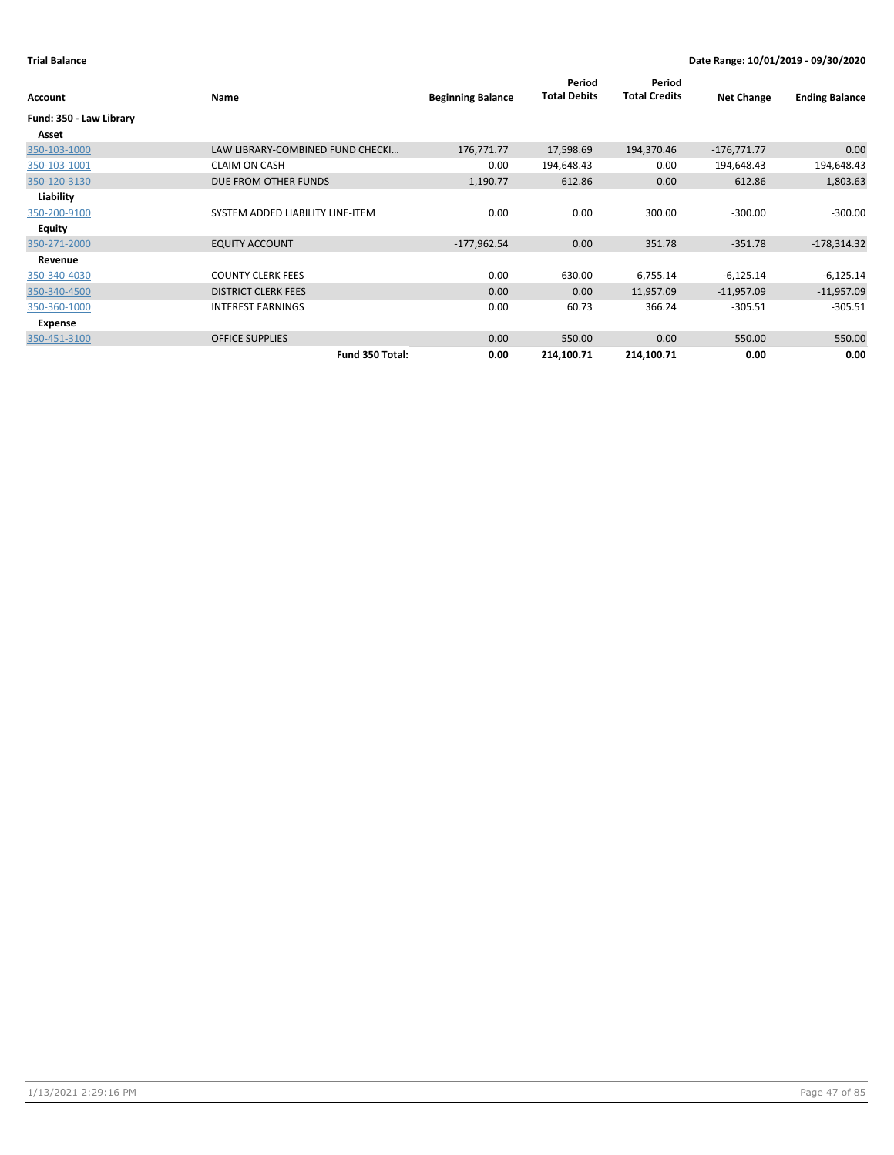| Account                 | Name                             | <b>Beginning Balance</b> | Period<br><b>Total Debits</b> | Period<br><b>Total Credits</b> | <b>Net Change</b> | <b>Ending Balance</b> |
|-------------------------|----------------------------------|--------------------------|-------------------------------|--------------------------------|-------------------|-----------------------|
| Fund: 350 - Law Library |                                  |                          |                               |                                |                   |                       |
| Asset                   |                                  |                          |                               |                                |                   |                       |
| 350-103-1000            | LAW LIBRARY-COMBINED FUND CHECKI | 176,771.77               | 17,598.69                     | 194,370.46                     | $-176,771.77$     | 0.00                  |
| 350-103-1001            | <b>CLAIM ON CASH</b>             | 0.00                     | 194,648.43                    | 0.00                           | 194,648.43        | 194,648.43            |
| 350-120-3130            | DUE FROM OTHER FUNDS             | 1,190.77                 | 612.86                        | 0.00                           | 612.86            | 1,803.63              |
| Liability               |                                  |                          |                               |                                |                   |                       |
| 350-200-9100            | SYSTEM ADDED LIABILITY LINE-ITEM | 0.00                     | 0.00                          | 300.00                         | $-300.00$         | $-300.00$             |
| Equity                  |                                  |                          |                               |                                |                   |                       |
| 350-271-2000            | <b>EQUITY ACCOUNT</b>            | $-177,962.54$            | 0.00                          | 351.78                         | $-351.78$         | $-178,314.32$         |
| Revenue                 |                                  |                          |                               |                                |                   |                       |
| 350-340-4030            | <b>COUNTY CLERK FEES</b>         | 0.00                     | 630.00                        | 6,755.14                       | $-6,125.14$       | $-6,125.14$           |
| 350-340-4500            | <b>DISTRICT CLERK FEES</b>       | 0.00                     | 0.00                          | 11,957.09                      | $-11,957.09$      | $-11,957.09$          |
| 350-360-1000            | <b>INTEREST EARNINGS</b>         | 0.00                     | 60.73                         | 366.24                         | $-305.51$         | $-305.51$             |
| Expense                 |                                  |                          |                               |                                |                   |                       |
| 350-451-3100            | <b>OFFICE SUPPLIES</b>           | 0.00                     | 550.00                        | 0.00                           | 550.00            | 550.00                |
|                         | Fund 350 Total:                  | 0.00                     | 214,100.71                    | 214,100.71                     | 0.00              | 0.00                  |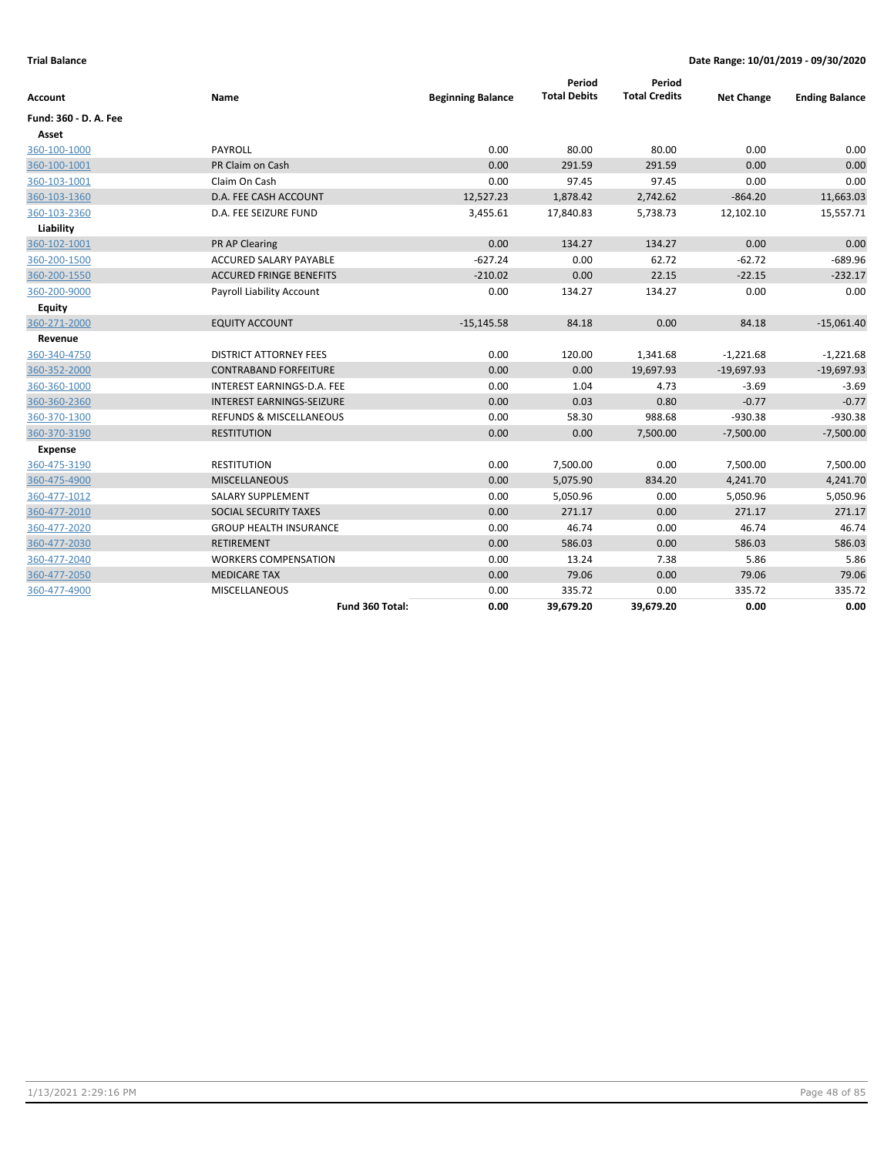| Account               | Name                               | <b>Beginning Balance</b> | Period<br><b>Total Debits</b> | Period<br><b>Total Credits</b> | <b>Net Change</b> | <b>Ending Balance</b> |
|-----------------------|------------------------------------|--------------------------|-------------------------------|--------------------------------|-------------------|-----------------------|
|                       |                                    |                          |                               |                                |                   |                       |
| Fund: 360 - D. A. Fee |                                    |                          |                               |                                |                   |                       |
| Asset                 |                                    |                          |                               |                                |                   |                       |
| 360-100-1000          | PAYROLL                            | 0.00                     | 80.00                         | 80.00                          | 0.00              | 0.00                  |
| 360-100-1001          | PR Claim on Cash                   | 0.00                     | 291.59                        | 291.59                         | 0.00              | 0.00                  |
| 360-103-1001          | Claim On Cash                      | 0.00                     | 97.45                         | 97.45                          | 0.00              | 0.00                  |
| 360-103-1360          | D.A. FEE CASH ACCOUNT              | 12,527.23                | 1,878.42                      | 2,742.62                       | $-864.20$         | 11,663.03             |
| 360-103-2360          | D.A. FEE SEIZURE FUND              | 3,455.61                 | 17,840.83                     | 5,738.73                       | 12,102.10         | 15,557.71             |
| Liability             |                                    |                          |                               |                                |                   |                       |
| 360-102-1001          | PR AP Clearing                     | 0.00                     | 134.27                        | 134.27                         | 0.00              | 0.00                  |
| 360-200-1500          | <b>ACCURED SALARY PAYABLE</b>      | $-627.24$                | 0.00                          | 62.72                          | $-62.72$          | $-689.96$             |
| 360-200-1550          | <b>ACCURED FRINGE BENEFITS</b>     | $-210.02$                | 0.00                          | 22.15                          | $-22.15$          | $-232.17$             |
| 360-200-9000          | Payroll Liability Account          | 0.00                     | 134.27                        | 134.27                         | 0.00              | 0.00                  |
| Equity                |                                    |                          |                               |                                |                   |                       |
| 360-271-2000          | <b>EQUITY ACCOUNT</b>              | $-15,145.58$             | 84.18                         | 0.00                           | 84.18             | $-15,061.40$          |
| Revenue               |                                    |                          |                               |                                |                   |                       |
| 360-340-4750          | <b>DISTRICT ATTORNEY FEES</b>      | 0.00                     | 120.00                        | 1,341.68                       | $-1,221.68$       | $-1,221.68$           |
| 360-352-2000          | <b>CONTRABAND FORFEITURE</b>       | 0.00                     | 0.00                          | 19,697.93                      | $-19,697.93$      | $-19,697.93$          |
| 360-360-1000          | INTEREST EARNINGS-D.A. FEE         | 0.00                     | 1.04                          | 4.73                           | $-3.69$           | $-3.69$               |
| 360-360-2360          | <b>INTEREST EARNINGS-SEIZURE</b>   | 0.00                     | 0.03                          | 0.80                           | $-0.77$           | $-0.77$               |
| 360-370-1300          | <b>REFUNDS &amp; MISCELLANEOUS</b> | 0.00                     | 58.30                         | 988.68                         | $-930.38$         | $-930.38$             |
| 360-370-3190          | <b>RESTITUTION</b>                 | 0.00                     | 0.00                          | 7,500.00                       | $-7,500.00$       | $-7,500.00$           |
| <b>Expense</b>        |                                    |                          |                               |                                |                   |                       |
| 360-475-3190          | <b>RESTITUTION</b>                 | 0.00                     | 7,500.00                      | 0.00                           | 7,500.00          | 7,500.00              |
| 360-475-4900          | <b>MISCELLANEOUS</b>               | 0.00                     | 5,075.90                      | 834.20                         | 4,241.70          | 4,241.70              |
| 360-477-1012          | SALARY SUPPLEMENT                  | 0.00                     | 5,050.96                      | 0.00                           | 5,050.96          | 5,050.96              |
| 360-477-2010          | SOCIAL SECURITY TAXES              | 0.00                     | 271.17                        | 0.00                           | 271.17            | 271.17                |
| 360-477-2020          | <b>GROUP HEALTH INSURANCE</b>      | 0.00                     | 46.74                         | 0.00                           | 46.74             | 46.74                 |
| 360-477-2030          | <b>RETIREMENT</b>                  | 0.00                     | 586.03                        | 0.00                           | 586.03            | 586.03                |
| 360-477-2040          | <b>WORKERS COMPENSATION</b>        | 0.00                     | 13.24                         | 7.38                           | 5.86              | 5.86                  |
| 360-477-2050          | <b>MEDICARE TAX</b>                | 0.00                     | 79.06                         | 0.00                           | 79.06             | 79.06                 |
| 360-477-4900          | MISCELLANEOUS                      | 0.00                     | 335.72                        | 0.00                           | 335.72            | 335.72                |
|                       | Fund 360 Total:                    | 0.00                     | 39,679.20                     | 39,679.20                      | 0.00              | 0.00                  |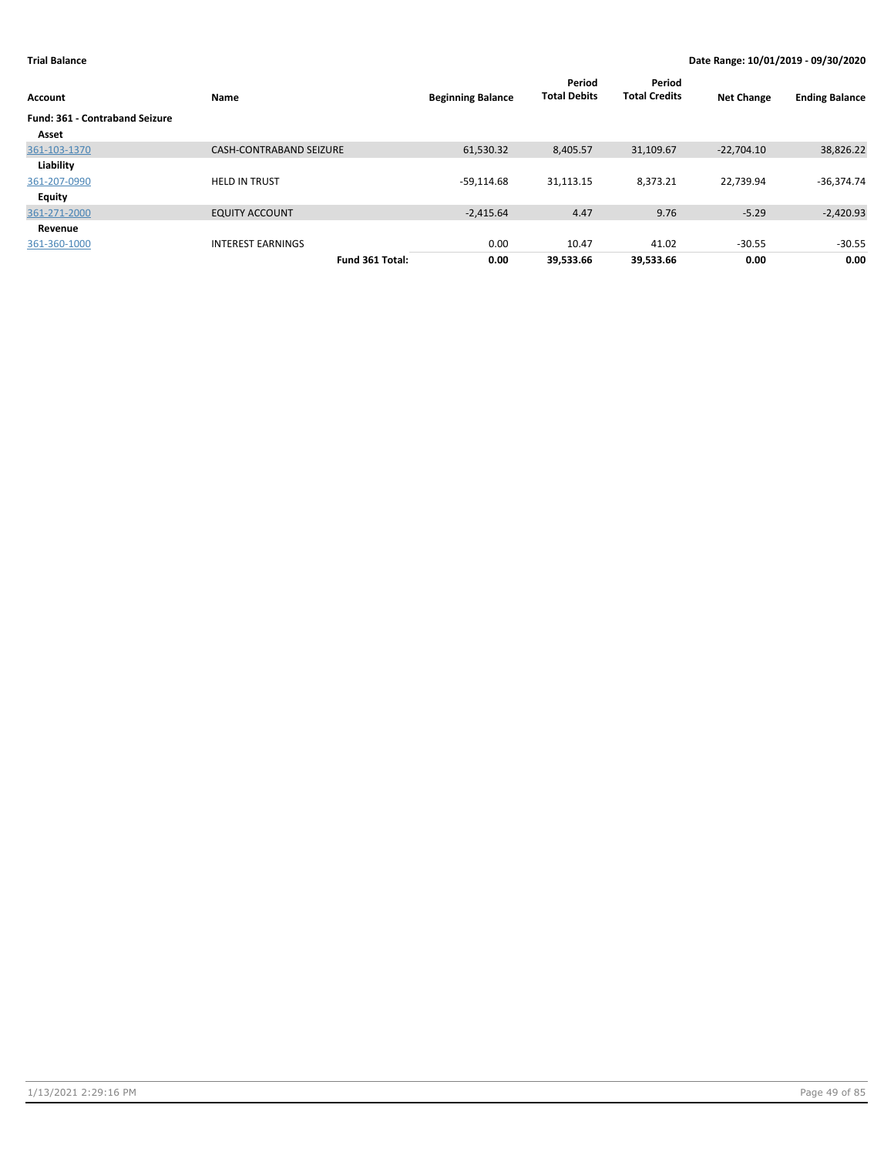| Account                               | Name                           | <b>Beginning Balance</b> | Period<br><b>Total Debits</b> | Period<br><b>Total Credits</b> | <b>Net Change</b> | <b>Ending Balance</b> |
|---------------------------------------|--------------------------------|--------------------------|-------------------------------|--------------------------------|-------------------|-----------------------|
| <b>Fund: 361 - Contraband Seizure</b> |                                |                          |                               |                                |                   |                       |
| Asset                                 |                                |                          |                               |                                |                   |                       |
| 361-103-1370                          | <b>CASH-CONTRABAND SEIZURE</b> | 61,530.32                | 8,405.57                      | 31,109.67                      | $-22.704.10$      | 38,826.22             |
| Liability                             |                                |                          |                               |                                |                   |                       |
| 361-207-0990                          | <b>HELD IN TRUST</b>           | $-59,114.68$             | 31,113.15                     | 8,373.21                       | 22,739.94         | $-36,374.74$          |
| Equity                                |                                |                          |                               |                                |                   |                       |
| 361-271-2000                          | <b>EQUITY ACCOUNT</b>          | $-2,415.64$              | 4.47                          | 9.76                           | $-5.29$           | $-2,420.93$           |
| Revenue                               |                                |                          |                               |                                |                   |                       |
| 361-360-1000                          | <b>INTEREST EARNINGS</b>       | 0.00                     | 10.47                         | 41.02                          | $-30.55$          | $-30.55$              |
|                                       | Fund 361 Total:                | 0.00                     | 39,533.66                     | 39,533.66                      | 0.00              | 0.00                  |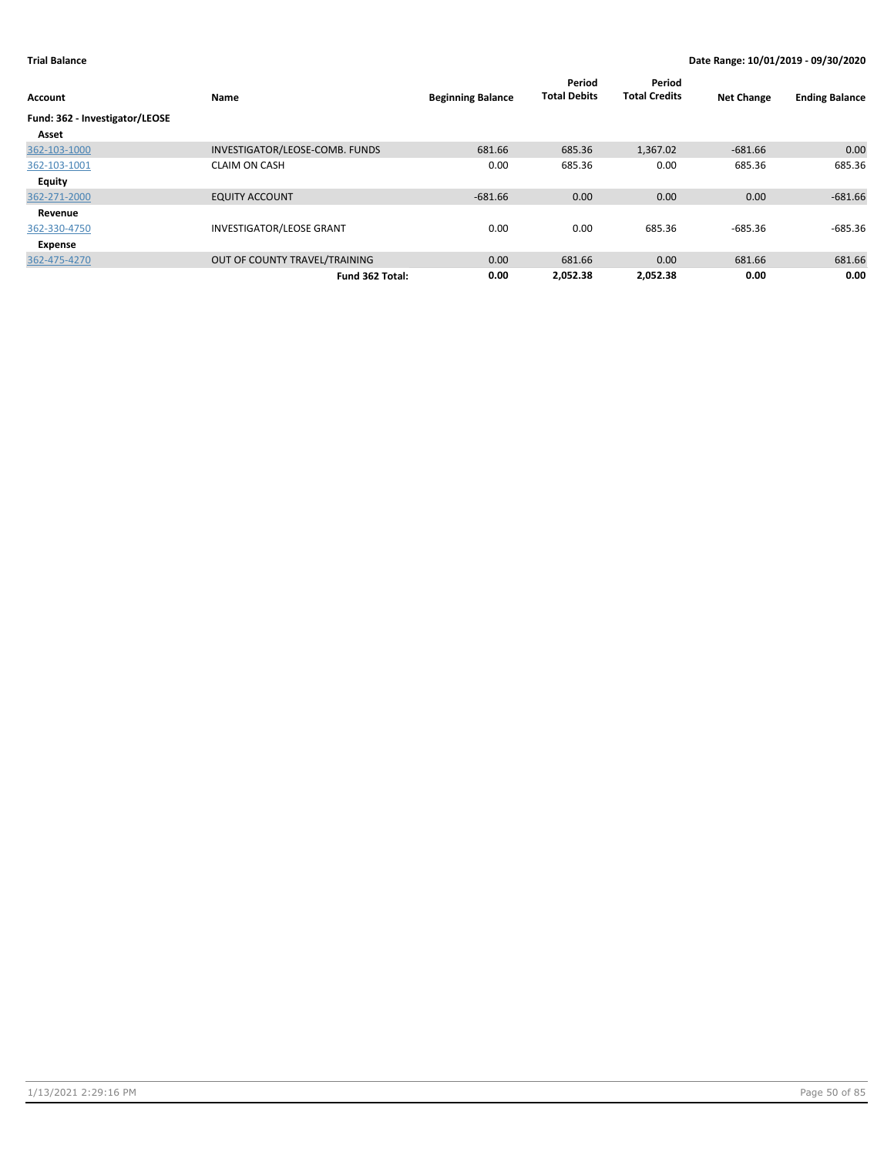| Account                        | Name                            | <b>Beginning Balance</b> | Period<br><b>Total Debits</b> | Period<br><b>Total Credits</b> | <b>Net Change</b> | <b>Ending Balance</b> |
|--------------------------------|---------------------------------|--------------------------|-------------------------------|--------------------------------|-------------------|-----------------------|
| Fund: 362 - Investigator/LEOSE |                                 |                          |                               |                                |                   |                       |
| Asset                          |                                 |                          |                               |                                |                   |                       |
| 362-103-1000                   | INVESTIGATOR/LEOSE-COMB. FUNDS  | 681.66                   | 685.36                        | 1,367.02                       | $-681.66$         | 0.00                  |
| 362-103-1001                   | <b>CLAIM ON CASH</b>            | 0.00                     | 685.36                        | 0.00                           | 685.36            | 685.36                |
| <b>Equity</b>                  |                                 |                          |                               |                                |                   |                       |
| 362-271-2000                   | <b>EQUITY ACCOUNT</b>           | $-681.66$                | 0.00                          | 0.00                           | 0.00              | $-681.66$             |
| Revenue                        |                                 |                          |                               |                                |                   |                       |
| 362-330-4750                   | <b>INVESTIGATOR/LEOSE GRANT</b> | 0.00                     | 0.00                          | 685.36                         | $-685.36$         | $-685.36$             |
| Expense                        |                                 |                          |                               |                                |                   |                       |
| 362-475-4270                   | OUT OF COUNTY TRAVEL/TRAINING   | 0.00                     | 681.66                        | 0.00                           | 681.66            | 681.66                |
|                                | Fund 362 Total:                 | 0.00                     | 2.052.38                      | 2.052.38                       | 0.00              | 0.00                  |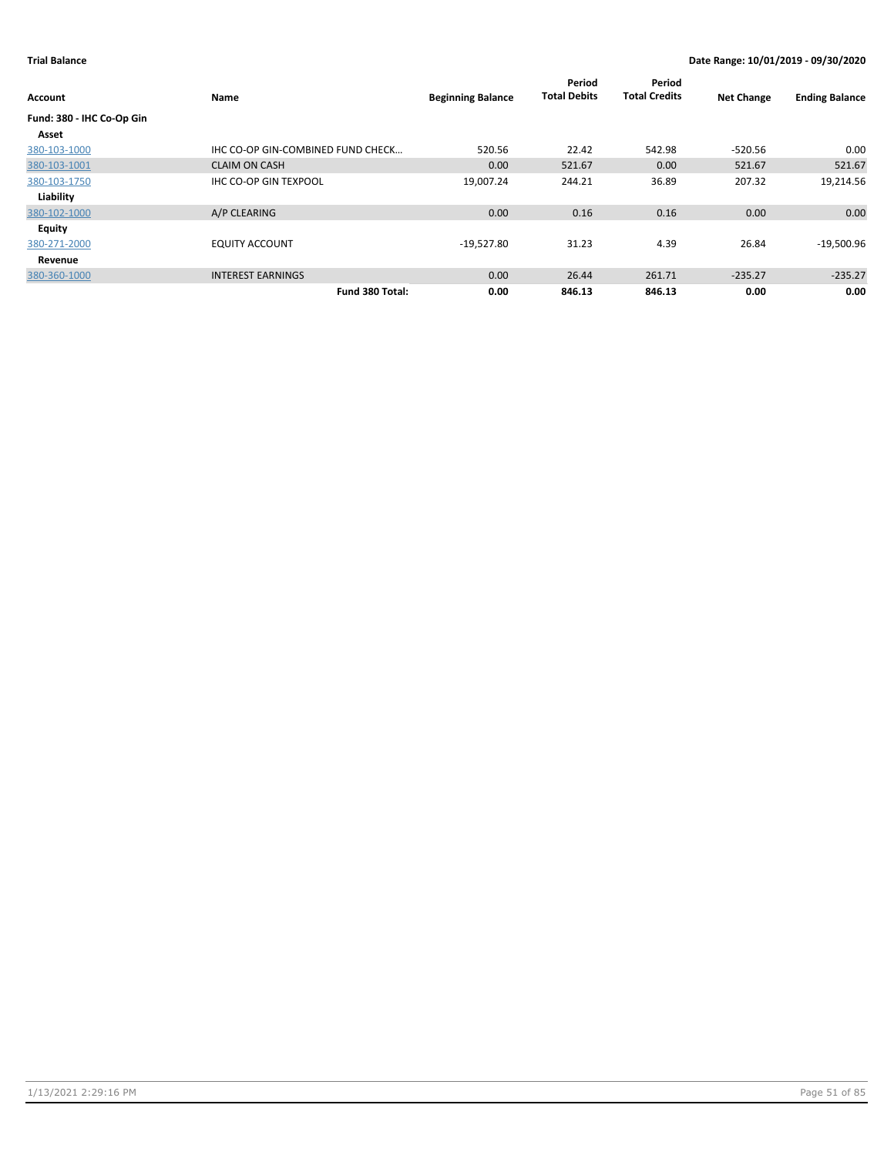| <b>Account</b>            | Name                              | <b>Beginning Balance</b> | Period<br><b>Total Debits</b> | Period<br><b>Total Credits</b> | <b>Net Change</b> | <b>Ending Balance</b> |
|---------------------------|-----------------------------------|--------------------------|-------------------------------|--------------------------------|-------------------|-----------------------|
| Fund: 380 - IHC Co-Op Gin |                                   |                          |                               |                                |                   |                       |
| Asset                     |                                   |                          |                               |                                |                   |                       |
| 380-103-1000              | IHC CO-OP GIN-COMBINED FUND CHECK | 520.56                   | 22.42                         | 542.98                         | $-520.56$         | 0.00                  |
| 380-103-1001              | <b>CLAIM ON CASH</b>              | 0.00                     | 521.67                        | 0.00                           | 521.67            | 521.67                |
| 380-103-1750              | IHC CO-OP GIN TEXPOOL             | 19,007.24                | 244.21                        | 36.89                          | 207.32            | 19,214.56             |
| Liability                 |                                   |                          |                               |                                |                   |                       |
| 380-102-1000              | A/P CLEARING                      | 0.00                     | 0.16                          | 0.16                           | 0.00              | 0.00                  |
| <b>Equity</b>             |                                   |                          |                               |                                |                   |                       |
| 380-271-2000              | <b>EQUITY ACCOUNT</b>             | $-19,527.80$             | 31.23                         | 4.39                           | 26.84             | $-19,500.96$          |
| Revenue                   |                                   |                          |                               |                                |                   |                       |
| 380-360-1000              | <b>INTEREST EARNINGS</b>          | 0.00                     | 26.44                         | 261.71                         | $-235.27$         | $-235.27$             |
|                           | Fund 380 Total:                   | 0.00                     | 846.13                        | 846.13                         | 0.00              | 0.00                  |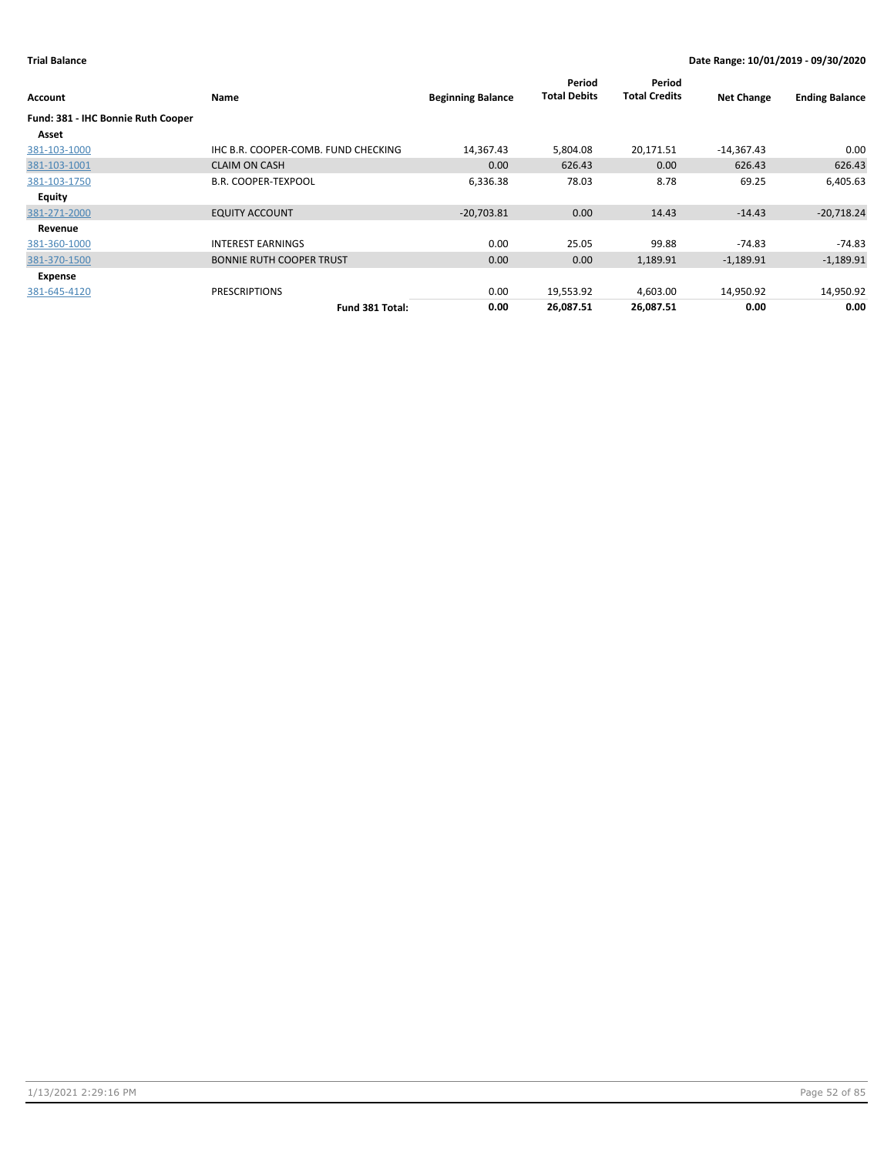| Account                            | Name                                | <b>Beginning Balance</b> | Period<br><b>Total Debits</b> | Period<br><b>Total Credits</b> | <b>Net Change</b> | <b>Ending Balance</b> |
|------------------------------------|-------------------------------------|--------------------------|-------------------------------|--------------------------------|-------------------|-----------------------|
| Fund: 381 - IHC Bonnie Ruth Cooper |                                     |                          |                               |                                |                   |                       |
| Asset                              |                                     |                          |                               |                                |                   |                       |
| 381-103-1000                       | IHC B.R. COOPER-COMB. FUND CHECKING | 14,367.43                | 5,804.08                      | 20,171.51                      | $-14,367.43$      | 0.00                  |
| 381-103-1001                       | <b>CLAIM ON CASH</b>                | 0.00                     | 626.43                        | 0.00                           | 626.43            | 626.43                |
| 381-103-1750                       | <b>B.R. COOPER-TEXPOOL</b>          | 6,336.38                 | 78.03                         | 8.78                           | 69.25             | 6,405.63              |
| <b>Equity</b>                      |                                     |                          |                               |                                |                   |                       |
| 381-271-2000                       | <b>EQUITY ACCOUNT</b>               | $-20,703.81$             | 0.00                          | 14.43                          | $-14.43$          | $-20,718.24$          |
| Revenue                            |                                     |                          |                               |                                |                   |                       |
| 381-360-1000                       | <b>INTEREST EARNINGS</b>            | 0.00                     | 25.05                         | 99.88                          | -74.83            | $-74.83$              |
| 381-370-1500                       | <b>BONNIE RUTH COOPER TRUST</b>     | 0.00                     | 0.00                          | 1,189.91                       | $-1,189.91$       | $-1,189.91$           |
| Expense                            |                                     |                          |                               |                                |                   |                       |
| 381-645-4120                       | <b>PRESCRIPTIONS</b>                | 0.00                     | 19,553.92                     | 4,603.00                       | 14,950.92         | 14,950.92             |
|                                    | Fund 381 Total:                     | 0.00                     | 26,087.51                     | 26,087.51                      | 0.00              | 0.00                  |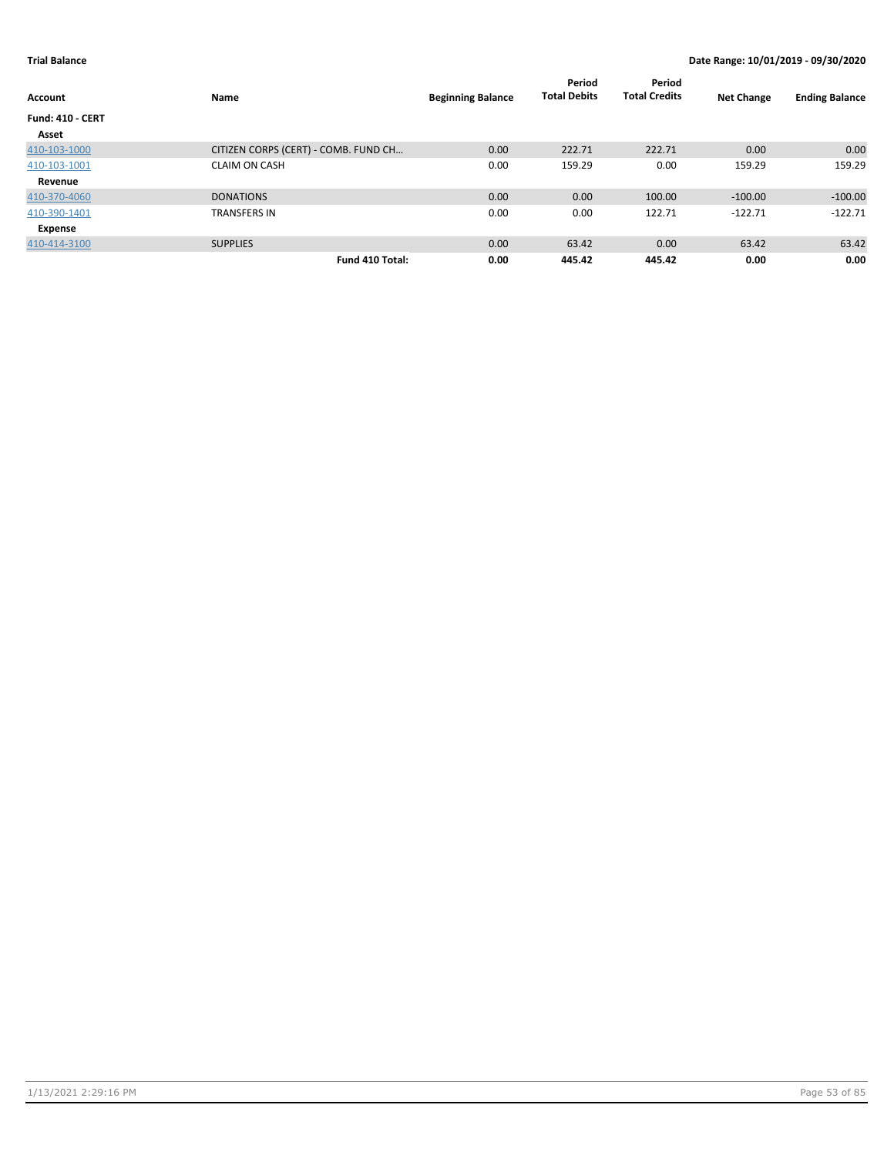| Account                 | Name                                 | <b>Beginning Balance</b> | Period<br><b>Total Debits</b> | Period<br><b>Total Credits</b> | <b>Net Change</b> | <b>Ending Balance</b> |
|-------------------------|--------------------------------------|--------------------------|-------------------------------|--------------------------------|-------------------|-----------------------|
| <b>Fund: 410 - CERT</b> |                                      |                          |                               |                                |                   |                       |
| Asset                   |                                      |                          |                               |                                |                   |                       |
| 410-103-1000            | CITIZEN CORPS (CERT) - COMB. FUND CH | 0.00                     | 222.71                        | 222.71                         | 0.00              | 0.00                  |
| 410-103-1001            | <b>CLAIM ON CASH</b>                 | 0.00                     | 159.29                        | 0.00                           | 159.29            | 159.29                |
| Revenue                 |                                      |                          |                               |                                |                   |                       |
| 410-370-4060            | <b>DONATIONS</b>                     | 0.00                     | 0.00                          | 100.00                         | $-100.00$         | $-100.00$             |
| 410-390-1401            | <b>TRANSFERS IN</b>                  | 0.00                     | 0.00                          | 122.71                         | $-122.71$         | $-122.71$             |
| Expense                 |                                      |                          |                               |                                |                   |                       |
| 410-414-3100            | <b>SUPPLIES</b>                      | 0.00                     | 63.42                         | 0.00                           | 63.42             | 63.42                 |
|                         | Fund 410 Total:                      | 0.00                     | 445.42                        | 445.42                         | 0.00              | 0.00                  |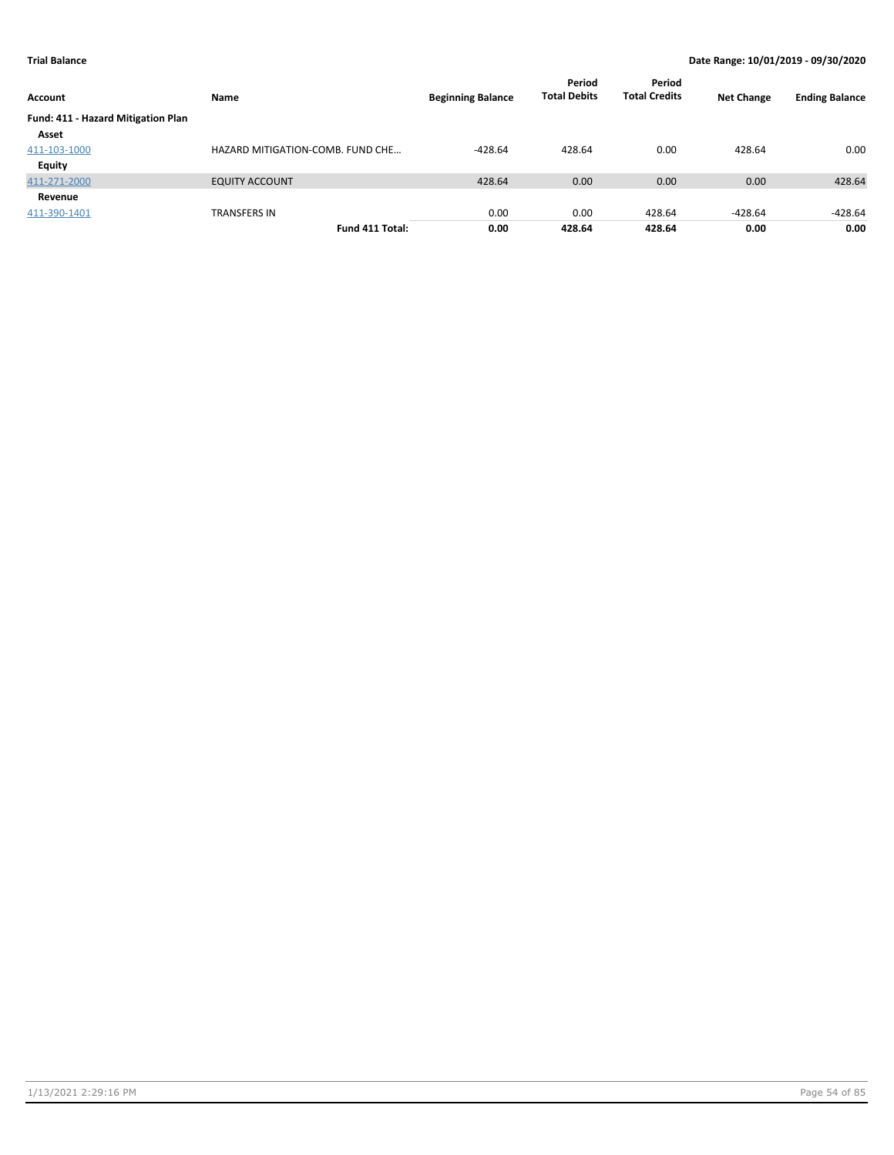| Account                            | Name                             | <b>Beginning Balance</b> | Period<br><b>Total Debits</b> | Period<br><b>Total Credits</b> | <b>Net Change</b> | <b>Ending Balance</b> |
|------------------------------------|----------------------------------|--------------------------|-------------------------------|--------------------------------|-------------------|-----------------------|
| Fund: 411 - Hazard Mitigation Plan |                                  |                          |                               |                                |                   |                       |
| Asset                              |                                  |                          |                               |                                |                   |                       |
| 411-103-1000                       | HAZARD MITIGATION-COMB. FUND CHE | $-428.64$                | 428.64                        | 0.00                           | 428.64            | 0.00                  |
| Equity                             |                                  |                          |                               |                                |                   |                       |
| 411-271-2000                       | <b>EQUITY ACCOUNT</b>            | 428.64                   | 0.00                          | 0.00                           | 0.00              | 428.64                |
| Revenue                            |                                  |                          |                               |                                |                   |                       |
| 411-390-1401                       | <b>TRANSFERS IN</b>              | 0.00                     | 0.00                          | 428.64                         | $-428.64$         | $-428.64$             |
|                                    | Fund 411 Total:                  | 0.00                     | 428.64                        | 428.64                         | 0.00              | 0.00                  |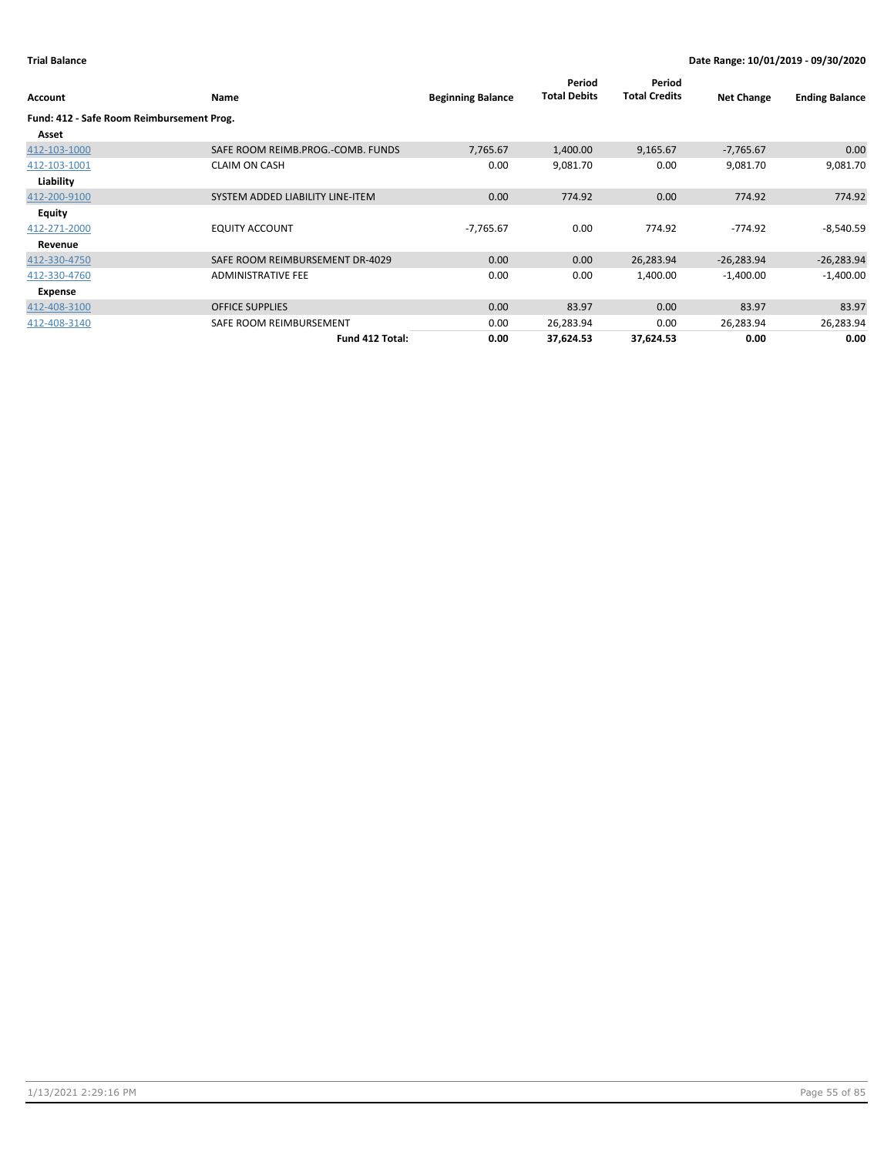| Account                                   | Name                              | <b>Beginning Balance</b> | Period<br><b>Total Debits</b> | Period<br><b>Total Credits</b> | <b>Net Change</b> | <b>Ending Balance</b> |
|-------------------------------------------|-----------------------------------|--------------------------|-------------------------------|--------------------------------|-------------------|-----------------------|
| Fund: 412 - Safe Room Reimbursement Prog. |                                   |                          |                               |                                |                   |                       |
| Asset                                     |                                   |                          |                               |                                |                   |                       |
| 412-103-1000                              | SAFE ROOM REIMB.PROG.-COMB. FUNDS | 7,765.67                 | 1,400.00                      | 9,165.67                       | $-7,765.67$       | 0.00                  |
| 412-103-1001                              | <b>CLAIM ON CASH</b>              | 0.00                     | 9,081.70                      | 0.00                           | 9,081.70          | 9,081.70              |
| Liability                                 |                                   |                          |                               |                                |                   |                       |
| 412-200-9100                              | SYSTEM ADDED LIABILITY LINE-ITEM  | 0.00                     | 774.92                        | 0.00                           | 774.92            | 774.92                |
| <b>Equity</b>                             |                                   |                          |                               |                                |                   |                       |
| 412-271-2000                              | <b>EQUITY ACCOUNT</b>             | $-7,765.67$              | 0.00                          | 774.92                         | $-774.92$         | $-8,540.59$           |
| Revenue                                   |                                   |                          |                               |                                |                   |                       |
| 412-330-4750                              | SAFE ROOM REIMBURSEMENT DR-4029   | 0.00                     | 0.00                          | 26,283.94                      | $-26,283.94$      | $-26,283.94$          |
| 412-330-4760                              | <b>ADMINISTRATIVE FEE</b>         | 0.00                     | 0.00                          | 1,400.00                       | $-1,400.00$       | $-1,400.00$           |
| Expense                                   |                                   |                          |                               |                                |                   |                       |
| 412-408-3100                              | <b>OFFICE SUPPLIES</b>            | 0.00                     | 83.97                         | 0.00                           | 83.97             | 83.97                 |
| 412-408-3140                              | SAFE ROOM REIMBURSEMENT           | 0.00                     | 26,283.94                     | 0.00                           | 26,283.94         | 26,283.94             |
|                                           | Fund 412 Total:                   | 0.00                     | 37,624.53                     | 37,624.53                      | 0.00              | 0.00                  |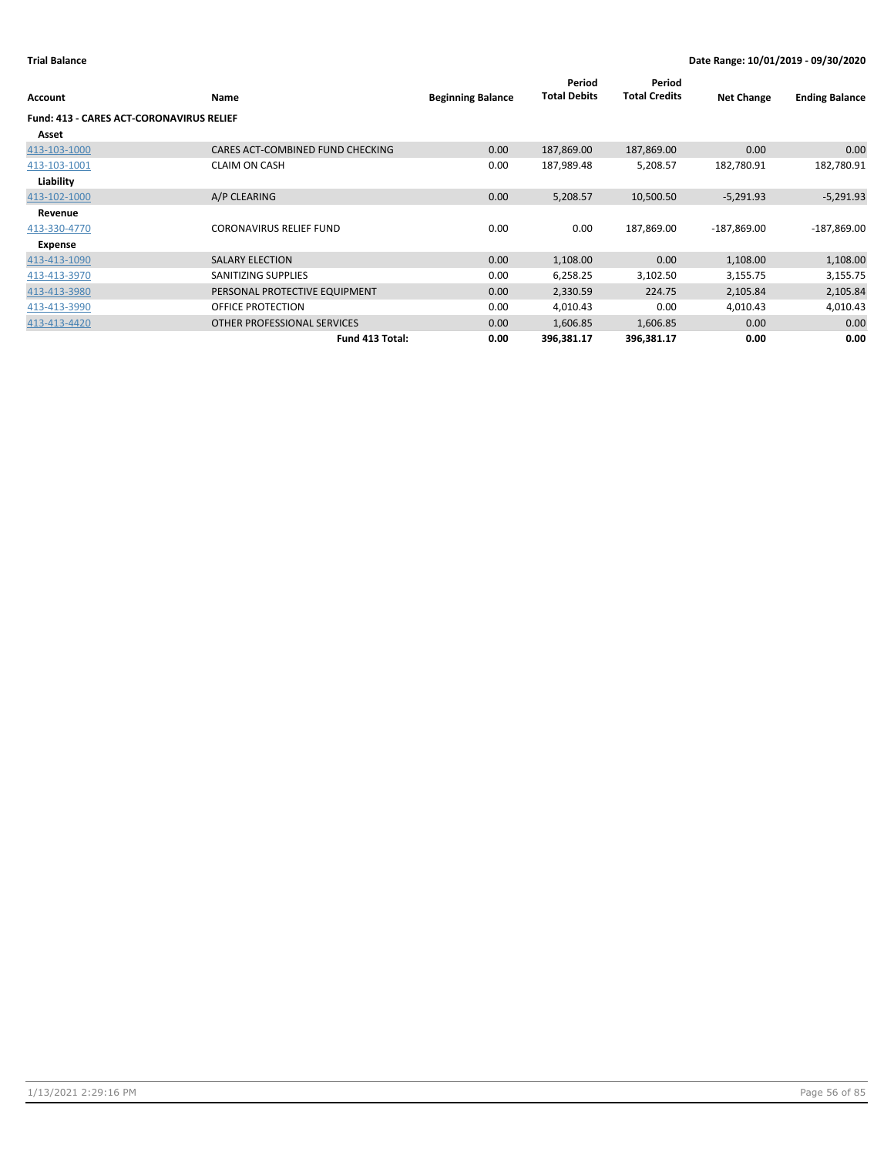| Account                                         | Name                             | <b>Beginning Balance</b> | Period<br><b>Total Debits</b> | Period<br><b>Total Credits</b> | <b>Net Change</b> | <b>Ending Balance</b> |
|-------------------------------------------------|----------------------------------|--------------------------|-------------------------------|--------------------------------|-------------------|-----------------------|
| <b>Fund: 413 - CARES ACT-CORONAVIRUS RELIEF</b> |                                  |                          |                               |                                |                   |                       |
| Asset                                           |                                  |                          |                               |                                |                   |                       |
| 413-103-1000                                    | CARES ACT-COMBINED FUND CHECKING | 0.00                     | 187,869.00                    | 187,869.00                     | 0.00              | 0.00                  |
| 413-103-1001                                    | <b>CLAIM ON CASH</b>             | 0.00                     | 187,989.48                    | 5,208.57                       | 182,780.91        | 182,780.91            |
| Liability                                       |                                  |                          |                               |                                |                   |                       |
| 413-102-1000                                    | A/P CLEARING                     | 0.00                     | 5,208.57                      | 10,500.50                      | $-5,291.93$       | $-5,291.93$           |
| Revenue                                         |                                  |                          |                               |                                |                   |                       |
| 413-330-4770                                    | <b>CORONAVIRUS RELIEF FUND</b>   | 0.00                     | 0.00                          | 187,869.00                     | $-187,869.00$     | $-187,869.00$         |
| Expense                                         |                                  |                          |                               |                                |                   |                       |
| 413-413-1090                                    | <b>SALARY ELECTION</b>           | 0.00                     | 1,108.00                      | 0.00                           | 1,108.00          | 1,108.00              |
| 413-413-3970                                    | SANITIZING SUPPLIES              | 0.00                     | 6,258.25                      | 3,102.50                       | 3,155.75          | 3,155.75              |
| 413-413-3980                                    | PERSONAL PROTECTIVE EQUIPMENT    | 0.00                     | 2,330.59                      | 224.75                         | 2,105.84          | 2,105.84              |
| 413-413-3990                                    | OFFICE PROTECTION                | 0.00                     | 4,010.43                      | 0.00                           | 4,010.43          | 4,010.43              |
| 413-413-4420                                    | OTHER PROFESSIONAL SERVICES      | 0.00                     | 1,606.85                      | 1,606.85                       | 0.00              | 0.00                  |
|                                                 | Fund 413 Total:                  | 0.00                     | 396,381.17                    | 396,381.17                     | 0.00              | 0.00                  |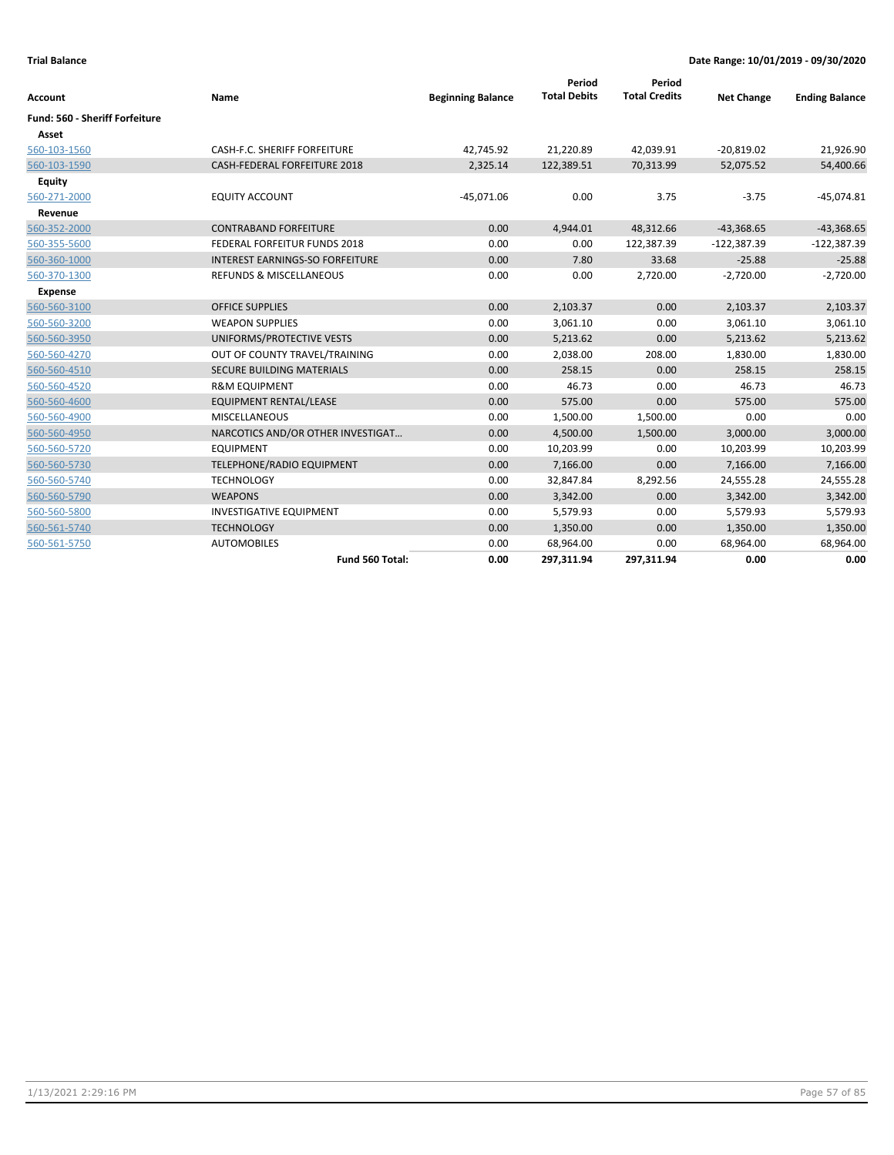| <b>Account</b>                        | Name                                   | <b>Beginning Balance</b> | Period<br><b>Total Debits</b> | Period<br><b>Total Credits</b> | <b>Net Change</b> | <b>Ending Balance</b> |
|---------------------------------------|----------------------------------------|--------------------------|-------------------------------|--------------------------------|-------------------|-----------------------|
| <b>Fund: 560 - Sheriff Forfeiture</b> |                                        |                          |                               |                                |                   |                       |
| Asset                                 |                                        |                          |                               |                                |                   |                       |
| 560-103-1560                          | CASH-F.C. SHERIFF FORFEITURE           | 42,745.92                | 21,220.89                     | 42,039.91                      | $-20,819.02$      | 21,926.90             |
| 560-103-1590                          | CASH-FEDERAL FORFEITURE 2018           | 2,325.14                 | 122,389.51                    | 70,313.99                      | 52,075.52         | 54,400.66             |
| Equity                                |                                        |                          |                               |                                |                   |                       |
| 560-271-2000                          | <b>EQUITY ACCOUNT</b>                  | $-45,071.06$             | 0.00                          | 3.75                           | $-3.75$           | $-45,074.81$          |
| Revenue                               |                                        |                          |                               |                                |                   |                       |
| 560-352-2000                          | <b>CONTRABAND FORFEITURE</b>           | 0.00                     | 4,944.01                      | 48,312.66                      | $-43,368.65$      | $-43,368.65$          |
| 560-355-5600                          | FEDERAL FORFEITUR FUNDS 2018           | 0.00                     | 0.00                          | 122,387.39                     | $-122,387.39$     | $-122,387.39$         |
| 560-360-1000                          | <b>INTEREST EARNINGS-SO FORFEITURE</b> | 0.00                     | 7.80                          | 33.68                          | $-25.88$          | $-25.88$              |
| 560-370-1300                          | REFUNDS & MISCELLANEOUS                | 0.00                     | 0.00                          | 2,720.00                       | $-2,720.00$       | $-2,720.00$           |
| <b>Expense</b>                        |                                        |                          |                               |                                |                   |                       |
| 560-560-3100                          | <b>OFFICE SUPPLIES</b>                 | 0.00                     | 2,103.37                      | 0.00                           | 2,103.37          | 2,103.37              |
| 560-560-3200                          | <b>WEAPON SUPPLIES</b>                 | 0.00                     | 3,061.10                      | 0.00                           | 3,061.10          | 3,061.10              |
| 560-560-3950                          | UNIFORMS/PROTECTIVE VESTS              | 0.00                     | 5,213.62                      | 0.00                           | 5,213.62          | 5,213.62              |
| 560-560-4270                          | OUT OF COUNTY TRAVEL/TRAINING          | 0.00                     | 2,038.00                      | 208.00                         | 1,830.00          | 1,830.00              |
| 560-560-4510                          | SECURE BUILDING MATERIALS              | 0.00                     | 258.15                        | 0.00                           | 258.15            | 258.15                |
| 560-560-4520                          | <b>R&amp;M EQUIPMENT</b>               | 0.00                     | 46.73                         | 0.00                           | 46.73             | 46.73                 |
| 560-560-4600                          | EQUIPMENT RENTAL/LEASE                 | 0.00                     | 575.00                        | 0.00                           | 575.00            | 575.00                |
| 560-560-4900                          | <b>MISCELLANEOUS</b>                   | 0.00                     | 1,500.00                      | 1,500.00                       | 0.00              | 0.00                  |
| 560-560-4950                          | NARCOTICS AND/OR OTHER INVESTIGAT      | 0.00                     | 4,500.00                      | 1,500.00                       | 3,000.00          | 3,000.00              |
| 560-560-5720                          | <b>EQUIPMENT</b>                       | 0.00                     | 10,203.99                     | 0.00                           | 10,203.99         | 10,203.99             |
| 560-560-5730                          | TELEPHONE/RADIO EQUIPMENT              | 0.00                     | 7,166.00                      | 0.00                           | 7,166.00          | 7,166.00              |
| 560-560-5740                          | <b>TECHNOLOGY</b>                      | 0.00                     | 32,847.84                     | 8,292.56                       | 24,555.28         | 24,555.28             |
| 560-560-5790                          | <b>WEAPONS</b>                         | 0.00                     | 3,342.00                      | 0.00                           | 3,342.00          | 3,342.00              |
| 560-560-5800                          | <b>INVESTIGATIVE EQUIPMENT</b>         | 0.00                     | 5,579.93                      | 0.00                           | 5,579.93          | 5,579.93              |
| 560-561-5740                          | <b>TECHNOLOGY</b>                      | 0.00                     | 1,350.00                      | 0.00                           | 1,350.00          | 1,350.00              |
| 560-561-5750                          | <b>AUTOMOBILES</b>                     | 0.00                     | 68,964.00                     | 0.00                           | 68,964.00         | 68,964.00             |
|                                       | Fund 560 Total:                        | 0.00                     | 297,311.94                    | 297,311.94                     | 0.00              | 0.00                  |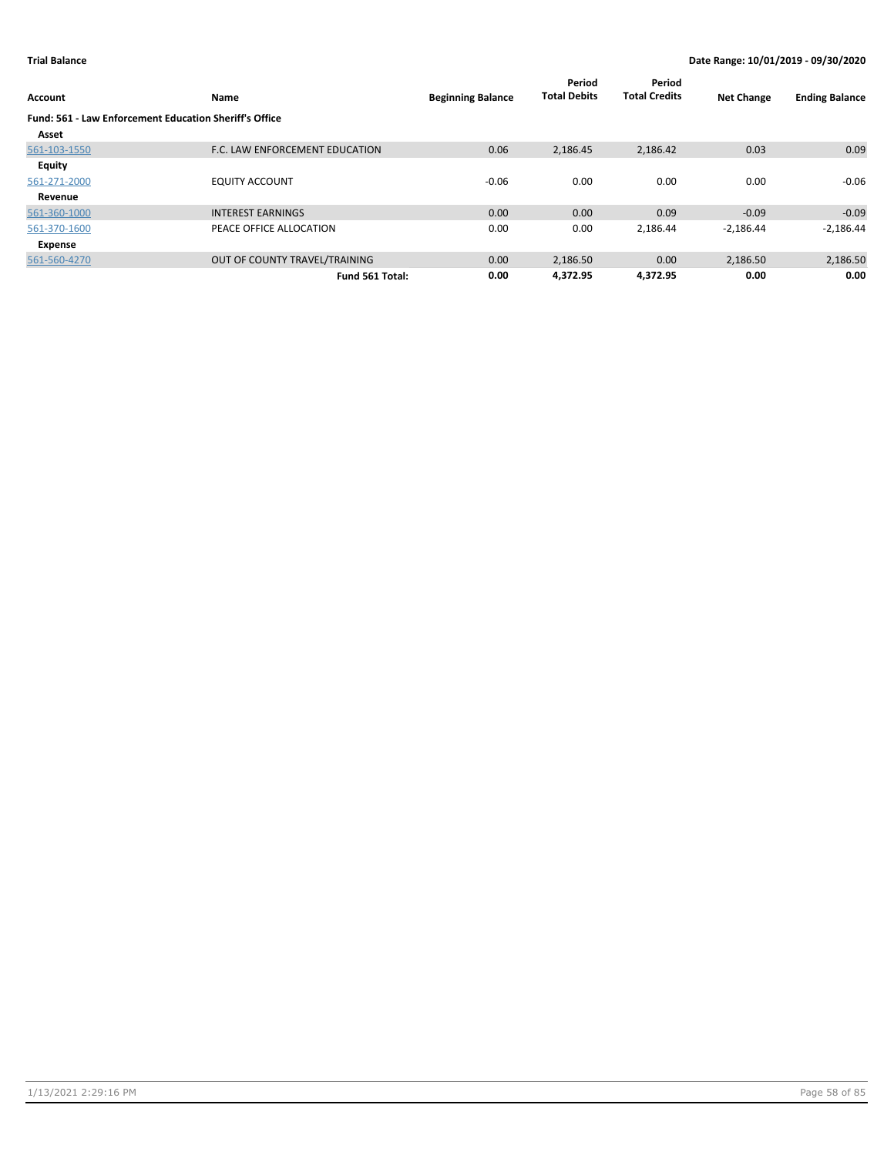| Account                                                       | Name                           | <b>Beginning Balance</b> | Period<br><b>Total Debits</b> | Period<br><b>Total Credits</b> | <b>Net Change</b> | <b>Ending Balance</b> |
|---------------------------------------------------------------|--------------------------------|--------------------------|-------------------------------|--------------------------------|-------------------|-----------------------|
| <b>Fund: 561 - Law Enforcement Education Sheriff's Office</b> |                                |                          |                               |                                |                   |                       |
| Asset                                                         |                                |                          |                               |                                |                   |                       |
| 561-103-1550                                                  | F.C. LAW ENFORCEMENT EDUCATION | 0.06                     | 2,186.45                      | 2,186.42                       | 0.03              | 0.09                  |
| Equity                                                        |                                |                          |                               |                                |                   |                       |
| 561-271-2000                                                  | <b>EQUITY ACCOUNT</b>          | $-0.06$                  | 0.00                          | 0.00                           | 0.00              | $-0.06$               |
| Revenue                                                       |                                |                          |                               |                                |                   |                       |
| 561-360-1000                                                  | <b>INTEREST EARNINGS</b>       | 0.00                     | 0.00                          | 0.09                           | $-0.09$           | $-0.09$               |
| 561-370-1600                                                  | PEACE OFFICE ALLOCATION        | 0.00                     | 0.00                          | 2,186.44                       | $-2,186.44$       | $-2,186.44$           |
| Expense                                                       |                                |                          |                               |                                |                   |                       |
| 561-560-4270                                                  | OUT OF COUNTY TRAVEL/TRAINING  | 0.00                     | 2,186.50                      | 0.00                           | 2,186.50          | 2,186.50              |
|                                                               | Fund 561 Total:                | 0.00                     | 4.372.95                      | 4.372.95                       | 0.00              | 0.00                  |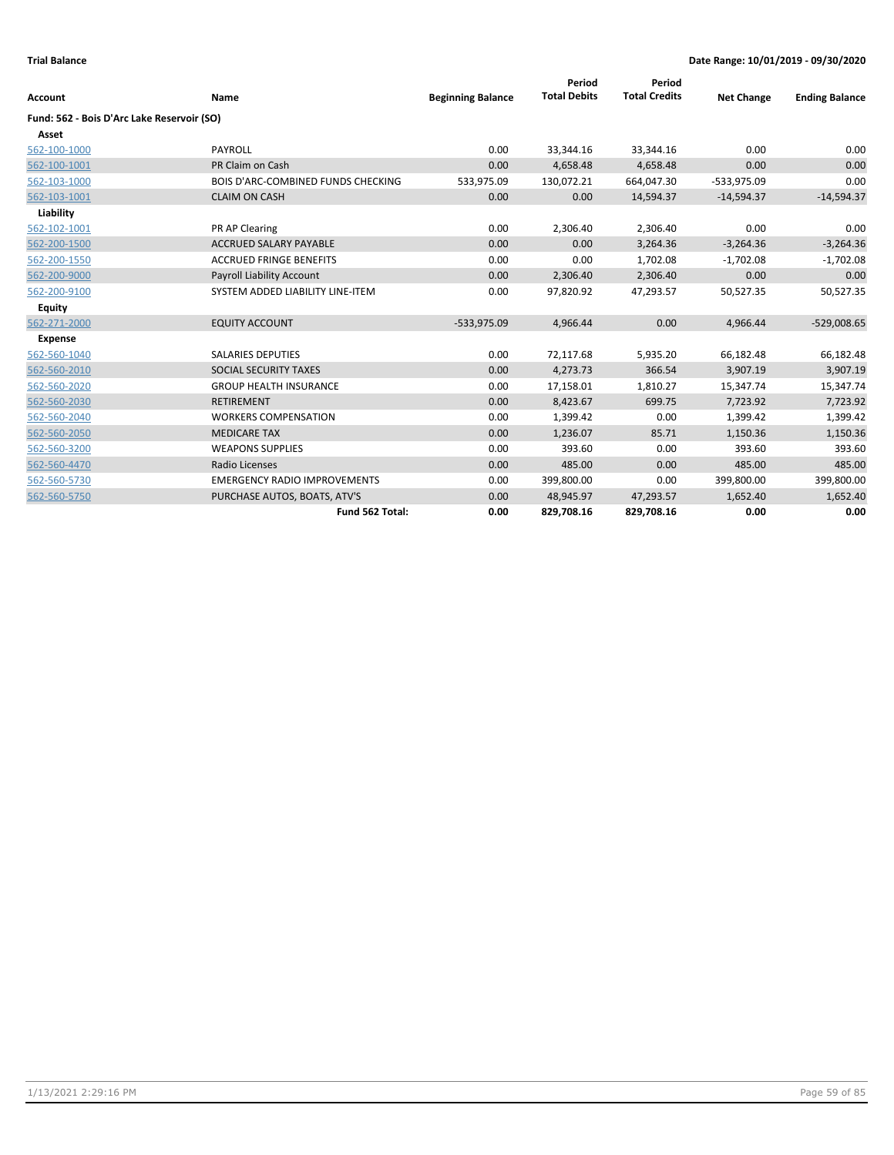|                                            |                                     |                          | Period              | Period               |                   |                       |
|--------------------------------------------|-------------------------------------|--------------------------|---------------------|----------------------|-------------------|-----------------------|
| Account                                    | Name                                | <b>Beginning Balance</b> | <b>Total Debits</b> | <b>Total Credits</b> | <b>Net Change</b> | <b>Ending Balance</b> |
| Fund: 562 - Bois D'Arc Lake Reservoir (SO) |                                     |                          |                     |                      |                   |                       |
| Asset                                      |                                     |                          |                     |                      |                   |                       |
| 562-100-1000                               | PAYROLL                             | 0.00                     | 33,344.16           | 33,344.16            | 0.00              | 0.00                  |
| 562-100-1001                               | PR Claim on Cash                    | 0.00                     | 4,658.48            | 4,658.48             | 0.00              | 0.00                  |
| 562-103-1000                               | BOIS D'ARC-COMBINED FUNDS CHECKING  | 533,975.09               | 130,072.21          | 664,047.30           | $-533,975.09$     | 0.00                  |
| 562-103-1001                               | <b>CLAIM ON CASH</b>                | 0.00                     | 0.00                | 14,594.37            | $-14,594.37$      | $-14,594.37$          |
| Liability                                  |                                     |                          |                     |                      |                   |                       |
| 562-102-1001                               | PR AP Clearing                      | 0.00                     | 2,306.40            | 2,306.40             | 0.00              | 0.00                  |
| 562-200-1500                               | <b>ACCRUED SALARY PAYABLE</b>       | 0.00                     | 0.00                | 3,264.36             | $-3,264.36$       | $-3,264.36$           |
| 562-200-1550                               | <b>ACCRUED FRINGE BENEFITS</b>      | 0.00                     | 0.00                | 1,702.08             | $-1,702.08$       | $-1,702.08$           |
| 562-200-9000                               | Payroll Liability Account           | 0.00                     | 2,306.40            | 2,306.40             | 0.00              | 0.00                  |
| 562-200-9100                               | SYSTEM ADDED LIABILITY LINE-ITEM    | 0.00                     | 97,820.92           | 47,293.57            | 50,527.35         | 50,527.35             |
| <b>Equity</b>                              |                                     |                          |                     |                      |                   |                       |
| 562-271-2000                               | <b>EQUITY ACCOUNT</b>               | $-533,975.09$            | 4,966.44            | 0.00                 | 4,966.44          | $-529,008.65$         |
| <b>Expense</b>                             |                                     |                          |                     |                      |                   |                       |
| 562-560-1040                               | <b>SALARIES DEPUTIES</b>            | 0.00                     | 72,117.68           | 5,935.20             | 66,182.48         | 66,182.48             |
| 562-560-2010                               | SOCIAL SECURITY TAXES               | 0.00                     | 4,273.73            | 366.54               | 3,907.19          | 3,907.19              |
| 562-560-2020                               | <b>GROUP HEALTH INSURANCE</b>       | 0.00                     | 17,158.01           | 1,810.27             | 15,347.74         | 15,347.74             |
| 562-560-2030                               | <b>RETIREMENT</b>                   | 0.00                     | 8,423.67            | 699.75               | 7,723.92          | 7,723.92              |
| 562-560-2040                               | <b>WORKERS COMPENSATION</b>         | 0.00                     | 1,399.42            | 0.00                 | 1,399.42          | 1,399.42              |
| 562-560-2050                               | <b>MEDICARE TAX</b>                 | 0.00                     | 1,236.07            | 85.71                | 1,150.36          | 1,150.36              |
| 562-560-3200                               | <b>WEAPONS SUPPLIES</b>             | 0.00                     | 393.60              | 0.00                 | 393.60            | 393.60                |
| 562-560-4470                               | Radio Licenses                      | 0.00                     | 485.00              | 0.00                 | 485.00            | 485.00                |
| 562-560-5730                               | <b>EMERGENCY RADIO IMPROVEMENTS</b> | 0.00                     | 399,800.00          | 0.00                 | 399,800.00        | 399,800.00            |
| 562-560-5750                               | PURCHASE AUTOS, BOATS, ATV'S        | 0.00                     | 48,945.97           | 47,293.57            | 1,652.40          | 1,652.40              |
|                                            | Fund 562 Total:                     | 0.00                     | 829,708.16          | 829,708.16           | 0.00              | 0.00                  |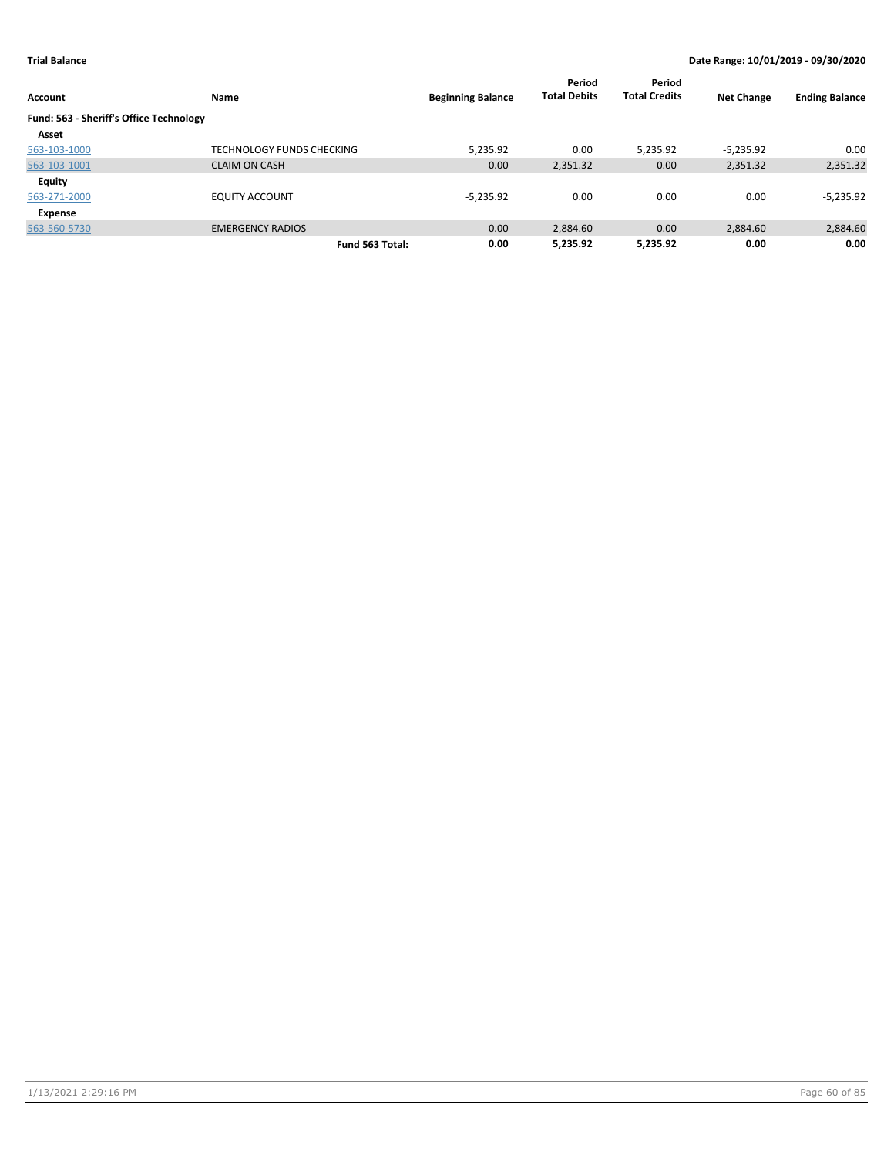| <b>Account</b>                          | Name                      | <b>Beginning Balance</b> | Period<br><b>Total Debits</b> | Period<br><b>Total Credits</b> | <b>Net Change</b> | <b>Ending Balance</b> |
|-----------------------------------------|---------------------------|--------------------------|-------------------------------|--------------------------------|-------------------|-----------------------|
| Fund: 563 - Sheriff's Office Technology |                           |                          |                               |                                |                   |                       |
| Asset                                   |                           |                          |                               |                                |                   |                       |
| 563-103-1000                            | TECHNOLOGY FUNDS CHECKING | 5,235.92                 | 0.00                          | 5,235.92                       | $-5,235.92$       | 0.00                  |
| 563-103-1001                            | <b>CLAIM ON CASH</b>      | 0.00                     | 2,351.32                      | 0.00                           | 2,351.32          | 2,351.32              |
| <b>Equity</b>                           |                           |                          |                               |                                |                   |                       |
| 563-271-2000                            | EQUITY ACCOUNT            | $-5.235.92$              | 0.00                          | 0.00                           | 0.00              | $-5,235.92$           |
| Expense                                 |                           |                          |                               |                                |                   |                       |
| 563-560-5730                            | <b>EMERGENCY RADIOS</b>   | 0.00                     | 2,884.60                      | 0.00                           | 2,884.60          | 2,884.60              |
|                                         | Fund 563 Total:           | 0.00                     | 5,235.92                      | 5.235.92                       | 0.00              | 0.00                  |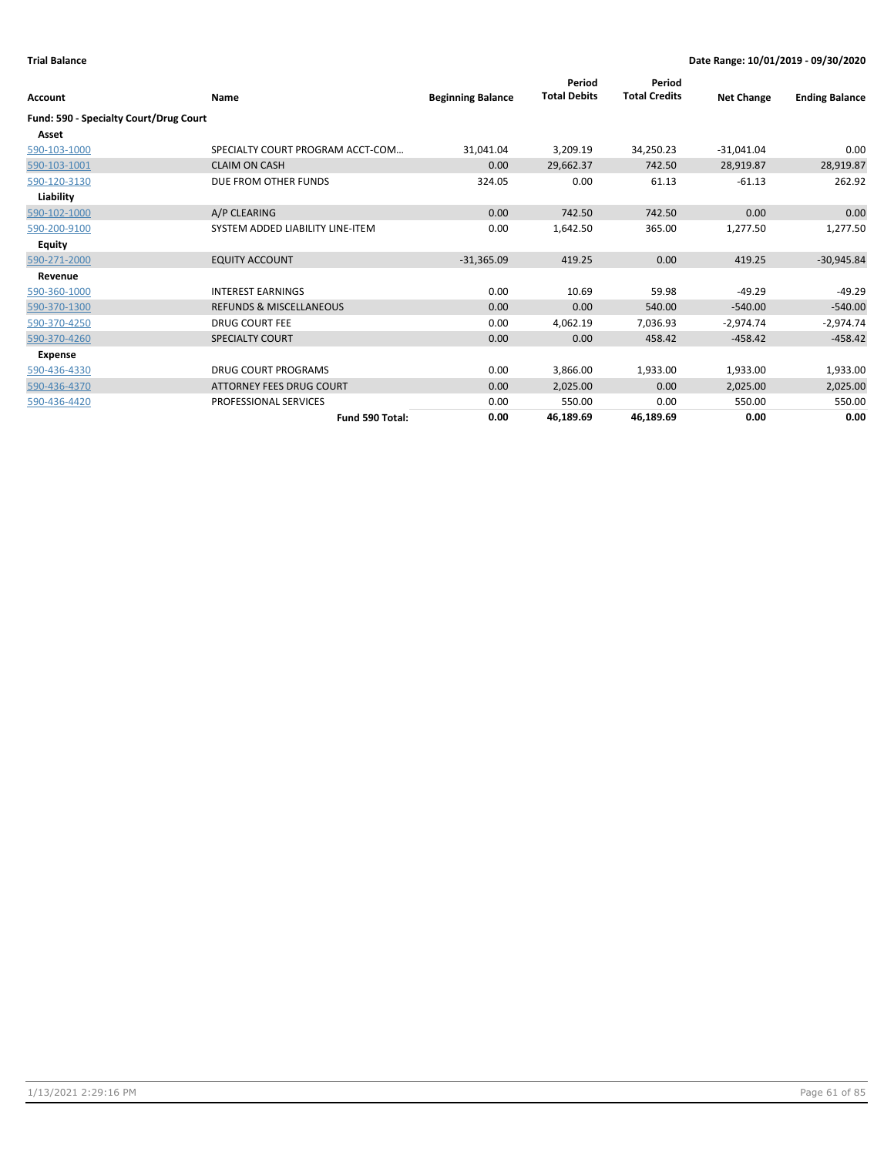|                                        |                                    |                          | Period              | Period               |                   |                       |
|----------------------------------------|------------------------------------|--------------------------|---------------------|----------------------|-------------------|-----------------------|
| Account                                | Name                               | <b>Beginning Balance</b> | <b>Total Debits</b> | <b>Total Credits</b> | <b>Net Change</b> | <b>Ending Balance</b> |
| Fund: 590 - Specialty Court/Drug Court |                                    |                          |                     |                      |                   |                       |
| Asset                                  |                                    |                          |                     |                      |                   |                       |
| 590-103-1000                           | SPECIALTY COURT PROGRAM ACCT-COM   | 31,041.04                | 3,209.19            | 34,250.23            | $-31,041.04$      | 0.00                  |
| 590-103-1001                           | <b>CLAIM ON CASH</b>               | 0.00                     | 29,662.37           | 742.50               | 28,919.87         | 28,919.87             |
| 590-120-3130                           | DUE FROM OTHER FUNDS               | 324.05                   | 0.00                | 61.13                | $-61.13$          | 262.92                |
| Liability                              |                                    |                          |                     |                      |                   |                       |
| 590-102-1000                           | A/P CLEARING                       | 0.00                     | 742.50              | 742.50               | 0.00              | 0.00                  |
| 590-200-9100                           | SYSTEM ADDED LIABILITY LINE-ITEM   | 0.00                     | 1,642.50            | 365.00               | 1,277.50          | 1,277.50              |
| <b>Equity</b>                          |                                    |                          |                     |                      |                   |                       |
| 590-271-2000                           | <b>EQUITY ACCOUNT</b>              | $-31,365.09$             | 419.25              | 0.00                 | 419.25            | $-30,945.84$          |
| Revenue                                |                                    |                          |                     |                      |                   |                       |
| 590-360-1000                           | <b>INTEREST EARNINGS</b>           | 0.00                     | 10.69               | 59.98                | $-49.29$          | $-49.29$              |
| 590-370-1300                           | <b>REFUNDS &amp; MISCELLANEOUS</b> | 0.00                     | 0.00                | 540.00               | $-540.00$         | $-540.00$             |
| 590-370-4250                           | <b>DRUG COURT FEE</b>              | 0.00                     | 4,062.19            | 7,036.93             | $-2,974.74$       | $-2,974.74$           |
| 590-370-4260                           | SPECIALTY COURT                    | 0.00                     | 0.00                | 458.42               | $-458.42$         | $-458.42$             |
| <b>Expense</b>                         |                                    |                          |                     |                      |                   |                       |
| 590-436-4330                           | <b>DRUG COURT PROGRAMS</b>         | 0.00                     | 3,866.00            | 1,933.00             | 1,933.00          | 1,933.00              |
| 590-436-4370                           | <b>ATTORNEY FEES DRUG COURT</b>    | 0.00                     | 2,025.00            | 0.00                 | 2,025.00          | 2,025.00              |
| 590-436-4420                           | PROFESSIONAL SERVICES              | 0.00                     | 550.00              | 0.00                 | 550.00            | 550.00                |
|                                        | Fund 590 Total:                    | 0.00                     | 46,189.69           | 46,189.69            | 0.00              | 0.00                  |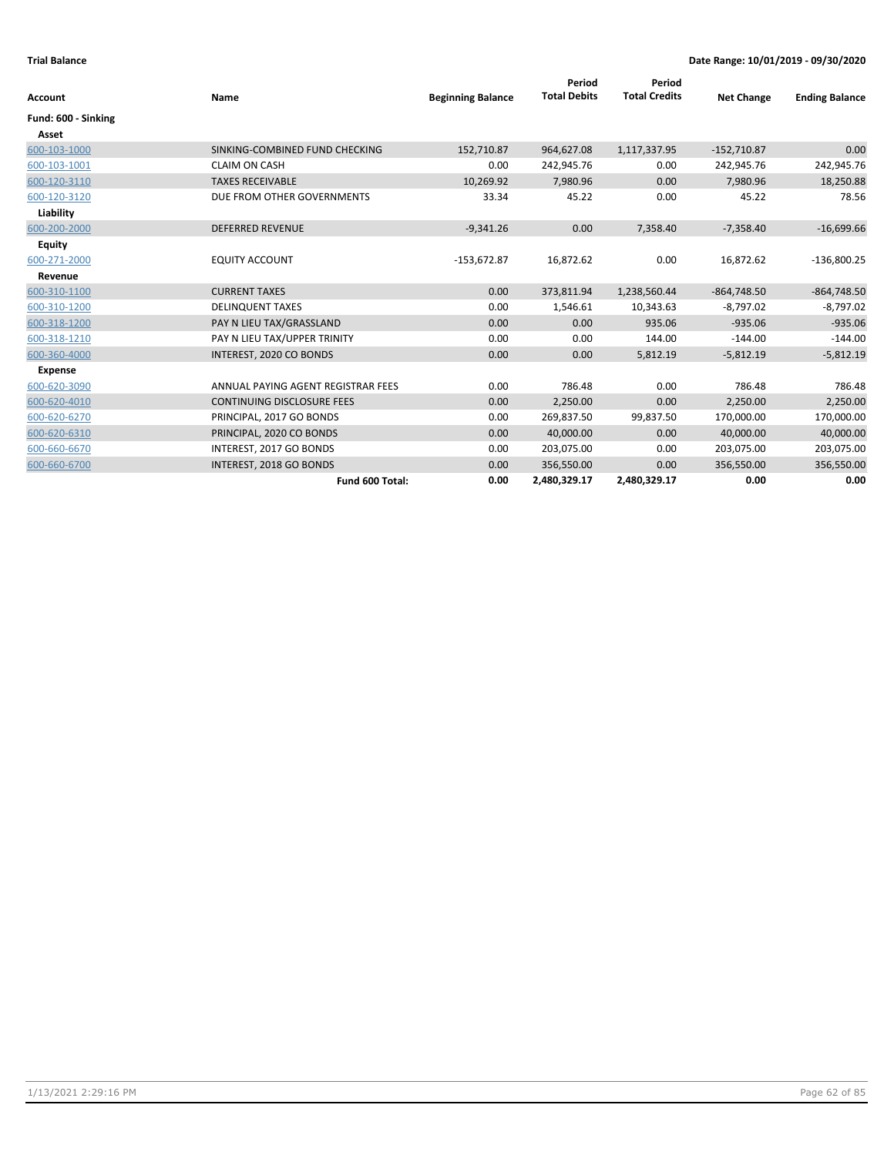| Account             | Name                               | <b>Beginning Balance</b> | Period<br><b>Total Debits</b> | Period<br><b>Total Credits</b> | <b>Net Change</b> | <b>Ending Balance</b> |
|---------------------|------------------------------------|--------------------------|-------------------------------|--------------------------------|-------------------|-----------------------|
| Fund: 600 - Sinking |                                    |                          |                               |                                |                   |                       |
| Asset               |                                    |                          |                               |                                |                   |                       |
| 600-103-1000        | SINKING-COMBINED FUND CHECKING     | 152,710.87               | 964,627.08                    | 1,117,337.95                   | $-152,710.87$     | 0.00                  |
| 600-103-1001        | <b>CLAIM ON CASH</b>               | 0.00                     | 242,945.76                    | 0.00                           | 242,945.76        | 242,945.76            |
| 600-120-3110        | <b>TAXES RECEIVABLE</b>            | 10,269.92                | 7,980.96                      | 0.00                           | 7,980.96          | 18,250.88             |
| 600-120-3120        | DUE FROM OTHER GOVERNMENTS         | 33.34                    | 45.22                         | 0.00                           | 45.22             | 78.56                 |
| Liability           |                                    |                          |                               |                                |                   |                       |
| 600-200-2000        | <b>DEFERRED REVENUE</b>            | $-9,341.26$              | 0.00                          | 7,358.40                       | $-7,358.40$       | $-16,699.66$          |
| <b>Equity</b>       |                                    |                          |                               |                                |                   |                       |
| 600-271-2000        | <b>EQUITY ACCOUNT</b>              | $-153,672.87$            | 16,872.62                     | 0.00                           | 16,872.62         | $-136,800.25$         |
| Revenue             |                                    |                          |                               |                                |                   |                       |
| 600-310-1100        | <b>CURRENT TAXES</b>               | 0.00                     | 373,811.94                    | 1,238,560.44                   | $-864,748.50$     | $-864,748.50$         |
| 600-310-1200        | <b>DELINQUENT TAXES</b>            | 0.00                     | 1,546.61                      | 10,343.63                      | $-8,797.02$       | $-8,797.02$           |
| 600-318-1200        | PAY N LIEU TAX/GRASSLAND           | 0.00                     | 0.00                          | 935.06                         | $-935.06$         | $-935.06$             |
| 600-318-1210        | PAY N LIEU TAX/UPPER TRINITY       | 0.00                     | 0.00                          | 144.00                         | $-144.00$         | $-144.00$             |
| 600-360-4000        | INTEREST, 2020 CO BONDS            | 0.00                     | 0.00                          | 5,812.19                       | $-5,812.19$       | $-5,812.19$           |
| <b>Expense</b>      |                                    |                          |                               |                                |                   |                       |
| 600-620-3090        | ANNUAL PAYING AGENT REGISTRAR FEES | 0.00                     | 786.48                        | 0.00                           | 786.48            | 786.48                |
| 600-620-4010        | <b>CONTINUING DISCLOSURE FEES</b>  | 0.00                     | 2,250.00                      | 0.00                           | 2,250.00          | 2,250.00              |
| 600-620-6270        | PRINCIPAL, 2017 GO BONDS           | 0.00                     | 269,837.50                    | 99,837.50                      | 170,000.00        | 170,000.00            |
| 600-620-6310        | PRINCIPAL, 2020 CO BONDS           | 0.00                     | 40,000.00                     | 0.00                           | 40,000.00         | 40,000.00             |
| 600-660-6670        | INTEREST, 2017 GO BONDS            | 0.00                     | 203,075.00                    | 0.00                           | 203,075.00        | 203,075.00            |
| 600-660-6700        | INTEREST, 2018 GO BONDS            | 0.00                     | 356,550.00                    | 0.00                           | 356,550.00        | 356,550.00            |
|                     | Fund 600 Total:                    | 0.00                     | 2,480,329.17                  | 2,480,329.17                   | 0.00              | 0.00                  |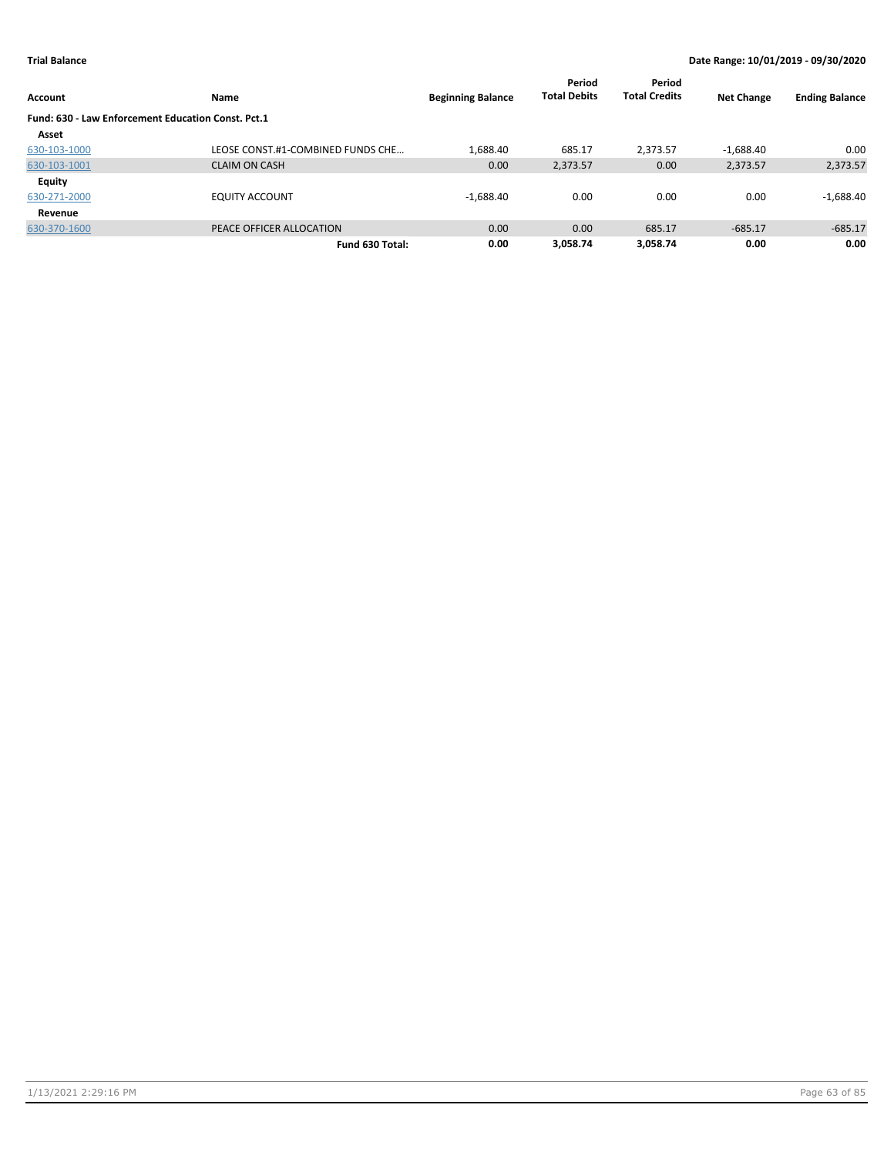| <b>Account</b>                                     | Name                              | <b>Beginning Balance</b> | Period<br><b>Total Debits</b> | Period<br><b>Total Credits</b> | <b>Net Change</b> | <b>Ending Balance</b> |
|----------------------------------------------------|-----------------------------------|--------------------------|-------------------------------|--------------------------------|-------------------|-----------------------|
| Fund: 630 - Law Enforcement Education Const. Pct.1 |                                   |                          |                               |                                |                   |                       |
| Asset                                              |                                   |                          |                               |                                |                   |                       |
| 630-103-1000                                       | LEOSE CONST.#1-COMBINED FUNDS CHE | 1,688.40                 | 685.17                        | 2.373.57                       | $-1,688.40$       | 0.00                  |
| 630-103-1001                                       | <b>CLAIM ON CASH</b>              | 0.00                     | 2,373.57                      | 0.00                           | 2,373.57          | 2,373.57              |
| Equity                                             |                                   |                          |                               |                                |                   |                       |
| 630-271-2000                                       | <b>EQUITY ACCOUNT</b>             | $-1,688.40$              | 0.00                          | 0.00                           | 0.00              | $-1,688.40$           |
| Revenue                                            |                                   |                          |                               |                                |                   |                       |
| 630-370-1600                                       | PEACE OFFICER ALLOCATION          | 0.00                     | 0.00                          | 685.17                         | $-685.17$         | $-685.17$             |
|                                                    | Fund 630 Total:                   | 0.00                     | 3.058.74                      | 3.058.74                       | 0.00              | 0.00                  |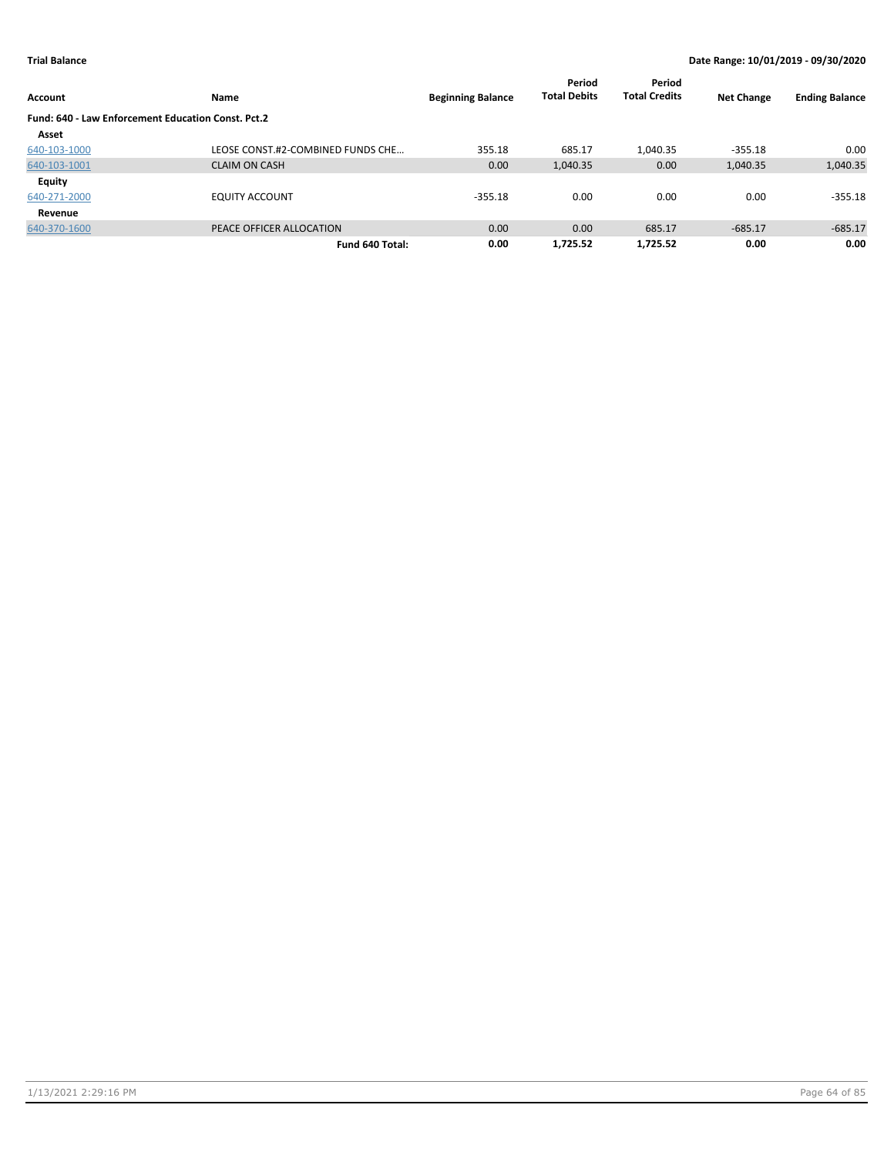| <b>Account</b>                                     | Name                              | <b>Beginning Balance</b> | Period<br><b>Total Debits</b> | Period<br><b>Total Credits</b> | <b>Net Change</b> | <b>Ending Balance</b> |
|----------------------------------------------------|-----------------------------------|--------------------------|-------------------------------|--------------------------------|-------------------|-----------------------|
| Fund: 640 - Law Enforcement Education Const. Pct.2 |                                   |                          |                               |                                |                   |                       |
| Asset                                              |                                   |                          |                               |                                |                   |                       |
| 640-103-1000                                       | LEOSE CONST.#2-COMBINED FUNDS CHE | 355.18                   | 685.17                        | 1,040.35                       | $-355.18$         | 0.00                  |
| 640-103-1001                                       | <b>CLAIM ON CASH</b>              | 0.00                     | 1,040.35                      | 0.00                           | 1,040.35          | 1,040.35              |
| Equity                                             |                                   |                          |                               |                                |                   |                       |
| 640-271-2000                                       | <b>EQUITY ACCOUNT</b>             | $-355.18$                | 0.00                          | 0.00                           | 0.00              | $-355.18$             |
| Revenue                                            |                                   |                          |                               |                                |                   |                       |
| 640-370-1600                                       | PEACE OFFICER ALLOCATION          | 0.00                     | 0.00                          | 685.17                         | $-685.17$         | $-685.17$             |
|                                                    | Fund 640 Total:                   | 0.00                     | 1.725.52                      | 1.725.52                       | 0.00              | 0.00                  |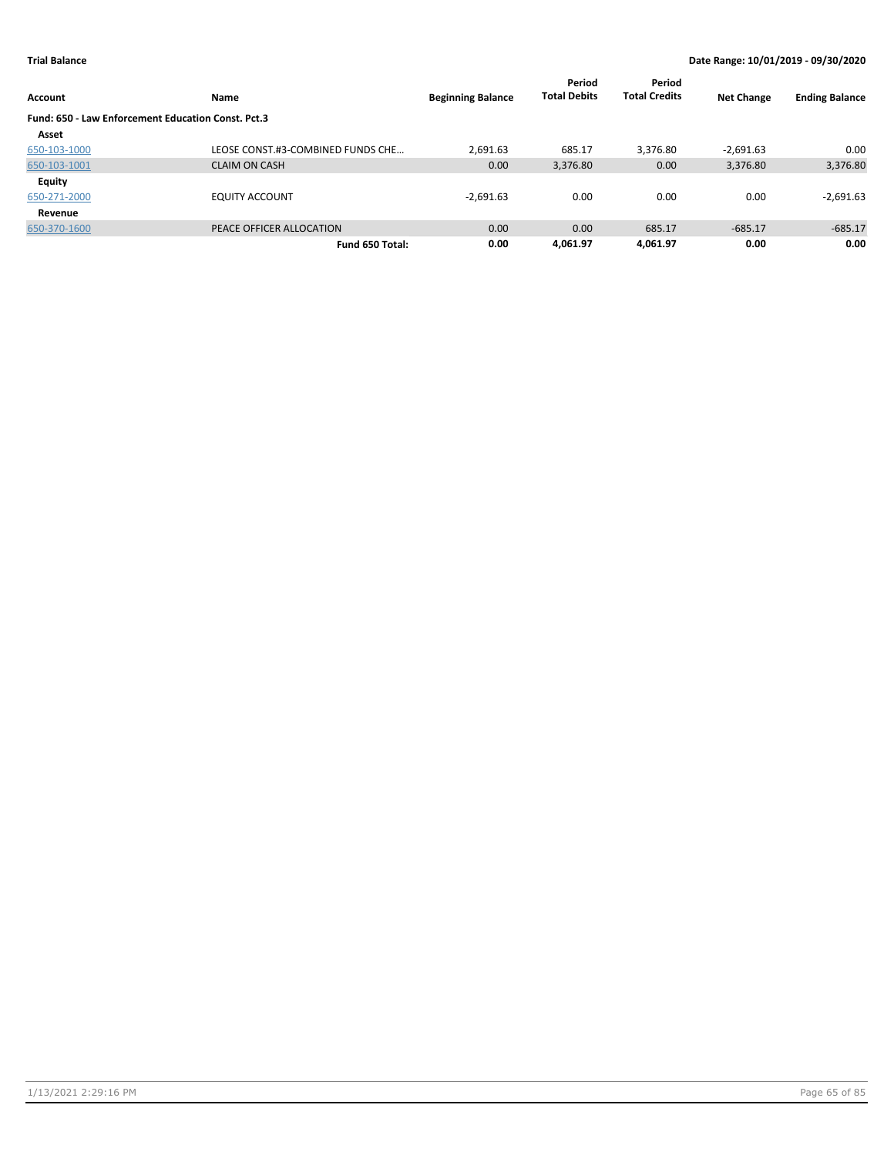| Account                                                   | Name                              | <b>Beginning Balance</b> | Period<br><b>Total Debits</b> | Period<br><b>Total Credits</b> | <b>Net Change</b> | <b>Ending Balance</b> |
|-----------------------------------------------------------|-----------------------------------|--------------------------|-------------------------------|--------------------------------|-------------------|-----------------------|
| <b>Fund: 650 - Law Enforcement Education Const. Pct.3</b> |                                   |                          |                               |                                |                   |                       |
| Asset                                                     |                                   |                          |                               |                                |                   |                       |
| 650-103-1000                                              | LEOSE CONST.#3-COMBINED FUNDS CHE | 2,691.63                 | 685.17                        | 3.376.80                       | $-2,691.63$       | 0.00                  |
| 650-103-1001                                              | <b>CLAIM ON CASH</b>              | 0.00                     | 3,376.80                      | 0.00                           | 3,376.80          | 3,376.80              |
| <b>Equity</b>                                             |                                   |                          |                               |                                |                   |                       |
| 650-271-2000                                              | <b>EQUITY ACCOUNT</b>             | $-2,691.63$              | 0.00                          | 0.00                           | 0.00              | $-2,691.63$           |
| Revenue                                                   |                                   |                          |                               |                                |                   |                       |
| 650-370-1600                                              | PEACE OFFICER ALLOCATION          | 0.00                     | 0.00                          | 685.17                         | $-685.17$         | $-685.17$             |
|                                                           | Fund 650 Total:                   | 0.00                     | 4.061.97                      | 4.061.97                       | 0.00              | 0.00                  |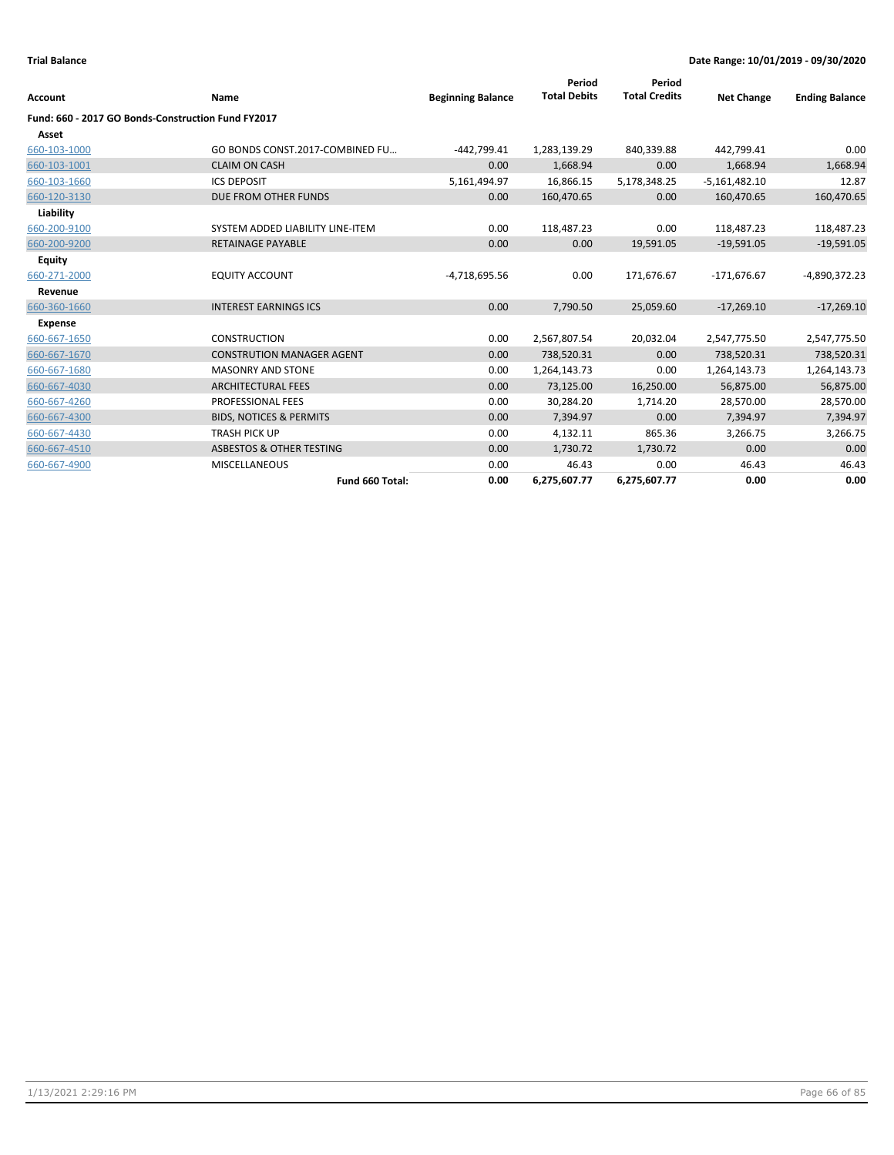| <b>Account</b>                                     | Name                                | <b>Beginning Balance</b> | Period<br><b>Total Debits</b> | Period<br><b>Total Credits</b> | <b>Net Change</b> | <b>Ending Balance</b> |
|----------------------------------------------------|-------------------------------------|--------------------------|-------------------------------|--------------------------------|-------------------|-----------------------|
| Fund: 660 - 2017 GO Bonds-Construction Fund FY2017 |                                     |                          |                               |                                |                   |                       |
| Asset                                              |                                     |                          |                               |                                |                   |                       |
| 660-103-1000                                       | GO BONDS CONST.2017-COMBINED FU     | $-442,799.41$            | 1,283,139.29                  | 840,339.88                     | 442,799.41        | 0.00                  |
| 660-103-1001                                       | <b>CLAIM ON CASH</b>                | 0.00                     | 1,668.94                      | 0.00                           | 1,668.94          | 1,668.94              |
| 660-103-1660                                       | <b>ICS DEPOSIT</b>                  | 5,161,494.97             | 16,866.15                     | 5,178,348.25                   | $-5,161,482.10$   | 12.87                 |
| 660-120-3130                                       | DUE FROM OTHER FUNDS                | 0.00                     | 160,470.65                    | 0.00                           | 160,470.65        | 160,470.65            |
| Liability                                          |                                     |                          |                               |                                |                   |                       |
| 660-200-9100                                       | SYSTEM ADDED LIABILITY LINE-ITEM    | 0.00                     | 118,487.23                    | 0.00                           | 118,487.23        | 118,487.23            |
| 660-200-9200                                       | RETAINAGE PAYABLE                   | 0.00                     | 0.00                          | 19,591.05                      | $-19,591.05$      | $-19,591.05$          |
| <b>Equity</b>                                      |                                     |                          |                               |                                |                   |                       |
| 660-271-2000                                       | <b>EQUITY ACCOUNT</b>               | $-4,718,695.56$          | 0.00                          | 171,676.67                     | $-171,676.67$     | -4,890,372.23         |
| Revenue                                            |                                     |                          |                               |                                |                   |                       |
| 660-360-1660                                       | <b>INTEREST EARNINGS ICS</b>        | 0.00                     | 7,790.50                      | 25,059.60                      | $-17,269.10$      | $-17,269.10$          |
| Expense                                            |                                     |                          |                               |                                |                   |                       |
| 660-667-1650                                       | <b>CONSTRUCTION</b>                 | 0.00                     | 2,567,807.54                  | 20,032.04                      | 2,547,775.50      | 2,547,775.50          |
| 660-667-1670                                       | <b>CONSTRUTION MANAGER AGENT</b>    | 0.00                     | 738,520.31                    | 0.00                           | 738,520.31        | 738,520.31            |
| 660-667-1680                                       | <b>MASONRY AND STONE</b>            | 0.00                     | 1,264,143.73                  | 0.00                           | 1,264,143.73      | 1,264,143.73          |
| 660-667-4030                                       | <b>ARCHITECTURAL FEES</b>           | 0.00                     | 73,125.00                     | 16,250.00                      | 56,875.00         | 56,875.00             |
| 660-667-4260                                       | PROFESSIONAL FEES                   | 0.00                     | 30,284.20                     | 1,714.20                       | 28,570.00         | 28,570.00             |
| 660-667-4300                                       | <b>BIDS, NOTICES &amp; PERMITS</b>  | 0.00                     | 7,394.97                      | 0.00                           | 7,394.97          | 7,394.97              |
| 660-667-4430                                       | <b>TRASH PICK UP</b>                | 0.00                     | 4,132.11                      | 865.36                         | 3,266.75          | 3,266.75              |
| 660-667-4510                                       | <b>ASBESTOS &amp; OTHER TESTING</b> | 0.00                     | 1,730.72                      | 1,730.72                       | 0.00              | 0.00                  |
| 660-667-4900                                       | <b>MISCELLANEOUS</b>                | 0.00                     | 46.43                         | 0.00                           | 46.43             | 46.43                 |
|                                                    | Fund 660 Total:                     | 0.00                     | 6,275,607.77                  | 6,275,607.77                   | 0.00              | 0.00                  |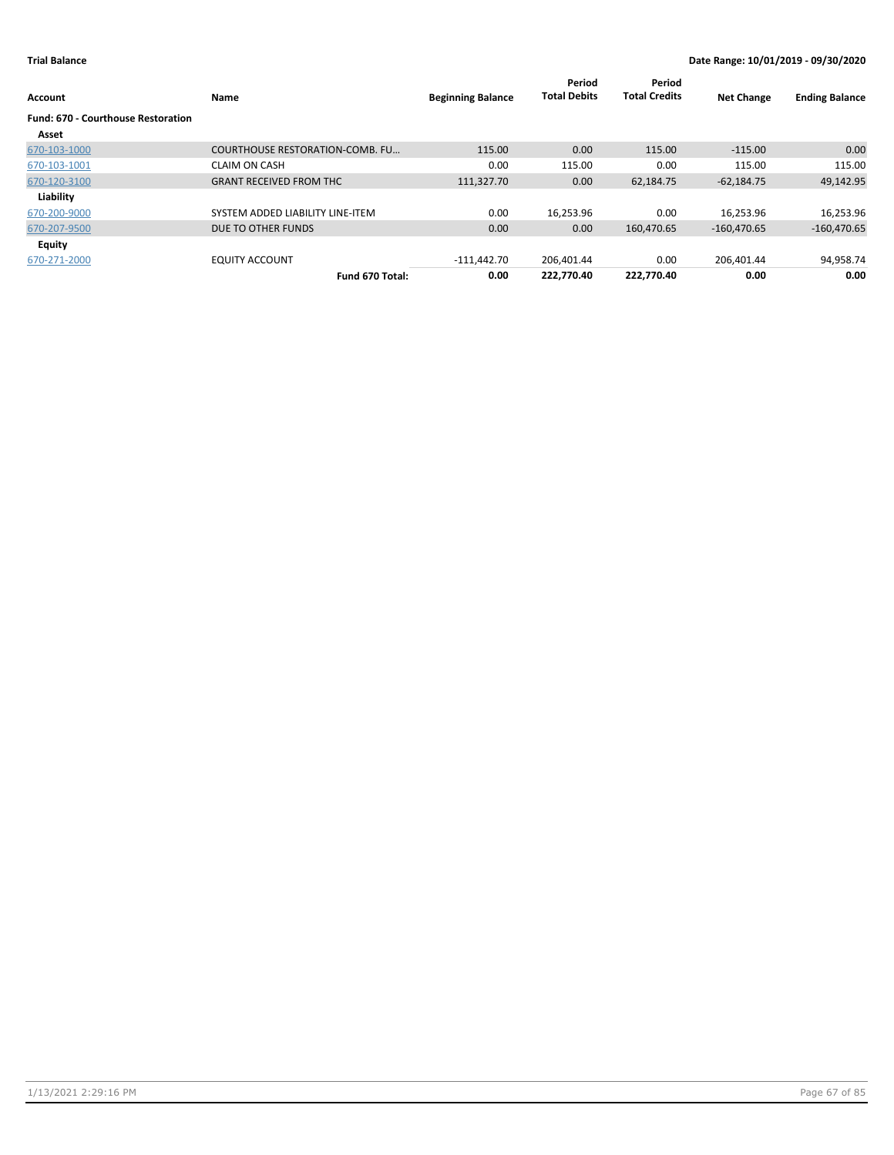| Account                                            | Name                                   | <b>Beginning Balance</b> | Period<br><b>Total Debits</b> | Period<br><b>Total Credits</b> | <b>Net Change</b> | <b>Ending Balance</b> |
|----------------------------------------------------|----------------------------------------|--------------------------|-------------------------------|--------------------------------|-------------------|-----------------------|
| <b>Fund: 670 - Courthouse Restoration</b><br>Asset |                                        |                          |                               |                                |                   |                       |
| 670-103-1000                                       | <b>COURTHOUSE RESTORATION-COMB. FU</b> | 115.00                   | 0.00                          | 115.00                         | $-115.00$         | 0.00                  |
| 670-103-1001                                       | <b>CLAIM ON CASH</b>                   | 0.00                     | 115.00                        | 0.00                           | 115.00            | 115.00                |
| 670-120-3100                                       | <b>GRANT RECEIVED FROM THC</b>         | 111,327.70               | 0.00                          | 62,184.75                      | $-62,184.75$      | 49,142.95             |
| Liability                                          |                                        |                          |                               |                                |                   |                       |
| 670-200-9000                                       | SYSTEM ADDED LIABILITY LINE-ITEM       | 0.00                     | 16,253.96                     | 0.00                           | 16,253.96         | 16,253.96             |
| 670-207-9500                                       | DUE TO OTHER FUNDS                     | 0.00                     | 0.00                          | 160,470.65                     | $-160,470.65$     | $-160,470.65$         |
| Equity                                             |                                        |                          |                               |                                |                   |                       |
| 670-271-2000                                       | <b>EQUITY ACCOUNT</b>                  | $-111,442.70$            | 206,401.44                    | 0.00                           | 206,401.44        | 94,958.74             |
|                                                    | Fund 670 Total:                        | 0.00                     | 222.770.40                    | 222.770.40                     | 0.00              | 0.00                  |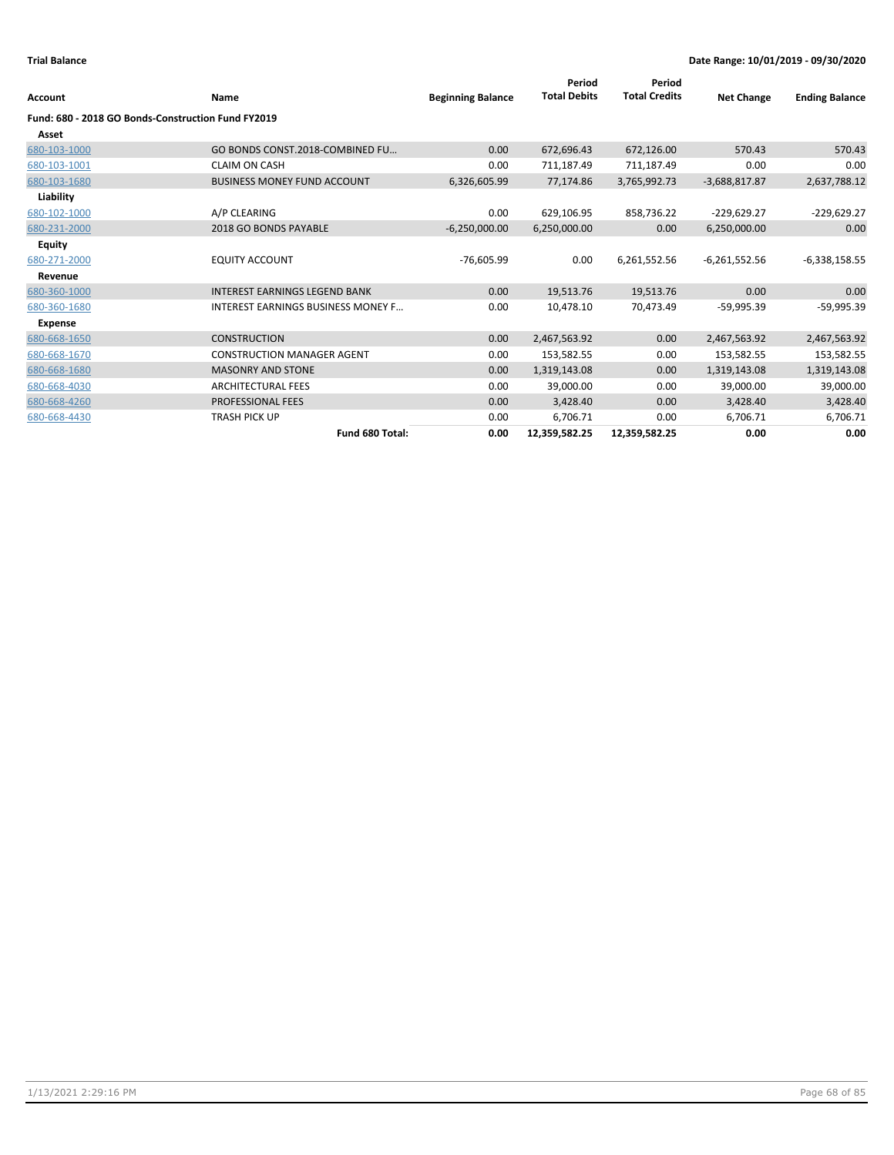| Account                                            | Name                                      | <b>Beginning Balance</b> | Period<br><b>Total Debits</b> | Period<br><b>Total Credits</b> | <b>Net Change</b> | <b>Ending Balance</b> |
|----------------------------------------------------|-------------------------------------------|--------------------------|-------------------------------|--------------------------------|-------------------|-----------------------|
|                                                    |                                           |                          |                               |                                |                   |                       |
| Fund: 680 - 2018 GO Bonds-Construction Fund FY2019 |                                           |                          |                               |                                |                   |                       |
| Asset                                              |                                           |                          |                               |                                |                   |                       |
| 680-103-1000                                       | GO BONDS CONST.2018-COMBINED FU           | 0.00                     | 672,696.43                    | 672,126.00                     | 570.43            | 570.43                |
| 680-103-1001                                       | <b>CLAIM ON CASH</b>                      | 0.00                     | 711,187.49                    | 711,187.49                     | 0.00              | 0.00                  |
| 680-103-1680                                       | <b>BUSINESS MONEY FUND ACCOUNT</b>        | 6,326,605.99             | 77,174.86                     | 3,765,992.73                   | $-3,688,817.87$   | 2,637,788.12          |
| Liability                                          |                                           |                          |                               |                                |                   |                       |
| 680-102-1000                                       | A/P CLEARING                              | 0.00                     | 629,106.95                    | 858,736.22                     | $-229,629.27$     | $-229,629.27$         |
| 680-231-2000                                       | 2018 GO BONDS PAYABLE                     | $-6,250,000.00$          | 6,250,000.00                  | 0.00                           | 6,250,000.00      | 0.00                  |
| Equity                                             |                                           |                          |                               |                                |                   |                       |
| 680-271-2000                                       | <b>EQUITY ACCOUNT</b>                     | $-76,605.99$             | 0.00                          | 6,261,552.56                   | $-6,261,552.56$   | $-6,338,158.55$       |
| Revenue                                            |                                           |                          |                               |                                |                   |                       |
| 680-360-1000                                       | <b>INTEREST EARNINGS LEGEND BANK</b>      | 0.00                     | 19,513.76                     | 19,513.76                      | 0.00              | 0.00                  |
| 680-360-1680                                       | <b>INTEREST EARNINGS BUSINESS MONEY F</b> | 0.00                     | 10.478.10                     | 70.473.49                      | $-59,995.39$      | $-59,995.39$          |
| Expense                                            |                                           |                          |                               |                                |                   |                       |
| 680-668-1650                                       | <b>CONSTRUCTION</b>                       | 0.00                     | 2,467,563.92                  | 0.00                           | 2,467,563.92      | 2,467,563.92          |
| 680-668-1670                                       | <b>CONSTRUCTION MANAGER AGENT</b>         | 0.00                     | 153,582.55                    | 0.00                           | 153,582.55        | 153,582.55            |
| 680-668-1680                                       | <b>MASONRY AND STONE</b>                  | 0.00                     | 1,319,143.08                  | 0.00                           | 1,319,143.08      | 1,319,143.08          |
| 680-668-4030                                       | <b>ARCHITECTURAL FEES</b>                 | 0.00                     | 39,000.00                     | 0.00                           | 39,000.00         | 39,000.00             |
| 680-668-4260                                       | <b>PROFESSIONAL FEES</b>                  | 0.00                     | 3,428.40                      | 0.00                           | 3,428.40          | 3,428.40              |
| 680-668-4430                                       | TRASH PICK UP                             | 0.00                     | 6,706.71                      | 0.00                           | 6,706.71          | 6,706.71              |
|                                                    | Fund 680 Total:                           | 0.00                     | 12,359,582.25                 | 12,359,582.25                  | 0.00              | 0.00                  |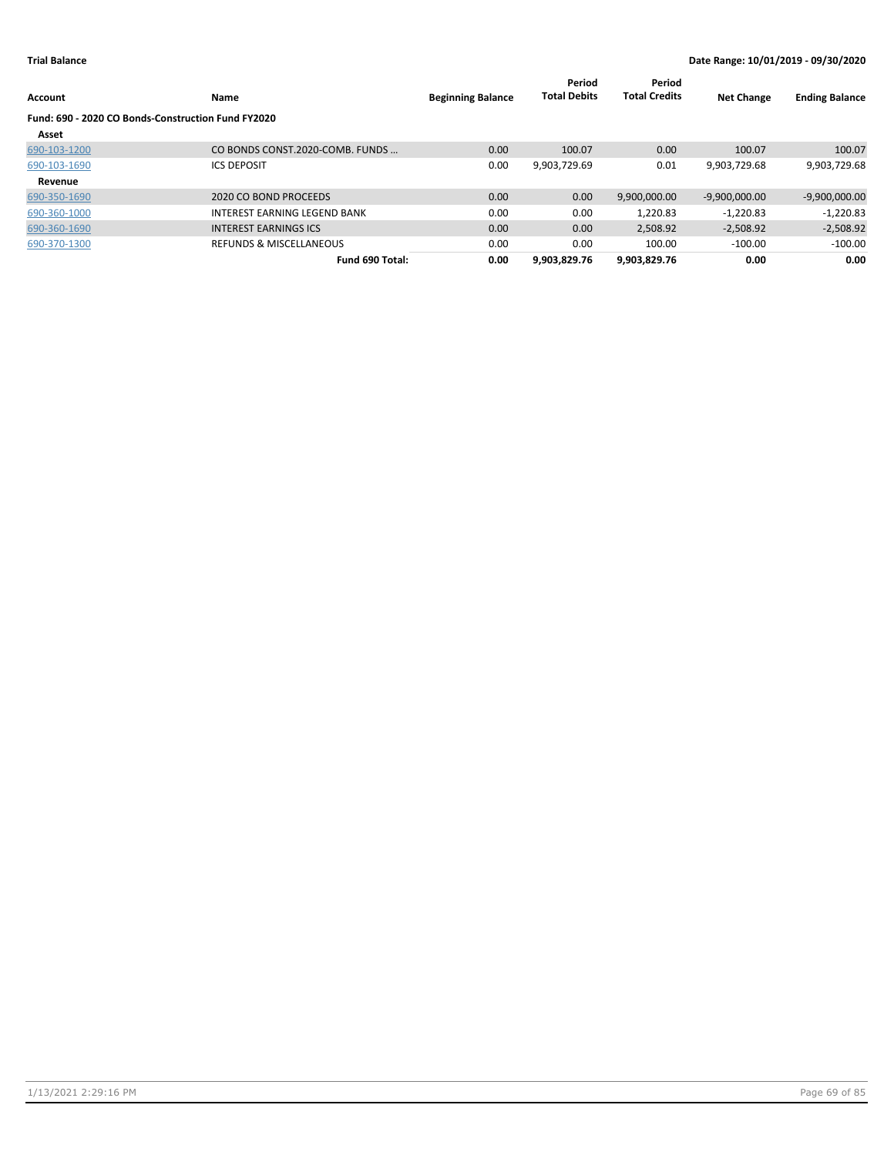| <b>Account</b>                                     | Name                               | <b>Beginning Balance</b> | Period<br><b>Total Debits</b> | Period<br><b>Total Credits</b> | <b>Net Change</b> | <b>Ending Balance</b> |
|----------------------------------------------------|------------------------------------|--------------------------|-------------------------------|--------------------------------|-------------------|-----------------------|
| Fund: 690 - 2020 CO Bonds-Construction Fund FY2020 |                                    |                          |                               |                                |                   |                       |
| Asset                                              |                                    |                          |                               |                                |                   |                       |
| 690-103-1200                                       | CO BONDS CONST.2020-COMB. FUNDS    | 0.00                     | 100.07                        | 0.00                           | 100.07            | 100.07                |
| 690-103-1690                                       | <b>ICS DEPOSIT</b>                 | 0.00                     | 9,903,729.69                  | 0.01                           | 9,903,729.68      | 9,903,729.68          |
| Revenue                                            |                                    |                          |                               |                                |                   |                       |
| 690-350-1690                                       | 2020 CO BOND PROCEEDS              | 0.00                     | 0.00                          | 9,900,000.00                   | $-9,900,000.00$   | $-9,900,000.00$       |
| 690-360-1000                                       | INTEREST EARNING LEGEND BANK       | 0.00                     | 0.00                          | 1,220.83                       | $-1.220.83$       | $-1,220.83$           |
| 690-360-1690                                       | <b>INTEREST EARNINGS ICS</b>       | 0.00                     | 0.00                          | 2.508.92                       | $-2.508.92$       | $-2,508.92$           |
| 690-370-1300                                       | <b>REFUNDS &amp; MISCELLANEOUS</b> | 0.00                     | 0.00                          | 100.00                         | $-100.00$         | $-100.00$             |
|                                                    | Fund 690 Total:                    | 0.00                     | 9.903.829.76                  | 9.903.829.76                   | 0.00              | 0.00                  |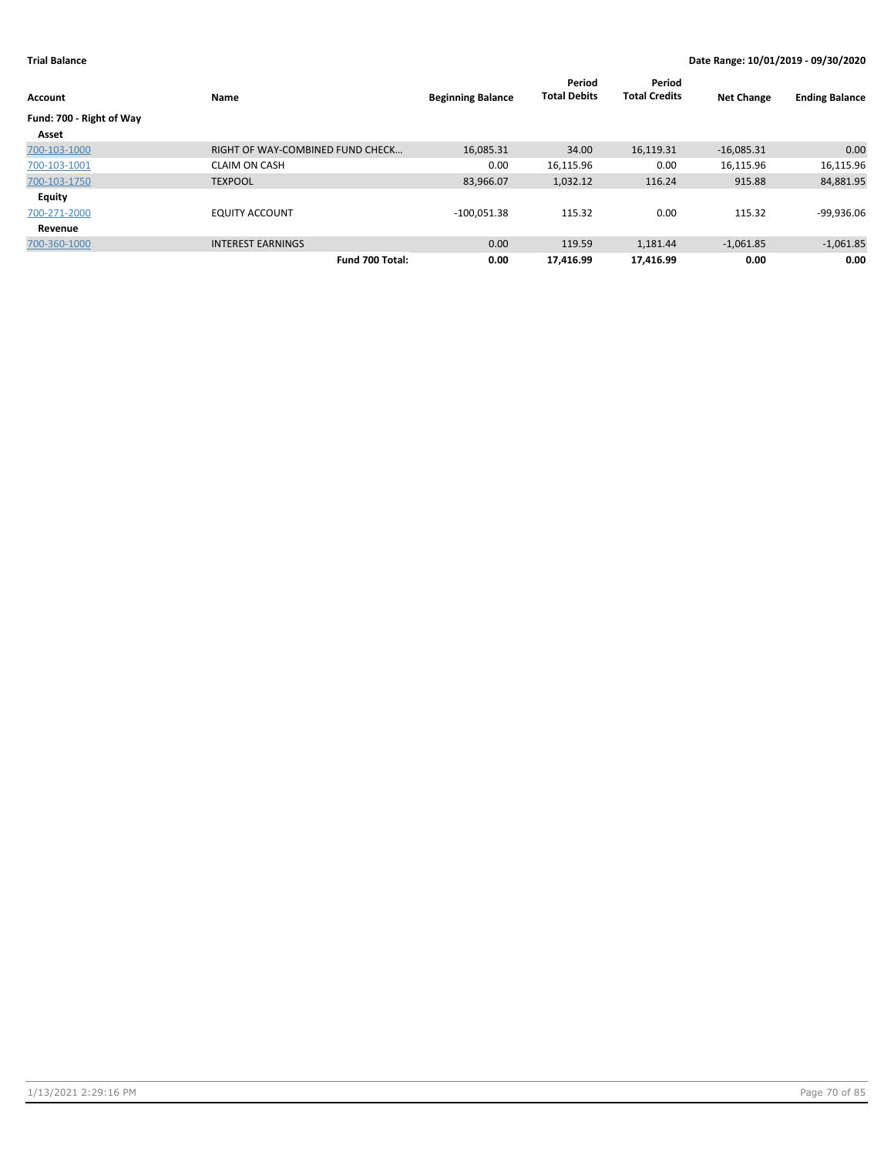| Account                           | Name                             | <b>Beginning Balance</b> | Period<br><b>Total Debits</b> | Period<br><b>Total Credits</b> | <b>Net Change</b>   | <b>Ending Balance</b> |
|-----------------------------------|----------------------------------|--------------------------|-------------------------------|--------------------------------|---------------------|-----------------------|
| Fund: 700 - Right of Way<br>Asset |                                  |                          |                               |                                |                     |                       |
| 700-103-1000                      | RIGHT OF WAY-COMBINED FUND CHECK | 16.085.31                | 34.00                         | 16,119.31                      | $-16,085.31$        | 0.00                  |
| 700-103-1001                      | <b>CLAIM ON CASH</b>             | 0.00                     | 16,115.96                     | 0.00                           | 16,115.96           | 16,115.96             |
| 700-103-1750                      | <b>TEXPOOL</b>                   | 83,966.07                | 1,032.12                      | 116.24                         | 915.88              | 84,881.95             |
| Equity<br>700-271-2000            | <b>EQUITY ACCOUNT</b>            | $-100,051.38$            | 115.32                        | 0.00                           | 115.32              | -99,936.06            |
| Revenue                           | <b>INTEREST EARNINGS</b>         | 0.00                     | 119.59                        |                                |                     |                       |
| 700-360-1000                      | Fund 700 Total:                  | 0.00                     | 17.416.99                     | 1,181.44<br>17,416.99          | $-1,061.85$<br>0.00 | $-1,061.85$<br>0.00   |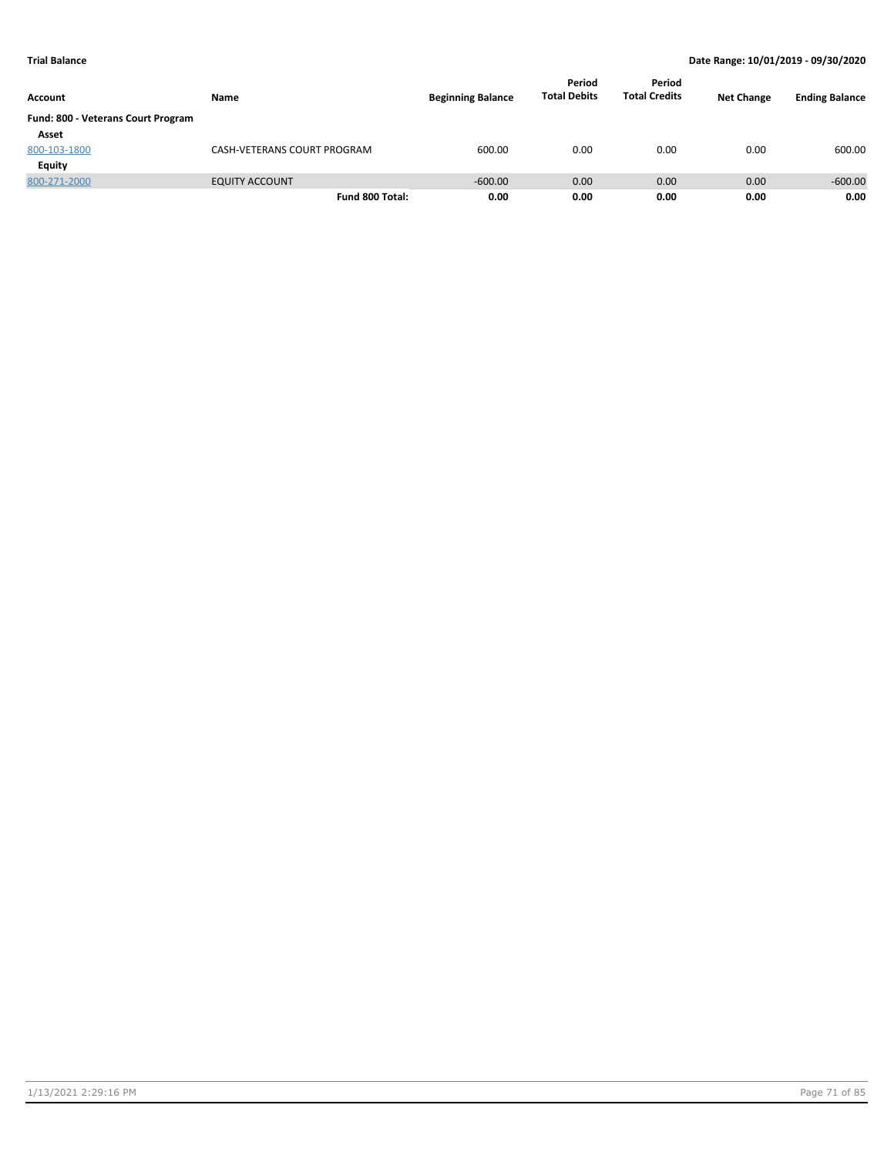| Account                            | Name                        | <b>Beginning Balance</b> | Period<br><b>Total Debits</b> | Period<br><b>Total Credits</b> | <b>Net Change</b> | <b>Ending Balance</b> |
|------------------------------------|-----------------------------|--------------------------|-------------------------------|--------------------------------|-------------------|-----------------------|
| Fund: 800 - Veterans Court Program |                             |                          |                               |                                |                   |                       |
| Asset                              |                             |                          |                               |                                |                   |                       |
| 800-103-1800                       | CASH-VETERANS COURT PROGRAM | 600.00                   | 0.00                          | 0.00                           | 0.00              | 600.00                |
| Equity                             |                             |                          |                               |                                |                   |                       |
| 800-271-2000                       | <b>EQUITY ACCOUNT</b>       | $-600.00$                | 0.00                          | 0.00                           | 0.00              | $-600.00$             |
|                                    | Fund 800 Total:             | 0.00                     | 0.00                          | 0.00                           | 0.00              | 0.00                  |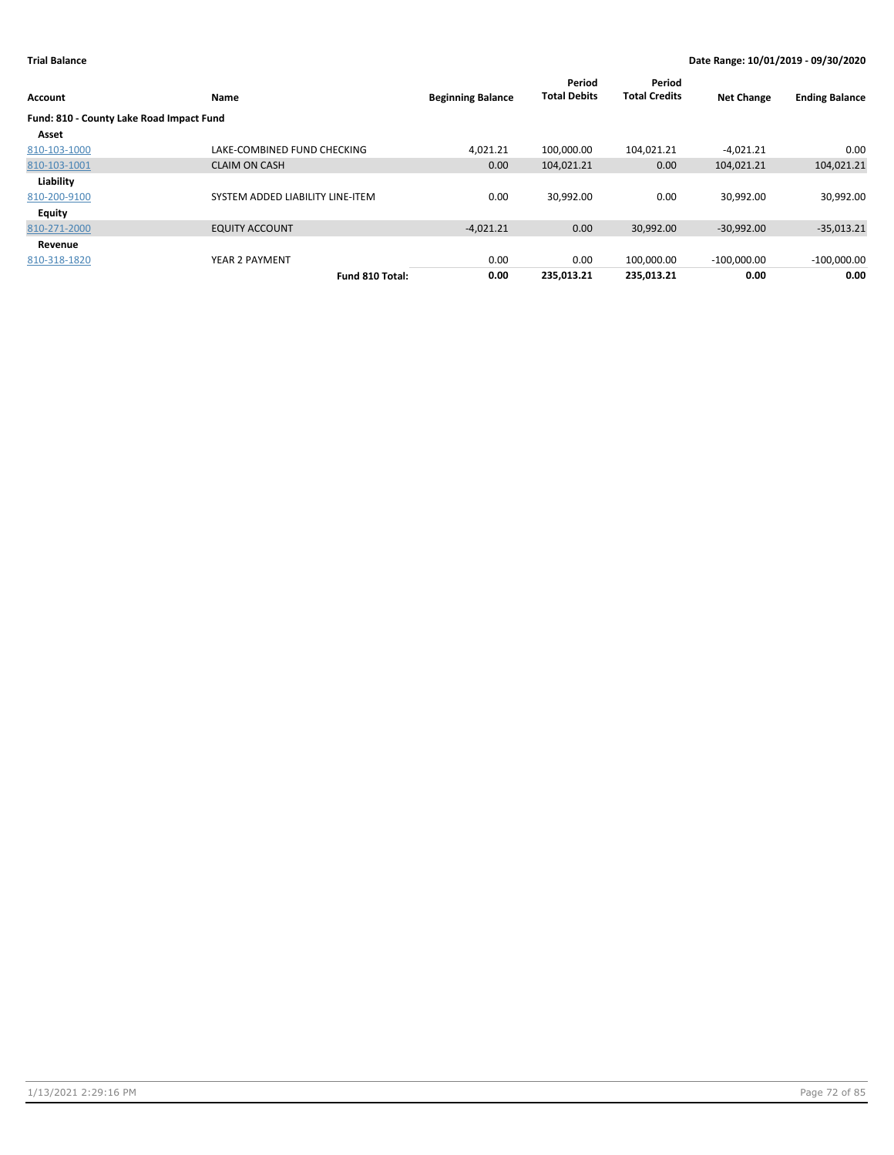| Account                                  | Name                             | <b>Beginning Balance</b> | Period<br><b>Total Debits</b> | Period<br><b>Total Credits</b> | <b>Net Change</b> | <b>Ending Balance</b> |
|------------------------------------------|----------------------------------|--------------------------|-------------------------------|--------------------------------|-------------------|-----------------------|
| Fund: 810 - County Lake Road Impact Fund |                                  |                          |                               |                                |                   |                       |
| Asset                                    |                                  |                          |                               |                                |                   |                       |
| 810-103-1000                             | LAKE-COMBINED FUND CHECKING      | 4,021.21                 | 100.000.00                    | 104,021.21                     | $-4,021.21$       | 0.00                  |
| 810-103-1001                             | <b>CLAIM ON CASH</b>             | 0.00                     | 104,021.21                    | 0.00                           | 104,021.21        | 104,021.21            |
| Liability                                |                                  |                          |                               |                                |                   |                       |
| 810-200-9100                             | SYSTEM ADDED LIABILITY LINE-ITEM | 0.00                     | 30,992.00                     | 0.00                           | 30,992.00         | 30,992.00             |
| <b>Equity</b>                            |                                  |                          |                               |                                |                   |                       |
| 810-271-2000                             | <b>EQUITY ACCOUNT</b>            | $-4,021.21$              | 0.00                          | 30,992.00                      | $-30,992.00$      | $-35,013.21$          |
| Revenue                                  |                                  |                          |                               |                                |                   |                       |
| 810-318-1820                             | YEAR 2 PAYMENT                   | 0.00                     | 0.00                          | 100,000.00                     | $-100,000.00$     | $-100,000.00$         |
|                                          | Fund 810 Total:                  | 0.00                     | 235.013.21                    | 235.013.21                     | 0.00              | 0.00                  |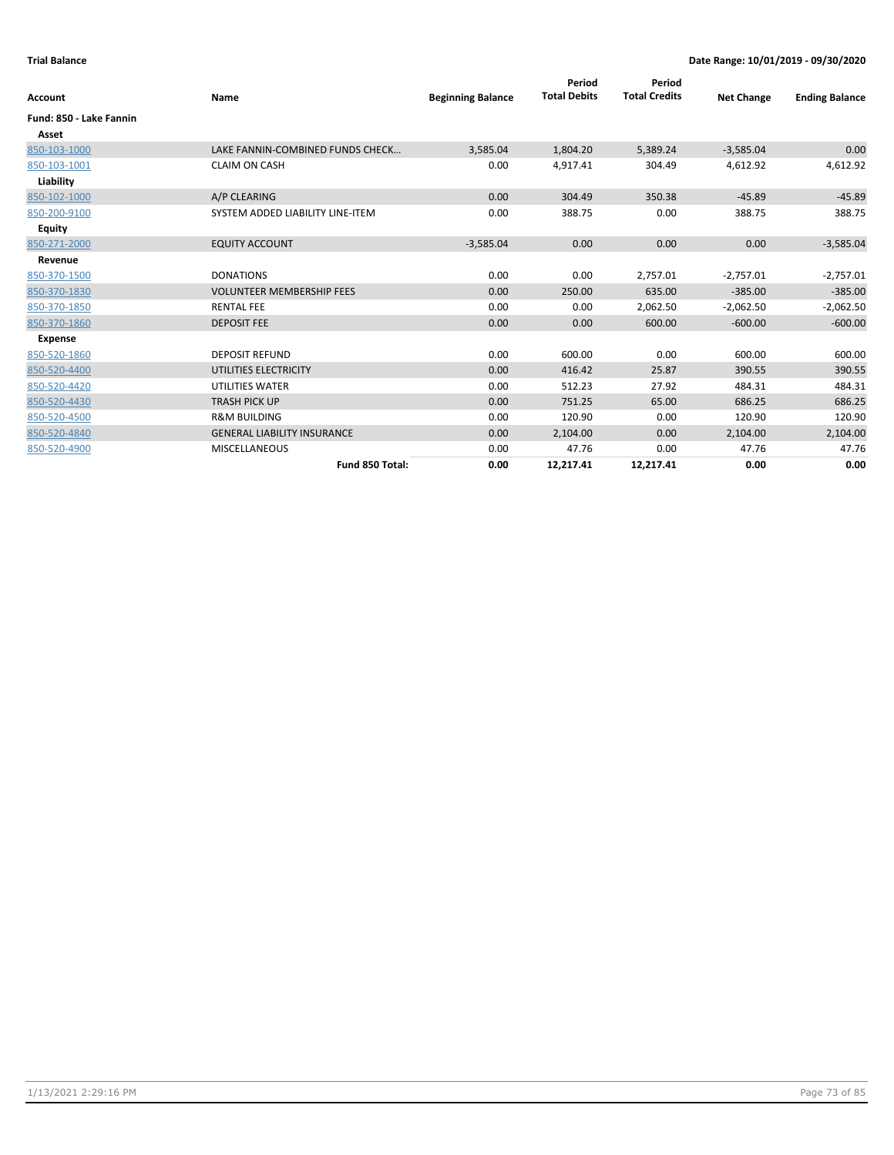| Account                 | Name                               | <b>Beginning Balance</b> | Period<br><b>Total Debits</b> | Period<br><b>Total Credits</b> | <b>Net Change</b> | <b>Ending Balance</b> |
|-------------------------|------------------------------------|--------------------------|-------------------------------|--------------------------------|-------------------|-----------------------|
| Fund: 850 - Lake Fannin |                                    |                          |                               |                                |                   |                       |
| Asset                   |                                    |                          |                               |                                |                   |                       |
| 850-103-1000            | LAKE FANNIN-COMBINED FUNDS CHECK   | 3,585.04                 | 1,804.20                      | 5,389.24                       | $-3,585.04$       | 0.00                  |
| 850-103-1001            | <b>CLAIM ON CASH</b>               | 0.00                     | 4,917.41                      | 304.49                         | 4,612.92          | 4,612.92              |
| Liability               |                                    |                          |                               |                                |                   |                       |
| 850-102-1000            | A/P CLEARING                       | 0.00                     | 304.49                        | 350.38                         | $-45.89$          | $-45.89$              |
| 850-200-9100            | SYSTEM ADDED LIABILITY LINE-ITEM   | 0.00                     | 388.75                        | 0.00                           | 388.75            | 388.75                |
| <b>Equity</b>           |                                    |                          |                               |                                |                   |                       |
| 850-271-2000            | <b>EQUITY ACCOUNT</b>              | $-3,585.04$              | 0.00                          | 0.00                           | 0.00              | $-3,585.04$           |
| Revenue                 |                                    |                          |                               |                                |                   |                       |
| 850-370-1500            | <b>DONATIONS</b>                   | 0.00                     | 0.00                          | 2,757.01                       | $-2,757.01$       | $-2,757.01$           |
| 850-370-1830            | <b>VOLUNTEER MEMBERSHIP FEES</b>   | 0.00                     | 250.00                        | 635.00                         | $-385.00$         | $-385.00$             |
| 850-370-1850            | <b>RENTAL FEE</b>                  | 0.00                     | 0.00                          | 2,062.50                       | $-2,062.50$       | $-2,062.50$           |
| 850-370-1860            | <b>DEPOSIT FEE</b>                 | 0.00                     | 0.00                          | 600.00                         | $-600.00$         | $-600.00$             |
| <b>Expense</b>          |                                    |                          |                               |                                |                   |                       |
| 850-520-1860            | <b>DEPOSIT REFUND</b>              | 0.00                     | 600.00                        | 0.00                           | 600.00            | 600.00                |
| 850-520-4400            | UTILITIES ELECTRICITY              | 0.00                     | 416.42                        | 25.87                          | 390.55            | 390.55                |
| 850-520-4420            | <b>UTILITIES WATER</b>             | 0.00                     | 512.23                        | 27.92                          | 484.31            | 484.31                |
| 850-520-4430            | <b>TRASH PICK UP</b>               | 0.00                     | 751.25                        | 65.00                          | 686.25            | 686.25                |
| 850-520-4500            | <b>R&amp;M BUILDING</b>            | 0.00                     | 120.90                        | 0.00                           | 120.90            | 120.90                |
| 850-520-4840            | <b>GENERAL LIABILITY INSURANCE</b> | 0.00                     | 2,104.00                      | 0.00                           | 2,104.00          | 2,104.00              |
| 850-520-4900            | <b>MISCELLANEOUS</b>               | 0.00                     | 47.76                         | 0.00                           | 47.76             | 47.76                 |
|                         | Fund 850 Total:                    | 0.00                     | 12,217.41                     | 12,217.41                      | 0.00              | 0.00                  |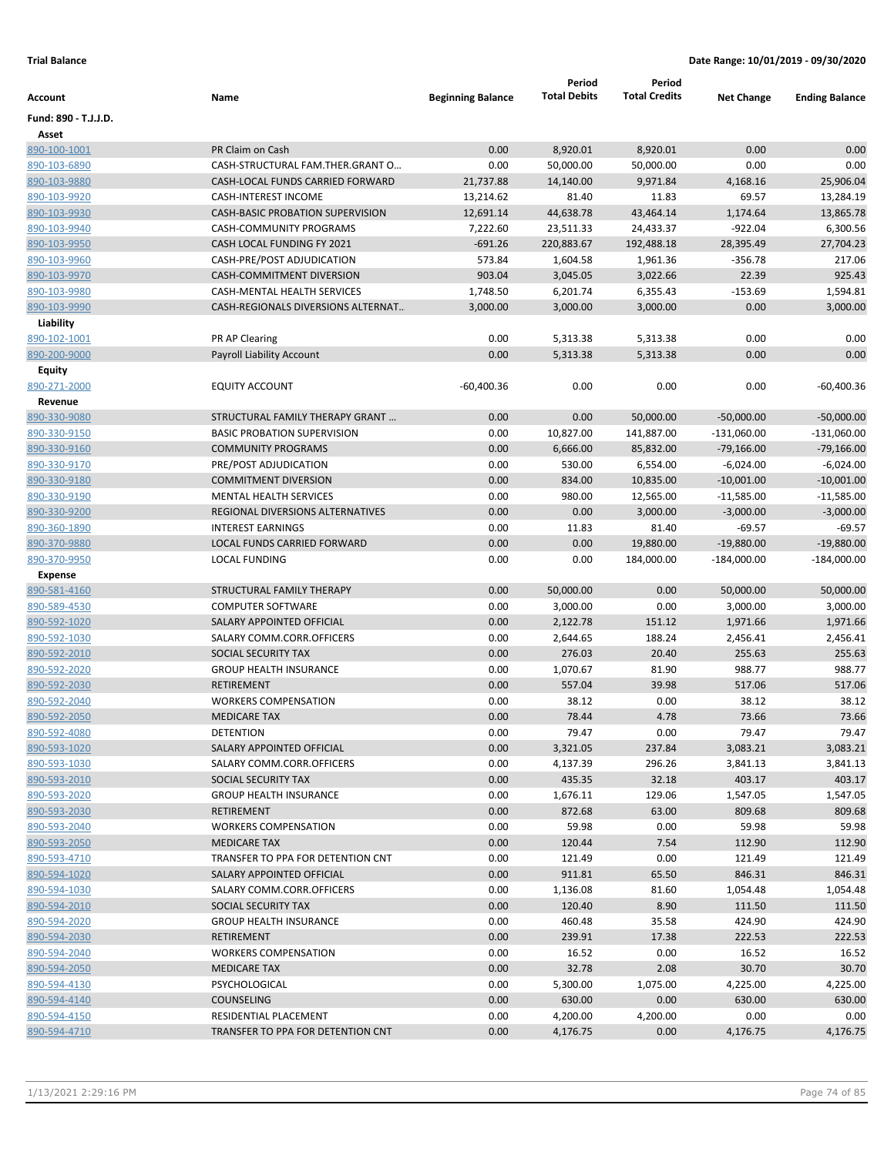|                      |                                         |                          | Period              | Period               |                   |                       |
|----------------------|-----------------------------------------|--------------------------|---------------------|----------------------|-------------------|-----------------------|
| Account              | Name                                    | <b>Beginning Balance</b> | <b>Total Debits</b> | <b>Total Credits</b> | <b>Net Change</b> | <b>Ending Balance</b> |
| Fund: 890 - T.J.J.D. |                                         |                          |                     |                      |                   |                       |
| Asset                |                                         |                          |                     |                      |                   |                       |
| 890-100-1001         | PR Claim on Cash                        | 0.00                     | 8,920.01            | 8,920.01             | 0.00              | 0.00                  |
| 890-103-6890         | CASH-STRUCTURAL FAM.THER.GRANT O        | 0.00                     | 50,000.00           | 50,000.00            | 0.00              | 0.00                  |
| 890-103-9880         | CASH-LOCAL FUNDS CARRIED FORWARD        | 21,737.88                | 14,140.00           | 9,971.84             | 4,168.16          | 25,906.04             |
| 890-103-9920         | <b>CASH-INTEREST INCOME</b>             | 13,214.62                | 81.40               | 11.83                | 69.57             | 13,284.19             |
| 890-103-9930         | <b>CASH-BASIC PROBATION SUPERVISION</b> | 12,691.14                | 44,638.78           | 43,464.14            | 1,174.64          | 13,865.78             |
| 890-103-9940         | CASH-COMMUNITY PROGRAMS                 | 7,222.60                 | 23,511.33           | 24,433.37            | $-922.04$         | 6,300.56              |
| 890-103-9950         | CASH LOCAL FUNDING FY 2021              | $-691.26$                | 220,883.67          | 192,488.18           | 28,395.49         | 27,704.23             |
| 890-103-9960         | CASH-PRE/POST ADJUDICATION              | 573.84                   | 1,604.58            | 1,961.36             | $-356.78$         | 217.06                |
| 890-103-9970         | CASH-COMMITMENT DIVERSION               | 903.04                   | 3,045.05            | 3,022.66             | 22.39             | 925.43                |
| 890-103-9980         | CASH-MENTAL HEALTH SERVICES             | 1,748.50                 | 6,201.74            | 6,355.43             | $-153.69$         | 1,594.81              |
| 890-103-9990         | CASH-REGIONALS DIVERSIONS ALTERNAT      | 3,000.00                 | 3,000.00            | 3,000.00             | 0.00              | 3,000.00              |
| Liability            |                                         |                          |                     |                      |                   |                       |
| 890-102-1001         | PR AP Clearing                          | 0.00                     | 5,313.38            | 5,313.38             | 0.00              | 0.00                  |
| 890-200-9000         | Payroll Liability Account               | 0.00                     | 5,313.38            | 5,313.38             | 0.00              | 0.00                  |
| <b>Equity</b>        |                                         |                          |                     |                      |                   |                       |
| 890-271-2000         | <b>EQUITY ACCOUNT</b>                   | $-60,400.36$             | 0.00                | 0.00                 | 0.00              | $-60,400.36$          |
| Revenue              |                                         |                          |                     |                      |                   |                       |
| 890-330-9080         | STRUCTURAL FAMILY THERAPY GRANT         | 0.00                     | 0.00                | 50,000.00            | $-50,000.00$      | $-50,000.00$          |
| 890-330-9150         | <b>BASIC PROBATION SUPERVISION</b>      | 0.00                     | 10,827.00           | 141,887.00           | $-131,060.00$     | -131,060.00           |
| 890-330-9160         | <b>COMMUNITY PROGRAMS</b>               | 0.00                     | 6,666.00            | 85,832.00            | $-79,166.00$      | $-79,166.00$          |
| 890-330-9170         | PRE/POST ADJUDICATION                   | 0.00                     | 530.00              | 6,554.00             | $-6,024.00$       | $-6,024.00$           |
| 890-330-9180         | <b>COMMITMENT DIVERSION</b>             | 0.00                     | 834.00              | 10,835.00            | $-10,001.00$      | $-10,001.00$          |
| 890-330-9190         | <b>MENTAL HEALTH SERVICES</b>           | 0.00                     | 980.00              | 12,565.00            | $-11,585.00$      | $-11,585.00$          |
| 890-330-9200         | REGIONAL DIVERSIONS ALTERNATIVES        | 0.00                     | 0.00                | 3,000.00             | $-3,000.00$       | $-3,000.00$           |
| 890-360-1890         | <b>INTEREST EARNINGS</b>                | 0.00                     | 11.83               | 81.40                | $-69.57$          | $-69.57$              |
| 890-370-9880         | LOCAL FUNDS CARRIED FORWARD             | 0.00                     | 0.00                | 19,880.00            | $-19,880.00$      | $-19,880.00$          |
| 890-370-9950         | <b>LOCAL FUNDING</b>                    | 0.00                     | 0.00                | 184,000.00           | $-184,000.00$     | $-184,000.00$         |
| <b>Expense</b>       |                                         |                          |                     |                      |                   |                       |
| 890-581-4160         | STRUCTURAL FAMILY THERAPY               | 0.00                     | 50,000.00           | 0.00                 | 50,000.00         | 50,000.00             |
| 890-589-4530         | <b>COMPUTER SOFTWARE</b>                | 0.00                     | 3,000.00            | 0.00                 | 3,000.00          | 3,000.00              |
| 890-592-1020         | SALARY APPOINTED OFFICIAL               | 0.00                     | 2,122.78            | 151.12               | 1,971.66          | 1,971.66              |
| 890-592-1030         | SALARY COMM.CORR.OFFICERS               | 0.00                     | 2,644.65            | 188.24               | 2,456.41          | 2,456.41              |
| 890-592-2010         | SOCIAL SECURITY TAX                     | 0.00                     | 276.03              | 20.40                | 255.63            | 255.63                |
| 890-592-2020         | <b>GROUP HEALTH INSURANCE</b>           | 0.00                     | 1,070.67            | 81.90                | 988.77            | 988.77                |
| 890-592-2030         | <b>RETIREMENT</b>                       | 0.00                     | 557.04              | 39.98                | 517.06            | 517.06                |
| 890-592-2040         | <b>WORKERS COMPENSATION</b>             | 0.00                     | 38.12               | 0.00                 | 38.12             | 38.12                 |
| 890-592-2050         | <b>MEDICARE TAX</b>                     | 0.00                     | 78.44               | 4.78                 | 73.66             | 73.66                 |
| 890-592-4080         | DETENTION                               | 0.00                     | 79.47               | 0.00                 | 79.47             | 79.47                 |
| 890-593-1020         | SALARY APPOINTED OFFICIAL               | 0.00                     | 3,321.05            | 237.84               | 3,083.21          | 3,083.21              |
| 890-593-1030         | SALARY COMM.CORR.OFFICERS               | 0.00                     | 4,137.39            | 296.26               | 3,841.13          | 3,841.13              |
| 890-593-2010         | SOCIAL SECURITY TAX                     | 0.00                     | 435.35              | 32.18                | 403.17            | 403.17                |
| 890-593-2020         | <b>GROUP HEALTH INSURANCE</b>           | 0.00                     | 1,676.11            | 129.06               | 1,547.05          | 1,547.05              |
| 890-593-2030         | <b>RETIREMENT</b>                       | 0.00                     | 872.68              | 63.00                | 809.68            | 809.68                |
| 890-593-2040         | <b>WORKERS COMPENSATION</b>             |                          | 59.98               | 0.00                 | 59.98             | 59.98                 |
| 890-593-2050         | <b>MEDICARE TAX</b>                     | 0.00<br>0.00             | 120.44              | 7.54                 | 112.90            | 112.90                |
| 890-593-4710         | TRANSFER TO PPA FOR DETENTION CNT       | 0.00                     |                     |                      |                   |                       |
| 890-594-1020         | SALARY APPOINTED OFFICIAL               | 0.00                     | 121.49              | 0.00<br>65.50        | 121.49<br>846.31  | 121.49<br>846.31      |
|                      | SALARY COMM.CORR.OFFICERS               |                          | 911.81              |                      |                   |                       |
| 890-594-1030         |                                         | 0.00                     | 1,136.08            | 81.60                | 1,054.48          | 1,054.48              |
| 890-594-2010         | SOCIAL SECURITY TAX                     | 0.00                     | 120.40              | 8.90                 | 111.50            | 111.50                |
| 890-594-2020         | <b>GROUP HEALTH INSURANCE</b>           | 0.00                     | 460.48              | 35.58                | 424.90            | 424.90                |
| 890-594-2030         | <b>RETIREMENT</b>                       | 0.00                     | 239.91              | 17.38                | 222.53            | 222.53                |
| 890-594-2040         | <b>WORKERS COMPENSATION</b>             | 0.00                     | 16.52               | 0.00                 | 16.52             | 16.52                 |
| 890-594-2050         | <b>MEDICARE TAX</b>                     | 0.00                     | 32.78               | 2.08                 | 30.70             | 30.70                 |
| 890-594-4130         | PSYCHOLOGICAL                           | 0.00                     | 5,300.00            | 1,075.00             | 4,225.00          | 4,225.00              |
| 890-594-4140         | <b>COUNSELING</b>                       | 0.00                     | 630.00              | 0.00                 | 630.00            | 630.00                |
| 890-594-4150         | RESIDENTIAL PLACEMENT                   | 0.00                     | 4,200.00            | 4,200.00             | 0.00              | 0.00                  |
| 890-594-4710         | TRANSFER TO PPA FOR DETENTION CNT       | 0.00                     | 4,176.75            | 0.00                 | 4,176.75          | 4,176.75              |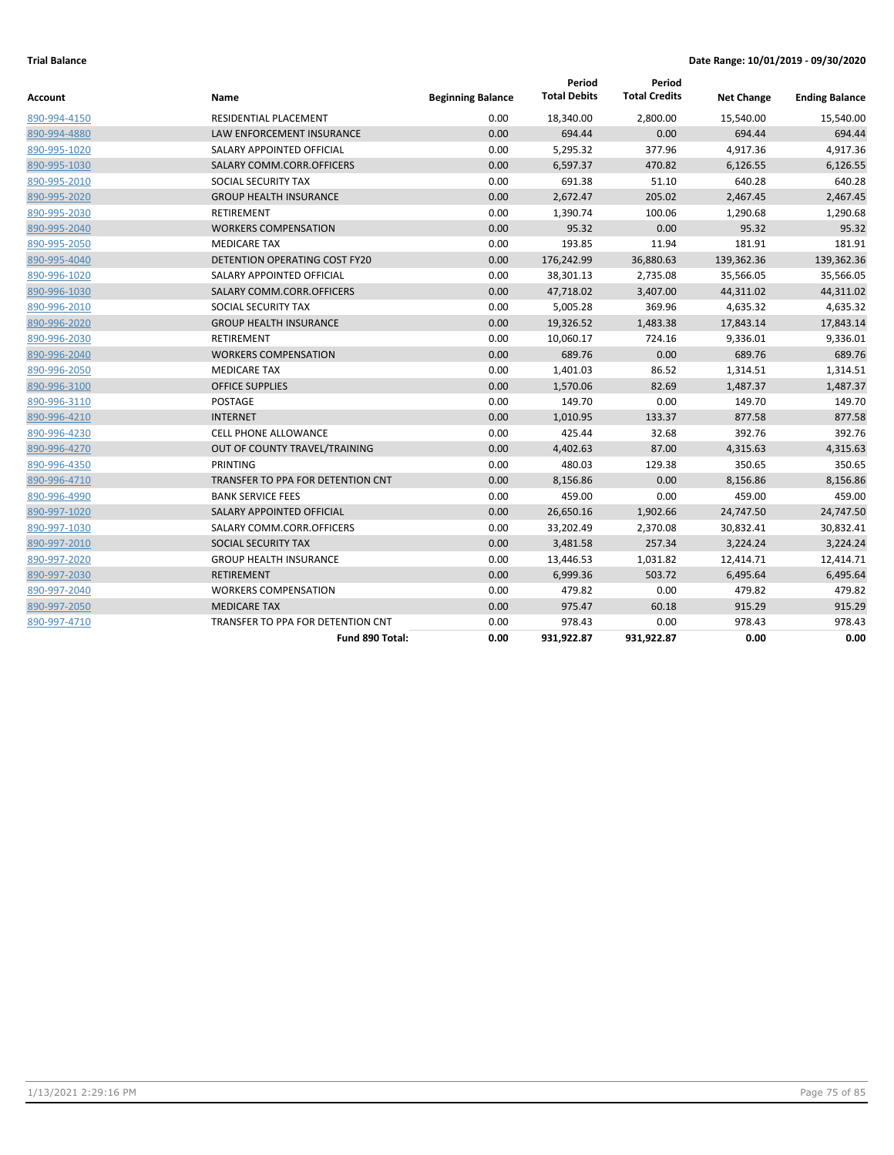| Account      | Name                                 | <b>Beginning Balance</b> | Period<br><b>Total Debits</b> | Period<br><b>Total Credits</b> | <b>Net Change</b> | <b>Ending Balance</b> |
|--------------|--------------------------------------|--------------------------|-------------------------------|--------------------------------|-------------------|-----------------------|
| 890-994-4150 | RESIDENTIAL PLACEMENT                | 0.00                     | 18,340.00                     | 2,800.00                       | 15,540.00         | 15,540.00             |
| 890-994-4880 | <b>LAW ENFORCEMENT INSURANCE</b>     | 0.00                     | 694.44                        | 0.00                           | 694.44            | 694.44                |
| 890-995-1020 | SALARY APPOINTED OFFICIAL            | 0.00                     | 5,295.32                      | 377.96                         | 4,917.36          | 4,917.36              |
| 890-995-1030 | SALARY COMM.CORR.OFFICERS            | 0.00                     | 6,597.37                      | 470.82                         | 6,126.55          | 6,126.55              |
| 890-995-2010 | SOCIAL SECURITY TAX                  | 0.00                     | 691.38                        | 51.10                          | 640.28            | 640.28                |
| 890-995-2020 | <b>GROUP HEALTH INSURANCE</b>        | 0.00                     | 2,672.47                      | 205.02                         | 2,467.45          | 2,467.45              |
| 890-995-2030 | <b>RETIREMENT</b>                    | 0.00                     | 1,390.74                      | 100.06                         | 1,290.68          | 1,290.68              |
| 890-995-2040 | <b>WORKERS COMPENSATION</b>          | 0.00                     | 95.32                         | 0.00                           | 95.32             | 95.32                 |
| 890-995-2050 | <b>MEDICARE TAX</b>                  | 0.00                     | 193.85                        | 11.94                          | 181.91            | 181.91                |
| 890-995-4040 | <b>DETENTION OPERATING COST FY20</b> | 0.00                     | 176,242.99                    | 36,880.63                      | 139,362.36        | 139,362.36            |
| 890-996-1020 | SALARY APPOINTED OFFICIAL            | 0.00                     | 38,301.13                     | 2,735.08                       | 35,566.05         | 35,566.05             |
| 890-996-1030 | SALARY COMM.CORR.OFFICERS            | 0.00                     | 47,718.02                     | 3,407.00                       | 44,311.02         | 44,311.02             |
| 890-996-2010 | SOCIAL SECURITY TAX                  | 0.00                     | 5,005.28                      | 369.96                         | 4,635.32          | 4,635.32              |
| 890-996-2020 | <b>GROUP HEALTH INSURANCE</b>        | 0.00                     | 19,326.52                     | 1,483.38                       | 17,843.14         | 17,843.14             |
| 890-996-2030 | <b>RETIREMENT</b>                    | 0.00                     | 10,060.17                     | 724.16                         | 9,336.01          | 9,336.01              |
| 890-996-2040 | <b>WORKERS COMPENSATION</b>          | 0.00                     | 689.76                        | 0.00                           | 689.76            | 689.76                |
| 890-996-2050 | <b>MEDICARE TAX</b>                  | 0.00                     | 1,401.03                      | 86.52                          | 1,314.51          | 1,314.51              |
| 890-996-3100 | <b>OFFICE SUPPLIES</b>               | 0.00                     | 1,570.06                      | 82.69                          | 1,487.37          | 1,487.37              |
| 890-996-3110 | POSTAGE                              | 0.00                     | 149.70                        | 0.00                           | 149.70            | 149.70                |
| 890-996-4210 | <b>INTERNET</b>                      | 0.00                     | 1,010.95                      | 133.37                         | 877.58            | 877.58                |
| 890-996-4230 | <b>CELL PHONE ALLOWANCE</b>          | 0.00                     | 425.44                        | 32.68                          | 392.76            | 392.76                |
| 890-996-4270 | OUT OF COUNTY TRAVEL/TRAINING        | 0.00                     | 4,402.63                      | 87.00                          | 4,315.63          | 4,315.63              |
| 890-996-4350 | PRINTING                             | 0.00                     | 480.03                        | 129.38                         | 350.65            | 350.65                |
| 890-996-4710 | TRANSFER TO PPA FOR DETENTION CNT    | 0.00                     | 8,156.86                      | 0.00                           | 8,156.86          | 8,156.86              |
| 890-996-4990 | <b>BANK SERVICE FEES</b>             | 0.00                     | 459.00                        | 0.00                           | 459.00            | 459.00                |
| 890-997-1020 | SALARY APPOINTED OFFICIAL            | 0.00                     | 26,650.16                     | 1,902.66                       | 24,747.50         | 24,747.50             |
| 890-997-1030 | SALARY COMM.CORR.OFFICERS            | 0.00                     | 33,202.49                     | 2,370.08                       | 30,832.41         | 30,832.41             |
| 890-997-2010 | SOCIAL SECURITY TAX                  | 0.00                     | 3,481.58                      | 257.34                         | 3,224.24          | 3,224.24              |
| 890-997-2020 | <b>GROUP HEALTH INSURANCE</b>        | 0.00                     | 13,446.53                     | 1,031.82                       | 12,414.71         | 12,414.71             |
| 890-997-2030 | RETIREMENT                           | 0.00                     | 6,999.36                      | 503.72                         | 6,495.64          | 6,495.64              |
| 890-997-2040 | <b>WORKERS COMPENSATION</b>          | 0.00                     | 479.82                        | 0.00                           | 479.82            | 479.82                |
| 890-997-2050 | <b>MEDICARE TAX</b>                  | 0.00                     | 975.47                        | 60.18                          | 915.29            | 915.29                |
| 890-997-4710 | TRANSFER TO PPA FOR DETENTION CNT    | 0.00                     | 978.43                        | 0.00                           | 978.43            | 978.43                |
|              | Fund 890 Total:                      | 0.00                     | 931,922.87                    | 931,922.87                     | 0.00              | 0.00                  |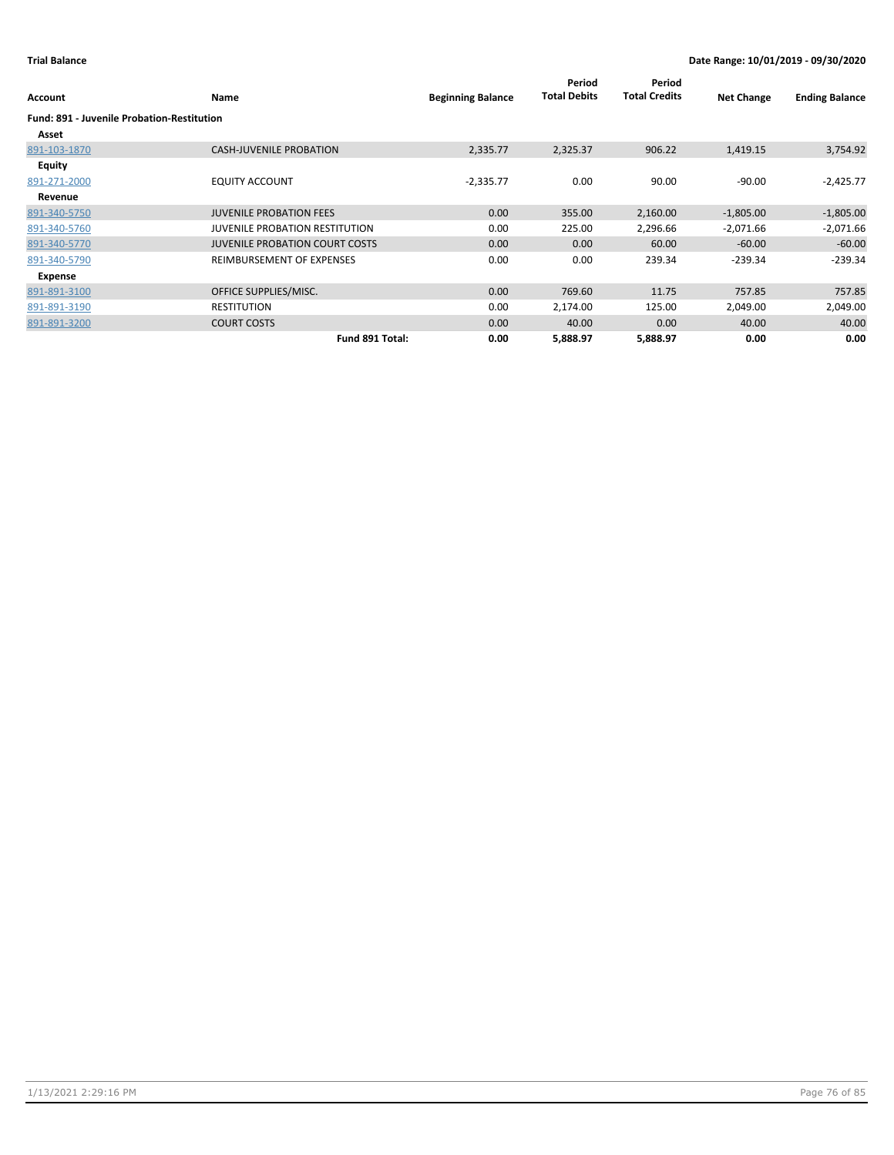| Account                                           | Name                                  | <b>Beginning Balance</b> | Period<br><b>Total Debits</b> | Period<br><b>Total Credits</b> | <b>Net Change</b> | <b>Ending Balance</b> |
|---------------------------------------------------|---------------------------------------|--------------------------|-------------------------------|--------------------------------|-------------------|-----------------------|
| <b>Fund: 891 - Juvenile Probation-Restitution</b> |                                       |                          |                               |                                |                   |                       |
| Asset                                             |                                       |                          |                               |                                |                   |                       |
| 891-103-1870                                      | <b>CASH-JUVENILE PROBATION</b>        | 2,335.77                 | 2,325.37                      | 906.22                         | 1,419.15          | 3,754.92              |
| <b>Equity</b>                                     |                                       |                          |                               |                                |                   |                       |
| 891-271-2000                                      | <b>EQUITY ACCOUNT</b>                 | $-2,335.77$              | 0.00                          | 90.00                          | $-90.00$          | $-2,425.77$           |
| Revenue                                           |                                       |                          |                               |                                |                   |                       |
| 891-340-5750                                      | <b>JUVENILE PROBATION FEES</b>        | 0.00                     | 355.00                        | 2,160.00                       | $-1,805.00$       | $-1,805.00$           |
| 891-340-5760                                      | <b>JUVENILE PROBATION RESTITUTION</b> | 0.00                     | 225.00                        | 2,296.66                       | $-2,071.66$       | $-2,071.66$           |
| 891-340-5770                                      | <b>JUVENILE PROBATION COURT COSTS</b> | 0.00                     | 0.00                          | 60.00                          | $-60.00$          | $-60.00$              |
| 891-340-5790                                      | REIMBURSEMENT OF EXPENSES             | 0.00                     | 0.00                          | 239.34                         | $-239.34$         | $-239.34$             |
| Expense                                           |                                       |                          |                               |                                |                   |                       |
| 891-891-3100                                      | OFFICE SUPPLIES/MISC.                 | 0.00                     | 769.60                        | 11.75                          | 757.85            | 757.85                |
| 891-891-3190                                      | <b>RESTITUTION</b>                    | 0.00                     | 2,174.00                      | 125.00                         | 2,049.00          | 2,049.00              |
| 891-891-3200                                      | <b>COURT COSTS</b>                    | 0.00                     | 40.00                         | 0.00                           | 40.00             | 40.00                 |
|                                                   | Fund 891 Total:                       | 0.00                     | 5,888.97                      | 5,888.97                       | 0.00              | 0.00                  |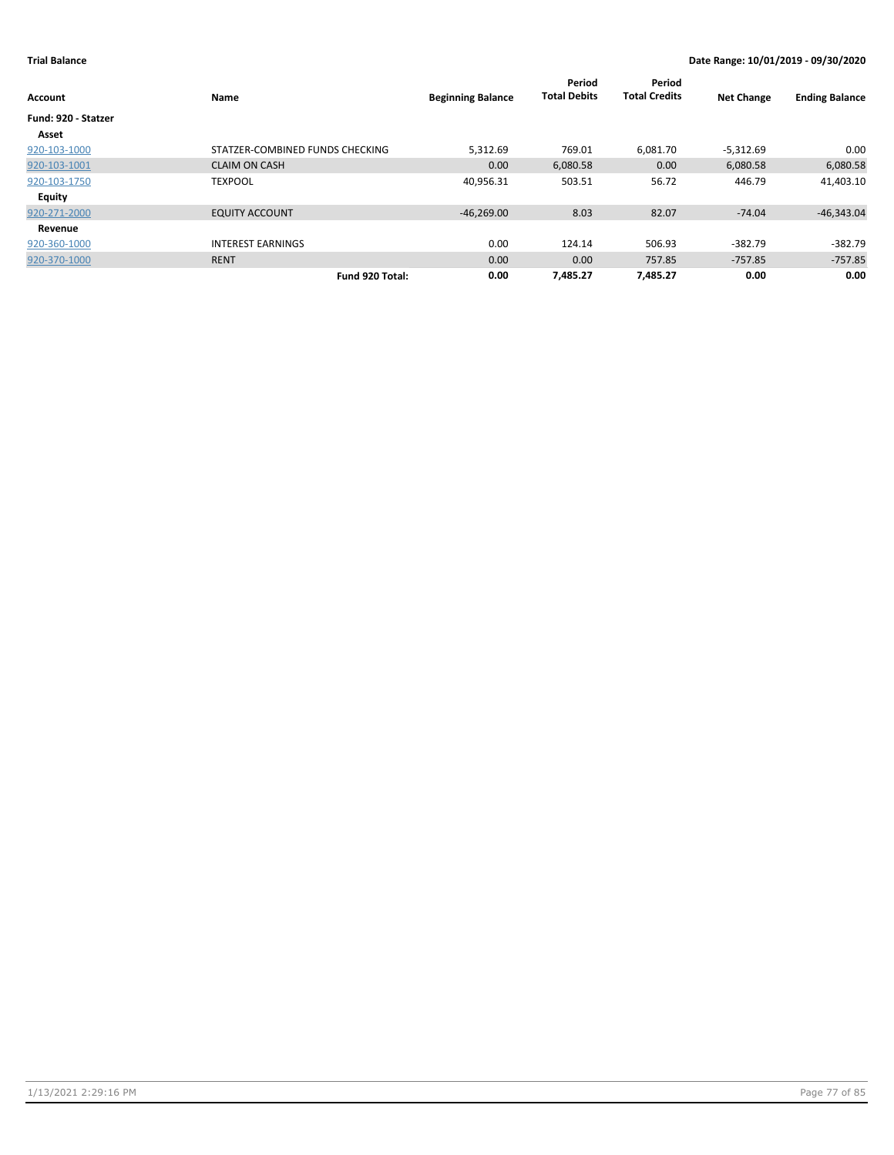| Account             | Name                            | <b>Beginning Balance</b> | Period<br><b>Total Debits</b> | Period<br><b>Total Credits</b> | <b>Net Change</b> | <b>Ending Balance</b> |
|---------------------|---------------------------------|--------------------------|-------------------------------|--------------------------------|-------------------|-----------------------|
| Fund: 920 - Statzer |                                 |                          |                               |                                |                   |                       |
| Asset               |                                 |                          |                               |                                |                   |                       |
| 920-103-1000        | STATZER-COMBINED FUNDS CHECKING | 5,312.69                 | 769.01                        | 6,081.70                       | $-5,312.69$       | 0.00                  |
| 920-103-1001        | <b>CLAIM ON CASH</b>            | 0.00                     | 6,080.58                      | 0.00                           | 6,080.58          | 6,080.58              |
| 920-103-1750        | <b>TEXPOOL</b>                  | 40,956.31                | 503.51                        | 56.72                          | 446.79            | 41,403.10             |
| <b>Equity</b>       |                                 |                          |                               |                                |                   |                       |
| 920-271-2000        | <b>EQUITY ACCOUNT</b>           | $-46,269.00$             | 8.03                          | 82.07                          | $-74.04$          | $-46,343.04$          |
| Revenue             |                                 |                          |                               |                                |                   |                       |
| 920-360-1000        | <b>INTEREST EARNINGS</b>        | 0.00                     | 124.14                        | 506.93                         | $-382.79$         | $-382.79$             |
| 920-370-1000        | <b>RENT</b>                     | 0.00                     | 0.00                          | 757.85                         | $-757.85$         | $-757.85$             |
|                     | Fund 920 Total:                 | 0.00                     | 7,485.27                      | 7,485.27                       | 0.00              | 0.00                  |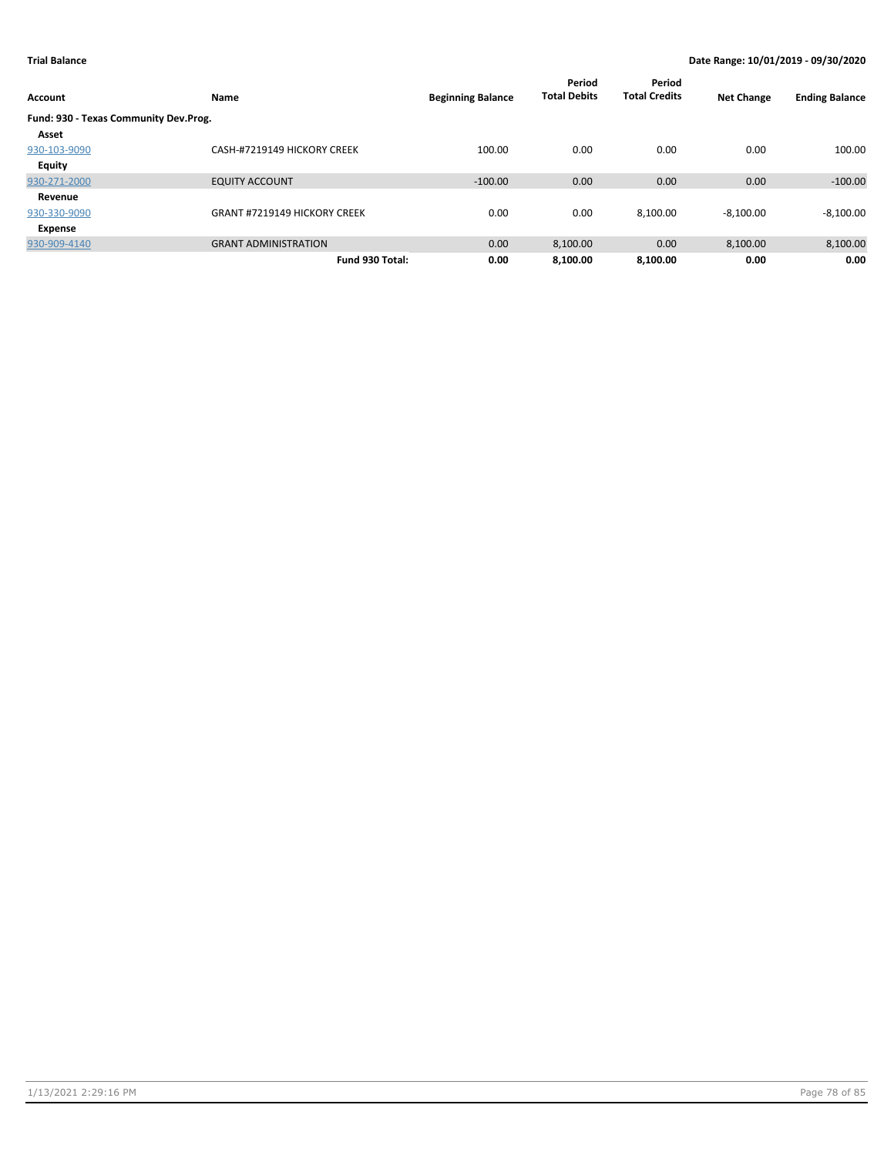| Account                               | Name                                | <b>Beginning Balance</b> | Period<br><b>Total Debits</b> | Period<br><b>Total Credits</b> | <b>Net Change</b> | <b>Ending Balance</b> |
|---------------------------------------|-------------------------------------|--------------------------|-------------------------------|--------------------------------|-------------------|-----------------------|
| Fund: 930 - Texas Community Dev.Prog. |                                     |                          |                               |                                |                   |                       |
| Asset                                 |                                     |                          |                               |                                |                   |                       |
| 930-103-9090                          | CASH-#7219149 HICKORY CREEK         | 100.00                   | 0.00                          | 0.00                           | 0.00              | 100.00                |
| Equity                                |                                     |                          |                               |                                |                   |                       |
| 930-271-2000                          | <b>EQUITY ACCOUNT</b>               | $-100.00$                | 0.00                          | 0.00                           | 0.00              | $-100.00$             |
| Revenue                               |                                     |                          |                               |                                |                   |                       |
| 930-330-9090                          | <b>GRANT #7219149 HICKORY CREEK</b> | 0.00                     | 0.00                          | 8,100.00                       | $-8,100.00$       | $-8,100.00$           |
| Expense                               |                                     |                          |                               |                                |                   |                       |
| 930-909-4140                          | <b>GRANT ADMINISTRATION</b>         | 0.00                     | 8,100.00                      | 0.00                           | 8,100.00          | 8,100.00              |
|                                       | Fund 930 Total:                     | 0.00                     | 8,100.00                      | 8,100.00                       | 0.00              | 0.00                  |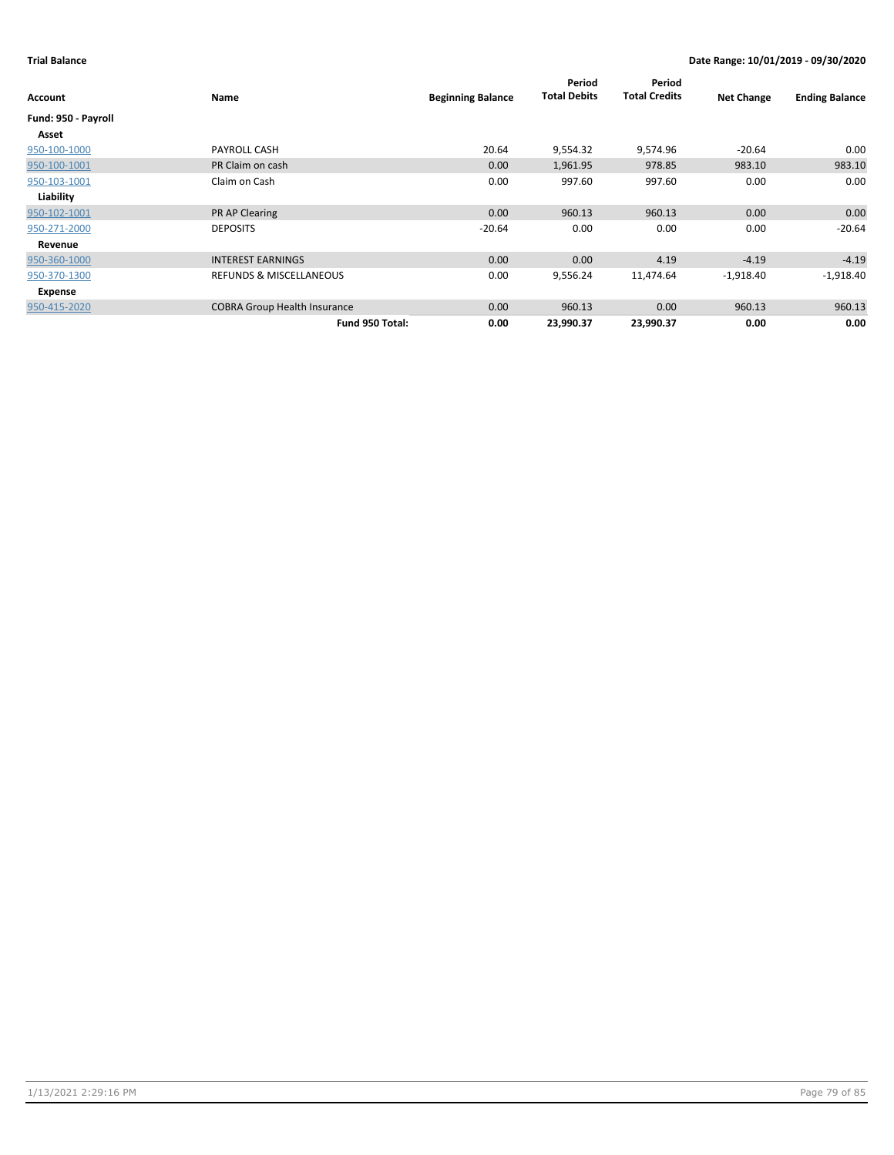|                     |                                     |                          | Period              | Period               |                   |                       |
|---------------------|-------------------------------------|--------------------------|---------------------|----------------------|-------------------|-----------------------|
| Account             | Name                                | <b>Beginning Balance</b> | <b>Total Debits</b> | <b>Total Credits</b> | <b>Net Change</b> | <b>Ending Balance</b> |
| Fund: 950 - Payroll |                                     |                          |                     |                      |                   |                       |
| Asset               |                                     |                          |                     |                      |                   |                       |
| 950-100-1000        | PAYROLL CASH                        | 20.64                    | 9,554.32            | 9,574.96             | $-20.64$          | 0.00                  |
| 950-100-1001        | PR Claim on cash                    | 0.00                     | 1,961.95            | 978.85               | 983.10            | 983.10                |
| 950-103-1001        | Claim on Cash                       | 0.00                     | 997.60              | 997.60               | 0.00              | 0.00                  |
| Liability           |                                     |                          |                     |                      |                   |                       |
| 950-102-1001        | <b>PR AP Clearing</b>               | 0.00                     | 960.13              | 960.13               | 0.00              | 0.00                  |
| 950-271-2000        | <b>DEPOSITS</b>                     | $-20.64$                 | 0.00                | 0.00                 | 0.00              | $-20.64$              |
| Revenue             |                                     |                          |                     |                      |                   |                       |
| 950-360-1000        | <b>INTEREST EARNINGS</b>            | 0.00                     | 0.00                | 4.19                 | $-4.19$           | $-4.19$               |
| 950-370-1300        | <b>REFUNDS &amp; MISCELLANEOUS</b>  | 0.00                     | 9,556.24            | 11,474.64            | $-1,918.40$       | $-1,918.40$           |
| Expense             |                                     |                          |                     |                      |                   |                       |
| 950-415-2020        | <b>COBRA Group Health Insurance</b> | 0.00                     | 960.13              | 0.00                 | 960.13            | 960.13                |
|                     | Fund 950 Total:                     | 0.00                     | 23,990.37           | 23,990.37            | 0.00              | 0.00                  |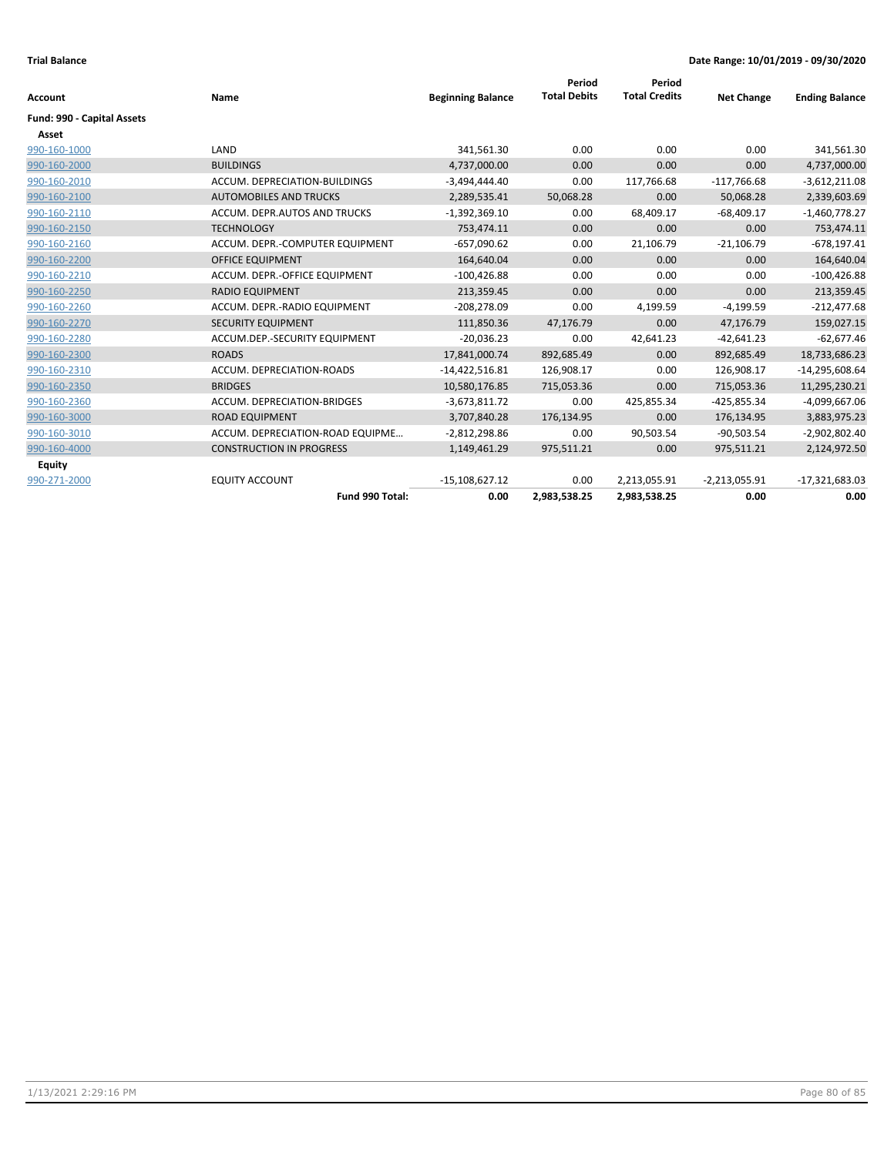|                            |                                  |                          | Period              | Period               |                   |                       |
|----------------------------|----------------------------------|--------------------------|---------------------|----------------------|-------------------|-----------------------|
| <b>Account</b>             | Name                             | <b>Beginning Balance</b> | <b>Total Debits</b> | <b>Total Credits</b> | <b>Net Change</b> | <b>Ending Balance</b> |
| Fund: 990 - Capital Assets |                                  |                          |                     |                      |                   |                       |
| Asset                      |                                  |                          |                     |                      |                   |                       |
| 990-160-1000               | LAND                             | 341,561.30               | 0.00                | 0.00                 | 0.00              | 341,561.30            |
| 990-160-2000               | <b>BUILDINGS</b>                 | 4,737,000.00             | 0.00                | 0.00                 | 0.00              | 4,737,000.00          |
| 990-160-2010               | ACCUM. DEPRECIATION-BUILDINGS    | $-3,494,444.40$          | 0.00                | 117,766.68           | $-117,766.68$     | $-3,612,211.08$       |
| 990-160-2100               | <b>AUTOMOBILES AND TRUCKS</b>    | 2,289,535.41             | 50,068.28           | 0.00                 | 50,068.28         | 2,339,603.69          |
| 990-160-2110               | ACCUM. DEPR.AUTOS AND TRUCKS     | $-1,392,369.10$          | 0.00                | 68,409.17            | $-68,409.17$      | $-1,460,778.27$       |
| 990-160-2150               | <b>TECHNOLOGY</b>                | 753,474.11               | 0.00                | 0.00                 | 0.00              | 753,474.11            |
| 990-160-2160               | ACCUM. DEPR.-COMPUTER EQUIPMENT  | $-657,090.62$            | 0.00                | 21,106.79            | $-21,106.79$      | $-678, 197.41$        |
| 990-160-2200               | <b>OFFICE EQUIPMENT</b>          | 164,640.04               | 0.00                | 0.00                 | 0.00              | 164,640.04            |
| 990-160-2210               | ACCUM. DEPR.-OFFICE EQUIPMENT    | $-100,426.88$            | 0.00                | 0.00                 | 0.00              | $-100,426.88$         |
| 990-160-2250               | <b>RADIO EQUIPMENT</b>           | 213,359.45               | 0.00                | 0.00                 | 0.00              | 213,359.45            |
| 990-160-2260               | ACCUM. DEPR.-RADIO EQUIPMENT     | $-208,278.09$            | 0.00                | 4,199.59             | $-4,199.59$       | $-212,477.68$         |
| 990-160-2270               | <b>SECURITY EQUIPMENT</b>        | 111,850.36               | 47,176.79           | 0.00                 | 47,176.79         | 159,027.15            |
| 990-160-2280               | ACCUM.DEP.-SECURITY EQUIPMENT    | $-20,036.23$             | 0.00                | 42,641.23            | $-42,641.23$      | $-62,677.46$          |
| 990-160-2300               | <b>ROADS</b>                     | 17,841,000.74            | 892,685.49          | 0.00                 | 892,685.49        | 18,733,686.23         |
| 990-160-2310               | ACCUM. DEPRECIATION-ROADS        | $-14,422,516.81$         | 126,908.17          | 0.00                 | 126,908.17        | $-14,295,608.64$      |
| 990-160-2350               | <b>BRIDGES</b>                   | 10,580,176.85            | 715,053.36          | 0.00                 | 715,053.36        | 11,295,230.21         |
| 990-160-2360               | ACCUM. DEPRECIATION-BRIDGES      | $-3,673,811.72$          | 0.00                | 425,855.34           | $-425,855.34$     | $-4,099,667.06$       |
| 990-160-3000               | <b>ROAD EQUIPMENT</b>            | 3,707,840.28             | 176,134.95          | 0.00                 | 176,134.95        | 3,883,975.23          |
| 990-160-3010               | ACCUM. DEPRECIATION-ROAD EQUIPME | $-2,812,298.86$          | 0.00                | 90,503.54            | $-90,503.54$      | $-2,902,802.40$       |
| 990-160-4000               | <b>CONSTRUCTION IN PROGRESS</b>  | 1,149,461.29             | 975,511.21          | 0.00                 | 975,511.21        | 2,124,972.50          |
| <b>Equity</b>              |                                  |                          |                     |                      |                   |                       |
| 990-271-2000               | <b>EQUITY ACCOUNT</b>            | $-15,108,627.12$         | 0.00                | 2,213,055.91         | $-2,213,055.91$   | $-17,321,683.03$      |
|                            | Fund 990 Total:                  | 0.00                     | 2,983,538.25        | 2,983,538.25         | 0.00              | 0.00                  |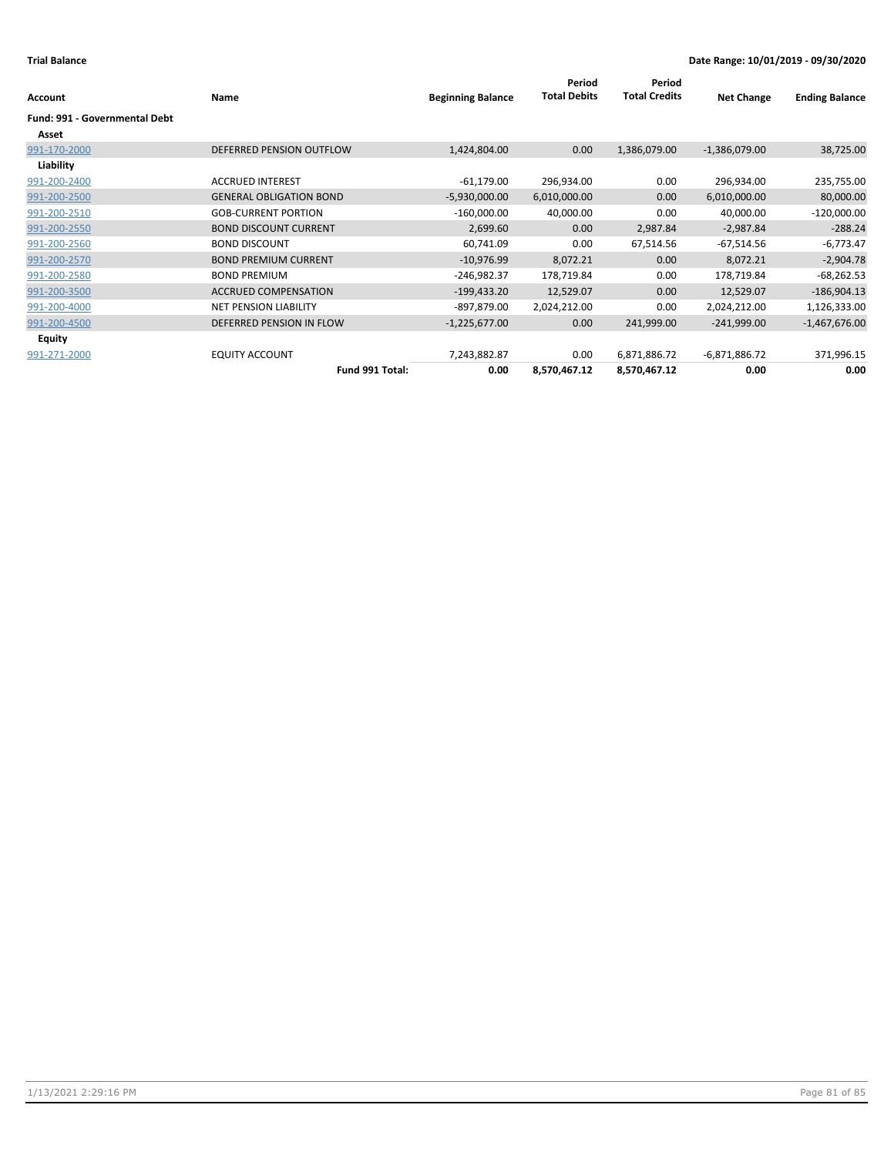| Account                              | Name                           | <b>Beginning Balance</b> | Period<br><b>Total Debits</b> | Period<br><b>Total Credits</b> | <b>Net Change</b> | <b>Ending Balance</b> |
|--------------------------------------|--------------------------------|--------------------------|-------------------------------|--------------------------------|-------------------|-----------------------|
| <b>Fund: 991 - Governmental Debt</b> |                                |                          |                               |                                |                   |                       |
| Asset                                |                                |                          |                               |                                |                   |                       |
| 991-170-2000                         | DEFERRED PENSION OUTFLOW       | 1,424,804.00             | 0.00                          | 1,386,079.00                   | $-1,386,079.00$   | 38,725.00             |
| Liability                            |                                |                          |                               |                                |                   |                       |
| 991-200-2400                         | <b>ACCRUED INTEREST</b>        | $-61,179.00$             | 296,934.00                    | 0.00                           | 296,934.00        | 235,755.00            |
| 991-200-2500                         | <b>GENERAL OBLIGATION BOND</b> | $-5,930,000.00$          | 6,010,000.00                  | 0.00                           | 6,010,000.00      | 80,000.00             |
| 991-200-2510                         | <b>GOB-CURRENT PORTION</b>     | $-160,000.00$            | 40,000.00                     | 0.00                           | 40,000.00         | $-120,000.00$         |
| 991-200-2550                         | <b>BOND DISCOUNT CURRENT</b>   | 2,699.60                 | 0.00                          | 2,987.84                       | $-2,987.84$       | $-288.24$             |
| 991-200-2560                         | <b>BOND DISCOUNT</b>           | 60,741.09                | 0.00                          | 67,514.56                      | $-67,514.56$      | $-6,773.47$           |
| 991-200-2570                         | <b>BOND PREMIUM CURRENT</b>    | $-10,976.99$             | 8,072.21                      | 0.00                           | 8,072.21          | $-2,904.78$           |
| 991-200-2580                         | <b>BOND PREMIUM</b>            | $-246,982.37$            | 178,719.84                    | 0.00                           | 178,719.84        | $-68,262.53$          |
| 991-200-3500                         | <b>ACCRUED COMPENSATION</b>    | $-199,433.20$            | 12,529.07                     | 0.00                           | 12,529.07         | $-186,904.13$         |
| 991-200-4000                         | NET PENSION LIABILITY          | -897,879.00              | 2,024,212.00                  | 0.00                           | 2,024,212.00      | 1,126,333.00          |
| 991-200-4500                         | DEFERRED PENSION IN FLOW       | $-1,225,677.00$          | 0.00                          | 241,999.00                     | $-241,999.00$     | $-1,467,676.00$       |
| <b>Equity</b>                        |                                |                          |                               |                                |                   |                       |
| 991-271-2000                         | <b>EQUITY ACCOUNT</b>          | 7,243,882.87             | 0.00                          | 6,871,886.72                   | $-6,871,886.72$   | 371,996.15            |
|                                      | Fund 991 Total:                | 0.00                     | 8,570,467.12                  | 8,570,467.12                   | 0.00              | 0.00                  |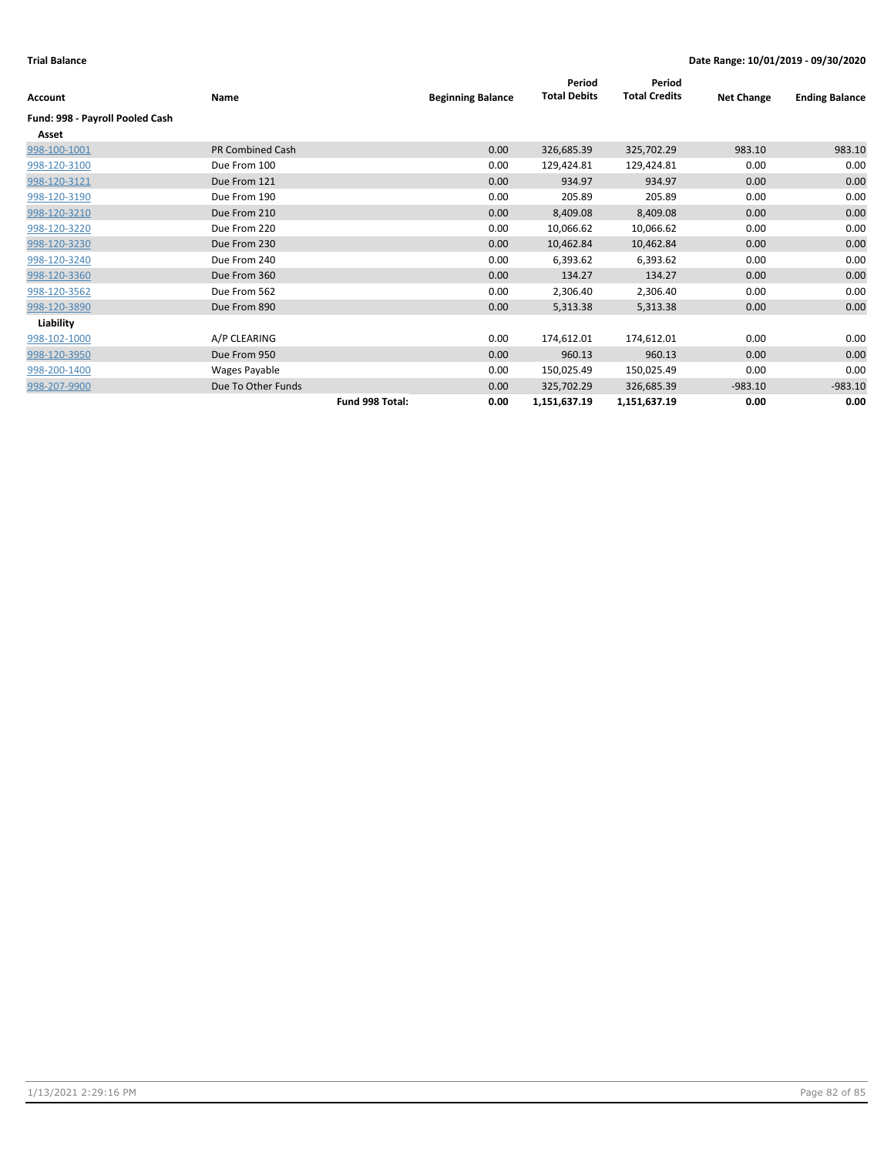| Account                         | Name                    | <b>Beginning Balance</b> | Period<br><b>Total Debits</b> | Period<br><b>Total Credits</b> | <b>Net Change</b> | <b>Ending Balance</b> |
|---------------------------------|-------------------------|--------------------------|-------------------------------|--------------------------------|-------------------|-----------------------|
| Fund: 998 - Payroll Pooled Cash |                         |                          |                               |                                |                   |                       |
| Asset                           |                         |                          |                               |                                |                   |                       |
| 998-100-1001                    | <b>PR Combined Cash</b> | 0.00                     | 326,685.39                    | 325,702.29                     | 983.10            | 983.10                |
| 998-120-3100                    | Due From 100            | 0.00                     | 129,424.81                    | 129,424.81                     | 0.00              | 0.00                  |
| 998-120-3121                    | Due From 121            | 0.00                     | 934.97                        | 934.97                         | 0.00              | 0.00                  |
| 998-120-3190                    | Due From 190            | 0.00                     | 205.89                        | 205.89                         | 0.00              | 0.00                  |
| 998-120-3210                    | Due From 210            | 0.00                     | 8,409.08                      | 8,409.08                       | 0.00              | 0.00                  |
| 998-120-3220                    | Due From 220            | 0.00                     | 10,066.62                     | 10,066.62                      | 0.00              | 0.00                  |
| 998-120-3230                    | Due From 230            | 0.00                     | 10,462.84                     | 10,462.84                      | 0.00              | 0.00                  |
| 998-120-3240                    | Due From 240            | 0.00                     | 6,393.62                      | 6,393.62                       | 0.00              | 0.00                  |
| 998-120-3360                    | Due From 360            | 0.00                     | 134.27                        | 134.27                         | 0.00              | 0.00                  |
| 998-120-3562                    | Due From 562            | 0.00                     | 2,306.40                      | 2,306.40                       | 0.00              | 0.00                  |
| 998-120-3890                    | Due From 890            | 0.00                     | 5,313.38                      | 5,313.38                       | 0.00              | 0.00                  |
| Liability                       |                         |                          |                               |                                |                   |                       |
| 998-102-1000                    | A/P CLEARING            | 0.00                     | 174,612.01                    | 174,612.01                     | 0.00              | 0.00                  |
| 998-120-3950                    | Due From 950            | 0.00                     | 960.13                        | 960.13                         | 0.00              | 0.00                  |
| 998-200-1400                    | Wages Payable           | 0.00                     | 150,025.49                    | 150,025.49                     | 0.00              | 0.00                  |
| 998-207-9900                    | Due To Other Funds      | 0.00                     | 325,702.29                    | 326,685.39                     | $-983.10$         | $-983.10$             |
|                                 | Fund 998 Total:         | 0.00                     | 1,151,637.19                  | 1,151,637.19                   | 0.00              | 0.00                  |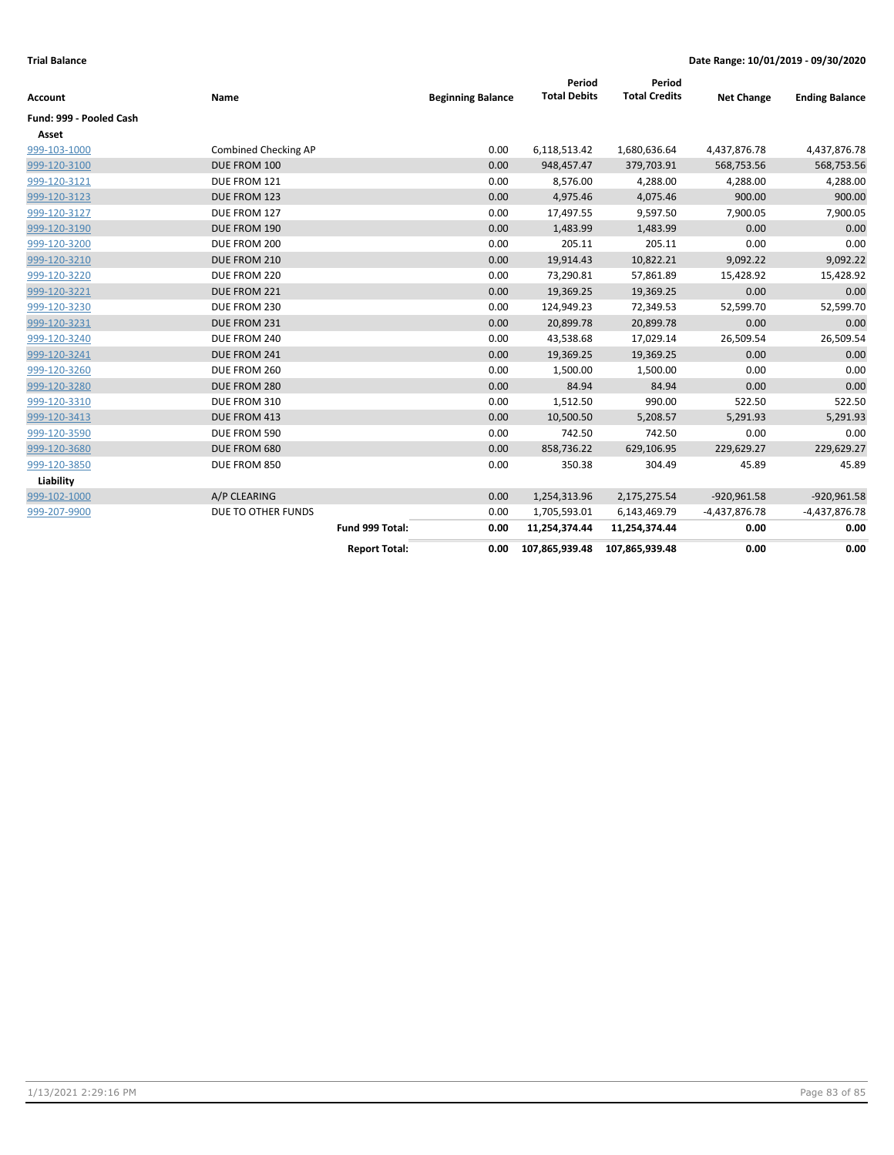| Account                 | Name                 | <b>Beginning Balance</b> | Period<br><b>Total Debits</b> | Period<br><b>Total Credits</b> | <b>Net Change</b> | <b>Ending Balance</b> |
|-------------------------|----------------------|--------------------------|-------------------------------|--------------------------------|-------------------|-----------------------|
| Fund: 999 - Pooled Cash |                      |                          |                               |                                |                   |                       |
| Asset                   |                      |                          |                               |                                |                   |                       |
| 999-103-1000            | Combined Checking AP | 0.00                     | 6,118,513.42                  | 1,680,636.64                   | 4,437,876.78      | 4,437,876.78          |
| 999-120-3100            | DUE FROM 100         | 0.00                     | 948,457.47                    | 379,703.91                     | 568,753.56        | 568,753.56            |
| 999-120-3121            | DUE FROM 121         | 0.00                     | 8,576.00                      | 4,288.00                       | 4,288.00          | 4,288.00              |
| 999-120-3123            | DUE FROM 123         | 0.00                     | 4,975.46                      | 4,075.46                       | 900.00            | 900.00                |
| 999-120-3127            | DUE FROM 127         | 0.00                     | 17,497.55                     | 9,597.50                       | 7,900.05          | 7,900.05              |
| 999-120-3190            | DUE FROM 190         | 0.00                     | 1,483.99                      | 1,483.99                       | 0.00              | 0.00                  |
| 999-120-3200            | DUE FROM 200         | 0.00                     | 205.11                        | 205.11                         | 0.00              | 0.00                  |
| 999-120-3210            | DUE FROM 210         | 0.00                     | 19,914.43                     | 10,822.21                      | 9,092.22          | 9,092.22              |
| 999-120-3220            | DUE FROM 220         | 0.00                     | 73,290.81                     | 57,861.89                      | 15,428.92         | 15,428.92             |
| 999-120-3221            | DUE FROM 221         | 0.00                     | 19,369.25                     | 19,369.25                      | 0.00              | 0.00                  |
| 999-120-3230            | DUE FROM 230         | 0.00                     | 124,949.23                    | 72,349.53                      | 52,599.70         | 52,599.70             |
| 999-120-3231            | DUE FROM 231         | 0.00                     | 20,899.78                     | 20,899.78                      | 0.00              | 0.00                  |
| 999-120-3240            | DUE FROM 240         | 0.00                     | 43,538.68                     | 17,029.14                      | 26,509.54         | 26,509.54             |
| 999-120-3241            | DUE FROM 241         | 0.00                     | 19,369.25                     | 19,369.25                      | 0.00              | 0.00                  |
| 999-120-3260            | DUE FROM 260         | 0.00                     | 1,500.00                      | 1,500.00                       | 0.00              | 0.00                  |
| 999-120-3280            | DUE FROM 280         | 0.00                     | 84.94                         | 84.94                          | 0.00              | 0.00                  |
| 999-120-3310            | DUE FROM 310         | 0.00                     | 1,512.50                      | 990.00                         | 522.50            | 522.50                |
| 999-120-3413            | DUE FROM 413         | 0.00                     | 10,500.50                     | 5,208.57                       | 5,291.93          | 5,291.93              |
| 999-120-3590            | DUE FROM 590         | 0.00                     | 742.50                        | 742.50                         | 0.00              | 0.00                  |
| 999-120-3680            | DUE FROM 680         | 0.00                     | 858,736.22                    | 629,106.95                     | 229,629.27        | 229,629.27            |
| 999-120-3850            | DUE FROM 850         | 0.00                     | 350.38                        | 304.49                         | 45.89             | 45.89                 |
| Liability               |                      |                          |                               |                                |                   |                       |
| 999-102-1000            | A/P CLEARING         | 0.00                     | 1,254,313.96                  | 2,175,275.54                   | $-920,961.58$     | $-920,961.58$         |
| 999-207-9900            | DUE TO OTHER FUNDS   | 0.00                     | 1,705,593.01                  | 6,143,469.79                   | -4,437,876.78     | -4,437,876.78         |
|                         | Fund 999 Total:      | 0.00                     | 11,254,374.44                 | 11,254,374.44                  | 0.00              | 0.00                  |
|                         | <b>Report Total:</b> | 0.00                     | 107,865,939.48                | 107,865,939.48                 | 0.00              | 0.00                  |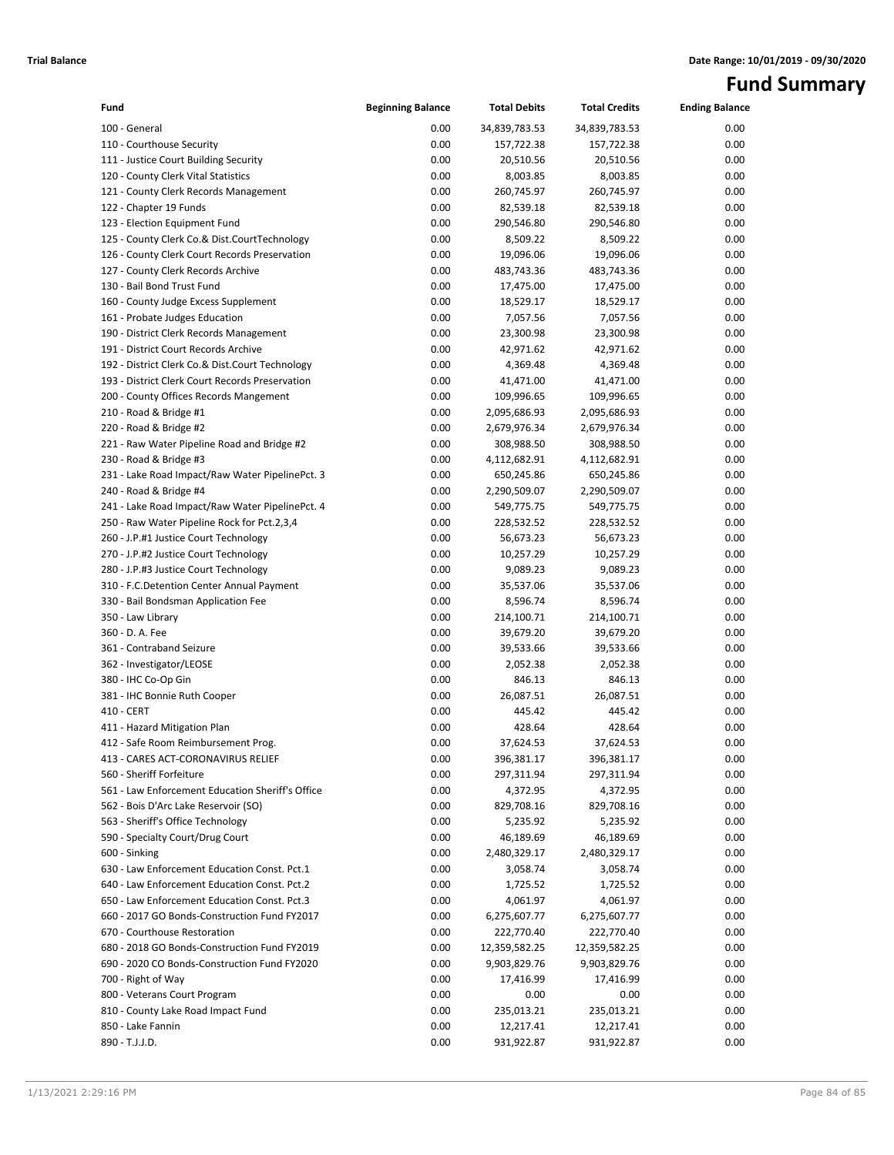# **Fund Summary**

| Fund                                             | <b>Beginning Balance</b> | <b>Total Debits</b> | <b>Total Credits</b> | <b>Ending Balance</b> |
|--------------------------------------------------|--------------------------|---------------------|----------------------|-----------------------|
| 100 - General                                    | 0.00                     | 34,839,783.53       | 34,839,783.53        | 0.00                  |
| 110 - Courthouse Security                        | 0.00                     | 157,722.38          | 157,722.38           | 0.00                  |
| 111 - Justice Court Building Security            | 0.00                     | 20,510.56           | 20,510.56            | 0.00                  |
| 120 - County Clerk Vital Statistics              | 0.00                     | 8,003.85            | 8,003.85             | 0.00                  |
| 121 - County Clerk Records Management            | 0.00                     | 260,745.97          | 260,745.97           | 0.00                  |
| 122 - Chapter 19 Funds                           | 0.00                     | 82,539.18           | 82,539.18            | 0.00                  |
| 123 - Election Equipment Fund                    | 0.00                     | 290,546.80          | 290,546.80           | 0.00                  |
| 125 - County Clerk Co.& Dist.CourtTechnology     | 0.00                     | 8,509.22            | 8,509.22             | 0.00                  |
| 126 - County Clerk Court Records Preservation    | 0.00                     | 19,096.06           | 19,096.06            | 0.00                  |
| 127 - County Clerk Records Archive               | 0.00                     | 483,743.36          | 483,743.36           | 0.00                  |
| 130 - Bail Bond Trust Fund                       | 0.00                     | 17,475.00           | 17,475.00            | 0.00                  |
| 160 - County Judge Excess Supplement             | 0.00                     | 18,529.17           | 18,529.17            | 0.00                  |
| 161 - Probate Judges Education                   | 0.00                     | 7,057.56            | 7,057.56             | 0.00                  |
| 190 - District Clerk Records Management          | 0.00                     | 23,300.98           | 23,300.98            | 0.00                  |
| 191 - District Court Records Archive             | 0.00                     | 42,971.62           | 42,971.62            | 0.00                  |
| 192 - District Clerk Co.& Dist.Court Technology  | 0.00                     | 4,369.48            | 4,369.48             | 0.00                  |
| 193 - District Clerk Court Records Preservation  | 0.00                     | 41,471.00           | 41,471.00            | 0.00                  |
| 200 - County Offices Records Mangement           | 0.00                     | 109,996.65          | 109,996.65           | 0.00                  |
| 210 - Road & Bridge #1                           | 0.00                     | 2,095,686.93        | 2,095,686.93         | 0.00                  |
| 220 - Road & Bridge #2                           | 0.00                     | 2,679,976.34        | 2,679,976.34         | 0.00                  |
| 221 - Raw Water Pipeline Road and Bridge #2      | 0.00                     | 308,988.50          | 308,988.50           | 0.00                  |
| 230 - Road & Bridge #3                           | 0.00                     | 4,112,682.91        | 4,112,682.91         | 0.00                  |
| 231 - Lake Road Impact/Raw Water PipelinePct. 3  | 0.00                     | 650,245.86          | 650,245.86           | 0.00                  |
| 240 - Road & Bridge #4                           | 0.00                     | 2,290,509.07        | 2,290,509.07         | 0.00                  |
| 241 - Lake Road Impact/Raw Water PipelinePct. 4  | 0.00                     | 549,775.75          | 549,775.75           | 0.00                  |
| 250 - Raw Water Pipeline Rock for Pct.2,3,4      | 0.00                     | 228,532.52          | 228,532.52           | 0.00                  |
| 260 - J.P.#1 Justice Court Technology            | 0.00                     | 56,673.23           | 56,673.23            | 0.00                  |
| 270 - J.P.#2 Justice Court Technology            | 0.00                     | 10,257.29           | 10,257.29            | 0.00                  |
| 280 - J.P.#3 Justice Court Technology            | 0.00                     | 9,089.23            | 9,089.23             | 0.00                  |
| 310 - F.C.Detention Center Annual Payment        | 0.00                     | 35,537.06           | 35,537.06            | 0.00                  |
| 330 - Bail Bondsman Application Fee              | 0.00                     | 8,596.74            | 8,596.74             | 0.00                  |
| 350 - Law Library                                | 0.00                     | 214,100.71          | 214,100.71           | 0.00                  |
| 360 - D. A. Fee                                  | 0.00                     | 39,679.20           | 39,679.20            | 0.00                  |
| 361 - Contraband Seizure                         | 0.00                     | 39,533.66           | 39,533.66            | 0.00                  |
| 362 - Investigator/LEOSE                         | 0.00                     | 2,052.38            | 2,052.38             | 0.00                  |
| 380 - IHC Co-Op Gin                              | 0.00                     | 846.13              | 846.13               | 0.00                  |
| 381 - IHC Bonnie Ruth Cooper                     | 0.00                     | 26,087.51           | 26,087.51            | 0.00                  |
| 410 - CERT                                       | 0.00                     | 445.42              | 445.42               | 0.00                  |
| 411 - Hazard Mitigation Plan                     | 0.00                     | 428.64              | 428.64               | 0.00                  |
| 412 - Safe Room Reimbursement Prog.              | 0.00                     | 37,624.53           | 37,624.53            | 0.00                  |
| 413 - CARES ACT-CORONAVIRUS RELIEF               | 0.00                     | 396,381.17          | 396,381.17           | 0.00                  |
| 560 - Sheriff Forfeiture                         | 0.00                     | 297,311.94          | 297,311.94           | 0.00                  |
| 561 - Law Enforcement Education Sheriff's Office | 0.00                     | 4,372.95            | 4,372.95             | 0.00                  |
| 562 - Bois D'Arc Lake Reservoir (SO)             | 0.00                     | 829,708.16          | 829,708.16           | 0.00                  |
| 563 - Sheriff's Office Technology                | 0.00                     | 5,235.92            | 5,235.92             | 0.00                  |
| 590 - Specialty Court/Drug Court                 | 0.00                     | 46,189.69           | 46,189.69            | 0.00                  |
| 600 - Sinking                                    | 0.00                     | 2,480,329.17        | 2,480,329.17         | 0.00                  |
| 630 - Law Enforcement Education Const. Pct.1     | 0.00                     | 3,058.74            | 3,058.74             | 0.00                  |
| 640 - Law Enforcement Education Const. Pct.2     | 0.00                     | 1,725.52            | 1,725.52             | 0.00                  |
| 650 - Law Enforcement Education Const. Pct.3     | 0.00                     | 4,061.97            | 4,061.97             | 0.00                  |
| 660 - 2017 GO Bonds-Construction Fund FY2017     | 0.00                     | 6,275,607.77        | 6,275,607.77         | 0.00                  |
| 670 - Courthouse Restoration                     | 0.00                     | 222,770.40          | 222,770.40           | 0.00                  |
| 680 - 2018 GO Bonds-Construction Fund FY2019     | 0.00                     | 12,359,582.25       | 12,359,582.25        | 0.00                  |
| 690 - 2020 CO Bonds-Construction Fund FY2020     | 0.00                     | 9,903,829.76        | 9,903,829.76         | 0.00                  |
| 700 - Right of Way                               | 0.00                     | 17,416.99           | 17,416.99            | 0.00                  |
| 800 - Veterans Court Program                     | 0.00                     | 0.00                | 0.00                 | 0.00                  |
| 810 - County Lake Road Impact Fund               | 0.00                     | 235,013.21          | 235,013.21           | 0.00                  |
| 850 - Lake Fannin                                | 0.00                     | 12,217.41           | 12,217.41            | 0.00                  |
| 890 - T.J.J.D.                                   | 0.00                     | 931,922.87          | 931,922.87           | 0.00                  |